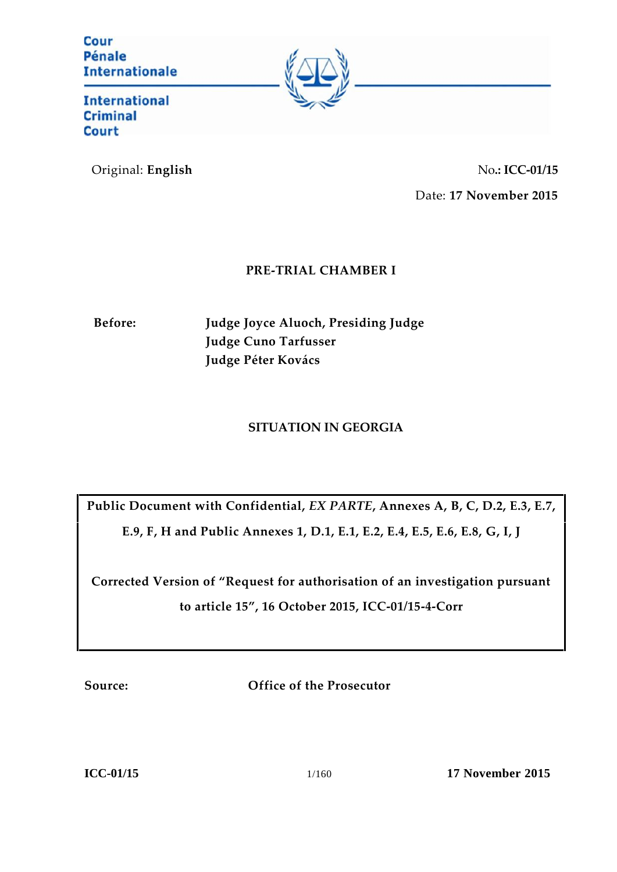Cour Pénale **Internationale** 



**International Criminal Court** 

Original: **English** No**.: ICC-01/15** Date: **17 November 2015**

# **PRE-TRIAL CHAMBER I**

**Before: Judge Joyce Aluoch, Presiding Judge Judge Cuno Tarfusser Judge Péter Kovács**

## **SITUATION IN GEORGIA**

**Public Document with Confidential,** *EX PARTE***, Annexes A, B, C, D.2, E.3, E.7,**

**E.9, F, H and Public Annexes 1, D.1, E.1, E.2, E.4, E.5, E.6, E.8, G, I, J**

**Corrected Version of "Request for authorisation of an investigation pursuant to article 15", 16 October 2015, ICC-01/15-4-Corr**

**Source: Office of the Prosecutor**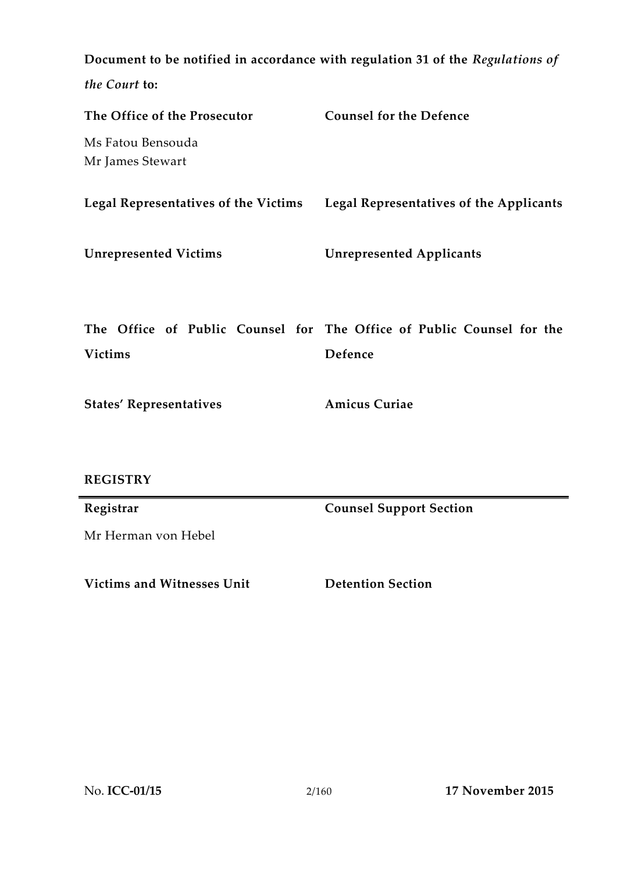**Document to be notified in accordance with regulation 31 of the** *Regulations of the Court* **to: The Office of the Prosecutor** Ms Fatou Bensouda Mr James Stewart **Counsel for the Defence Legal Representatives of the Victims Legal Representatives of the Applicants Unrepresented Victims Unrepresented Applicants The Office of Public Counsel for The Office of Public Counsel for the Victims Defence States' Representatives REGISTRY Amicus Curiae Registrar** Mr Herman von Hebel **Counsel Support Section**

**Victims and Witnesses Unit Detention Section**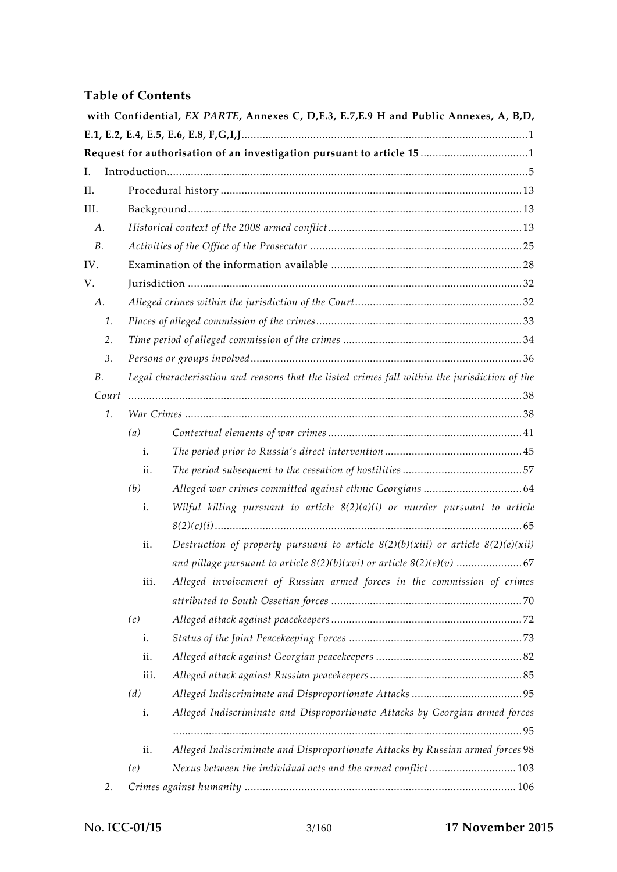## **Table of Contents**

|       |                                                                                               | with Confidential, EX PARTE, Annexes C, D,E.3, E.7,E.9 H and Public Annexes, A, B,D,  |  |  |
|-------|-----------------------------------------------------------------------------------------------|---------------------------------------------------------------------------------------|--|--|
|       |                                                                                               |                                                                                       |  |  |
| I.    |                                                                                               |                                                                                       |  |  |
| II.   |                                                                                               |                                                                                       |  |  |
| III.  |                                                                                               |                                                                                       |  |  |
| А.    |                                                                                               |                                                                                       |  |  |
| B.    |                                                                                               |                                                                                       |  |  |
| IV.   |                                                                                               |                                                                                       |  |  |
| V.    |                                                                                               |                                                                                       |  |  |
| А.    |                                                                                               |                                                                                       |  |  |
| 1.    |                                                                                               |                                                                                       |  |  |
| 2.    |                                                                                               |                                                                                       |  |  |
| 3.    |                                                                                               |                                                                                       |  |  |
| В.    | Legal characterisation and reasons that the listed crimes fall within the jurisdiction of the |                                                                                       |  |  |
| Court |                                                                                               |                                                                                       |  |  |
| 1.    |                                                                                               |                                                                                       |  |  |
|       | (a)                                                                                           |                                                                                       |  |  |
|       | i.                                                                                            |                                                                                       |  |  |
|       | ii.                                                                                           |                                                                                       |  |  |
|       | (b)                                                                                           |                                                                                       |  |  |
|       | i.                                                                                            | Wilful killing pursuant to article $8(2)(a)(i)$ or murder pursuant to article         |  |  |
|       |                                                                                               |                                                                                       |  |  |
|       | ii.                                                                                           | Destruction of property pursuant to article $8(2)(b)(xiii)$ or article $8(2)(e)(xii)$ |  |  |
|       |                                                                                               |                                                                                       |  |  |
|       | iii.                                                                                          | Alleged involvement of Russian armed forces in the commission of crimes               |  |  |
|       |                                                                                               |                                                                                       |  |  |
|       | (c)                                                                                           |                                                                                       |  |  |
|       | i.                                                                                            |                                                                                       |  |  |
|       | ii.                                                                                           |                                                                                       |  |  |
|       | iii.                                                                                          |                                                                                       |  |  |
|       | (d)                                                                                           |                                                                                       |  |  |
|       | i.                                                                                            | Alleged Indiscriminate and Disproportionate Attacks by Georgian armed forces          |  |  |
|       |                                                                                               |                                                                                       |  |  |
|       | ii.                                                                                           | Alleged Indiscriminate and Disproportionate Attacks by Russian armed forces 98        |  |  |
|       | (e)                                                                                           | Nexus between the individual acts and the armed conflict  103                         |  |  |
| 2.    |                                                                                               |                                                                                       |  |  |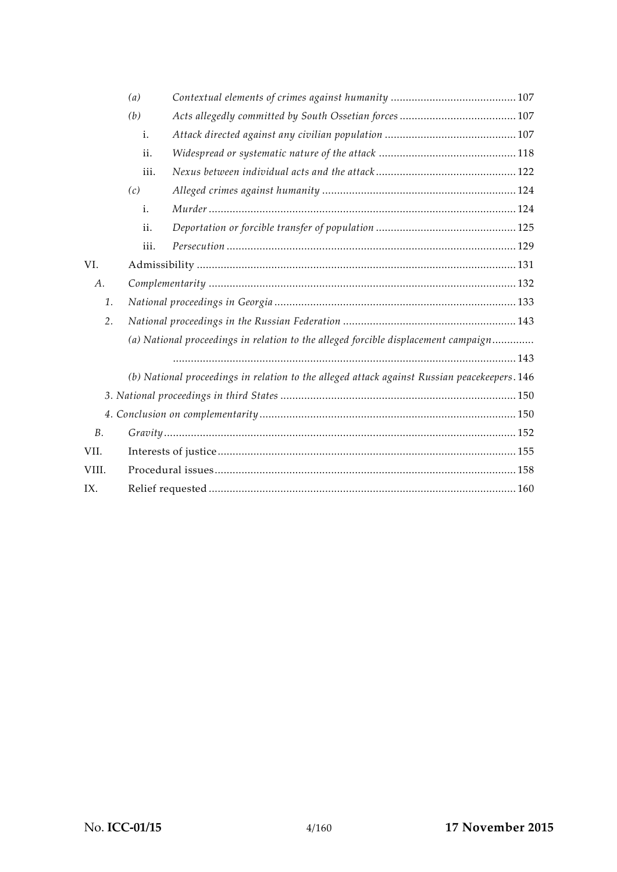|                | (a)                                                                                          |  |  |  |
|----------------|----------------------------------------------------------------------------------------------|--|--|--|
|                | (b)                                                                                          |  |  |  |
|                | i.                                                                                           |  |  |  |
|                | ii.                                                                                          |  |  |  |
|                | iii.                                                                                         |  |  |  |
|                | (c)                                                                                          |  |  |  |
|                | i.                                                                                           |  |  |  |
|                | ii.                                                                                          |  |  |  |
|                | iii.                                                                                         |  |  |  |
| VI.            |                                                                                              |  |  |  |
| А.             |                                                                                              |  |  |  |
| 1.             |                                                                                              |  |  |  |
| 2.             |                                                                                              |  |  |  |
|                | (a) National proceedings in relation to the alleged forcible displacement campaign           |  |  |  |
|                |                                                                                              |  |  |  |
|                | (b) National proceedings in relation to the alleged attack against Russian peacekeepers. 146 |  |  |  |
|                |                                                                                              |  |  |  |
|                |                                                                                              |  |  |  |
| B <sub>1</sub> |                                                                                              |  |  |  |
| VII.           |                                                                                              |  |  |  |
| VIII.          |                                                                                              |  |  |  |
| IX.            |                                                                                              |  |  |  |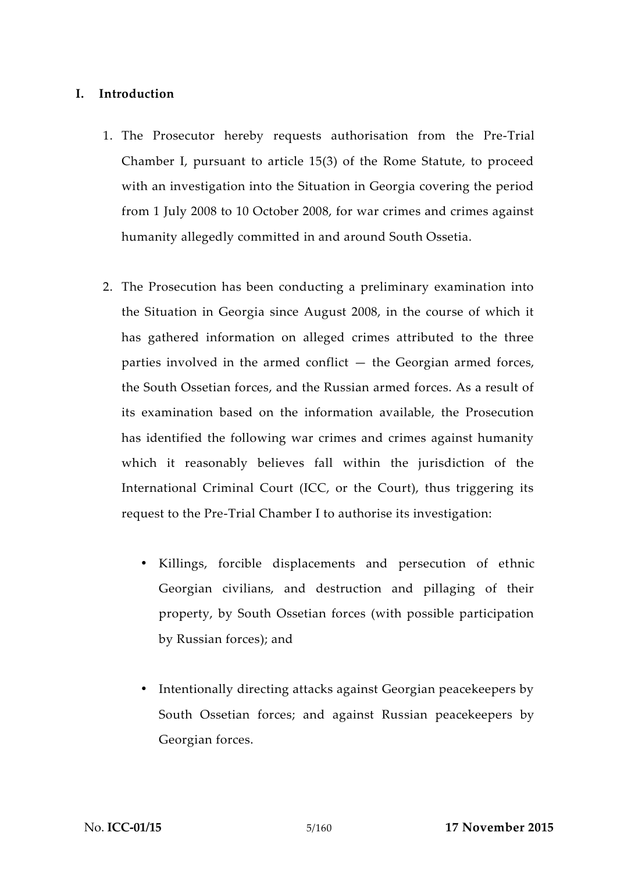#### **I. Introduction**

- 1. The Prosecutor hereby requests authorisation from the Pre-Trial Chamber I, pursuant to article 15(3) of the Rome Statute, to proceed with an investigation into the Situation in Georgia covering the period from 1 July 2008 to 10 October 2008, for war crimes and crimes against humanity allegedly committed in and around South Ossetia.
- 2. The Prosecution has been conducting a preliminary examination into the Situation in Georgia since August 2008, in the course of which it has gathered information on alleged crimes attributed to the three parties involved in the armed conflict — the Georgian armed forces, the South Ossetian forces, and the Russian armed forces. As a result of its examination based on the information available, the Prosecution has identified the following war crimes and crimes against humanity which it reasonably believes fall within the jurisdiction of the International Criminal Court (ICC, or the Court), thus triggering its request to the Pre-Trial Chamber I to authorise its investigation:
	- Killings, forcible displacements and persecution of ethnic Georgian civilians, and destruction and pillaging of their property, by South Ossetian forces (with possible participation by Russian forces); and
	- Intentionally directing attacks against Georgian peacekeepers by South Ossetian forces; and against Russian peacekeepers by Georgian forces.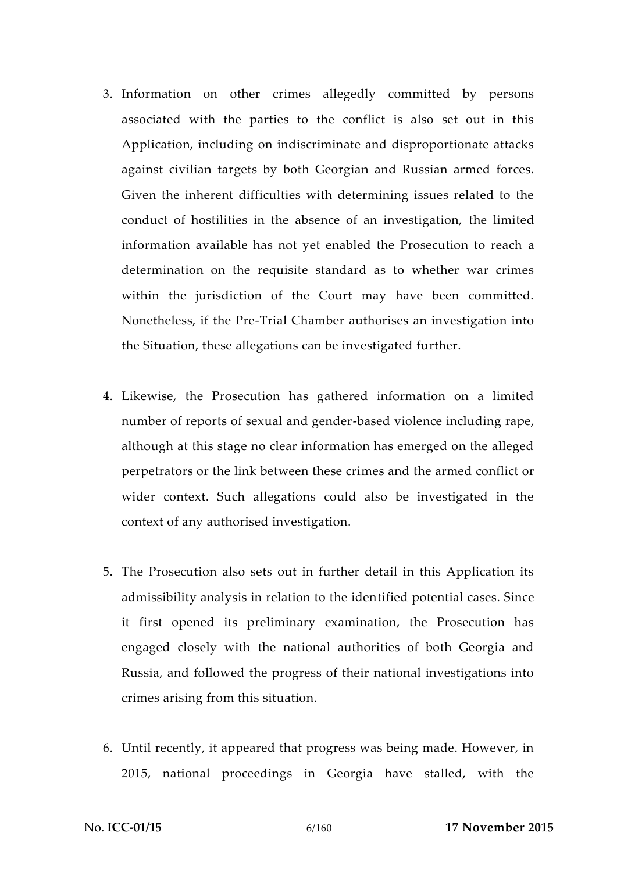- 3. Information on other crimes allegedly committed by persons associated with the parties to the conflict is also set out in this Application, including on indiscriminate and disproportionate attacks against civilian targets by both Georgian and Russian armed forces. Given the inherent difficulties with determining issues related to the conduct of hostilities in the absence of an investigation, the limited information available has not yet enabled the Prosecution to reach a determination on the requisite standard as to whether war crimes within the jurisdiction of the Court may have been committed. Nonetheless, if the Pre-Trial Chamber authorises an investigation into the Situation, these allegations can be investigated further.
- 4. Likewise, the Prosecution has gathered information on a limited number of reports of sexual and gender-based violence including rape, although at this stage no clear information has emerged on the alleged perpetrators or the link between these crimes and the armed conflict or wider context. Such allegations could also be investigated in the context of any authorised investigation.
- 5. The Prosecution also sets out in further detail in this Application its admissibility analysis in relation to the identified potential cases. Since it first opened its preliminary examination, the Prosecution has engaged closely with the national authorities of both Georgia and Russia, and followed the progress of their national investigations into crimes arising from this situation.
- 6. Until recently, it appeared that progress was being made. However, in 2015, national proceedings in Georgia have stalled, with the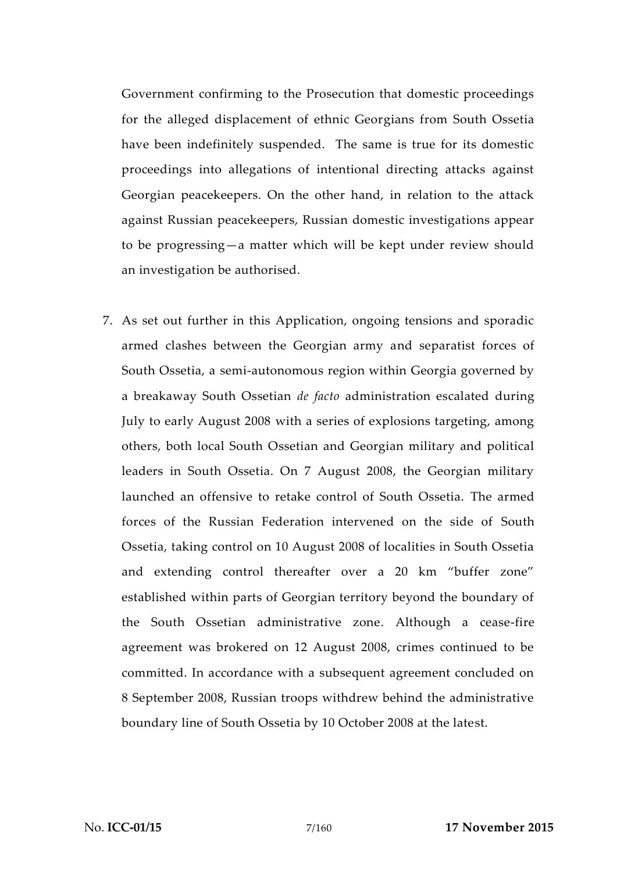Government confirming to the Prosecution that domestic proceedings for the alleged displacement of ethnic Georgians from South Ossetia have been indefinitely suspended. The same is true for its domestic proceedings into allegations of intentional directing attacks against Georgian peacekeepers. On the other hand, in relation to the attack against Russian peacekeepers, Russian domestic investigations appear to be progressing—a matter which will be kept under review should an investigation be authorised.

7. As set out further in this Application, ongoing tensions and sporadic armed clashes between the Georgian army and separatist forces of South Ossetia, a semi-autonomous region within Georgia governed by a breakaway South Ossetian *de facto* administration escalated during July to early August 2008 with a series of explosions targeting, among others, both local South Ossetian and Georgian military and political leaders in South Ossetia. On 7 August 2008, the Georgian military launched an offensive to retake control of South Ossetia. The armed forces of the Russian Federation intervened on the side of South Ossetia, taking control on 10 August 2008 of localities in South Ossetia and extending control thereafter over a 20 km "buffer zone" established within parts of Georgian territory beyond the boundary of the South Ossetian administrative zone. Although a cease-fire agreement was brokered on 12 August 2008, crimes continued to be committed. In accordance with a subsequent agreement concluded on 8 September 2008, Russian troops withdrew behind the administrative boundary line of South Ossetia by 10 October 2008 at the latest.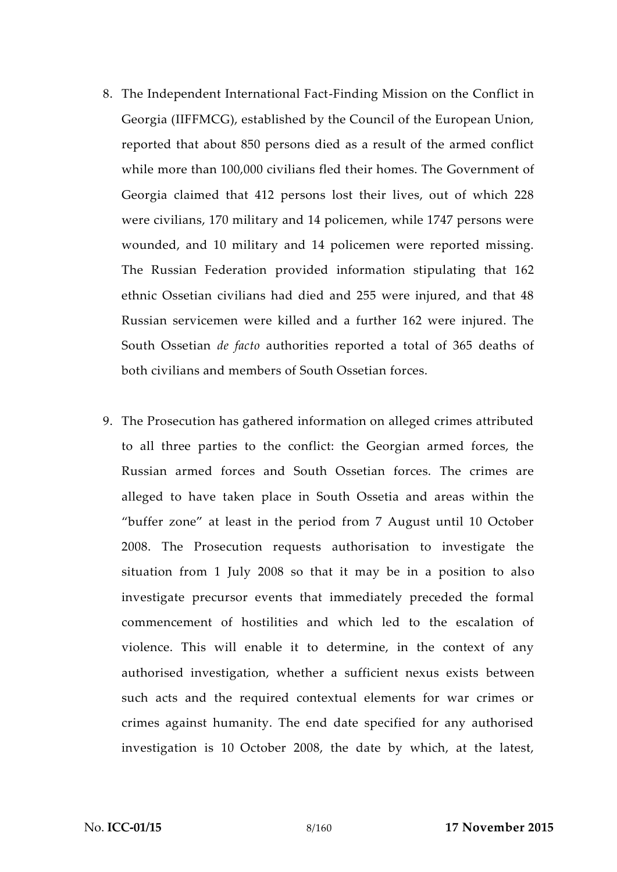- 8. The Independent International Fact-Finding Mission on the Conflict in Georgia (IIFFMCG), established by the Council of the European Union, reported that about 850 persons died as a result of the armed conflict while more than 100,000 civilians fled their homes. The Government of Georgia claimed that 412 persons lost their lives, out of which 228 were civilians, 170 military and 14 policemen, while 1747 persons were wounded, and 10 military and 14 policemen were reported missing. The Russian Federation provided information stipulating that 162 ethnic Ossetian civilians had died and 255 were injured, and that 48 Russian servicemen were killed and a further 162 were injured. The South Ossetian *de facto* authorities reported a total of 365 deaths of both civilians and members of South Ossetian forces.
- 9. The Prosecution has gathered information on alleged crimes attributed to all three parties to the conflict: the Georgian armed forces, the Russian armed forces and South Ossetian forces. The crimes are alleged to have taken place in South Ossetia and areas within the "buffer zone" at least in the period from 7 August until 10 October 2008. The Prosecution requests authorisation to investigate the situation from 1 July 2008 so that it may be in a position to also investigate precursor events that immediately preceded the formal commencement of hostilities and which led to the escalation of violence. This will enable it to determine, in the context of any authorised investigation, whether a sufficient nexus exists between such acts and the required contextual elements for war crimes or crimes against humanity. The end date specified for any authorised investigation is 10 October 2008, the date by which, at the latest,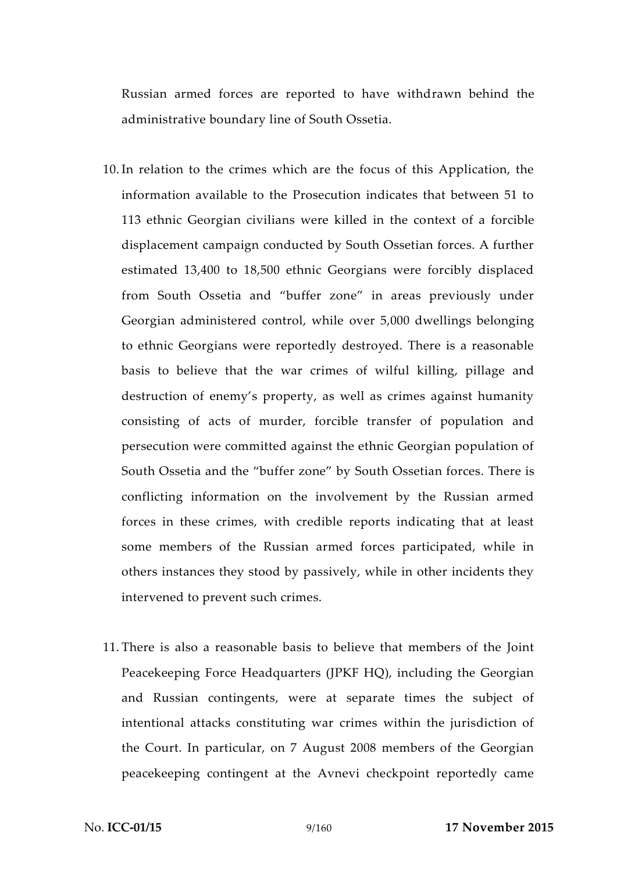Russian armed forces are reported to have withdrawn behind the administrative boundary line of South Ossetia.

- 10. In relation to the crimes which are the focus of this Application, the information available to the Prosecution indicates that between 51 to 113 ethnic Georgian civilians were killed in the context of a forcible displacement campaign conducted by South Ossetian forces. A further estimated 13,400 to 18,500 ethnic Georgians were forcibly displaced from South Ossetia and "buffer zone" in areas previously under Georgian administered control, while over 5,000 dwellings belonging to ethnic Georgians were reportedly destroyed. There is a reasonable basis to believe that the war crimes of wilful killing, pillage and destruction of enemy's property, as well as crimes against humanity consisting of acts of murder, forcible transfer of population and persecution were committed against the ethnic Georgian population of South Ossetia and the "buffer zone" by South Ossetian forces. There is conflicting information on the involvement by the Russian armed forces in these crimes, with credible reports indicating that at least some members of the Russian armed forces participated, while in others instances they stood by passively, while in other incidents they intervened to prevent such crimes.
- 11. There is also a reasonable basis to believe that members of the Joint Peacekeeping Force Headquarters (JPKF HQ), including the Georgian and Russian contingents, were at separate times the subject of intentional attacks constituting war crimes within the jurisdiction of the Court. In particular, on 7 August 2008 members of the Georgian peacekeeping contingent at the Avnevi checkpoint reportedly came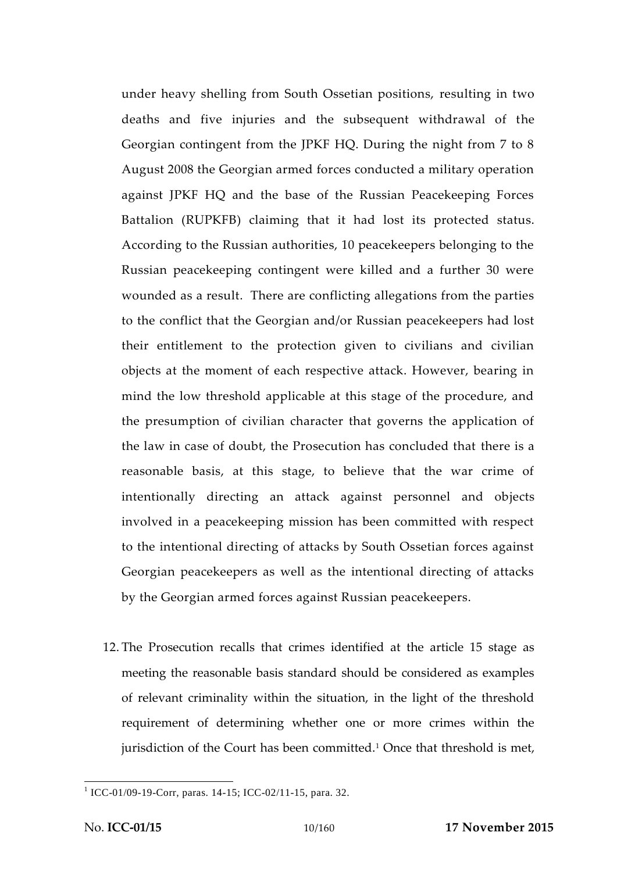under heavy shelling from South Ossetian positions, resulting in two deaths and five injuries and the subsequent withdrawal of the Georgian contingent from the JPKF HQ. During the night from 7 to 8 August 2008 the Georgian armed forces conducted a military operation against JPKF HQ and the base of the Russian Peacekeeping Forces Battalion (RUPKFB) claiming that it had lost its protected status. According to the Russian authorities, 10 peacekeepers belonging to the Russian peacekeeping contingent were killed and a further 30 were wounded as a result. There are conflicting allegations from the parties to the conflict that the Georgian and/or Russian peacekeepers had lost their entitlement to the protection given to civilians and civilian objects at the moment of each respective attack. However, bearing in mind the low threshold applicable at this stage of the procedure, and the presumption of civilian character that governs the application of the law in case of doubt, the Prosecution has concluded that there is a reasonable basis, at this stage, to believe that the war crime of intentionally directing an attack against personnel and objects involved in a peacekeeping mission has been committed with respect to the intentional directing of attacks by South Ossetian forces against Georgian peacekeepers as well as the intentional directing of attacks by the Georgian armed forces against Russian peacekeepers.

12. The Prosecution recalls that crimes identified at the article 15 stage as meeting the reasonable basis standard should be considered as examples of relevant criminality within the situation, in the light of the threshold requirement of determining whether one or more crimes within the jurisdiction of the Court has been committed.<sup>1</sup> Once that threshold is met,

<sup>1</sup> ICC-01/09-19-Corr, paras. 14-15; ICC-02/11-15, para. 32.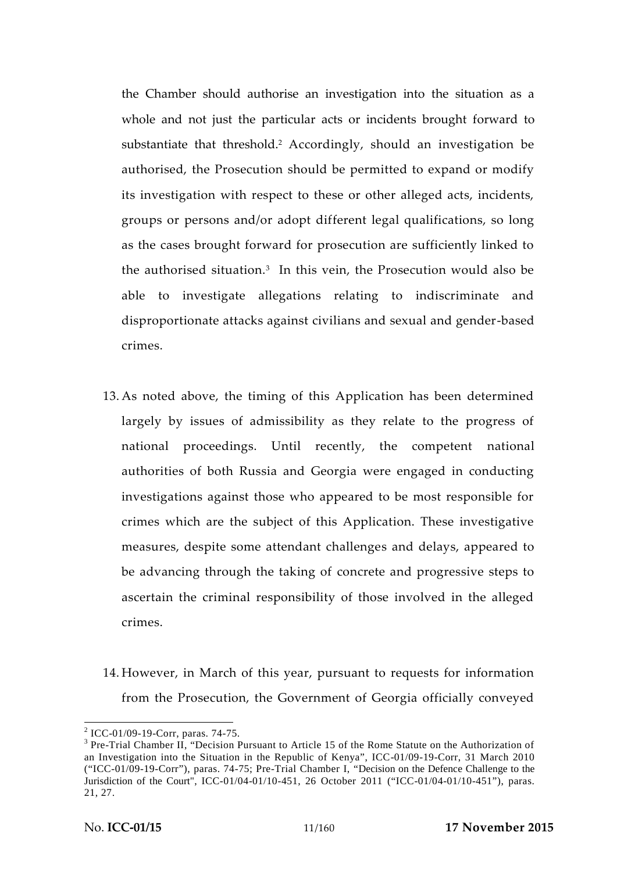the Chamber should authorise an investigation into the situation as a whole and not just the particular acts or incidents brought forward to substantiate that threshold.<sup>2</sup> Accordingly, should an investigation be authorised, the Prosecution should be permitted to expand or modify its investigation with respect to these or other alleged acts, incidents, groups or persons and/or adopt different legal qualifications, so long as the cases brought forward for prosecution are sufficiently linked to the authorised situation.<sup>3</sup> In this vein, the Prosecution would also be able to investigate allegations relating to indiscriminate and disproportionate attacks against civilians and sexual and gender-based crimes.

- 13. As noted above, the timing of this Application has been determined largely by issues of admissibility as they relate to the progress of national proceedings. Until recently, the competent national authorities of both Russia and Georgia were engaged in conducting investigations against those who appeared to be most responsible for crimes which are the subject of this Application. These investigative measures, despite some attendant challenges and delays, appeared to be advancing through the taking of concrete and progressive steps to ascertain the criminal responsibility of those involved in the alleged crimes.
- 14. However, in March of this year, pursuant to requests for information from the Prosecution, the Government of Georgia officially conveyed

<sup>&</sup>lt;sup>2</sup> ICC-01/09-19-Corr, paras. 74-75.<br><sup>3</sup> Pre-Trial Chamber II, "Decision Pursuant to Article 15 of the Rome Statute on the Authorization of an Investigation into the Situation in the Republic of Kenya", ICC-01/09-19-Corr, 31 March 2010 ("ICC-01/09-19-Corr"), paras. 74-75; Pre-Trial Chamber I, "Decision on the Defence Challenge to the Jurisdiction of the Court", ICC-01/04-01/10-451, 26 October 2011 ("ICC-01/04-01/10-451"), paras. 21, 27.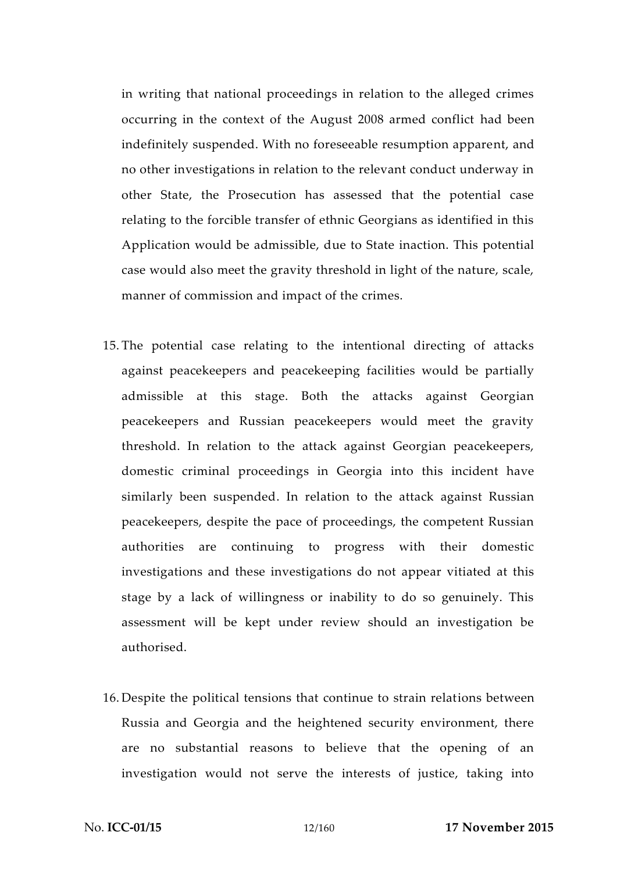in writing that national proceedings in relation to the alleged crimes occurring in the context of the August 2008 armed conflict had been indefinitely suspended. With no foreseeable resumption apparent, and no other investigations in relation to the relevant conduct underway in other State, the Prosecution has assessed that the potential case relating to the forcible transfer of ethnic Georgians as identified in this Application would be admissible, due to State inaction. This potential case would also meet the gravity threshold in light of the nature, scale, manner of commission and impact of the crimes.

- 15. The potential case relating to the intentional directing of attacks against peacekeepers and peacekeeping facilities would be partially admissible at this stage. Both the attacks against Georgian peacekeepers and Russian peacekeepers would meet the gravity threshold. In relation to the attack against Georgian peacekeepers, domestic criminal proceedings in Georgia into this incident have similarly been suspended. In relation to the attack against Russian peacekeepers, despite the pace of proceedings, the competent Russian authorities are continuing to progress with their domestic investigations and these investigations do not appear vitiated at this stage by a lack of willingness or inability to do so genuinely. This assessment will be kept under review should an investigation be authorised.
- 16. Despite the political tensions that continue to strain relations between Russia and Georgia and the heightened security environment, there are no substantial reasons to believe that the opening of an investigation would not serve the interests of justice, taking into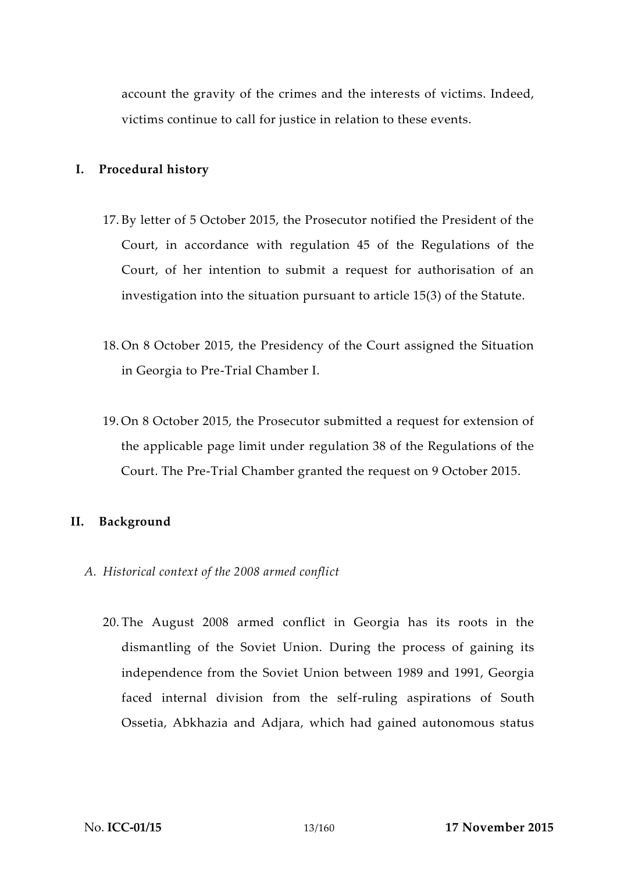account the gravity of the crimes and the interests of victims. Indeed, victims continue to call for justice in relation to these events.

### **I. Procedural history**

- 17. By letter of 5 October 2015, the Prosecutor notified the President of the Court, in accordance with regulation 45 of the Regulations of the Court, of her intention to submit a request for authorisation of an investigation into the situation pursuant to article 15(3) of the Statute.
- 18. On 8 October 2015, the Presidency of the Court assigned the Situation in Georgia to Pre-Trial Chamber I.
- 19. On 8 October 2015, the Prosecutor submitted a request for extension of the applicable page limit under regulation 38 of the Regulations of the Court. The Pre-Trial Chamber granted the request on 9 October 2015.

#### **II. Background**

- *A. Historical context of the 2008 armed conflict*
	- 20. The August 2008 armed conflict in Georgia has its roots in the dismantling of the Soviet Union. During the process of gaining its independence from the Soviet Union between 1989 and 1991, Georgia faced internal division from the self-ruling aspirations of South Ossetia, Abkhazia and Adjara, which had gained autonomous status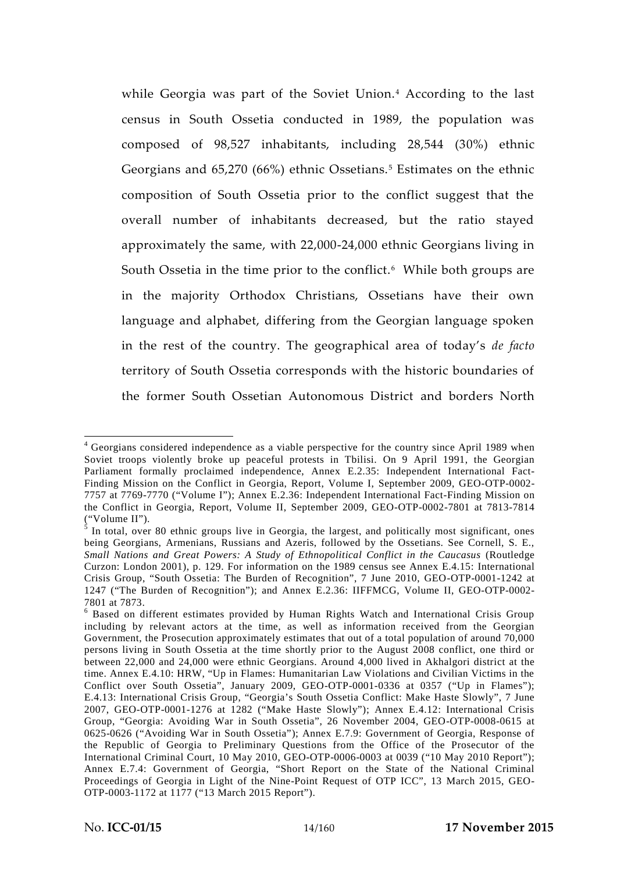while Georgia was part of the Soviet Union.<sup>4</sup> According to the last census in South Ossetia conducted in 1989, the population was composed of 98,527 inhabitants, including 28,544 (30%) ethnic Georgians and 65,270 (66%) ethnic Ossetians.<sup>5</sup> Estimates on the ethnic composition of South Ossetia prior to the conflict suggest that the overall number of inhabitants decreased, but the ratio stayed approximately the same, with 22,000-24,000 ethnic Georgians living in South Ossetia in the time prior to the conflict.<sup> $6$ </sup> While both groups are in the majority Orthodox Christians, Ossetians have their own language and alphabet, differing from the Georgian language spoken in the rest of the country. The geographical area of today's *de facto* territory of South Ossetia corresponds with the historic boundaries of the former South Ossetian Autonomous District and borders North

<sup>4</sup> Georgians considered independence as a viable perspective for the country since April 1989 when Soviet troops violently broke up peaceful protests in Tbilisi. On 9 April 1991, the Georgian Parliament formally proclaimed independence, Annex E.2.35: Independent International Fact- Finding Mission on the Conflict in Georgia, Report, Volume I, September 2009, GEO-OTP-0002- 7757 at 7769-7770 ("Volume I"); Annex E.2.36: Independent International Fact-Finding Mission on the Conflict in Georgia, Report, Volume II, September 2009, GEO-OTP-0002-7801 at 7813-7814

<sup>(&</sup>quot;Volume II").  $\frac{1}{5}$  In total, over 80 ethnic groups live in Georgia, the largest, and politically most significant, ones being Georgians, Armenians, Russians and Azeris, followed by the Ossetians. See Cornell, S. E., *Small Nations and Great Powers: A Study of Ethnopolitical Conflict in the Caucasus* (Routledge Curzon: London 2001), p. 129. For information on the 1989 census see Annex E.4.15: International Crisis Group, "South Ossetia: The Burden of Recognition", 7 June 2010, GEO-OTP-0001-1242 at 1247 ("The Burden of Recognition"); and Annex E.2.36: IIFFMCG, Volume II, GEO-OTP-0002- 7801 at 7873.<br><sup>6</sup> Based on different estimates provided by Human Rights Watch and International Crisis Group

including by relevant actors at the time, as well as information received from the Georgian Government, the Prosecution approximately estimates that out of a total population of around 70,000 persons living in South Ossetia at the time shortly prior to the August 2008 conflict, one third or between 22,000 and 24,000 were ethnic Georgians. Around 4,000 lived in Akhalgori district at the time. Annex E.4.10: HRW, "Up in Flames: Humanitarian Law Violations and Civilian Victims in the Conflict over South Ossetia", January 2009, GEO-OTP-0001-0336 at 0357 ("Up in Flames"); E.4.13: International Crisis Group, "Georgia's South Ossetia Conflict: Make Haste Slowly", 7 June 2007, GEO-OTP-0001-1276 at 1282 ("Make Haste Slowly"); Annex E.4.12: International Crisis Group, "Georgia: Avoiding War in South Ossetia", 26 November 2004, GEO-OTP-0008-0615 at 0625-0626 ("Avoiding War in South Ossetia"); Annex E.7.9: Government of Georgia, Response of the Republic of Georgia to Preliminary Questions from the Office of the Prosecutor of the International Criminal Court, 10 May 2010, GEO-OTP-0006-0003 at 0039 ("10 May 2010 Report"); Annex E.7.4: Government of Georgia, "Short Report on the State of the National Criminal Proceedings of Georgia in Light of the Nine-Point Request of OTP ICC", 13 March 2015, GEO- OTP-0003-1172 at 1177 ("13 March 2015 Report").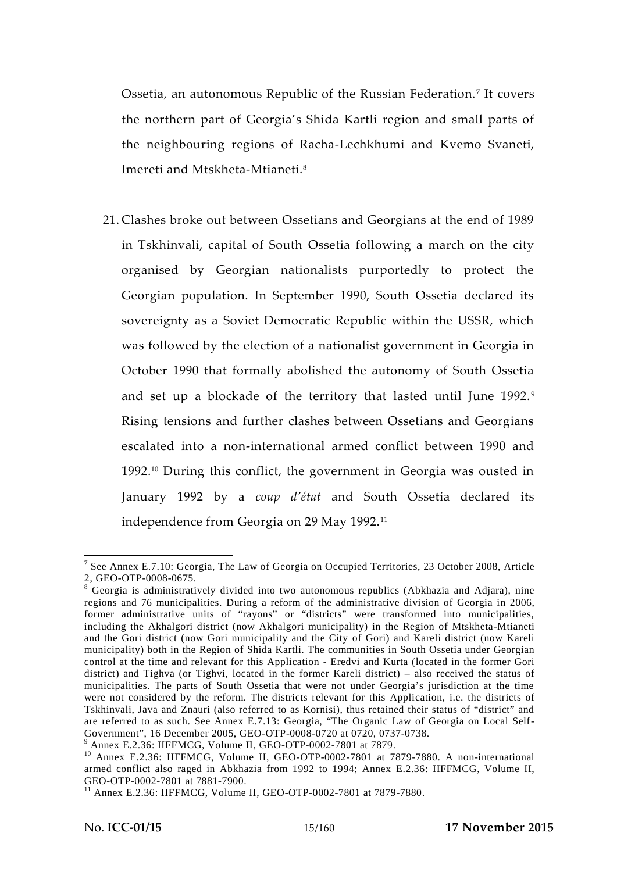Ossetia, an autonomous Republic of the Russian Federation.<sup>7</sup> It covers the northern part of Georgia's Shida Kartli region and small parts of the neighbouring regions of Racha-Lechkhumi and Kvemo Svaneti, Imereti and Mtskheta-Mtianeti.<sup>8</sup>

21. Clashes broke out between Ossetians and Georgians at the end of 1989 in Tskhinvali, capital of South Ossetia following a march on the city organised by Georgian nationalists purportedly to protect the Georgian population. In September 1990, South Ossetia declared its sovereignty as a Soviet Democratic Republic within the USSR, which was followed by the election of a nationalist government in Georgia in October 1990 that formally abolished the autonomy of South Ossetia and set up a blockade of the territory that lasted until June 1992.<sup>9</sup> Rising tensions and further clashes between Ossetians and Georgians escalated into a non-international armed conflict between 1990 and 1992.<sup>10</sup> During this conflict, the government in Georgia was ousted in January 1992 by a *coup d'état* and South Ossetia declared its independence from Georgia on 29 May 1992.<sup>11</sup>

<sup>7</sup> See Annex E.7.10: Georgia, The Law of Georgia on Occupied Territories, 23 October 2008, Article 2, GEO-OTP-0008-0675.<br><sup>8</sup> Georgia is administratively divided into two autonomous republics (Abkhazia and Adjara), nine

regions and 76 municipalities. During a reform of the administrative division of Georgia in 2006, former administrative units of "rayons" or "districts" were transformed into municipalities, including the Akhalgori district (now Akhalgori municipality) in the Region of Mtskheta-Mtianeti and the Gori district (now Gori municipality and the City of Gori) and Kareli district (now Kareli municipality) both in the Region of Shida Kartli. The communities in South Ossetia under Georgian control at the time and relevant for this Application - Eredvi and Kurta (located in the former Gori district) and Tighva (or Tighvi, located in the former Kareli district) – also received the status of municipalities. The parts of South Ossetia that were not under Georgia's jurisdiction at the time were not considered by the reform. The districts relevant for this Application, i.e. the districts of Tskhinvali, Java and Znauri (also referred to as Kornisi), thus retained their status of "district" and are referred to as such. See Annex E.7.13: Georgia, "The Organic Law of Georgia on Local Self-Government", 16 December 2005, GEO-OTP-0008-0720 at 0720, 0737-0738.

<sup>&</sup>lt;sup>9</sup> Annex E.2.36: IIFFMCG, Volume II, GEO-OTP-0002-7801 at 7879.<br><sup>10</sup> Annex E.2.36: IIFFMCG, Volume II, GEO-OTP-0002-7801 at 7879-7880. A non-international armed conflict also raged in Abkhazia from 1992 to 1994; Annex E.2.36: IIFFMCG, Volume II,

 $^{11}$  Annex E.2.36: IIFFMCG, Volume II, GEO-OTP-0002-7801 at 7879-7880.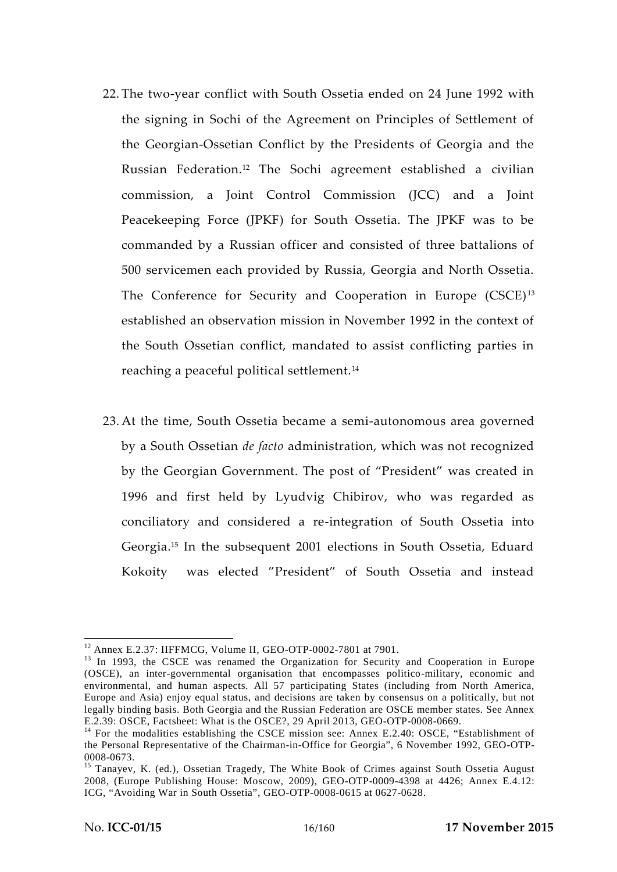- 22. The two-year conflict with South Ossetia ended on 24 June 1992 with the signing in Sochi of the Agreement on Principles of Settlement of the Georgian-Ossetian Conflict by the Presidents of Georgia and the Russian Federation.<sup>12</sup> The Sochi agreement established a civilian commission, a Joint Control Commission (JCC) and a Joint Peacekeeping Force (JPKF) for South Ossetia. The JPKF was to be commanded by a Russian officer and consisted of three battalions of 500 servicemen each provided by Russia, Georgia and North Ossetia. The Conference for Security and Cooperation in Europe (CSCE)<sup>13</sup> established an observation mission in November 1992 in the context of the South Ossetian conflict, mandated to assist conflicting parties in reaching a peaceful political settlement.<sup>14</sup>
- 23. At the time, South Ossetia became a semi-autonomous area governed by a South Ossetian *de facto* administration, which was not recognized by the Georgian Government. The post of "President" was created in 1996 and first held by Lyudvig Chibirov, who was regarded as conciliatory and considered a re-integration of South Ossetia into Georgia.<sup>15</sup> In the subsequent 2001 elections in South Ossetia, Eduard Kokoity was elected "President" of South Ossetia and instead

<sup>&</sup>lt;sup>12</sup> Annex E.2.37: IIFFMCG, Volume II, GEO-OTP-0002-7801 at 7901.<br><sup>13</sup> In 1993, the CSCE was renamed the Organization for Security and Cooperation in Europe (OSCE), an inter-governmental organisation that encompasses politico-military, economic and environmental, and human aspects. All 57 participating States (including from North America, Europe and Asia) enjoy equal status, and decisions are taken by consensus on a politically, but not legally binding basis. Both Georgia and the Russian Federation are OSCE member states. See Annex E.2.39: OSCE, Factsheet: What is the OSCE?, 29 April 2013, GEO-OTP-0008-0669.

 $14$  For the modalities establishing the CSCE mission see: Annex E.2.40: OSCE, "Establishment of the Personal Representative of the Chairman-in-Office for Georgia", 6 November 1992, GEO-OTP- 0008-0673. <sup>15</sup> Tanayev, K. (ed.), Ossetian Tragedy, The White Book of Crimes against South Ossetia August

<sup>2008, (</sup>Europe Publishing House: Moscow, 2009), GEO-OTP-0009-4398 at 4426; Annex E.4.12: ICG, "Avoiding War in South Ossetia", GEO-OTP-0008-0615 at 0627-0628.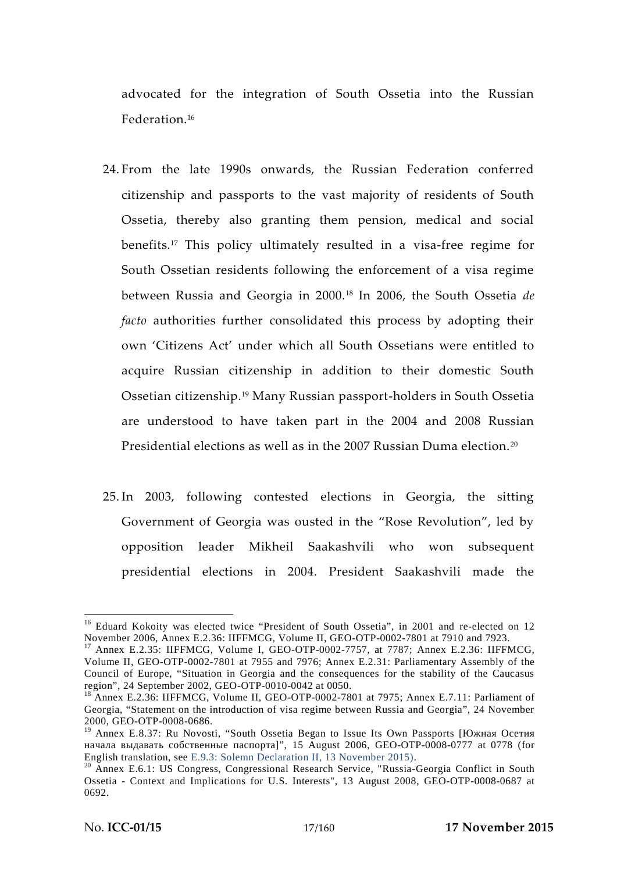advocated for the integration of South Ossetia into the Russian Federation.<sup>16</sup>

- 24. From the late 1990s onwards, the Russian Federation conferred citizenship and passports to the vast majority of residents of South Ossetia, thereby also granting them pension, medical and social benefits.<sup>17</sup> This policy ultimately resulted in a visa-free regime for South Ossetian residents following the enforcement of a visa regime between Russia and Georgia in 2000.<sup>18</sup> In 2006, the South Ossetia *de facto* authorities further consolidated this process by adopting their own 'Citizens Act' under which all South Ossetians were entitled to acquire Russian citizenship in addition to their domestic South Ossetian citizenship.<sup>19</sup> Many Russian passport-holders in South Ossetia are understood to have taken part in the 2004 and 2008 Russian Presidential elections as well as in the 2007 Russian Duma election.<sup>20</sup>
- 25. In 2003, following contested elections in Georgia, the sitting Government of Georgia was ousted in the "Rose Revolution", led by opposition leader Mikheil Saakashvili who won subsequent presidential elections in 2004. President Saakashvili made the

<sup>&</sup>lt;sup>16</sup> Eduard Kokoity was elected twice "President of South Ossetia", in 2001 and re-elected on 12<br>November 2006, Annex E.2.36: IIFFMCG, Volume II, GEO-OTP-0002-7801 at 7910 and 7923.

 $17$  Annex E.2.35: IIFFMCG, Volume I, GEO-OTP-0002-7757, at 7787; Annex E.2.36: IIFFMCG, Volume II, GEO-OTP-0002-7801 at 7955 and 7976; Annex E.2.31: Parliamentary Assembly of the Council of Europe, "Situation in Georgia and the consequences for the stability of the Caucasus region", 24 September 2002, GEO-OTP-0010-0042 at 0050.

Annex E.2.36: IIFFMCG, Volume II, GEO-OTP-0002-7801 at 7975; Annex E.7.11: Parliament of Georgia, "Statement on the introduction of visa regime between Russia and Georgia", 24 November 2000, GEO-OTP-0008-0686.

<sup>&</sup>lt;sup>19</sup> Annex E.8.37: Ru Novosti, "South Ossetia Began to Issue Its Own Passports [

 $\vert$ ", 15 August 2006, GEO-OTP-0008-0777 at 0778 (for English translation, see E.9.3: Solemn Declaration II, 13 November 2015).

 $20$  Annex E.6.1: US Congress, Congressional Research Service, "Russia-Georgia Conflict in South Ossetia -Context and Implications for U.S. Interests", 13 August 2008, GEO-OTP-0008-0687 at 0692.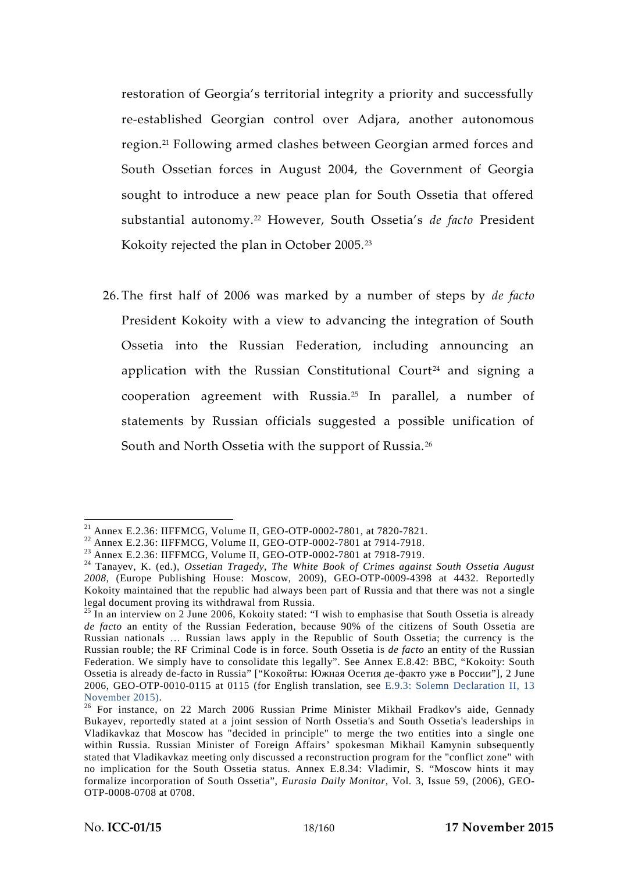restoration of Georgia's territorial integrity a priority and successfully re-established Georgian control over Adjara, another autonomous region.<sup>21</sup> Following armed clashes between Georgian armed forces and South Ossetian forces in August 2004, the Government of Georgia sought to introduce a new peace plan for South Ossetia that offered substantial autonomy.<sup>22</sup> However, South Ossetia's *de facto* President Kokoity rejected the plan in October 2005.<sup>23</sup>

26. The first half of 2006 was marked by a number of steps by *de facto* President Kokoity with a view to advancing the integration of South Ossetia into the Russian Federation, including announcing an application with the Russian Constitutional Court<sup>24</sup> and signing a cooperation agreement with Russia.<sup>25</sup> In parallel, a number of statements by Russian officials suggested a possible unification of South and North Ossetia with the support of Russia.<sup>26</sup>

<sup>&</sup>lt;sup>21</sup> Annex E.2.36: IIFFMCG, Volume II, GEO-OTP-0002-7801, at 7820-7821.<br>
<sup>22</sup> Annex E.2.36: IIFFMCG, Volume II, GEO-OTP-0002-7801 at 7914-7918.<br>
<sup>23</sup> Annex E.2.36: IIFFMCG, Volume II, GEO-OTP-0002-7801 at 7918-7919.<br>
<sup>24</sup> *2008*, (Europe Publishing House: Moscow, 2009), GEO-OTP-0009-4398 at 4432. Reportedly Kokoity maintained that the republic had always been part of Russia and that there was not a single

legal document proving its withdrawal from Russia.<br><sup>25</sup> In an interview on 2 June 2006, Kokoity stated: "I wish to emphasise that South Ossetia is already *de facto* an entity of the Russian Federation, because 90% of the citizens of South Ossetia are Russian nationals … Russian laws apply in the Republic of South Ossetia; the currency is the Russian rouble; the RF Criminal Code is in force. South Ossetia is *de facto* an entity of the Russian Federation. We simply have to consolidate this legally". See Annex E.8.42: BBC, "Kokoity: South Ossetia is already de-facto in Russia" ["  $\qquad \qquad$ :

<sup>2006,</sup> GEO-OTP-0010-0115 at 0115 (for English translation, see E.9.3: Solemn Declaration II, 13 November 2015). <sup>26</sup> For instance, on 22 March 2006 Russian Prime Minister Mikhail Fradkov's aide, Gennady

Bukayev, reportedly stated at a joint session of North Ossetia's and South Ossetia's leaderships in Vladikavkaz that Moscow has "decided in principle" to merge the two entities into a single one within Russia. Russian Minister of Foreign Affairs' spokesman Mikhail Kamynin subsequently stated that Vladikavkaz meeting only discussed a reconstruction program for the "conflict zone" with no implication for the South Ossetia status. Annex E.8.34: Vladimir, S. "Moscow hints it may formalize incorporation of South Ossetia", *Eurasia Daily Monitor*, Vol. 3, Issue 59, (2006), GEO- OTP-0008-0708 at 0708.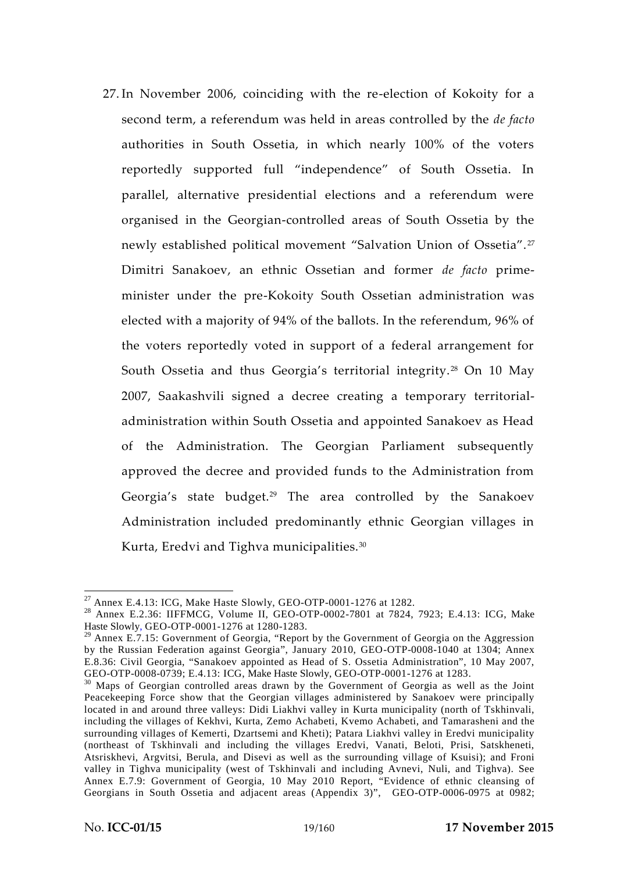27. In November 2006, coinciding with the re-election of Kokoity for a second term, a referendum was held in areas controlled by the *de facto* authorities in South Ossetia, in which nearly 100% of the voters reportedly supported full "independence" of South Ossetia. In parallel, alternative presidential elections and a referendum were organised in the Georgian-controlled areas of South Ossetia by the newly established political movement "Salvation Union of Ossetia". <sup>27</sup> Dimitri Sanakoev, an ethnic Ossetian and former *de facto* prime minister under the pre-Kokoity South Ossetian administration was elected with a majority of 94% of the ballots. In the referendum, 96% of the voters reportedly voted in support of a federal arrangement for South Ossetia and thus Georgia's territorial integrity.<sup>28</sup> On 10 May 2007, Saakashvili signed a decree creating a temporary territorial administration within South Ossetia and appointed Sanakoev as Head of the Administration. The Georgian Parliament subsequently approved the decree and provided funds to the Administration from Georgia's state budget.<sup>29</sup> The area controlled by the Sanakoev Administration included predominantly ethnic Georgian villages in Kurta, Eredvi and Tighva municipalities.<sup>30</sup>

<sup>&</sup>lt;sup>27</sup> Annex E.4.13: ICG, Make Haste Slowly, GEO-OTP-0001-1276 at 1282.<br><sup>28</sup> Annex E.2.36: IIFFMCG, Volume II, GEO-OTP-0002-7801 at 7824, 7923; E.4.13: ICG, Make Haste Slowly, GEO-OTP-0001-1276 at 1280-1283.

 $29$  Annex E.7.15: Government of Georgia, "Report by the Government of Georgia on the Aggression by the Russian Federation against Georgia", January 2010, GEO-OTP-0008-1040 at 1304; Annex E.8.36: Civil Georgia, "Sanakoev appointed as Head of S. Ossetia Administration", 10 May 2007, GEO-OTP-0008-0739; E.4.13: ICG, Make Haste Slowly, GEO-OTP-0001-1276 at 1283.

Maps of Georgian controlled areas drawn by the Government of Georgia as well as the Joint Peacekeeping Force show that the Georgian villages administered by Sanakoev were principally located in and around three valleys: Didi Liakhvi valley in Kurta municipality (north of Tskhinvali, including the villages of Kekhvi, Kurta, Zemo Achabeti, Kvemo Achabeti, and Tamarasheni and the surrounding villages of Kemerti, Dzartsemi and Kheti); Patara Liakhvi valley in Eredvi municipality (northeast of Tskhinvali and including the villages Eredvi, Vanati, Beloti, Prisi, Satskheneti, Atsriskhevi, Argvitsi, Berula, and Disevi as well as the surrounding village of Ksuisi); and Froni valley in Tighva municipality (west of Tskhinvali and including Avnevi, Nuli, and Tighva). See Annex E.7.9: Government of Georgia, 10 May 2010 Report, "Evidence of ethnic cleansing of Georgians in South Ossetia and adjacent areas (Appendix 3)", GEO-OTP-0006-0975 at 0982;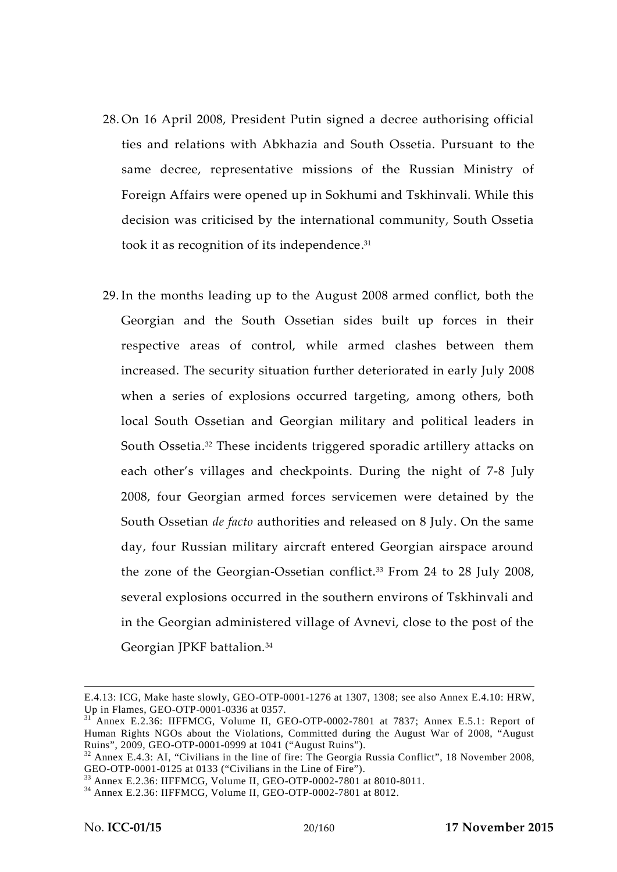- 28. On 16 April 2008, President Putin signed a decree authorising official ties and relations with Abkhazia and South Ossetia. Pursuant to the same decree, representative missions of the Russian Ministry of Foreign Affairs were opened up in Sokhumi and Tskhinvali. While this decision was criticised by the international community, South Ossetia took it as recognition of its independence.<sup>31</sup>
- 29. In the months leading up to the August 2008 armed conflict, both the Georgian and the South Ossetian sides built up forces in their respective areas of control, while armed clashes between them increased. The security situation further deteriorated in early July 2008 when a series of explosions occurred targeting, among others, both local South Ossetian and Georgian military and political leaders in South Ossetia.<sup>32</sup> These incidents triggered sporadic artillery attacks on each other's villages and checkpoints. During the night of 7-8 July 2008, four Georgian armed forces servicemen were detained by the South Ossetian *de facto* authorities and released on 8 July. On the same day, four Russian military aircraft entered Georgian airspace around the zone of the Georgian-Ossetian conflict.<sup>33</sup> From 24 to 28 July 2008, several explosions occurred in the southern environs of Tskhinvali and in the Georgian administered village of Avnevi, close to the post of the Georgian JPKF battalion.<sup>34</sup>

E.4.13: ICG, Make haste slowly, GEO-OTP-0001-1276 at 1307, 1308; see also Annex E.4.10: HRW, Up in Flames, GEO-OTP-0001-0336 at 0357.<br><sup>31</sup> Annex E.2.36: IIFFMCG, Volume II, GEO-OTP-0002-7801 at 7837; Annex E.5.1: Report of

Human Rights NGOs about the Violations, Committed during the August War of 2008, "August Ruins", 2009, GEO-OTP-0001-0999 at 1041 ("August Ruins").

<sup>&</sup>lt;sup>32</sup> Annex E.4.3: AI, "Civilians in the line of fire: The Georgia Russia Conflict", 18 November 2008, GEO-OTP-0001-0125 at 0133 ("Civilians in the Line of Fire").

 $^{33}$  Annex E.2.36: IIFFMCG, Volume II, GEO-OTP-0002-7801 at 8010-8011.<br><sup>34</sup> Annex E.2.36: IIFFMCG, Volume II, GEO-OTP-0002-7801 at 8012.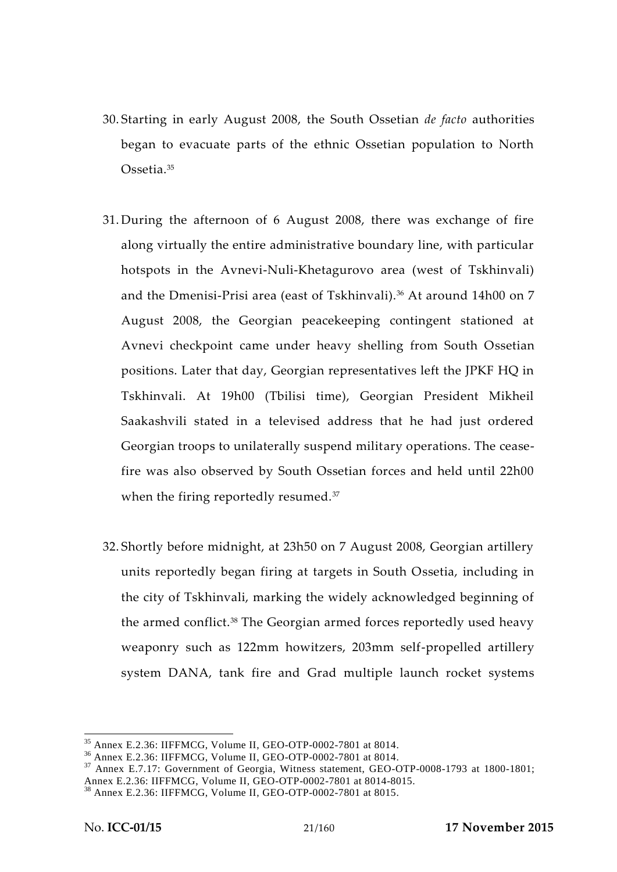- 30. Starting in early August 2008, the South Ossetian *de facto* authorities began to evacuate parts of the ethnic Ossetian population to North Ossetia.<sup>35</sup>
- 31. During the afternoon of 6 August 2008, there was exchange of fire along virtually the entire administrative boundary line, with particular hotspots in the Avnevi-Nuli-Khetagurovo area (west of Tskhinvali) and the Dmenisi-Prisi area (east of Tskhinvali).<sup>36</sup> At around 14h00 on 7 August 2008, the Georgian peacekeeping contingent stationed at Avnevi checkpoint came under heavy shelling from South Ossetian positions. Later that day, Georgian representatives left the JPKF HQ in Tskhinvali. At 19h00 (Tbilisi time), Georgian President Mikheil Saakashvili stated in a televised address that he had just ordered Georgian troops to unilaterally suspend military operations. The ceasefire was also observed by South Ossetian forces and held until 22h00 when the firing reportedly resumed.<sup>37</sup>
- 32. Shortly before midnight, at 23h50 on 7 August 2008, Georgian artillery units reportedly began firing at targets in South Ossetia, including in the city of Tskhinvali, marking the widely acknowledged beginning of the armed conflict.<sup>38</sup> The Georgian armed forces reportedly used heavy weaponry such as 122mm howitzers, 203mm self-propelled artillery system DANA, tank fire and Grad multiple launch rocket systems

<sup>&</sup>lt;sup>35</sup> Annex E.2.36: IIFFMCG, Volume II, GEO-OTP-0002-7801 at 8014.<br><sup>36</sup> Annex E.2.36: IIFFMCG, Volume II, GEO-OTP-0002-7801 at 8014.<br><sup>37</sup> Annex E.7.17: Government of Georgia, Witness statement, GEO-OTP-0008-1793 at 1800-18

<sup>&</sup>lt;sup>38</sup> Annex E.2.36: IIFFMCG, Volume II, GEO-OTP-0002-7801 at 8015.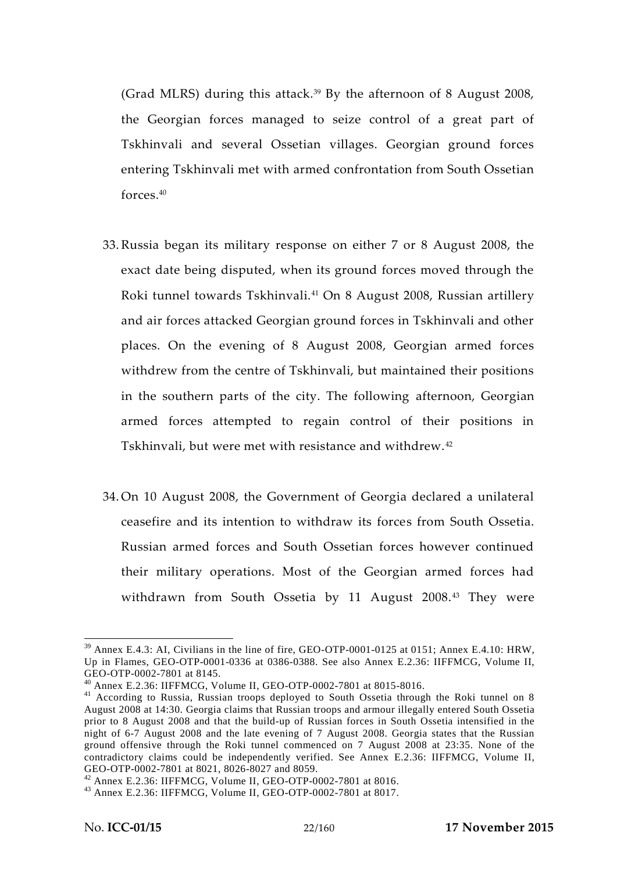(Grad MLRS) during this attack.<sup>39</sup> By the afternoon of 8 August 2008, the Georgian forces managed to seize control of a great part of Tskhinvali and several Ossetian villages. Georgian ground forces entering Tskhinvali met with armed confrontation from South Ossetian forces.<sup>40</sup>

- 33. Russia began its military response on either 7 or 8 August 2008, the exact date being disputed, when its ground forces moved through the Roki tunnel towards Tskhinvali.<sup>41</sup> On 8 August 2008, Russian artillery and air forces attacked Georgian ground forces in Tskhinvali and other places. On the evening of 8 August 2008, Georgian armed forces withdrew from the centre of Tskhinvali, but maintained their positions in the southern parts of the city. The following afternoon, Georgian armed forces attempted to regain control of their positions in Tskhinvali, but were met with resistance and withdrew. <sup>42</sup>
- 34. On 10 August 2008, the Government of Georgia declared a unilateral ceasefire and its intention to withdraw its forces from South Ossetia. Russian armed forces and South Ossetian forces however continued their military operations. Most of the Georgian armed forces had withdrawn from South Ossetia by 11 August 2008.<sup>43</sup> They were

<sup>&</sup>lt;sup>39</sup> Annex E.4.3: AI, Civilians in the line of fire, GEO-OTP-0001-0125 at 0151; Annex E.4.10: HRW, Up in Flames, GEO-OTP-0001-0336 at 0386-0388. See also Annex E.2.36: IIFFMCG, Volume II,

<sup>&</sup>lt;sup>40</sup> Annex E.2.36: IIFFMCG, Volume II, GEO-OTP-0002-7801 at 8015-8016.<br><sup>41</sup> According to Russia, Russian troops deployed to South Ossetia through the Roki tunnel on 8 August 2008 at 14:30. Georgia claims that Russian troops and armour illegally entered South Ossetia prior to 8 August 2008 and that the build-up of Russian forces in South Ossetia intensified in the night of 6-7 August 2008 and the late evening of 7 August 2008. Georgia states that the Russian ground offensive through the Roki tunnel commenced on 7 August 2008 at 23:35. None of the contradictory claims could be independently verified. See Annex E.2.36: IIFFMCG, Volume II, GEO-OTP-0002-7801 at 8021, 8026-8027 and 8059.

<sup>&</sup>lt;sup>42</sup> Annex E.2.36: IIFFMCG, Volume II, GEO-OTP-0002-7801 at 8016.<br><sup>43</sup> Annex E.2.36: IIFFMCG, Volume II, GEO-OTP-0002-7801 at 8017.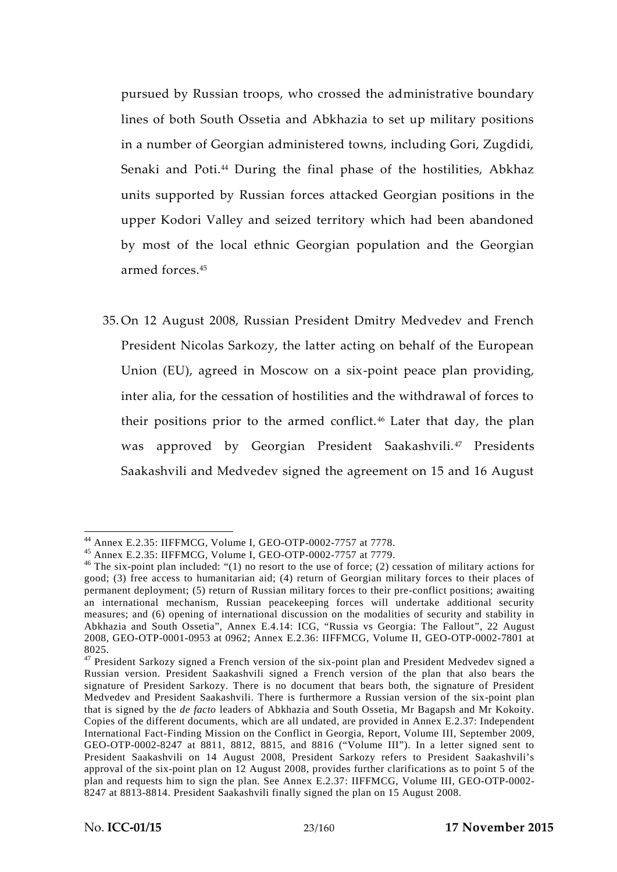pursued by Russian troops, who crossed the administrative boundary lines of both South Ossetia and Abkhazia to set up military positions in a number of Georgian administered towns, including Gori, Zugdidi, Senaki and Poti.<sup>44</sup> During the final phase of the hostilities, Abkhaz units supported by Russian forces attacked Georgian positions in the upper Kodori Valley and seized territory which had been abandoned by most of the local ethnic Georgian population and the Georgian armed forces.<sup>45</sup>

35. On 12 August 2008, Russian President Dmitry Medvedev and French President Nicolas Sarkozy, the latter acting on behalf of the European Union (EU), agreed in Moscow on a six-point peace plan providing, inter alia, for the cessation of hostilities and the withdrawal of forces to their positions prior to the armed conflict.<sup>46</sup> Later that day, the plan was approved by Georgian President Saakashvili.<sup>47</sup> Presidents Saakashvili and Medvedev signed the agreement on 15 and 16 August

<sup>&</sup>lt;sup>44</sup> Annex E.2.35: IIFFMCG, Volume I, GEO-OTP-0002-7757 at 7778.<br><sup>45</sup> Annex E.2.35: IIFFMCG, Volume I, GEO-OTP-0002-7757 at 7779.<br><sup>46</sup> The six-point plan included: "(1) no resort to the use of force; (2) cessation of mili good; (3) free access to humanitarian aid; (4) return of Georgian military forces to their places of permanent deployment; (5) return of Russian military forces to their pre-conflict positions; awaiting an international mechanism, Russian peacekeeping forces will undertake additional security measures; and (6) opening of international discussion on the modalities of security and stability in Abkhazia and South Ossetia", Annex E.4.14: ICG, "Russia vs Georgia: The Fallout", 22 August 2008, GEO-OTP-0001-0953 at 0962; Annex E.2.36: IIFFMCG, Volume II, GEO-OTP-0002-7801 at

<sup>8025.&</sup>lt;br><sup>47</sup> President Sarkozy signed a French version of the six-point plan and President Medvedev signed a Russian version. President Saakashvili signed a French version of the plan that also bears the signature of President Sarkozy. There is no document that bears both, the signature of President Medvedev and President Saakashvili. There is furthermore a Russian version of the six-point plan that is signed by the *de facto* leaders of Abkhazia and South Ossetia, Mr Bagapsh and Mr Kokoity. Copies of the different documents, which are all undated, are provided in Annex E.2.37: Independent International Fact-Finding Mission on the Conflict in Georgia, Report, Volume III, September 2009, GEO-OTP-0002-8247 at 8811, 8812, 8815, and 8816 ("Volume III"). In a letter signed sent to President Saakashvili on 14 August 2008, President Sarkozy refers to President Saakashvili's approval of the six-point plan on 12 August 2008, provides further clarifications as to point 5 of the plan and requests him to sign the plan. See Annex E.2.37: IIFFMCG, Volume III, GEO-OTP-0002- 8247 at 8813-8814. President Saakashvili finally signed the plan on 15 August 2008.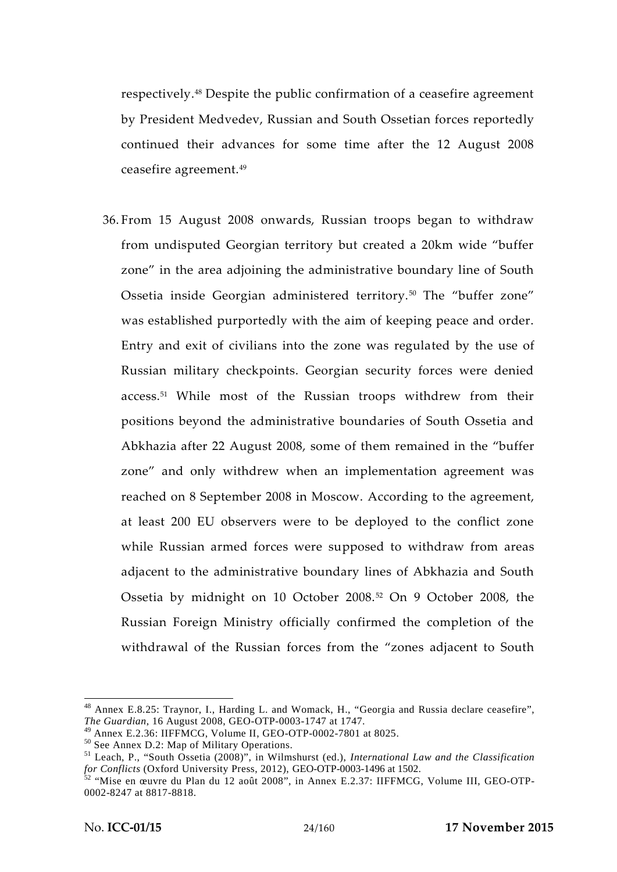respectively.<sup>48</sup> Despite the public confirmation of a ceasefire agreement by President Medvedev, Russian and South Ossetian forces reportedly continued their advances for some time after the 12 August 2008 ceasefire agreement.<sup>49</sup>

36. From 15 August 2008 onwards, Russian troops began to withdraw from undisputed Georgian territory but created a 20km wide "buffer zone" in the area adjoining the administrative boundary line of South Ossetia inside Georgian administered territory.<sup>50</sup> The "buffer zone" was established purportedly with the aim of keeping peace and order. Entry and exit of civilians into the zone was regulated by the use of Russian military checkpoints. Georgian security forces were denied access.<sup>51</sup> While most of the Russian troops withdrew from their positions beyond the administrative boundaries of South Ossetia and Abkhazia after 22 August 2008, some of them remained in the "buffer zone" and only withdrew when an implementation agreement was reached on 8 September 2008 in Moscow. According to the agreement, at least 200 EU observers were to be deployed to the conflict zone while Russian armed forces were supposed to withdraw from areas adjacent to the administrative boundary lines of Abkhazia and South Ossetia by midnight on 10 October 2008.<sup>52</sup> On 9 October 2008, the Russian Foreign Ministry officially confirmed the completion of the withdrawal of the Russian forces from the "zones adjacent to South

 $48$  Annex E.8.25: Traynor, I., Harding L. and Womack, H., "Georgia and Russia declare ceasefire", *The Guardian*, 16 August 2008, GEO-OTP-0003-1747 at 1747.

<sup>&</sup>lt;sup>49</sup> Annex E.2.36: IIFFMCG, Volume II, GEO-OTP-0002-7801 at 8025.<br><sup>50</sup> See Annex D.2: Map of Military Operations.<br><sup>51</sup> Leach, P., "South Ossetia (2008)", in Wilmshurst (ed.), *International Law and the Classification for Conflicts* (Oxford University Press, 2012), GEO-OTP-0003-1496 at 1502.<br><sup>52</sup> "Mise en œuvre du Plan du 12 août 2008", in Annex E.2.37: IIFFMCG, Volume III, GEO-OTP-

<sup>0002-8247</sup> at 8817-8818.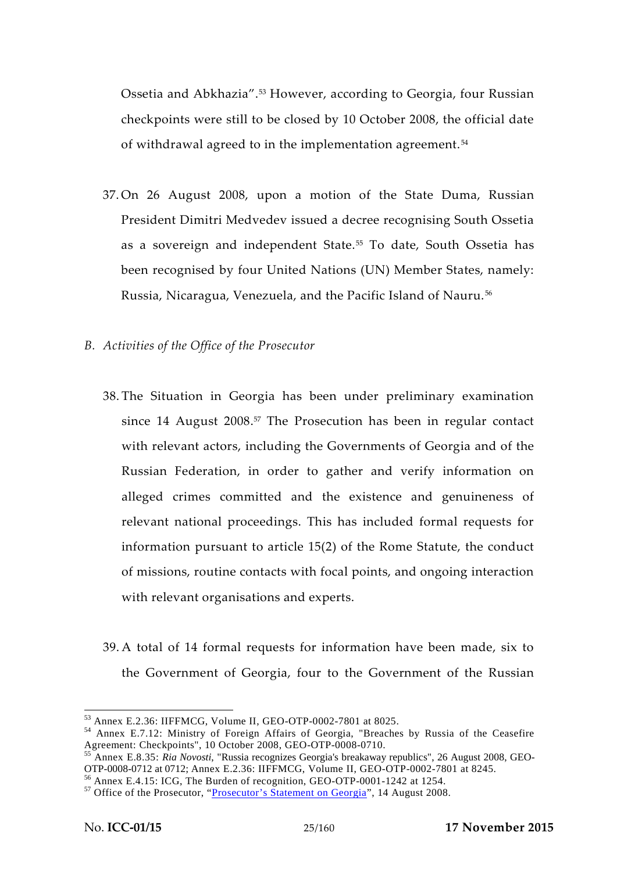Ossetia and Abkhazia".<sup>53</sup> However, according to Georgia, four Russian checkpoints were still to be closed by 10 October 2008, the official date of withdrawal agreed to in the implementation agreement. <sup>54</sup>

- 37. On 26 August 2008, upon a motion of the State Duma, Russian President Dimitri Medvedev issued a decree recognising South Ossetia as a sovereign and independent State.<sup>55</sup> To date, South Ossetia has been recognised by four United Nations (UN) Member States, namely: Russia, Nicaragua, Venezuela, and the Pacific Island of Nauru.<sup>56</sup>
- *B. Activities of the Office of the Prosecutor*
	- 38. The Situation in Georgia has been under preliminary examination since 14 August 2008.<sup>57</sup> The Prosecution has been in regular contact with relevant actors, including the Governments of Georgia and of the Russian Federation, in order to gather and verify information on alleged crimes committed and the existence and genuineness of relevant national proceedings. This has included formal requests for information pursuant to article 15(2) of the Rome Statute, the conduct of missions, routine contacts with focal points, and ongoing interaction with relevant organisations and experts.
	- 39. A total of 14 formal requests for information have been made, six to the Government of Georgia, four to the Government of the Russian

<sup>&</sup>lt;sup>53</sup> Annex E.2.36: IIFFMCG, Volume II, GEO-OTP-0002-7801 at 8025.<br><sup>54</sup> Annex E.7.12: Ministry of Foreign Affairs of Georgia, "Breaches by Russia of the Ceasefire<br>Agreement: Checkpoints", 10 October 2008, GEO-OTP-0008-0710.

<sup>&</sup>lt;sup>55</sup> Annex E.8.35: *Ria Novosti*, "Russia recognizes Georgia's breakaway republics", 26 August 2008, GEO-OTP-0008-0712 at 0712; Annex E.2.36: IIFFMCG, Volume II, GEO-OTP-0002-7801 at 8245.

<sup>&</sup>lt;sup>56</sup> Annex E.4.15: ICG, The Burden of recognition, GEO-OTP-0001-1242 at 1254.<br><sup>57</sup> Office of the Prosecutor, "Prosecutor's Statement on Georgia", 14 August 2008.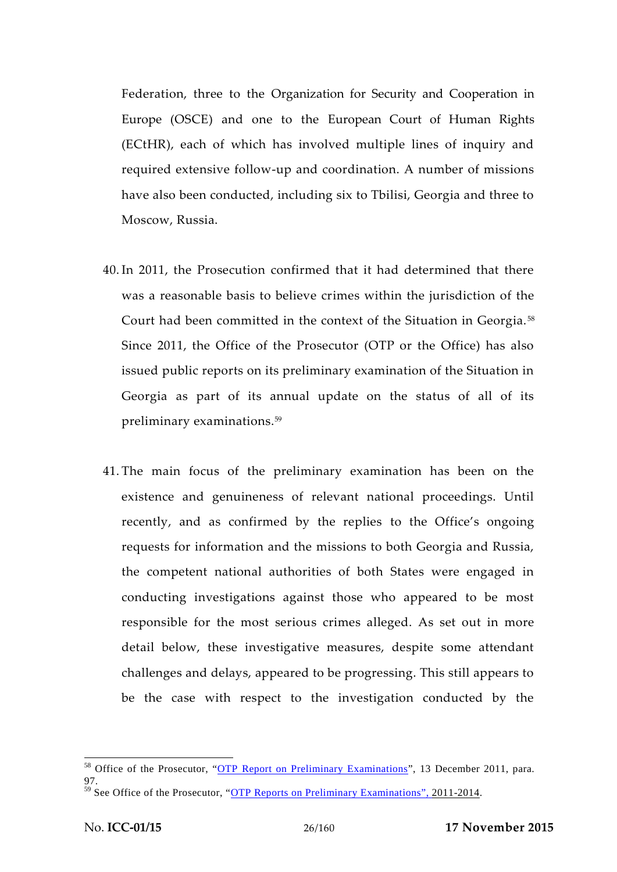Federation, three to the Organization for Security and Cooperation in Europe (OSCE) and one to the European Court of Human Rights (ECtHR), each of which has involved multiple lines of inquiry and required extensive follow-up and coordination. A number of missions have also been conducted, including six to Tbilisi, Georgia and three to Moscow, Russia.

- 40. In 2011, the Prosecution confirmed that it had determined that there was a reasonable basis to believe crimes within the jurisdiction of the Court had been committed in the context of the Situation in Georgia. <sup>58</sup> Since 2011, the Office of the Prosecutor (OTP or the Office) has also issued public reports on its preliminary examination of the Situation in Georgia as part of its annual update on the status of all of its preliminary examinations.<sup>59</sup>
- 41. The main focus of the preliminary examination has been on the existence and genuineness of relevant national proceedings. Until recently, and as confirmed by the replies to the Office's ongoing requests for information and the missions to both Georgia and Russia, the competent national authorities of both States were engaged in conducting investigations against those who appeared to be most responsible for the most serious crimes alleged. As set out in more detail below, these investigative measures, despite some attendant challenges and delays, appeared to be progressing. This still appears to be the case with respect to the investigation conducted by the

<sup>&</sup>lt;sup>58</sup> Office of the Prosecutor, "OTP Report on Preliminary Examinations", 13 December 2011, para. 97.

<sup>&</sup>lt;sup>59</sup> See Office of the Prosecutor, "OTP Reports on Preliminary Examinations", 2011-2014.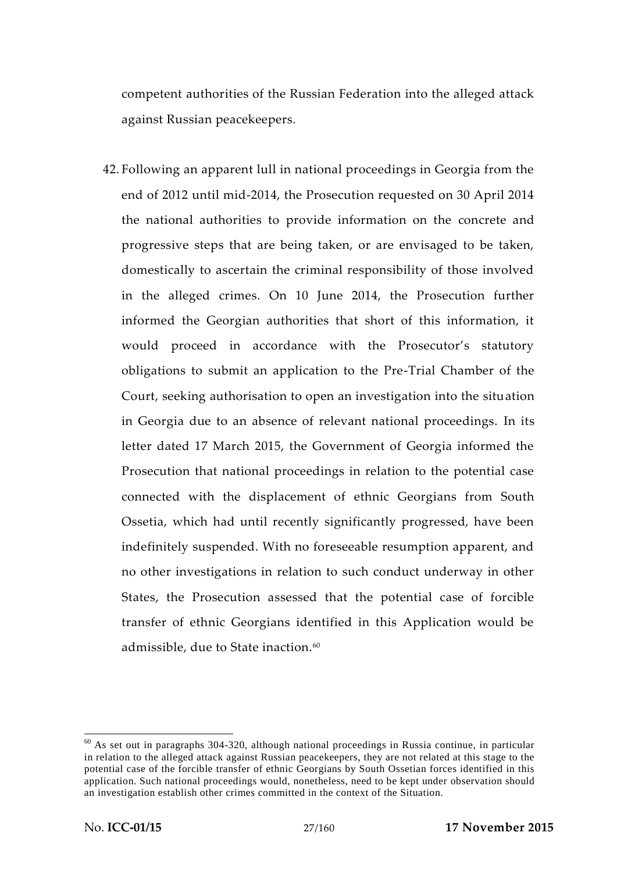competent authorities of the Russian Federation into the alleged attack against Russian peacekeepers.

42. Following an apparent lull in national proceedings in Georgia from the end of 2012 until mid-2014, the Prosecution requested on 30 April 2014 the national authorities to provide information on the concrete and progressive steps that are being taken, or are envisaged to be taken, domestically to ascertain the criminal responsibility of those involved in the alleged crimes. On 10 June 2014, the Prosecution further informed the Georgian authorities that short of this information, it would proceed in accordance with the Prosecutor's statutory obligations to submit an application to the Pre-Trial Chamber of the Court, seeking authorisation to open an investigation into the situation in Georgia due to an absence of relevant national proceedings. In its letter dated 17 March 2015, the Government of Georgia informed the Prosecution that national proceedings in relation to the potential case connected with the displacement of ethnic Georgians from South Ossetia, which had until recently significantly progressed, have been indefinitely suspended. With no foreseeable resumption apparent, and no other investigations in relation to such conduct underway in other States, the Prosecution assessed that the potential case of forcible transfer of ethnic Georgians identified in this Application would be admissible, due to State inaction.<sup>60</sup>

 $60$  As set out in paragraphs 304-320, although national proceedings in Russia continue, in particular in relation to the alleged attack against Russian peacekeepers, they are not related at this stage to the potential case of the forcible transfer of ethnic Georgians by South Ossetian forces identified in this application. Such national proceedings would, nonetheless, need to be kept under observation should an investigation establish other crimes committed in the context of the Situation.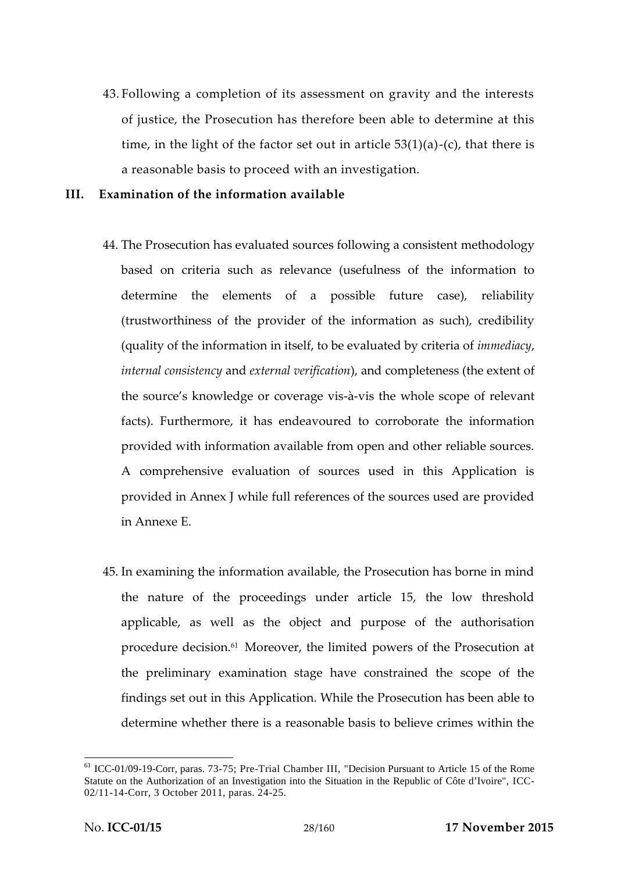43. Following a completion of its assessment on gravity and the interests of justice, the Prosecution has therefore been able to determine at this time, in the light of the factor set out in article  $53(1)(a)$ -(c), that there is a reasonable basis to proceed with an investigation.

#### **III. Examination of the information available**

- 44. The Prosecution has evaluated sources following a consistent methodology based on criteria such as relevance (usefulness of the information to determine the elements of a possible future case), reliability (trustworthiness of the provider of the information as such), credibility (quality of the information in itself, to be evaluated by criteria of *immediacy*, *internal consistency* and *external verification*), and completeness (the extent of the source's knowledge or coverage vis-à-vis the whole scope of relevant facts). Furthermore, it has endeavoured to corroborate the information provided with information available from open and other reliable sources. A comprehensive evaluation of sources used in this Application is provided in Annex J while full references of the sources used are provided in Annexe E.
- 45. In examining the information available, the Prosecution has borne in mind the nature of the proceedings under article 15, the low threshold applicable, as well as the object and purpose of the authorisation procedure decision.<sup>61</sup> Moreover, the limited powers of the Prosecution at the preliminary examination stage have constrained the scope of the findings set out in this Application. While the Prosecution has been able to determine whether there is a reasonable basis to believe crimes within the

<sup>&</sup>lt;sup>61</sup> ICC-01/09-19-Corr, paras. 73-75; Pre-Trial Chamber III, "Decision Pursuant to Article 15 of the Rome Statute on the Authorization of an Investigation into the Situation in the Republic of Côte d'Ivoire", ICC- 02/11-14-Corr, 3 October 2011, paras. 24-25.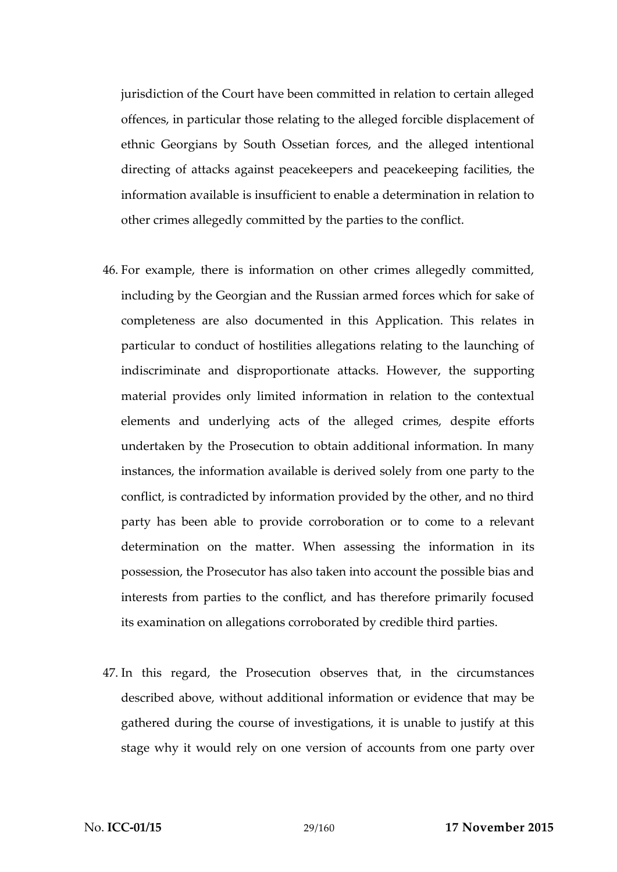jurisdiction of the Court have been committed in relation to certain alleged offences, in particular those relating to the alleged forcible displacement of ethnic Georgians by South Ossetian forces, and the alleged intentional directing of attacks against peacekeepers and peacekeeping facilities, the information available is insufficient to enable a determination in relation to other crimes allegedly committed by the parties to the conflict.

- 46. For example, there is information on other crimes allegedly committed, including by the Georgian and the Russian armed forces which for sake of completeness are also documented in this Application. This relates in particular to conduct of hostilities allegations relating to the launching of indiscriminate and disproportionate attacks. However, the supporting material provides only limited information in relation to the contextual elements and underlying acts of the alleged crimes, despite efforts undertaken by the Prosecution to obtain additional information. In many instances, the information available is derived solely from one party to the conflict, is contradicted by information provided by the other, and no third party has been able to provide corroboration or to come to a relevant determination on the matter. When assessing the information in its possession, the Prosecutor has also taken into account the possible bias and interests from parties to the conflict, and has therefore primarily focused its examination on allegations corroborated by credible third parties.
- 47. In this regard, the Prosecution observes that, in the circumstances described above, without additional information or evidence that may be gathered during the course of investigations, it is unable to justify at this stage why it would rely on one version of accounts from one party over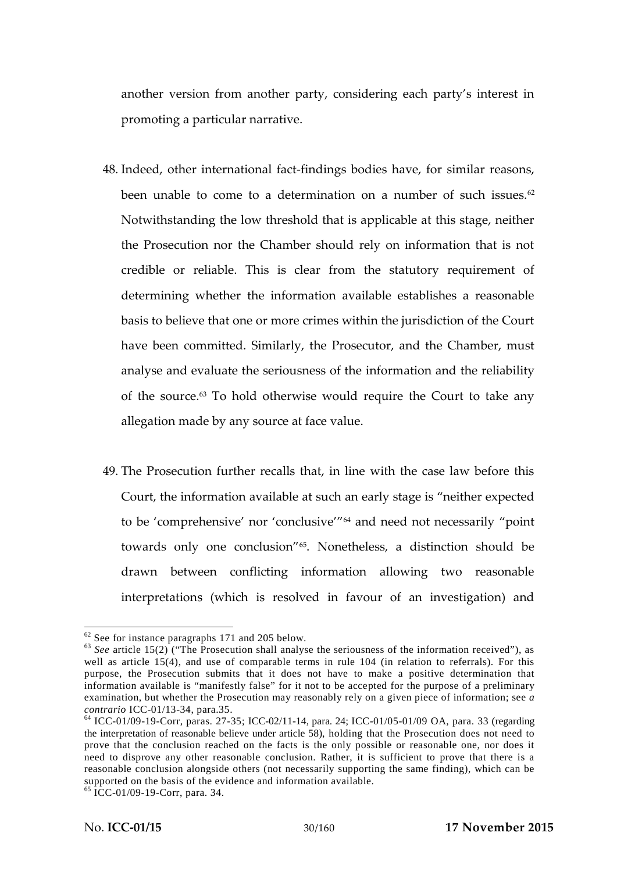another version from another party, considering each party's interest in promoting a particular narrative.

- 48. Indeed, other international fact-findings bodies have, for similar reasons, been unable to come to a determination on a number of such issues. $62$ Notwithstanding the low threshold that is applicable at this stage, neither the Prosecution nor the Chamber should rely on information that is not credible or reliable. This is clear from the statutory requirement of determining whether the information available establishes a reasonable basis to believe that one or more crimes within the jurisdiction of the Court have been committed. Similarly, the Prosecutor, and the Chamber, must analyse and evaluate the seriousness of the information and the reliability of the source. $63$  To hold otherwise would require the Court to take any allegation made by any source at face value.
- 49. The Prosecution further recalls that, in line with the case law before this Court, the information available at such an early stage is "neither expected to be 'comprehensive' nor 'conclusive'"<sup>64</sup> and need not necessarily "point towards only one conclusion"65. Nonetheless, a distinction should be drawn between conflicting information allowing two reasonable interpretations (which is resolved in favour of an investigation) and

<sup>62</sup> See for instance paragraphs 171 and 205 below. <sup>63</sup> *See* article 15(2) ("The Prosecution shall analyse the seriousness of the information received"), as well as article 15(4), and use of comparable terms in rule 104 (in relation to referrals). For this purpose, the Prosecution submits that it does not have to make a positive determination that information available is "manifestly false" for it not to be accepted for the purpose of a preliminary examination, but whether the Prosecution may reasonably rely on a given piece of information; see *a contrario* ICC-01/13-34, para.35.<br><sup>64</sup> ICC-01/09-19-Corr, paras. 27-35; ICC-02/11-14, para. 24; ICC-01/05-01/09 OA, para. 33 (regarding

the interpretation of reasonable believe under article 58), holding that the Prosecution does not need to prove that the conclusion reached on the facts is the only possible or reasonable one, nor does it need to disprove any other reasonable conclusion. Rather, it is sufficient to prove that there is a reasonable conclusion alongside others (not necessarily supporting the same finding), which can be supported on the basis of the evidence and information available. <sup>65</sup> ICC-01/09-19-Corr, para. 34.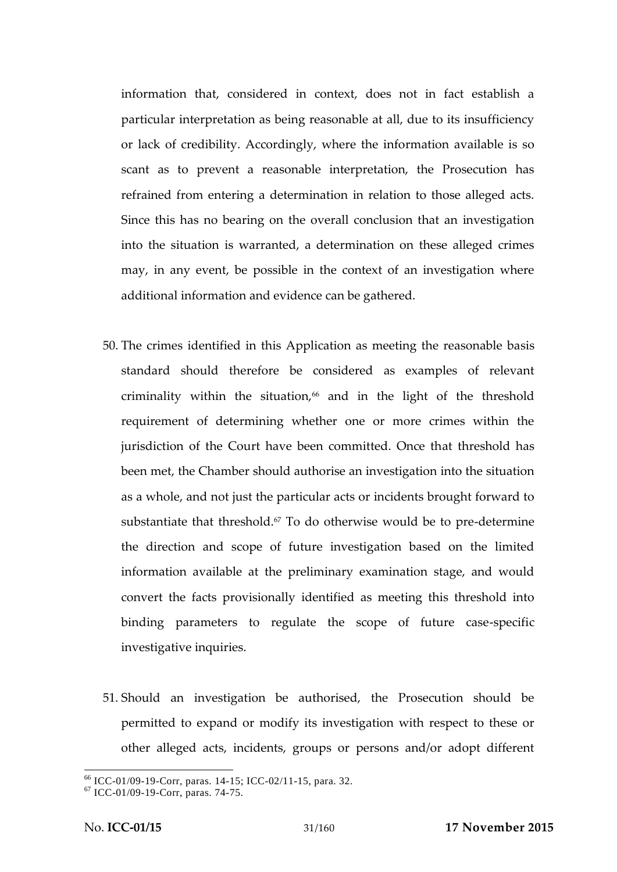information that, considered in context, does not in fact establish a particular interpretation as being reasonable at all, due to its insufficiency or lack of credibility. Accordingly, where the information available is so scant as to prevent a reasonable interpretation, the Prosecution has refrained from entering a determination in relation to those alleged acts. Since this has no bearing on the overall conclusion that an investigation into the situation is warranted, a determination on these alleged crimes may, in any event, be possible in the context of an investigation where additional information and evidence can be gathered.

- 50. The crimes identified in this Application as meeting the reasonable basis standard should therefore be considered as examples of relevant criminality within the situation,<sup>66</sup> and in the light of the threshold requirement of determining whether one or more crimes within the jurisdiction of the Court have been committed. Once that threshold has been met, the Chamber should authorise an investigation into the situation as a whole, and not just the particular acts or incidents brought forward to substantiate that threshold.<sup>67</sup> To do otherwise would be to pre-determine the direction and scope of future investigation based on the limited information available at the preliminary examination stage, and would convert the facts provisionally identified as meeting this threshold into binding parameters to regulate the scope of future case-specific investigative inquiries.
- 51. Should an investigation be authorised, the Prosecution should be permitted to expand or modify its investigation with respect to these or other alleged acts, incidents, groups or persons and/or adopt different

 $^{66}$  ICC-01/09-19-Corr, paras. 14-15; ICC-02/11-15, para. 32.<br><sup>67</sup> ICC-01/09-19-Corr, paras. 74-75.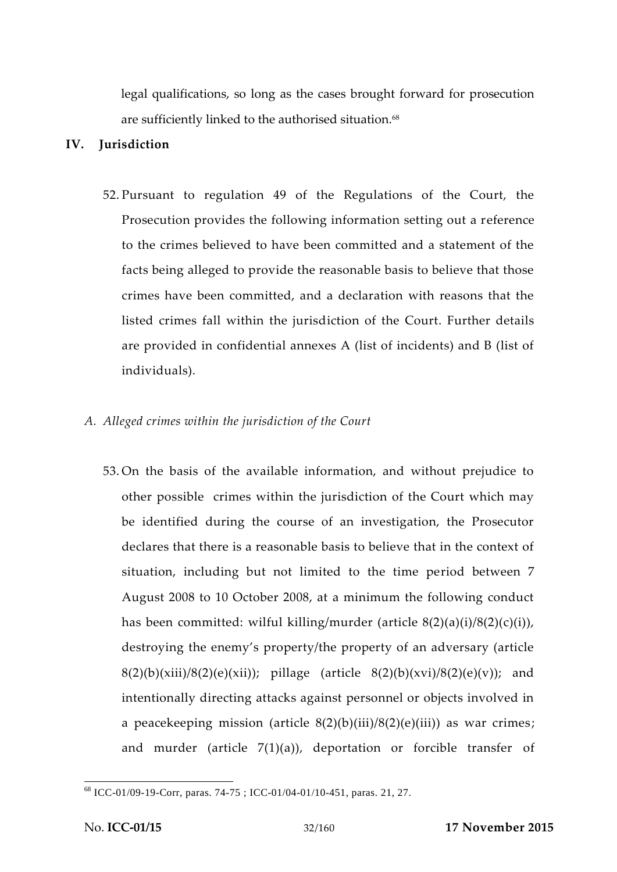legal qualifications, so long as the cases brought forward for prosecution are sufficiently linked to the authorised situation.<sup>68</sup>

### **IV. Jurisdiction**

52. Pursuant to regulation 49 of the Regulations of the Court, the Prosecution provides the following information setting out a reference to the crimes believed to have been committed and a statement of the facts being alleged to provide the reasonable basis to believe that those crimes have been committed, and a declaration with reasons that the listed crimes fall within the jurisdiction of the Court. Further details are provided in confidential annexes A (list of incidents) and B (list of individuals).

### *A. Alleged crimes within the jurisdiction of the Court*

53. On the basis of the available information, and without prejudice to other possible crimes within the jurisdiction of the Court which may be identified during the course of an investigation, the Prosecutor declares that there is a reasonable basis to believe that in the context of situation, including but not limited to the time period between 7 August 2008 to 10 October 2008, at a minimum the following conduct has been committed: wilful killing/murder (article 8(2)(a)(i)/8(2)(c)(i)), destroying the enemy's property/the property of an adversary (article  $8(2)(b)(xiii)/8(2)(e)(xii))$ ; pillage (article  $8(2)(b)(xvi)/8(2)(e)(v)$ ); and intentionally directing attacks against personnel or objects involved in a peacekeeping mission (article  $8(2)(b)(iii)/8(2)(e)(iii)$ ) as war crimes; and murder (article  $7(1)(a)$ ), deportation or forcible transfer of

<sup>68</sup> ICC-01/09-19-Corr, paras. 74-75 ; ICC-01/04-01/10-451, paras. 21, 27.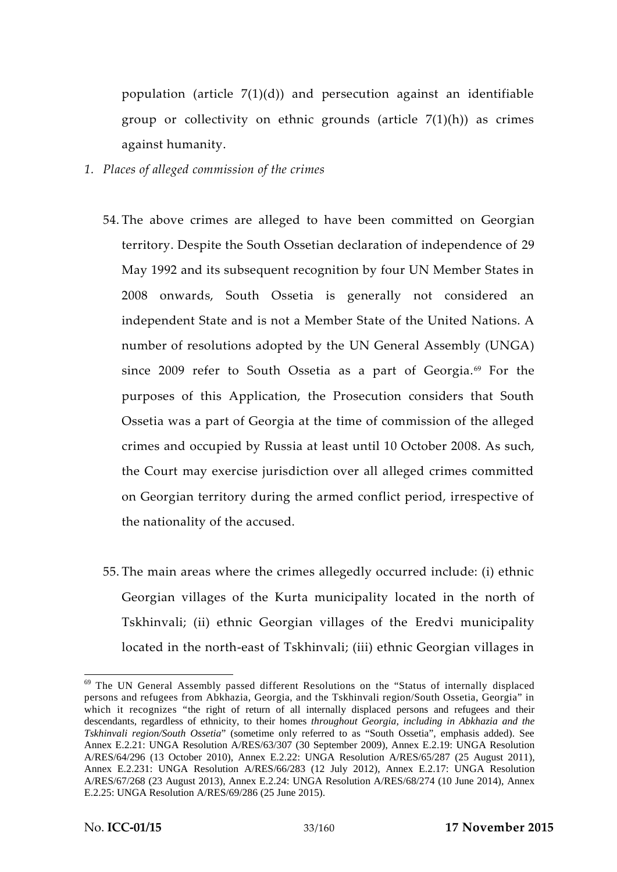population (article 7(1)(d)) and persecution against an identifiable group or collectivity on ethnic grounds (article 7(1)(h)) as crimes against humanity.

- *1. Places of alleged commission of the crimes*
	- 54. The above crimes are alleged to have been committed on Georgian territory. Despite the South Ossetian declaration of independence of 29 May 1992 and its subsequent recognition by four UN Member States in 2008 onwards, South Ossetia is generally not considered an independent State and is not a Member State of the United Nations. A number of resolutions adopted by the UN General Assembly (UNGA) since 2009 refer to South Ossetia as a part of Georgia.<sup>69</sup> For the purposes of this Application, the Prosecution considers that South Ossetia was a part of Georgia at the time of commission of the alleged crimes and occupied by Russia at least until 10 October 2008. As such, the Court may exercise jurisdiction over all alleged crimes committed on Georgian territory during the armed conflict period, irrespective of the nationality of the accused.
	- 55. The main areas where the crimes allegedly occurred include: (i) ethnic Georgian villages of the Kurta municipality located in the north of Tskhinvali; (ii) ethnic Georgian villages of the Eredvi municipality located in the north-east of Tskhinvali; (iii) ethnic Georgian villages in

<sup>&</sup>lt;sup>69</sup> The UN General Assembly passed different Resolutions on the "Status of internally displaced persons and refugees from Abkhazia, Georgia, and the Tskhinvali region/South Ossetia, Georgia" in which it recognizes "the right of return of all internally displaced persons and refugees and their descendants, regardless of ethnicity, to their homes *throughout Georgia, including in Abkhazia and the Tskhinvali region/South Ossetia*" (sometime only referred to as "South Ossetia", emphasis added). See Annex E.2.21: UNGA Resolution A/RES/63/307 (30 September 2009), Annex E.2.19: UNGA Resolution A/RES/64/296 (13 October 2010), Annex E.2.22: UNGA Resolution A/RES/65/287 (25 August 2011), Annex E.2.231: UNGA Resolution A/RES/66/283 (12 July 2012), Annex E.2.17: UNGA Resolution A/RES/67/268 (23 August 2013), Annex E.2.24: UNGA Resolution A/RES/68/274 (10 June 2014), Annex E.2.25: UNGA Resolution A/RES/69/286 (25 June 2015).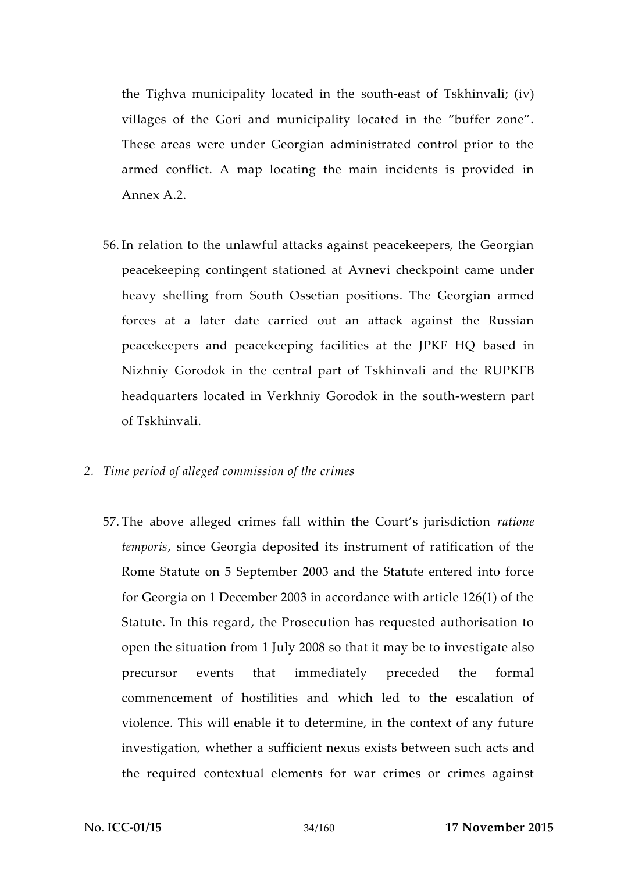the Tighva municipality located in the south-east of Tskhinvali; (iv) villages of the Gori and municipality located in the "buffer zone". These areas were under Georgian administrated control prior to the armed conflict. A map locating the main incidents is provided in Annex A.2.

- 56. In relation to the unlawful attacks against peacekeepers, the Georgian peacekeeping contingent stationed at Avnevi checkpoint came under heavy shelling from South Ossetian positions. The Georgian armed forces at a later date carried out an attack against the Russian peacekeepers and peacekeeping facilities at the JPKF HQ based in Nizhniy Gorodok in the central part of Tskhinvali and the RUPKFB headquarters located in Verkhniy Gorodok in the south-western part of Tskhinvali.
- *2. Time period of alleged commission of the crimes*
	- 57. The above alleged crimes fall within the Court's jurisdiction *ratione temporis*, since Georgia deposited its instrument of ratification of the Rome Statute on 5 September 2003 and the Statute entered into force for Georgia on 1 December 2003 in accordance with article 126(1) of the Statute. In this regard, the Prosecution has requested authorisation to open the situation from 1 July 2008 so that it may be to investigate also precursor events that immediately preceded the formal commencement of hostilities and which led to the escalation of violence. This will enable it to determine, in the context of any future investigation, whether a sufficient nexus exists between such acts and the required contextual elements for war crimes or crimes against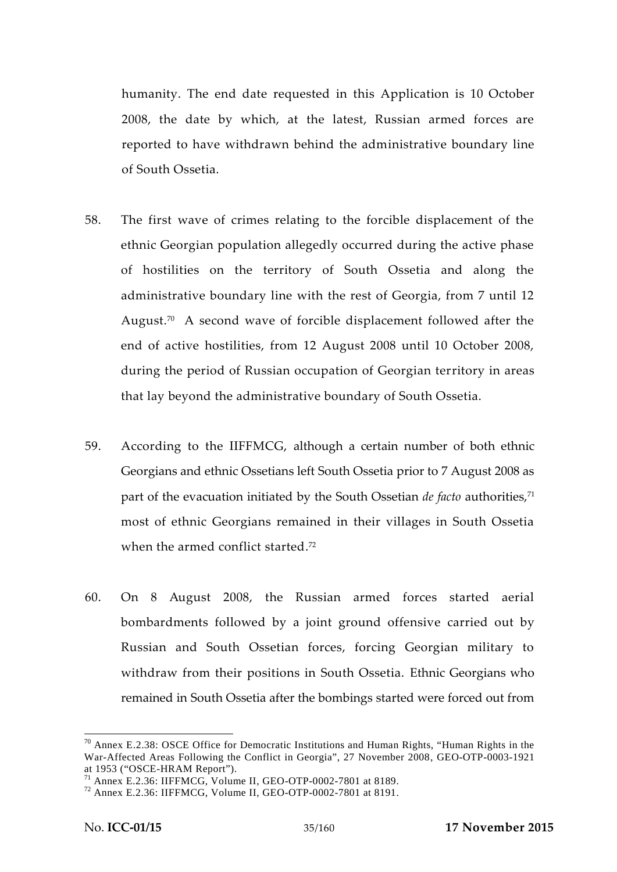humanity. The end date requested in this Application is 10 October 2008, the date by which, at the latest, Russian armed forces are reported to have withdrawn behind the administrative boundary line of South Ossetia.

- 58. The first wave of crimes relating to the forcible displacement of the ethnic Georgian population allegedly occurred during the active phase of hostilities on the territory of South Ossetia and along the administrative boundary line with the rest of Georgia, from 7 until 12 August.<sup>70</sup> A second wave of forcible displacement followed after the end of active hostilities, from 12 August 2008 until 10 October 2008, during the period of Russian occupation of Georgian territory in areas that lay beyond the administrative boundary of South Ossetia.
- 59. According to the IIFFMCG, although a certain number of both ethnic Georgians and ethnic Ossetians left South Ossetia prior to 7 August 2008 as part of the evacuation initiated by the South Ossetian *de facto* authorities,<sup>71</sup> most of ethnic Georgians remained in their villages in South Ossetia when the armed conflict started.<sup>72</sup>
- 60. On 8 August 2008, the Russian armed forces started aerial bombardments followed by a joint ground offensive carried out by Russian and South Ossetian forces, forcing Georgian military to withdraw from their positions in South Ossetia. Ethnic Georgians who remained in South Ossetia after the bombings started were forced out from

 $70$  Annex E.2.38: OSCE Office for Democratic Institutions and Human Rights, "Human Rights in the War-Affected Areas Following the Conflict in Georgia", 27 November 2008, GEO-OTP-0003-1921

<sup>&</sup>lt;sup>71</sup> Annex E.2.36: IIFFMCG, Volume II, GEO-OTP-0002-7801 at 8189. <sup>72</sup> Annex E.2.36: IIFFMCG, Volume II, GEO-OTP-0002-7801 at 8191.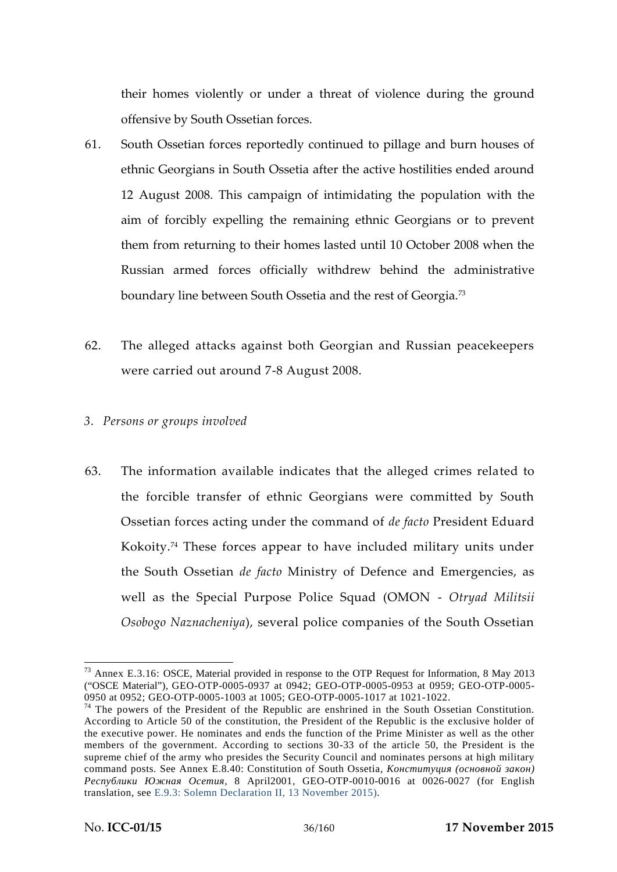their homes violently or under a threat of violence during the ground offensive by South Ossetian forces.

- 61. South Ossetian forces reportedly continued to pillage and burn houses of ethnic Georgians in South Ossetia after the active hostilities ended around 12 August 2008. This campaign of intimidating the population with the aim of forcibly expelling the remaining ethnic Georgians or to prevent them from returning to their homes lasted until 10 October 2008 when the Russian armed forces officially withdrew behind the administrative boundary line between South Ossetia and the rest of Georgia.<sup>73</sup>
- 62. The alleged attacks against both Georgian and Russian peacekeepers were carried out around 7-8 August 2008.
- *3. Persons or groups involved*
- 63. The information available indicates that the alleged crimes related to the forcible transfer of ethnic Georgians were committed by South Ossetian forces acting under the command of *de facto* President Eduard Kokoity.<sup>74</sup> These forces appear to have included military units under the South Ossetian *de facto* Ministry of Defence and Emergencies, as well as the Special Purpose Police Squad (OMON - *Otryad Militsii Osobogo Naznacheniya*), several police companies of the South Ossetian

<sup>73</sup> Annex E.3.16: OSCE, Material provided in response to the OTP Request for Information, 8 May 2013 ("OSCE Material"), GEO-OTP-0005-0937 at 0942; GEO-OTP-0005-0953 at 0959; GEO-OTP-0005-<br>0950 at 0952; GEO-OTP-0005-1003 at 1005; GEO-OTP-0005-1017 at 1021-1022.

 $74$  The powers of the President of the Republic are enshrined in the South Ossetian Constitution. According to Article 50 of the constitution, the President of the Republic is the exclusive holder of the executive power. He nominates and ends the function of the Prime Minister as well as the other members of the government. According to sections 30-33 of the article 50, the President is the supreme chief of the army who presides the Security Council and nominates persons at high military command posts. See Annex E.8.40: Constitution of South Ossetia,

*Республики Южная Осетия,* 8 April2001*,* GEO-OTP-0010-0016 at 0026-0027 (for English translation, see E.9.3: Solemn Declaration II, 13 November 2015).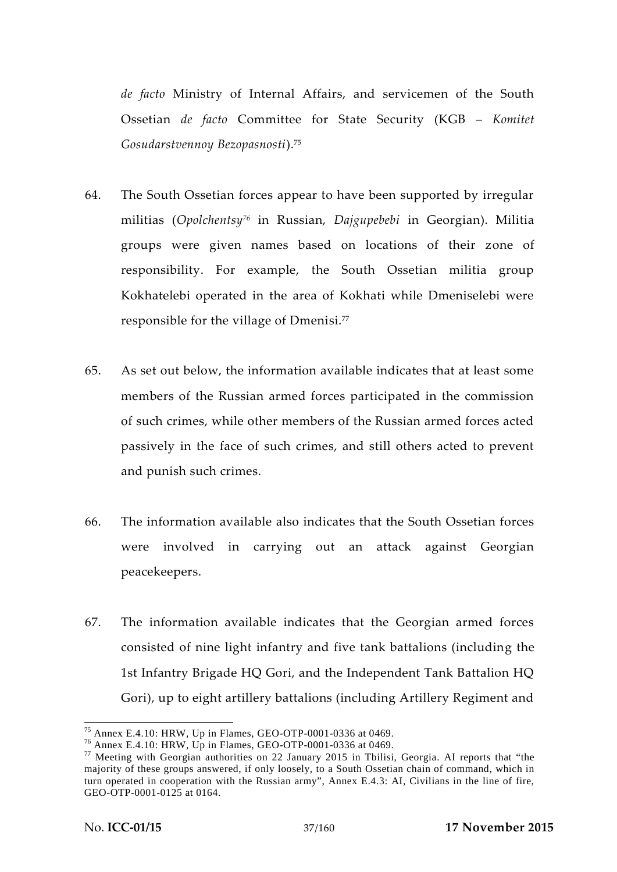*de facto* Ministry of Internal Affairs, and servicemen of the South Ossetian *de facto* Committee for State Security (KGB – *Komitet Gosudarstvennoy Bezopasnosti*).<sup>75</sup>

- 64. The South Ossetian forces appear to have been supported by irregular militias (*Opolchentsy<sup>76</sup>* in Russian, *Dajgupebebi* in Georgian). Militia groups were given names based on locations of their zone of responsibility. For example, the South Ossetian militia group Kokhatelebi operated in the area of Kokhati while Dmeniselebi were responsible for the village of Dmenisi.<sup>77</sup>
- 65. As set out below, the information available indicates that at least some members of the Russian armed forces participated in the commission of such crimes, while other members of the Russian armed forces acted passively in the face of such crimes, and still others acted to prevent and punish such crimes.
- 66. The information available also indicates that the South Ossetian forces were involved in carrying out an attack against Georgian peacekeepers.
- 67. The information available indicates that the Georgian armed forces consisted of nine light infantry and five tank battalions (including the 1st Infantry Brigade HQ Gori, and the Independent Tank Battalion HQ Gori), up to eight artillery battalions (including Artillery Regiment and

<sup>&</sup>lt;sup>75</sup> Annex E.4.10: HRW, Up in Flames, GEO-OTP-0001-0336 at 0469.<br><sup>76</sup> Annex E.4.10: HRW, Up in Flames, GEO-OTP-0001-0336 at 0469.<br><sup>77</sup> Meeting with Georgian authorities on 22 January 2015 in Tbilisi, Georgia. AI reports t majority of these groups answered, if only loosely, to a South Ossetian chain of command, which in turn operated in cooperation with the Russian army", Annex E.4.3: AI, Civilians in the line of fire, GEO-OTP-0001-0125 at 0164.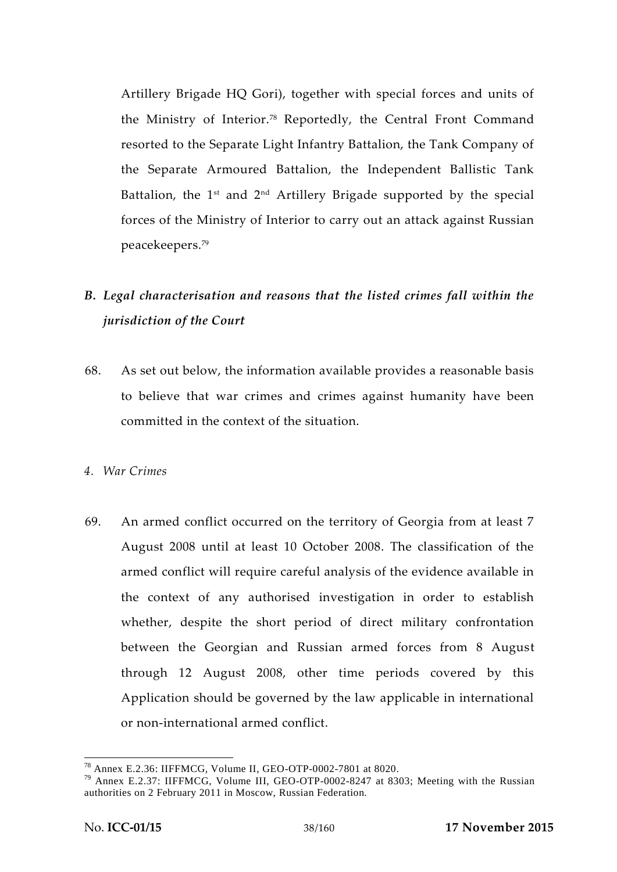Artillery Brigade HQ Gori), together with special forces and units of the Ministry of Interior.<sup>78</sup> Reportedly, the Central Front Command resorted to the Separate Light Infantry Battalion, the Tank Company of the Separate Armoured Battalion, the Independent Ballistic Tank Battalion, the  $1<sup>st</sup>$  and  $2<sup>nd</sup>$  Artillery Brigade supported by the special forces of the Ministry of Interior to carry out an attack against Russian peacekeepers.<sup>79</sup>

## *B. Legal characterisation and reasons that the listed crimes fall within the jurisdiction of the Court*

- 68. As set out below, the information available provides a reasonable basis to believe that war crimes and crimes against humanity have been committed in the context of the situation.
- *4. War Crimes*
- 69. An armed conflict occurred on the territory of Georgia from at least 7 August 2008 until at least 10 October 2008. The classification of the armed conflict will require careful analysis of the evidence available in the context of any authorised investigation in order to establish whether, despite the short period of direct military confrontation between the Georgian and Russian armed forces from 8 August through 12 August 2008, other time periods covered by this Application should be governed by the law applicable in international or non-international armed conflict.

<sup>&</sup>lt;sup>78</sup> Annex E.2.36: IIFFMCG, Volume II, GEO-OTP-0002-7801 at 8020.<br><sup>79</sup> Annex E.2.37: IIFFMCG, Volume III, GEO-OTP-0002-8247 at 8303; Meeting with the Russian authorities on 2 February 2011 in Moscow, Russian Federation.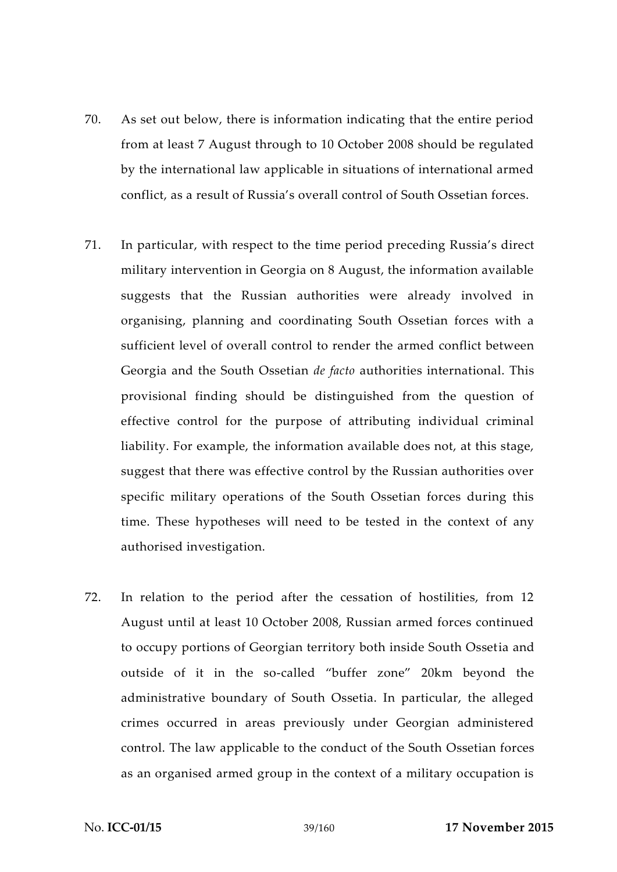- 70. As set out below, there is information indicating that the entire period from at least 7 August through to 10 October 2008 should be regulated by the international law applicable in situations of international armed conflict, as a result of Russia's overall control of South Ossetian forces.
- 71. In particular, with respect to the time period preceding Russia's direct military intervention in Georgia on 8 August, the information available suggests that the Russian authorities were already involved in organising, planning and coordinating South Ossetian forces with a sufficient level of overall control to render the armed conflict between Georgia and the South Ossetian *de facto* authorities international. This provisional finding should be distinguished from the question of effective control for the purpose of attributing individual criminal liability. For example, the information available does not, at this stage, suggest that there was effective control by the Russian authorities over specific military operations of the South Ossetian forces during this time. These hypotheses will need to be tested in the context of any authorised investigation.
- 72. In relation to the period after the cessation of hostilities, from 12 August until at least 10 October 2008, Russian armed forces continued to occupy portions of Georgian territory both inside South Ossetia and outside of it in the so-called "buffer zone" 20km beyond the administrative boundary of South Ossetia. In particular, the alleged crimes occurred in areas previously under Georgian administered control. The law applicable to the conduct of the South Ossetian forces as an organised armed group in the context of a military occupation is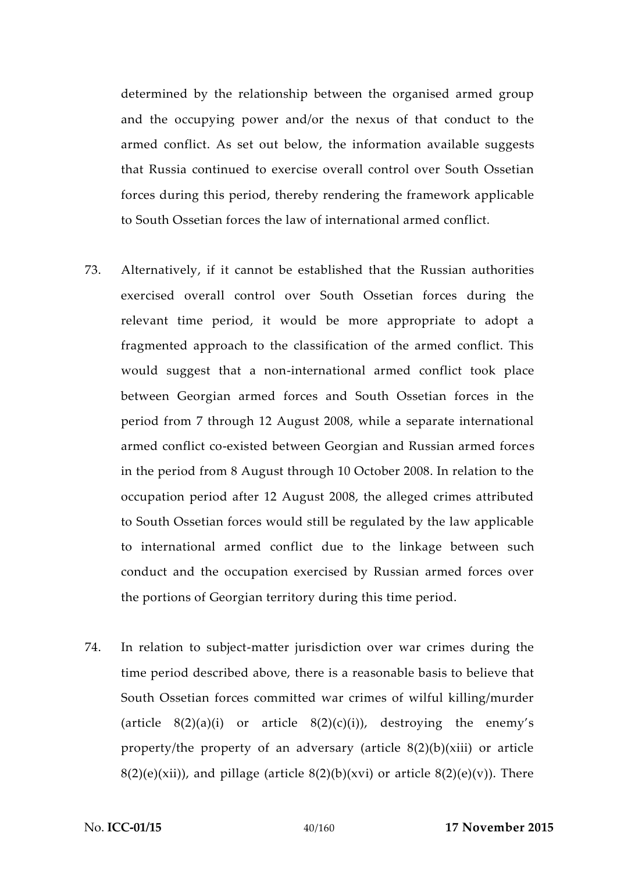determined by the relationship between the organised armed group and the occupying power and/or the nexus of that conduct to the armed conflict. As set out below, the information available suggests that Russia continued to exercise overall control over South Ossetian forces during this period, thereby rendering the framework applicable to South Ossetian forces the law of international armed conflict.

- 73. Alternatively, if it cannot be established that the Russian authorities exercised overall control over South Ossetian forces during the relevant time period, it would be more appropriate to adopt a fragmented approach to the classification of the armed conflict. This would suggest that a non-international armed conflict took place between Georgian armed forces and South Ossetian forces in the period from 7 through 12 August 2008, while a separate international armed conflict co-existed between Georgian and Russian armed forces in the period from 8 August through 10 October 2008. In relation to the occupation period after 12 August 2008, the alleged crimes attributed to South Ossetian forces would still be regulated by the law applicable to international armed conflict due to the linkage between such conduct and the occupation exercised by Russian armed forces over the portions of Georgian territory during this time period.
- 74. In relation to subject-matter jurisdiction over war crimes during the time period described above, there is a reasonable basis to believe that South Ossetian forces committed war crimes of wilful killing/murder (article  $8(2)(a)(i)$  or article  $8(2)(c)(i)$ ), destroying the enemy's property/the property of an adversary (article 8(2)(b)(xiii) or article  $8(2)(e)(xii)$ , and pillage (article  $8(2)(b)(xvi)$  or article  $8(2)(e)(v)$ ). There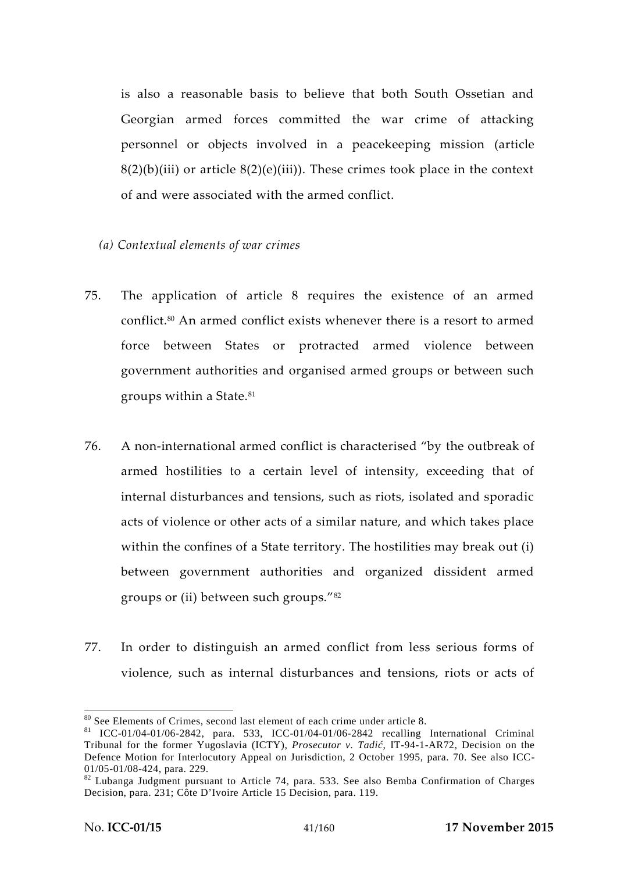is also a reasonable basis to believe that both South Ossetian and Georgian armed forces committed the war crime of attacking personnel or objects involved in a peacekeeping mission (article  $8(2)(b)(iii)$  or article  $8(2)(e)(iii)$ ). These crimes took place in the context of and were associated with the armed conflict.

- *(a) Contextual elements of war crimes*
- 75. The application of article 8 requires the existence of an armed conflict.<sup>80</sup> An armed conflict exists whenever there is a resort to armed force between States or protracted armed violence between government authorities and organised armed groups or between such groups within a State.<sup>81</sup>
- 76. A non-international armed conflict is characterised "by the outbreak of armed hostilities to a certain level of intensity, exceeding that of internal disturbances and tensions, such as riots, isolated and sporadic acts of violence or other acts of a similar nature, and which takes place within the confines of a State territory. The hostilities may break out (i) between government authorities and organized dissident armed groups or (ii) between such groups."<sup>82</sup>
- 77. In order to distinguish an armed conflict from less serious forms of violence, such as internal disturbances and tensions, riots or acts of

<sup>&</sup>lt;sup>80</sup> See Elements of Crimes, second last element of each crime under article 8.<br><sup>81</sup> ICC-01/04-01/06-2842, para. 533, ICC-01/04-01/06-2842 recalling International Criminal Tribunal for the former Yugoslavia (ICTY), *Prosecutor v. Tadi*, IT-94-1-AR72, Decision on the Defence Motion for Interlocutory Appeal on Jurisdiction, 2 October 1995, para. 70. See also ICC-

<sup>01/05-01/08-424,</sup> para. 229.<br><sup>82</sup> Lubanga Judgment pursuant to Article 74, para. 533. See also Bemba Confirmation of Charges Decision, para. 231; Côte D'Ivoire Article 15 Decision, para. 119.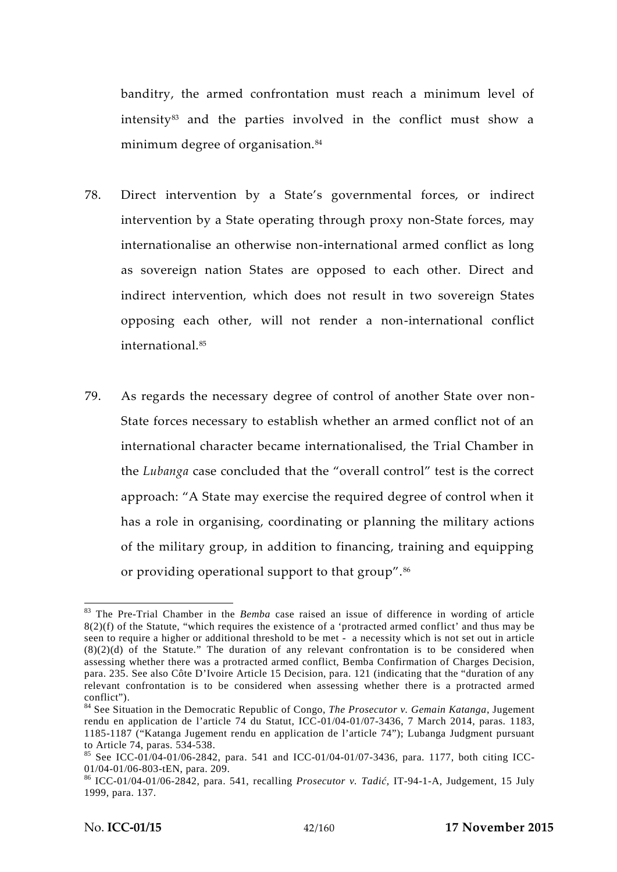banditry, the armed confrontation must reach a minimum level of intensity<sup>83</sup> and the parties involved in the conflict must show a minimum degree of organisation.<sup>84</sup>

- 78. Direct intervention by a State's governmental forces, or indirect intervention by a State operating through proxy non-State forces, may internationalise an otherwise non-international armed conflict as long as sovereign nation States are opposed to each other. Direct and indirect intervention, which does not result in two sovereign States opposing each other, will not render a non-international conflict international.<sup>85</sup>
- 79. As regards the necessary degree of control of another State over non- State forces necessary to establish whether an armed conflict not of an international character became internationalised, the Trial Chamber in the *Lubanga* case concluded that the "overall control" test is the correct approach: "A State may exercise the required degree of control when it has a role in organising, coordinating or planning the military actions of the military group, in addition to financing, training and equipping or providing operational support to that group".<sup>86</sup>

<sup>83</sup> The Pre-Trial Chamber in the *Bemba* case raised an issue of difference in wording of article 8(2)(f) of the Statute, "which requires the existence of a 'protracted armed conflict' and thus may be seen to require a higher or additional threshold to be met - a necessity which is not set out in article  $(8)(2)(d)$  of the Statute." The duration of any relevant confrontation is to be considered when assessing whether there was a protracted armed conflict, Bemba Confirmation of Charges Decision, para. 235. See also Côte D'Ivoire Article 15 Decision, para. 121 (indicating that the "duration of any relevant confrontation is to be considered when assessing whether there is a protracted armed conflict"). <sup>84</sup> See Situation in the Democratic Republic of Congo, *The Prosecutor v. Gemain Katanga*, Jugement

rendu en application de l'article 74 du Statut, ICC-01/04-01/07-3436, 7 March 2014, paras. 1183, 1185-1187 ("Katanga Jugement rendu en application de l'article 74"); Lubanga Judgment pursuant to Article 74, paras. 534-538.

<sup>&</sup>lt;sup>85</sup> See ICC-01/04-01/06-2842, para. 541 and ICC-01/04-01/07-3436, para. 1177, both citing ICC-01/04-01/06-803-tEN, para. 209.

<sup>&</sup>lt;sup>86</sup> ICC-01/04-01/06-2842, para. 541, recalling *Prosecutor v. Tadi*, IT-94-1-A, Judgement, 15 July 1999, para. 137.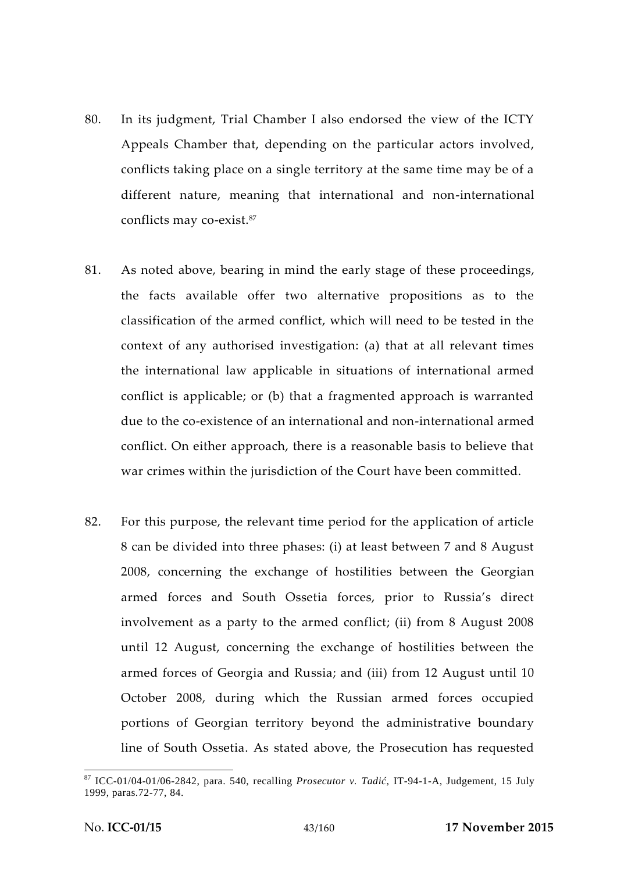- 80. In its judgment, Trial Chamber I also endorsed the view of the ICTY Appeals Chamber that, depending on the particular actors involved, conflicts taking place on a single territory at the same time may be of a different nature, meaning that international and non-international conflicts may co-exist.<sup>87</sup>
- 81. As noted above, bearing in mind the early stage of these proceedings, the facts available offer two alternative propositions as to the classification of the armed conflict, which will need to be tested in the context of any authorised investigation: (a) that at all relevant times the international law applicable in situations of international armed conflict is applicable; or (b) that a fragmented approach is warranted due to the co-existence of an international and non-international armed conflict. On either approach, there is a reasonable basis to believe that war crimes within the jurisdiction of the Court have been committed.
- 82. For this purpose, the relevant time period for the application of article 8 can be divided into three phases: (i) at least between 7 and 8 August 2008, concerning the exchange of hostilities between the Georgian armed forces and South Ossetia forces, prior to Russia's direct involvement as a party to the armed conflict; (ii) from 8 August 2008 until 12 August, concerning the exchange of hostilities between the armed forces of Georgia and Russia; and (iii) from 12 August until 10 October 2008, during which the Russian armed forces occupied portions of Georgian territory beyond the administrative boundary line of South Ossetia. As stated above, the Prosecution has requested

<sup>&</sup>lt;sup>87</sup> ICC-01/04-01/06-2842, para. 540, recalling *Prosecutor v. Tadi*, IT-94-1-A, Judgement, 15 July 1999, paras.72-77, 84.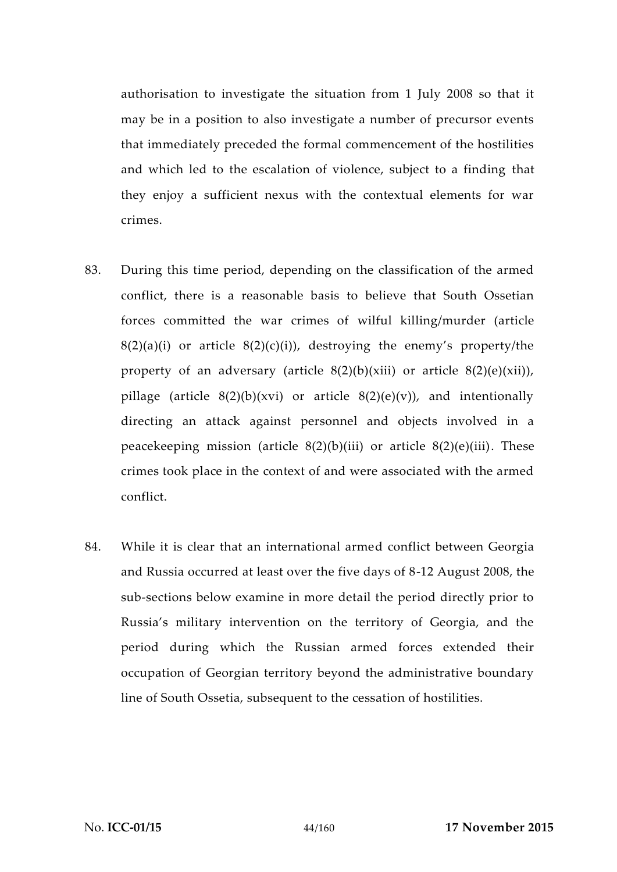authorisation to investigate the situation from 1 July 2008 so that it may be in a position to also investigate a number of precursor events that immediately preceded the formal commencement of the hostilities and which led to the escalation of violence, subject to a finding that they enjoy a sufficient nexus with the contextual elements for war crimes.

- 83. During this time period, depending on the classification of the armed conflict, there is a reasonable basis to believe that South Ossetian forces committed the war crimes of wilful killing/murder (article  $8(2)(a)(i)$  or article  $8(2)(c)(i)$ , destroying the enemy's property/the property of an adversary (article  $8(2)(b)(xiii)$  or article  $8(2)(e)(xii)$ ), pillage (article  $8(2)(b)(xvi)$  or article  $8(2)(e)(v)$ ), and intentionally directing an attack against personnel and objects involved in a peacekeeping mission (article  $8(2)(b)(iii)$  or article  $8(2)(e)(iii)$ . These crimes took place in the context of and were associated with the armed conflict.
- 84. While it is clear that an international armed conflict between Georgia and Russia occurred at least over the five days of 8-12 August 2008, the sub-sections below examine in more detail the period directly prior to Russia's military intervention on the territory of Georgia, and the period during which the Russian armed forces extended their occupation of Georgian territory beyond the administrative boundary line of South Ossetia, subsequent to the cessation of hostilities.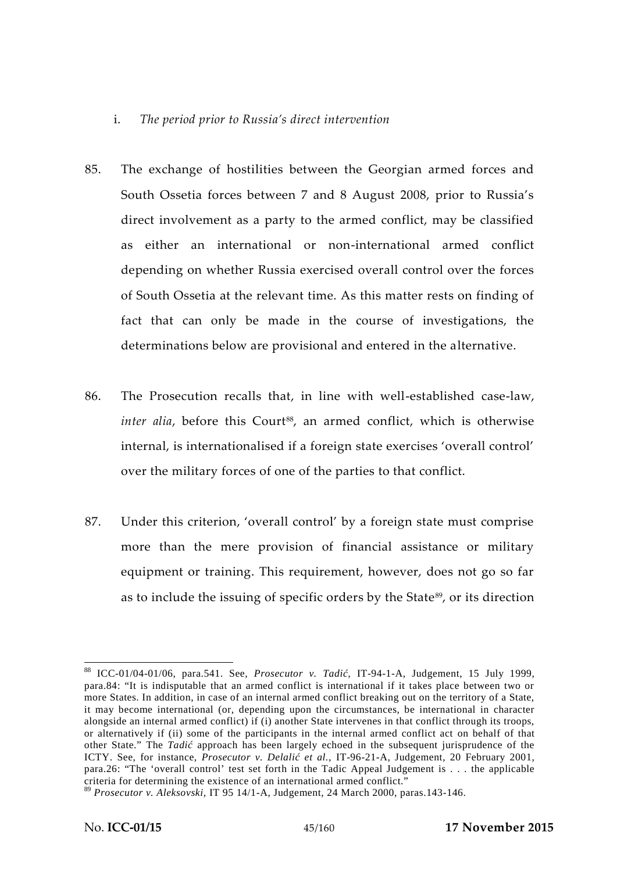## i. *The period prior to Russia's direct intervention*

- 85. The exchange of hostilities between the Georgian armed forces and South Ossetia forces between 7 and 8 August 2008, prior to Russia's direct involvement as a party to the armed conflict, may be classified as either an international or non-international armed conflict depending on whether Russia exercised overall control over the forces of South Ossetia at the relevant time. As this matter rests on finding of fact that can only be made in the course of investigations, the determinations below are provisional and entered in the alternative.
- 86. The Prosecution recalls that, in line with well-established case-law, *inter alia*, before this Court<sup>88</sup>, an armed conflict, which is otherwise internal, is internationalised if a foreign state exercises 'overall control' over the military forces of one of the parties to that conflict.
- 87. Under this criterion, 'overall control' by a foreign state must comprise more than the mere provision of financial assistance or military equipment or training. This requirement, however, does not go so far as to include the issuing of specific orders by the State<sup>89</sup>, or its direction

<sup>88</sup> ICC-01/04-01/06, para.541. See, *Prosecutor v. Tadi*, IT-94-1-A, Judgement, 15 July 1999, para.84: "It is indisputable that an armed conflict is international if it takes place between two or more States. In addition, in case of an internal armed conflict breaking out on the territory of a State, it may become international (or, depending upon the circumstances, be international in character alongside an internal armed conflict) if (i) another State intervenes in that conflict through its troops, or alternatively if (ii) some of the participants in the internal armed conflict act on behalf of that other State." The *Tadić* approach has been largely echoed in the subsequent jurisprudence of the ICTY. See, for instance, *Prosecutor v. Delali et al.*, IT-96-21-A, Judgement, 20 February 2001, para.26: "The 'overall control' test set forth in the Tadic Appeal Judgement is . . . the applicable criteria for determining the existence of an international armed conflict."

<sup>89</sup> *Prosecutor v. Aleksovski*, IT 95 14/1-A, Judgement, 24 March 2000, paras.143-146.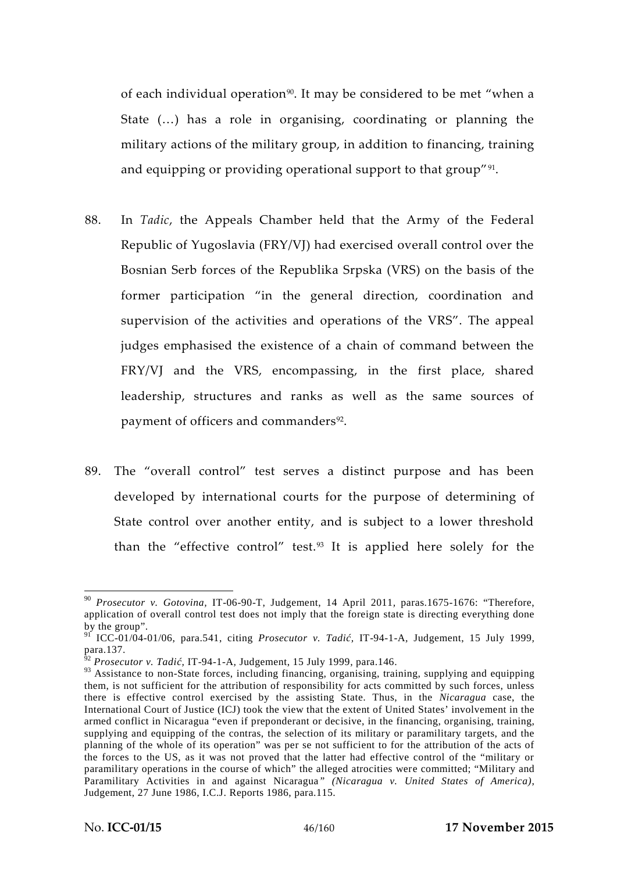of each individual operation<sup>90</sup>. It may be considered to be met "when a State (…) has a role in organising, coordinating or planning the military actions of the military group, in addition to financing, training and equipping or providing operational support to that group"<sup>91</sup>.

- 88. In *Tadic*, the Appeals Chamber held that the Army of the Federal Republic of Yugoslavia (FRY/VJ) had exercised overall control over the Bosnian Serb forces of the Republika Srpska (VRS) on the basis of the former participation "in the general direction, coordination and supervision of the activities and operations of the VRS". The appeal judges emphasised the existence of a chain of command between the FRY/VJ and the VRS, encompassing, in the first place, shared leadership, structures and ranks as well as the same sources of payment of officers and commanders<sup>92</sup>.
- 89. The "overall control" test serves a distinct purpose and has been developed by international courts for the purpose of determining of State control over another entity, and is subject to a lower threshold than the "effective control" test.<sup>93</sup> It is applied here solely for the

<sup>90</sup> *Prosecutor v. Gotovina,* IT-06-90-T, Judgement, 14 April 2011*,* paras.1675-1676: "Therefore, application of overall control test does not imply that the foreign state is directing everything done by the group".

 $^{91}$  ICC-01/04-01/06, para.541, citing *Prosecutor v. Tadi*, IT-94-1-A, Judgement, 15 July 1999, para.137.

<sup>&</sup>lt;sup>32</sup> *Prosecutor v. Tadi, IT-94-1-A, Judgement, 15 July 1999, para.146.* 

<sup>&</sup>lt;sup>93</sup> Assistance to non-State forces, including financing, organising, training, supplying and equipping them, is not sufficient for the attribution of responsibility for acts committed by such forces, unless there is effective control exercised by the assisting State. Thus, in the *Nicaragua* case, the International Court of Justice (ICJ) took the view that the extent of United States' involvement in the armed conflict in Nicaragua "even if preponderant or decisive, in the financing, organising, training, supplying and equipping of the contras, the selection of its military or paramilitary targets, and the planning of the whole of its operation" was per se not sufficient to for the attribution of the acts of the forces to the US, as it was not proved that the latter had effective control of the "military or paramilitary operations in the course of which" the alleged atrocities were committed; "Military and Paramilitary Activities in and against Nicaragua*" (Nicaragua v. United States of America)*, Judgement, 27 June 1986, I.C.J. Reports 1986, para.115.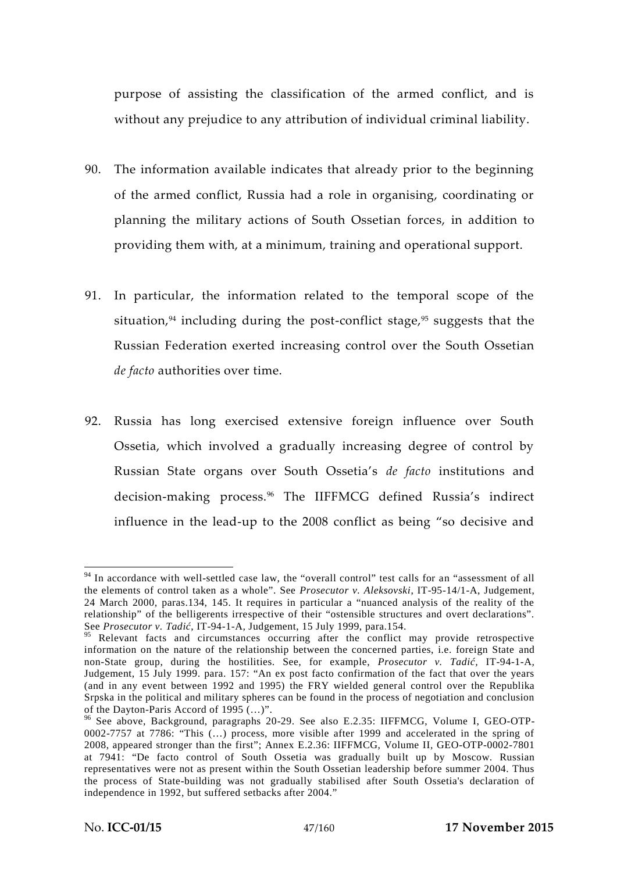purpose of assisting the classification of the armed conflict, and is without any prejudice to any attribution of individual criminal liability.

- 90. The information available indicates that already prior to the beginning of the armed conflict, Russia had a role in organising, coordinating or planning the military actions of South Ossetian forces, in addition to providing them with, at a minimum, training and operational support.
- 91. In particular, the information related to the temporal scope of the situation, $94$  including during the post-conflict stage, $95$  suggests that the Russian Federation exerted increasing control over the South Ossetian *de facto* authorities over time.
- 92. Russia has long exercised extensive foreign influence over South Ossetia, which involved a gradually increasing degree of control by Russian State organs over South Ossetia's *de facto* institutions and decision-making process.<sup>96</sup> The IIFFMCG defined Russia's indirect influence in the lead-up to the 2008 conflict as being "so decisive and

<sup>&</sup>lt;sup>94</sup> In accordance with well-settled case law, the "overall control" test calls for an "assessment of all the elements of control taken as a whole". See *Prosecutor v. Aleksovski*, IT-95-14/1-A, Judgement, 24 March 2000, paras.134, 145. It requires in particular a "nuanced analysis of the reality of the relationship" of the belligerents irrespective of their "ostensible structures and overt declarations". See *Prosecutor v. Tadi*, IT-94-1-A, Judgement, 15 July 1999, para.154.

<sup>&</sup>lt;sup>95</sup> Relevant facts and circumstances occurring after the conflict may provide retrospective information on the nature of the relationship between the concerned parties, i.e. foreign State and non-State group, during the hostilities. See, for example, *Prosecutor v. Tadi*, IT-94-1-A, Judgement, 15 July 1999. para. 157: "An ex post facto confirmation of the fact that over the years (and in any event between 1992 and 1995) the FRY wielded general control over the Republika Srpska in the political and military spheres can be found in the process of negotiation and conclusion of the Dayton-Paris Accord of 1995 (...)".

<sup>&</sup>lt;sup>96</sup> See above, Background, paragraphs 20-29. See also E.2.35: IIFFMCG, Volume I, GEO-OTP-0002-7757 at 7786: "This (…) process, more visible after 1999 and accelerated in the spring of 2008, appeared stronger than the first"; Annex E.2.36: IIFFMCG, Volume II, GEO-OTP-0002-7801 at 7941: "De facto control of South Ossetia was gradually built up by Moscow. Russian representatives were not as present within the South Ossetian leadership before summer 2004. Thus the process of State-building was not gradually stabilised after South Ossetia's declaration of independence in 1992, but suffered setbacks after 2004."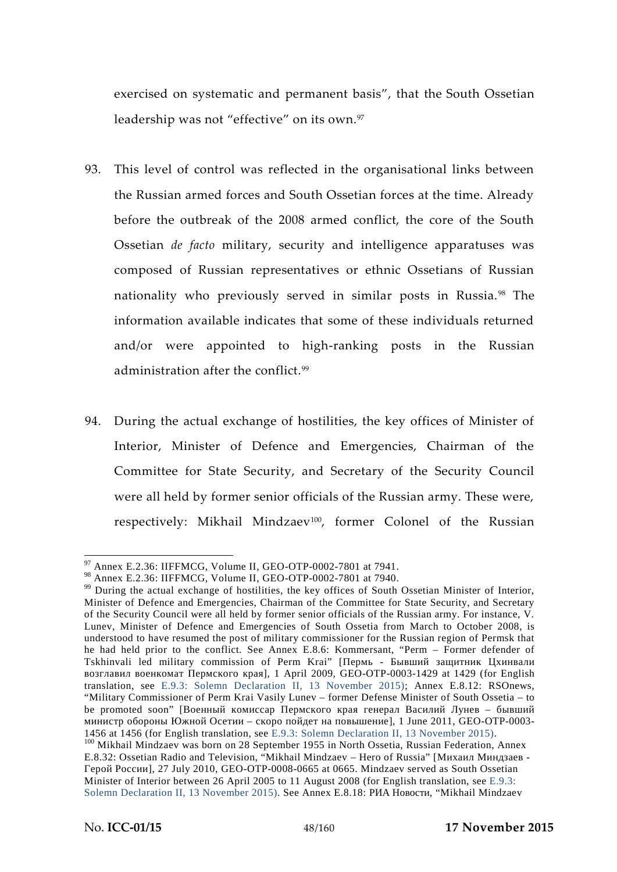exercised on systematic and permanent basis", that the South Ossetian leadership was not "effective" on its own.<sup>97</sup>

- 93. This level of control was reflected in the organisational links between the Russian armed forces and South Ossetian forces at the time. Already before the outbreak of the 2008 armed conflict, the core of the South Ossetian *de facto* military, security and intelligence apparatuses was composed of Russian representatives or ethnic Ossetians of Russian nationality who previously served in similar posts in Russia. <sup>98</sup> The information available indicates that some of these individuals returned and/or were appointed to high-ranking posts in the Russian administration after the conflict.<sup>99</sup>
- 94. During the actual exchange of hostilities, the key offices of Minister of Interior, Minister of Defence and Emergencies, Chairman of the Committee for State Security, and Secretary of the Security Council were all held by former senior officials of the Russian army. These were, respectively: Mikhail Mindzaev<sup>100</sup>, former Colonel of the Russian

 $^{97}$  Annex E.2.36: IIFFMCG, Volume II, GEO-OTP-0002-7801 at 7941.<br><sup>98</sup> Annex E.2.36: IIFFMCG, Volume II, GEO-OTP-0002-7801 at 7940.

 $99$  During the actual exchange of hostilities, the key offices of South Ossetian Minister of Interior, Minister of Defence and Emergencies, Chairman of the Committee for State Security, and Secretary of the Security Council were all held by former senior officials of the Russian army. For instance, V. Lunev, Minister of Defence and Emergencies of South Ossetia from March to October 2008, is understood to have resumed the post of military commissioner for the Russian region of Permsk that he had held prior to the conflict. See Annex E.8.6: Kommersant, "Perm – Former defender of Tskhinvali led military commission of Perm Krai" [Пермь - Бывший защитник Цхинвалия Джингалия и в ста

резил в Пермат Пермат Пермат Пермат Пермат 1429 (for English I translation, see E.9.3: Solemn Declaration II, 13 November 2015); Annex E.8.12: RSOnews, "Military Commissioner of Perm Krai Vasily Lunev – former Defense Minister of South Ossetia – to be promoted soon" [

<sup>1456</sup> at 1456 (for English translation, see E.9.3: Solemn Declaration II, 13 November 2015). 1456 at 1456 (for English translation, see E.9.3: Solemn Declaration II, 13 November 1915). 100 Mikhail Mindzaev was born on 28 September 1955 in North Ossetia, Russian Federation, Annex E.8.32: Ossetian Radio and Television, "Mikhail Mindzaev - Hero of Russia" [

<sup>], 27</sup> July 2010, GEO-OTP-0008-0665 at 0665. Mindzaev served as South Ossetian Minister of Interior between 26 April 2005 to 11 August 2008 (for English translation, see E.9.3: Solemn Declaration II, 13 November 2015). See Annex E.8.18: ("Mikhail Mindzaev"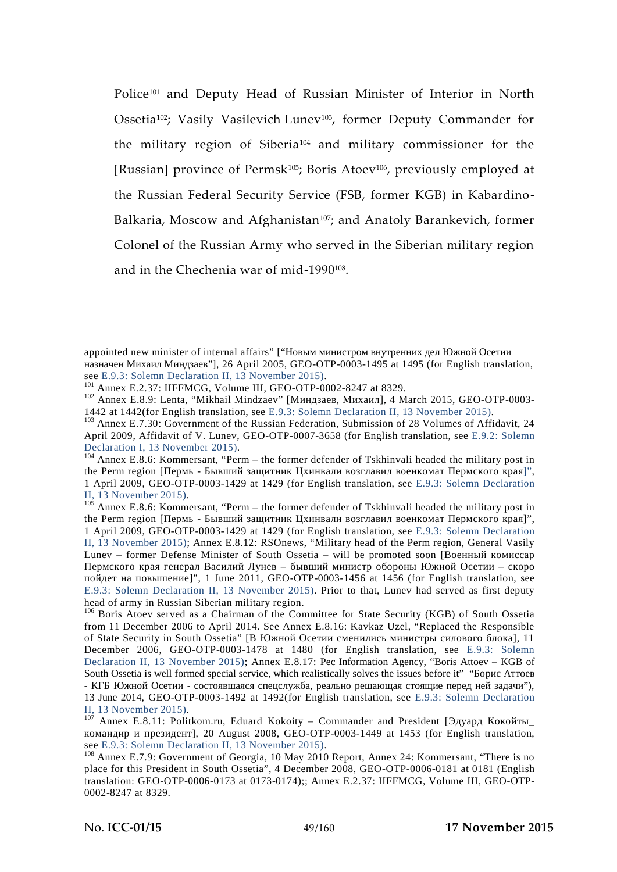Police<sup>101</sup> and Deputy Head of Russian Minister of Interior in North Ossetia<sup>102</sup>; Vasily Vasilevich Lunev<sup>103</sup>, former Deputy Commander for the military region of Siberia<sup>104</sup> and military commissioner for the [Russian] province of Permsk<sup>105</sup>; Boris Atoev<sup>106</sup>, previously employed at the Russian Federal Security Service (FSB, former KGB) in Kabardino- Balkaria, Moscow and Afghanistan<sup>107</sup>; and Anatoly Barankevich, former Colonel of the Russian Army who served in the Siberian military region and in the Chechenia war of mid-1990<sup>108</sup> .

appointed new minister of internal affairs" ["

 $106$  Boris Atoev served as a Chairman of the Committee for State Security (KGB) of South Ossetia from 11 December 2006 to April 2014. See Annex E.8.16: Kavkaz Uzel, "Replaced the Responsible of State Security in South Ossetia" [B  $\vert$ , 11

December 2006, GEO-OTP-0003-1478 at 1480 (for English translation, see E.9.3: Solemn Declaration II, 13 November 2015); Annex E.8.17: Information Agency, "Boris Attoev – KGB of South Ossetia is well formed special service, which realistically solves the issues before it" "

- КГБ ОСЕТИИ - состоявшаяся специалась от состоявшая стоящие перед ней задачи на состоящие перед ней задачи и<br>Состояние перед ней задачи на состоящие перед ней задачи на состоящие перед ней задачи на состоящие перед ней 13 June 2014, GEO-OTP-0003-1492 at 1492(for English translation, see E.9.3: Solemn Declaration II, 13 November 2015).<br><sup>107</sup> Annex E.8.11: Politkom.ru, Eduard Kokoity – Commander and President [

J, 20 August 2008, GEO-OTP-0003-1449 at 1453 (for English translation, see E.9.3: Solemn Declaration II, 13 November 2015).

<sup>&</sup>lt;sup>21</sup>], 26 April 2005, GEO-OTP-0003-1495 at 1495 (for English translation, see E.9.3: Solemn Declaration II, 13 November 2015).

<sup>&</sup>lt;sup>101</sup> Annex E.2.37: IIFFMCG, Volume III, GEO-OTP-0002-8247 at 8329.<br><sup>102</sup> Annex E.8.9: Lenta, "Mikhail Mindzaev" [(Musicaeur 1, 13 November 2015).<br>1442 at 1442(for English translation, see E.9.3: Solemn Declaration II, 13

 $103$  Annex E.7.30: Government of the Russian Federation, Submission of 28 Volumes of Affidavit, 24 April 2009, Affidavit of V. Lunev, GEO-OTP-0007-3658 (for English translation, see E.9.2: Solemn Declaration I, 13 November 2015).

 $104$  Annex E.8.6: Kommersant, "Perm – the former defender of Tskhinvali headed the military post in the Perm region  $[$   $]$   $]$   $]$   $[$   $]$ 

<sup>1</sup> April 2009, GEO-OTP-0003-1429 at 1429 (for English translation, see E.9.3: Solemn Declaration

II, 13 November 2015).<br><sup>105</sup> Annex E.8.6: Kommersant, "Perm – the former defender of Tskhinvali headed the military post in the Perm region  $[$   $]$   $]$ .

<sup>1</sup> April 2009, GEO-OTP-0003-1429 at 1429 (for English translation, see E.9.3: Solemn Declaration II, 13 November 2015); Annex E.8.12: RSOnews, "Military head of the Perm region, General Vasily Lunev – former Defense Minister of South Ossetia – will be promoted soon  $\lceil$ 

Пермского края генерал Василий Лунев – бывший министр обороны Южной Осетии – скоро  $1$ ", 1 June 2011, GEO-OTP-0003-1456 at 1456 (for English translation, see E.9.3: Solemn Declaration II, 13 November 2015). Prior to that, Lunev had served as first deputy head of army in Russian Siberian military region.

 $108$  Annex E.7.9: Government of Georgia, 10 May 2010 Report, Annex 24: Kommersant, "There is no place for this President in South Ossetia", 4 December 2008, GEO-OTP-0006-0181 at 0181 (English translation: GEO-OTP-0006-0173 at 0173-0174);; Annex E.2.37: IIFFMCG, Volume III, GEO-OTP- 0002-8247 at 8329.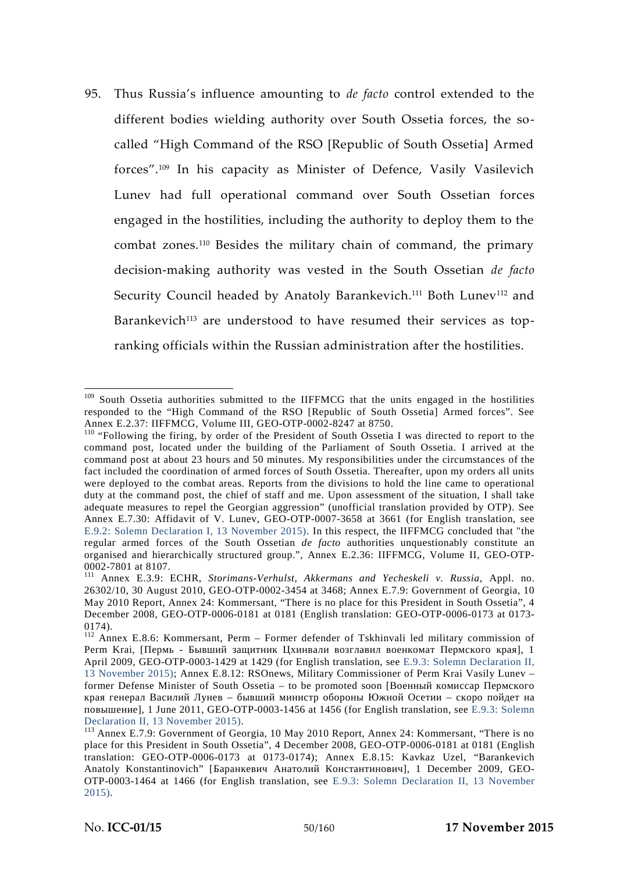95. Thus Russia's influence amounting to *de facto* control extended to the different bodies wielding authority over South Ossetia forces, the so called "High Command of the RSO [Republic of South Ossetia] Armed forces".<sup>109</sup> In his capacity as Minister of Defence, Vasily Vasilevich Lunev had full operational command over South Ossetian forces engaged in the hostilities, including the authority to deploy them to the combat zones.<sup>110</sup> Besides the military chain of command, the primary decision-making authority was vested in the South Ossetian *de facto* Security Council headed by Anatoly Barankevich.<sup>111</sup> Both Lunev<sup>112</sup> and Barankevich<sup>113</sup> are understood to have resumed their services as topranking officials within the Russian administration after the hostilities.

<sup>&</sup>lt;sup>109</sup> South Ossetia authorities submitted to the IIFFMCG that the units engaged in the hostilities responded to the "High Command of the RSO [Republic of South Ossetia] Armed forces". See

Annex E.2.37: IIFFMCG, Volume III, GEO-OTP-0002-8247 at 8750.<br><sup>110</sup> "Following the firing, by order of the President of South Ossetia I was directed to report to the command post, located under the building of the Parliament of South Ossetia. I arrived at the command post at about 23 hours and 50 minutes. My responsibilities under the circumstances of the fact included the coordination of armed forces of South Ossetia. Thereafter, upon my orders all units were deployed to the combat areas. Reports from the divisions to hold the line came to operational duty at the command post, the chief of staff and me. Upon assessment of the situation, I shall take adequate measures to repel the Georgian aggression" (unofficial translation provided by OTP). See Annex E.7.30: Affidavit of V. Lunev, GEO-OTP-0007-3658 at 3661 (for English translation, see E.9.2: Solemn Declaration I, 13 November 2015). In this respect, the IIFFMCG concluded that "the regular armed forces of the South Ossetian *de facto* authorities unquestionably constitute an organised and hierarchically structured group.", Annex E.2.36: IIFFMCG, Volume II, GEO-OTP- 0002-7801 at 8107. <sup>111</sup> Annex E.3.9: ECHR, *Storimans-Verhulst, Akkermans and Yecheskeli v. Russia,* Appl. no.

<sup>26302/10, 30</sup> August 2010, GEO-OTP-0002-3454 at 3468; Annex E.7.9: Government of Georgia, 10 May 2010 Report, Annex 24: Kommersant, "There is no place for this President in South Ossetia", 4 December 2008, GEO-OTP-0006-0181 at 0181 (English translation: GEO-OTP-0006-0173 at 0173- 0174). <sup>112</sup> Annex E.8.6: Kommersant, Perm – Former defender of Tskhinvali led military commission of

Perm Krai, [Пермь - Бывший защитник Цхинвали возглавил возглавил военность с продавать продавать при первой при<br>Перми возглавил военность при первой при первой при первой при первой при первой при первой при первой при пер

April 2009, GEO-OTP-0003-1429 at 1429 (for English translation, see E.9.3: Solemn Declaration II, 13 November 2015); Annex E.8.12: RSOnews, Military Commissioner of Perm Krai Vasily Lunev – former Defense Minister of South Ossetia – to be promoted soon [

края генерал Василий Лунев – бывший министр обороны Южной Осетии – скоро пойдет н I, 1 June 2011, GEO-OTP-0003-1456 at 1456 (for English translation, see E.9.3: Solemn Declaration II, 13 November 2015).

 $113$  Annex E.7.9: Government of Georgia, 10 May 2010 Report, Annex 24: Kommersant, "There is no place for this President in South Ossetia", 4 December 2008, GEO-OTP-0006-0181 at 0181 (English translation: GEO-OTP-0006-0173 at 0173-0174); Annex E.8.15: Kavkaz Uzel, "Barankevich Anatoly Konstantinovich" [Баранкевич Анатолий Анатолий Д. 1 December 2009, GEO-

OTP-0003-1464 at 1466 (for English translation, see E.9.3: Solemn Declaration II, 13 November 2015).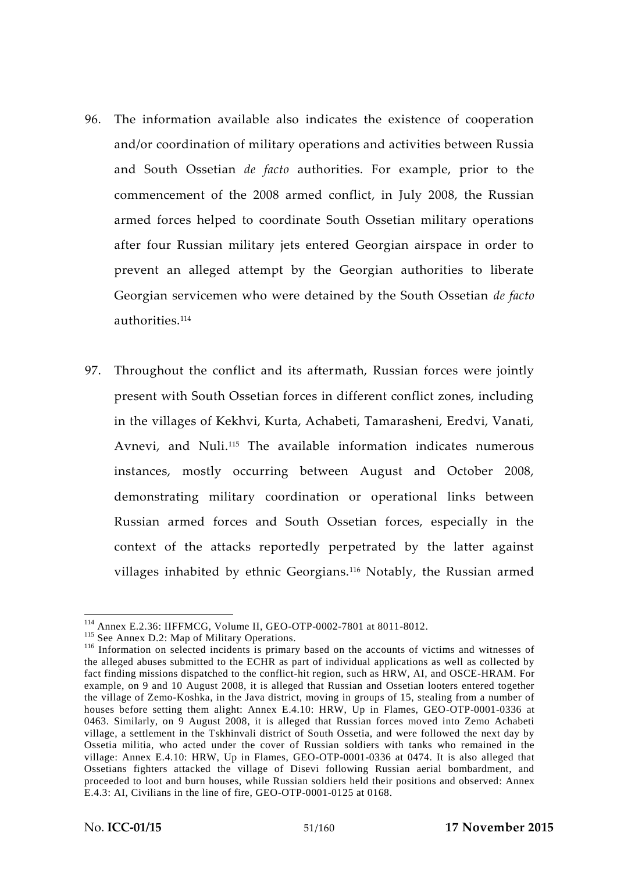- 96. The information available also indicates the existence of cooperation and/or coordination of military operations and activities between Russia and South Ossetian *de facto* authorities. For example, prior to the commencement of the 2008 armed conflict, in July 2008, the Russian armed forces helped to coordinate South Ossetian military operations after four Russian military jets entered Georgian airspace in order to prevent an alleged attempt by the Georgian authorities to liberate Georgian servicemen who were detained by the South Ossetian *de facto* authorities.<sup>114</sup>
- 97. Throughout the conflict and its aftermath, Russian forces were jointly present with South Ossetian forces in different conflict zones, including in the villages of Kekhvi, Kurta, Achabeti, Tamarasheni, Eredvi, Vanati, Avnevi, and Nuli.<sup>115</sup> The available information indicates numerous instances, mostly occurring between August and October 2008, demonstrating military coordination or operational links between Russian armed forces and South Ossetian forces, especially in the context of the attacks reportedly perpetrated by the latter against villages inhabited by ethnic Georgians.<sup>116</sup> Notably, the Russian armed

<sup>&</sup>lt;sup>114</sup> Annex E.2.36: IIFFMCG, Volume II, GEO-OTP-0002-7801 at 8011-8012.<br><sup>115</sup> See Annex D.2: Map of Military Operations.<br><sup>116</sup> Information on selected incidents is primary based on the accounts of victims and witnesses of the alleged abuses submitted to the ECHR as part of individual applications as well as collected by fact finding missions dispatched to the conflict-hit region, such as HRW, AI, and OSCE-HRAM. For example, on 9 and 10 August 2008, it is alleged that Russian and Ossetian looters entered together the village of Zemo-Koshka, in the Java district, moving in groups of 15, stealing from a number of houses before setting them alight: Annex E.4.10: HRW, Up in Flames, GEO-OTP-0001-0336 at 0463. Similarly, on 9 August 2008, it is alleged that Russian forces moved into Zemo Achabeti village, a settlement in the Tskhinvali district of South Ossetia, and were followed the next day by Ossetia militia, who acted under the cover of Russian soldiers with tanks who remained in the village: Annex E.4.10: HRW, Up in Flames, GEO-OTP-0001-0336 at 0474. It is also alleged that Ossetians fighters attacked the village of Disevi following Russian aerial bombardment, and proceeded to loot and burn houses, while Russian soldiers held their positions and observed: Annex E.4.3: AI, Civilians in the line of fire, GEO-OTP-0001-0125 at 0168.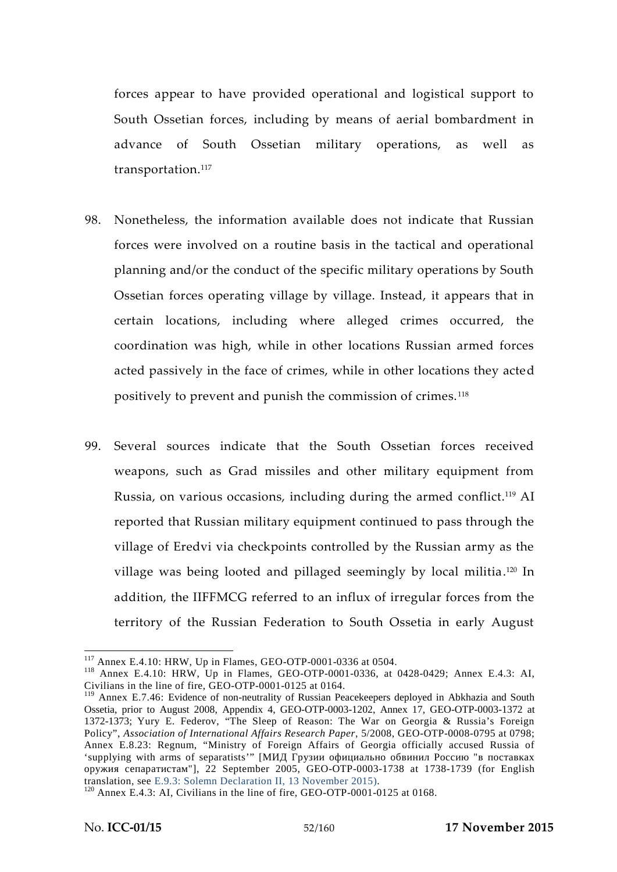forces appear to have provided operational and logistical support to South Ossetian forces, including by means of aerial bombardment in advance of South Ossetian military operations, as well as transportation.<sup>117</sup>

- 98. Nonetheless, the information available does not indicate that Russian forces were involved on a routine basis in the tactical and operational planning and/or the conduct of the specific military operations by South Ossetian forces operating village by village. Instead, it appears that in certain locations, including where alleged crimes occurred, the coordination was high, while in other locations Russian armed forces acted passively in the face of crimes, while in other locations they acted positively to prevent and punish the commission of crimes. <sup>118</sup>
- 99. Several sources indicate that the South Ossetian forces received weapons, such as Grad missiles and other military equipment from Russia, on various occasions, including during the armed conflict.<sup>119</sup> AI reported that Russian military equipment continued to pass through the village of Eredvi via checkpoints controlled by the Russian army as the village was being looted and pillaged seemingly by local militia.<sup>120</sup> In addition, the IIFFMCG referred to an influx of irregular forces from the territory of the Russian Federation to South Ossetia in early August

<sup>&</sup>lt;sup>117</sup> Annex E.4.10: HRW, Up in Flames, GEO-OTP-0001-0336 at 0504.<br><sup>118</sup> Annex E.4.10: HRW, Up in Flames, GEO-OTP-0001-0336, at 0428-0429; Annex E.4.3: AI, Civilians in the line of fire, GEO-OTP-0001-0125 at 0164.

<sup>&</sup>lt;sup>119</sup> Annex E.7.46: Evidence of non-neutrality of Russian Peacekeepers deployed in Abkhazia and South Ossetia, prior to August 2008, Appendix 4, GEO-OTP-0003-1202, Annex 17, GEO-OTP-0003-1372 at 1372-1373; Yury E. Federov, "The Sleep of Reason: The War on Georgia & Russia's Foreign Policy", *Association of International Affairs Research Paper*, 5/2008, GEO-OTP-0008-0795 at 0798; Annex E.8.23: Regnum, "Ministry of Foreign Affairs of Georgia officially accused Russia of 'supplying with arms of separatists'" [

<sup>&</sup>lt;sup>11</sup> (22 September 2005, GEO-OTP-0003-1738 at 1738-1739 (for English translation, see E.9.3: Solemn Declaration II, 13 November 2015).

 $t^{120}$  Annex E.4.3: AI, Civilians in the line of fire, GEO-OTP-0001-0125 at 0168.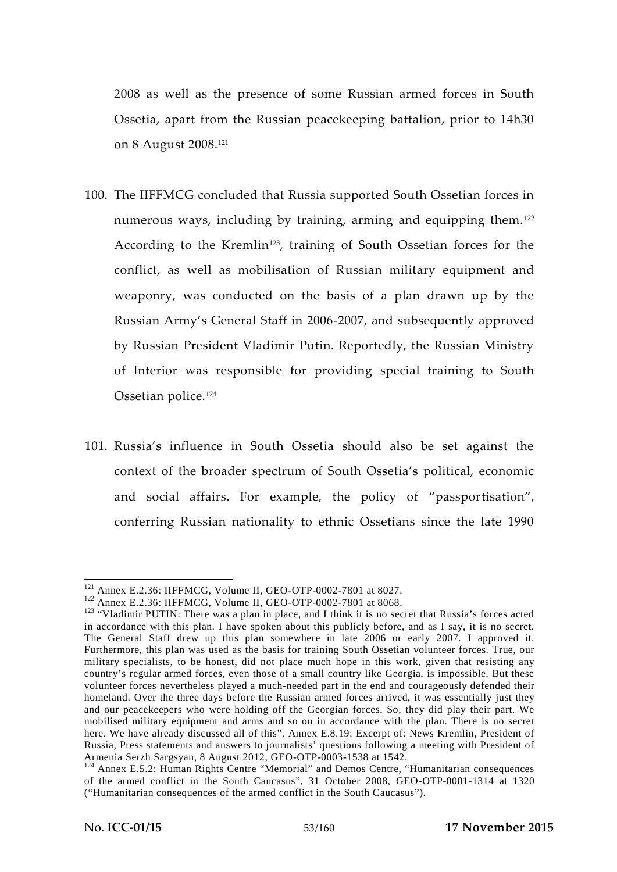2008 as well as the presence of some Russian armed forces in South Ossetia, apart from the Russian peacekeeping battalion, prior to 14h30 on 8 August 2008.<sup>121</sup>

- 100. The IIFFMCG concluded that Russia supported South Ossetian forces in numerous ways, including by training, arming and equipping them.<sup>122</sup> According to the Kremlin<sup>123</sup>, training of South Ossetian forces for the conflict, as well as mobilisation of Russian military equipment and weaponry, was conducted on the basis of a plan drawn up by the Russian Army's General Staff in 2006-2007, and subsequently approved by Russian President Vladimir Putin. Reportedly, the Russian Ministry of Interior was responsible for providing special training to South Ossetian police.<sup>124</sup>
- 101. Russia's influence in South Ossetia should also be set against the context of the broader spectrum of South Ossetia's political, economic and social affairs. For example, the policy of "passportisation", conferring Russian nationality to ethnic Ossetians since the late 1990

<sup>&</sup>lt;sup>121</sup> Annex E.2.36: IIFFMCG, Volume II, GEO-OTP-0002-7801 at 8027.<br><sup>122</sup> Annex E.2.36: IIFFMCG, Volume II, GEO-OTP-0002-7801 at 8068.<br><sup>123</sup> "Vladimir PUTIN: There was a plan in place, and I think it is no secret that Russ in accordance with this plan. I have spoken about this publicly before, and as I say, it is no secret. The General Staff drew up this plan somewhere in late 2006 or early 2007. I approved it. Furthermore, this plan was used as the basis for training South Ossetian volunteer forces. True, our military specialists, to be honest, did not place much hope in this work, given that resisting any country's regular armed forces, even those of a small country like Georgia, is impossible. But these volunteer forces nevertheless played a much-needed part in the end and courageously defended their homeland. Over the three days before the Russian armed forces arrived, it was essentially just they and our peacekeepers who were holding off the Georgian forces. So, they did play their part. We mobilised military equipment and arms and so on in accordance with the plan. There is no secret here. We have already discussed all of this". Annex E.8.19: Excerpt of: News Kremlin, President of Russia, Press statements and answers to journalists' questions following a meeting with President of

 $124$  Annex E.5.2: Human Rights Centre "Memorial" and Demos Centre, "Humanitarian consequences of the armed conflict in the South Caucasus", 31 October 2008, GEO-OTP-0001-1314 at 1320 ("Humanitarian consequences of the armed conflict in the South Caucasus").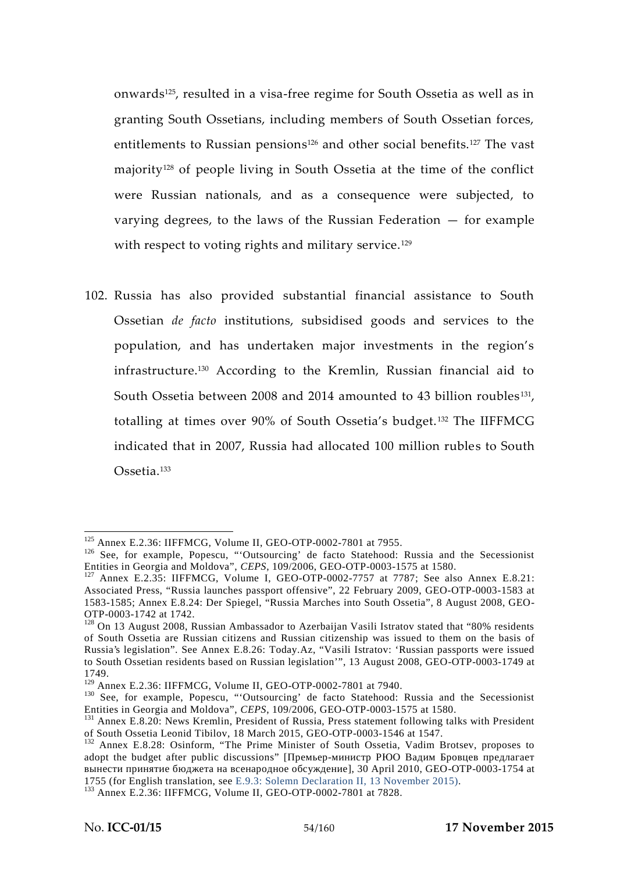onwards125, resulted in a visa-free regime for South Ossetia as well as in granting South Ossetians, including members of South Ossetian forces, entitlements to Russian pensions<sup>126</sup> and other social benefits.<sup>127</sup> The vast majority<sup>128</sup> of people living in South Ossetia at the time of the conflict were Russian nationals, and as a consequence were subjected, to varying degrees, to the laws of the Russian Federation  $-$  for example with respect to voting rights and military service.<sup>129</sup>

102. Russia has also provided substantial financial assistance to South Ossetian *de facto* institutions, subsidised goods and services to the population, and has undertaken major investments in the region's infrastructure.<sup>130</sup> According to the Kremlin, Russian financial aid to South Ossetia between 2008 and 2014 amounted to 43 billion roubles<sup>131</sup>, totalling at times over 90% of South Ossetia's budget.<sup>132</sup> The IIFFMCG indicated that in 2007, Russia had allocated 100 million rubles to South Ossetia.<sup>133</sup>

<sup>&</sup>lt;sup>125</sup> Annex E.2.36: IIFFMCG, Volume II, GEO-OTP-0002-7801 at 7955.<br><sup>126</sup> See, for example, Popescu, "'Outsourcing' de facto Statehood: Russia and the Secessionist<br>Entities in Georgia and Moldova", *CEPS*, 109/2006, GEO-OT

<sup>&</sup>lt;sup>127</sup> Annex E.2.35: IIFFMCG, Volume I, GEO-OTP-0002-7757 at 7787; See also Annex E.8.21: Associated Press, "Russia launches passport offensive", 22 February 2009, GEO-OTP-0003-1583 at 1583-1585; Annex E.8.24: Der Spiegel, "Russia Marches into South Ossetia", 8 August 2008, GEO-

 $128$  On 13 August 2008, Russian Ambassador to Azerbaijan Vasili Istratov stated that "80% residents of South Ossetia are Russian citizens and Russian citizenship was issued to them on the basis of Russia's legislation". See Annex E.8.26: Today.Az, "Vasili Istratov: 'Russian passports were issued to South Ossetian residents based on Russian legislation'", 13 August 2008, GEO-OTP-0003-1749 at

<sup>1749.&</sup>lt;br><sup>129</sup> Annex E.2.36: IIFFMCG, Volume II, GEO-OTP-0002-7801 at 7940.

<sup>&</sup>lt;sup>129</sup> Annex E.2.36: IIFFMCG, Volume II, GEO-OTP-0002-7801 at 7940.<br><sup>130</sup> See, for example, Popescu, "'Outsourcing' de facto Statehood: Russia and the Secessionist

Entities in Georgia and Moldova", *CEPS*, 109/2006, GEO-OTP-0003-1575 at 1580.<br><sup>131</sup> Annex E.8.20: News Kremlin, President of Russia, Press statement following talks with President of South Ossetia Leonid Tibilov, 18 March 2015, GEO-OTP-0003-1546 at 1547. <sup>132</sup> Annex E.8.28: Osinform, "The Prime Minister of South Ossetia, Vadim Brotsev, proposes to

adopt the budget after public discussions"  $\lceil$ 

Fig. 30 April 2010, GEO-OTP-0003-1754 at 1755 (for English translation, see E.9.3: Solemn Declaration II, 13 November 2015).  $133$  Annex E.2.36: IIFFMCG, Volume II, GEO-OTP-0002-7801 at 7828.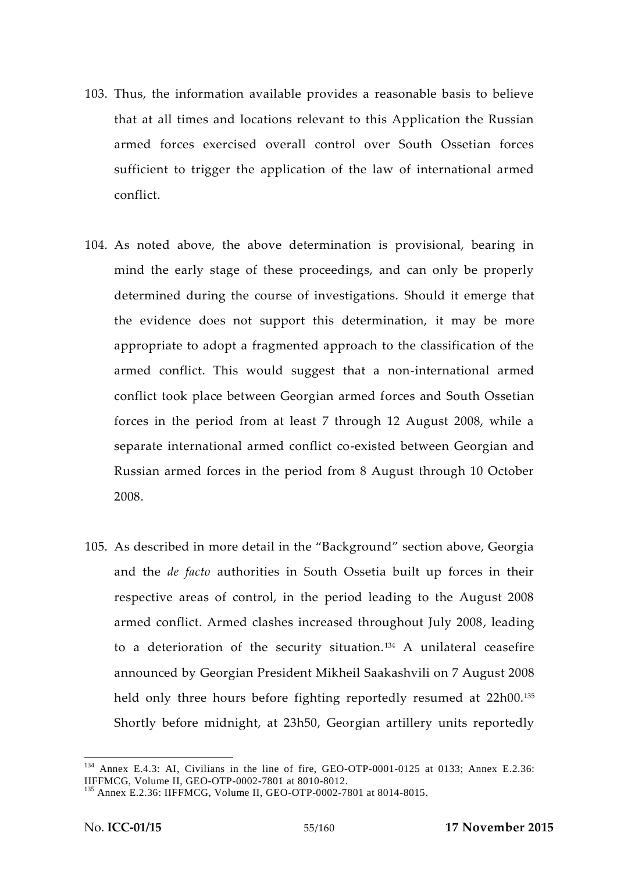- 103. Thus, the information available provides a reasonable basis to believe that at all times and locations relevant to this Application the Russian armed forces exercised overall control over South Ossetian forces sufficient to trigger the application of the law of international armed conflict.
- 104. As noted above, the above determination is provisional, bearing in mind the early stage of these proceedings, and can only be properly determined during the course of investigations. Should it emerge that the evidence does not support this determination, it may be more appropriate to adopt a fragmented approach to the classification of the armed conflict. This would suggest that a non-international armed conflict took place between Georgian armed forces and South Ossetian forces in the period from at least 7 through 12 August 2008, while a separate international armed conflict co-existed between Georgian and Russian armed forces in the period from 8 August through 10 October 2008.
- 105. As described in more detail in the "Background" section above, Georgia and the *de facto* authorities in South Ossetia built up forces in their respective areas of control, in the period leading to the August 2008 armed conflict. Armed clashes increased throughout July 2008, leading to a deterioration of the security situation.<sup>134</sup> A unilateral ceasefire announced by Georgian President Mikheil Saakashvili on 7 August 2008 held only three hours before fighting reportedly resumed at 22h00.<sup>135</sup> Shortly before midnight, at 23h50, Georgian artillery units reportedly

<sup>&</sup>lt;sup>134</sup> Annex E.4.3: AI, Civilians in the line of fire, GEO-OTP-0001-0125 at 0133; Annex E.2.36: IIFFMCG, Volume II, GEO-OTP-0002-7801 at 8010-8012.

<sup>&</sup>lt;sup>135</sup> Annex E.2.36: IIFFMCG, Volume II, GEO-OTP-0002-7801 at 8014-8015.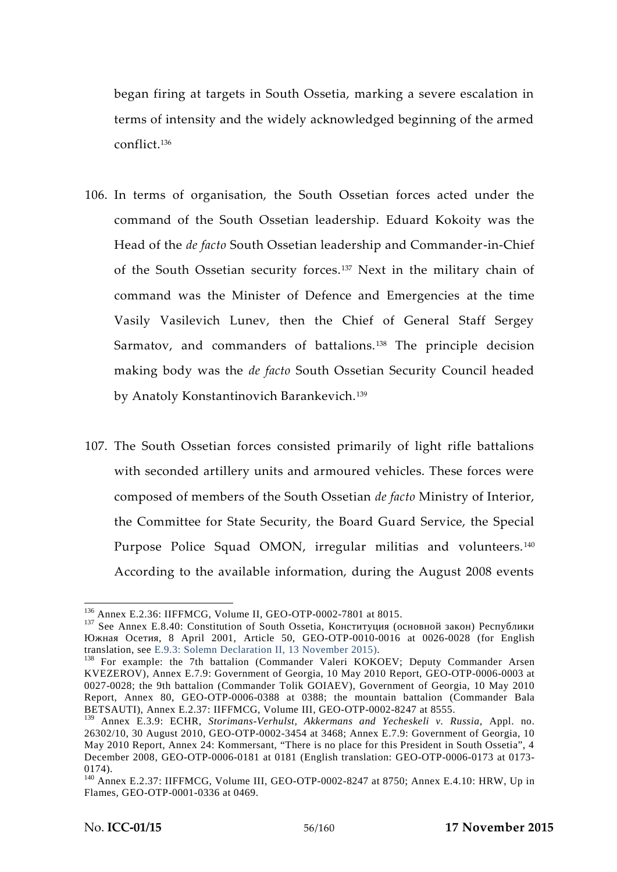began firing at targets in South Ossetia, marking a severe escalation in terms of intensity and the widely acknowledged beginning of the armed conflict.<sup>136</sup>

- 106. In terms of organisation, the South Ossetian forces acted under the command of the South Ossetian leadership. Eduard Kokoity was the Head of the *de facto* South Ossetian leadership and Commander-in-Chief of the South Ossetian security forces.<sup>137</sup> Next in the military chain of command was the Minister of Defence and Emergencies at the time Vasily Vasilevich Lunev, then the Chief of General Staff Sergey Sarmatov, and commanders of battalions.<sup>138</sup> The principle decision making body was the *de facto* South Ossetian Security Council headed by Anatoly Konstantinovich Barankevich.<sup>139</sup>
- 107. The South Ossetian forces consisted primarily of light rifle battalions with seconded artillery units and armoured vehicles. These forces were composed of members of the South Ossetian *de facto* Ministry of Interior, the Committee for State Security, the Board Guard Service, the Special Purpose Police Squad OMON, irregular militias and volunteers.<sup>140</sup> According to the available information, during the August 2008 events

<sup>&</sup>lt;sup>136</sup> Annex E.2.36: IIFFMCG, Volume II, GEO-OTP-0002-7801 at 8015.<br><sup>137</sup> See Annex E.8.40: Constitution of South Ossetia,  $($ 

<sup>, 8</sup> April 2001, Article 50, GEO-OTP-0010-0016 at 0026-0028 (for English translation, see E.9.3: Solemn Declaration II, 13 November 2015).

 $138$  For example: the 7th battalion (Commander Valeri KOKOEV; Deputy Commander Arsen KVEZEROV), Annex E.7.9: Government of Georgia, 10 May 2010 Report, GEO-OTP-0006-0003 at 0027-0028; the 9th battalion (Commander Tolik GOIAEV), Government of Georgia, 10 May 2010 Report, Annex 80, GEO-OTP-0006-0388 at 0388; the mountain battalion (Commander Bala BETSAUTI), Annex E.2.37: IIFFMCG, Volume III, GEO-OTP-0002-8247 at 8555.

<sup>139</sup> Annex E.3.9: ECHR, *Storimans-Verhulst, Akkermans and Yecheskeli v. Russia,* Appl. no. 26302/10, 30 August 2010, GEO-OTP-0002-3454 at 3468; Annex E.7.9: Government of Georgia, 10 May 2010 Report, Annex 24: Kommersant, "There is no place for this President in South Ossetia", 4 December 2008, GEO-OTP-0006-0181 at 0181 (English translation: GEO-OTP-0006-0173 at 0173-

<sup>0174).&</sup>lt;br><sup>140</sup> Annex E.2.37: IIFFMCG, Volume III, GEO-OTP-0002-8247 at 8750; Annex E.4.10: HRW, Up in Flames, GEO-OTP-0001-0336 at 0469.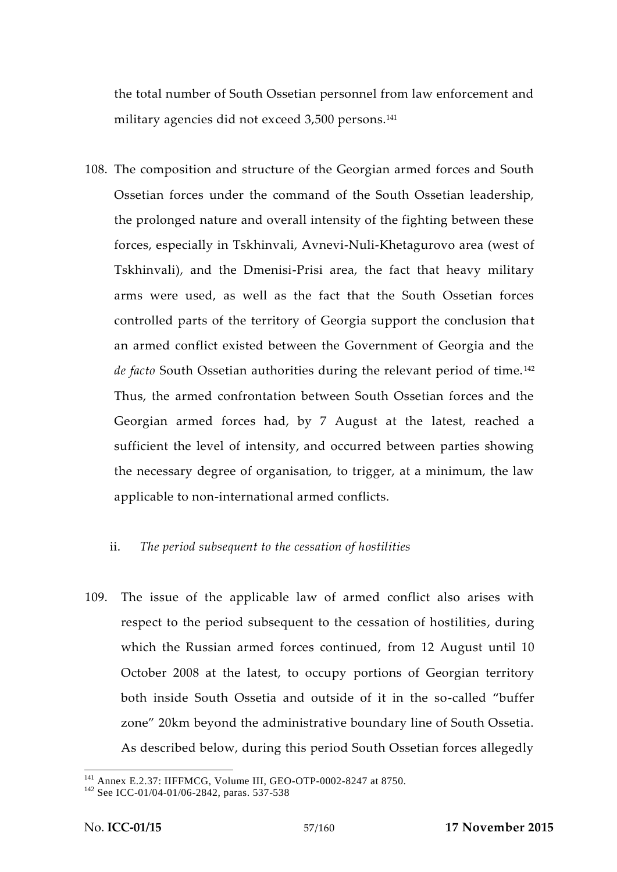the total number of South Ossetian personnel from law enforcement and military agencies did not exceed 3,500 persons.<sup>141</sup>

108. The composition and structure of the Georgian armed forces and South Ossetian forces under the command of the South Ossetian leadership, the prolonged nature and overall intensity of the fighting between these forces, especially in Tskhinvali, Avnevi-Nuli-Khetagurovo area (west of Tskhinvali), and the Dmenisi-Prisi area, the fact that heavy military arms were used, as well as the fact that the South Ossetian forces controlled parts of the territory of Georgia support the conclusion that an armed conflict existed between the Government of Georgia and the *de facto* South Ossetian authorities during the relevant period of time. <sup>142</sup> Thus, the armed confrontation between South Ossetian forces and the Georgian armed forces had, by 7 August at the latest, reached a sufficient the level of intensity, and occurred between parties showing the necessary degree of organisation, to trigger, at a minimum, the law applicable to non-international armed conflicts.

## ii. *The period subsequent to the cessation of hostilities*

109. The issue of the applicable law of armed conflict also arises with respect to the period subsequent to the cessation of hostilities, during which the Russian armed forces continued, from 12 August until 10 October 2008 at the latest, to occupy portions of Georgian territory both inside South Ossetia and outside of it in the so-called "buffer zone" 20km beyond the administrative boundary line of South Ossetia. As described below, during this period South Ossetian forces allegedly

<sup>&</sup>lt;sup>141</sup> Annex E.2.37: IIFFMCG, Volume III, GEO-OTP-0002-8247 at 8750.<br><sup>142</sup> See ICC-01/04-01/06-2842, paras. 537-538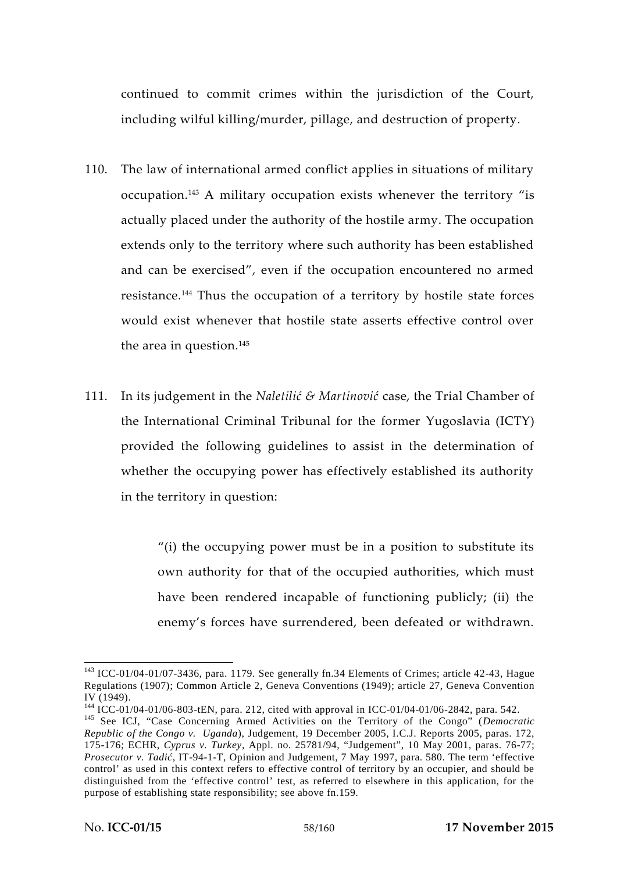continued to commit crimes within the jurisdiction of the Court, including wilful killing/murder, pillage, and destruction of property.

- 110. The law of international armed conflict applies in situations of military occupation.<sup>143</sup> A military occupation exists whenever the territory "is actually placed under the authority of the hostile army. The occupation extends only to the territory where such authority has been established and can be exercised", even if the occupation encountered no armed resistance.<sup>144</sup> Thus the occupation of a territory by hostile state forces would exist whenever that hostile state asserts effective control over the area in question.<sup>145</sup>
- 111. In its judgement in the *Naletilić & Martinović* case, the Trial Chamber of the International Criminal Tribunal for the former Yugoslavia (ICTY) provided the following guidelines to assist in the determination of whether the occupying power has effectively established its authority in the territory in question:

"(i) the occupying power must be in a position to substitute its own authority for that of the occupied authorities, which must have been rendered incapable of functioning publicly; (ii) the enemy's forces have surrendered, been defeated or withdrawn.

<sup>&</sup>lt;sup>143</sup> ICC-01/04-01/07-3436, para. 1179. See generally fn.34 Elements of Crimes; article 42-43, Hague Regulations (1907); Common Article 2, Geneva Conventions (1949); article 27, Geneva Convention IV (1949). <sup>144</sup> ICC-01/04-01/06-803-tEN, para. 212, cited with approval in ICC-01/04-01/06-2842, para. 542. <sup>145</sup> See ICJ, "Case Concerning Armed Activities on the Territory of the Congo" (*Democratic*

*Republic of the Congo v. Uganda*), Judgement, 19 December 2005, I.C.J. Reports 2005, paras. 172, 175-176; ECHR, *Cyprus v. Turkey*, Appl. no. 25781/94, "Judgement", 10 May 2001, paras. 76-77; *Prosecutor v. Tadi*, IT-94-1-T, Opinion and Judgement, 7 May 1997, para. 580. The term 'effective control' as used in this context refers to effective control of territory by an occupier, and should be distinguished from the 'effective control' test, as referred to elsewhere in this application, for the purpose of establishing state responsibility; see above fn.159.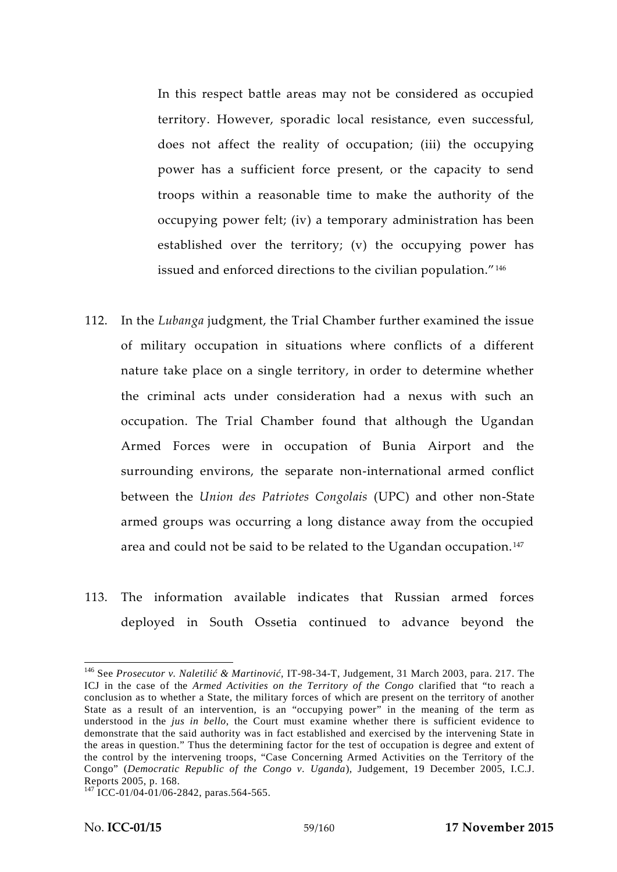In this respect battle areas may not be considered as occupied territory. However, sporadic local resistance, even successful, does not affect the reality of occupation; (iii) the occupying power has a sufficient force present, or the capacity to send troops within a reasonable time to make the authority of the occupying power felt; (iv) a temporary administration has been established over the territory; (v) the occupying power has issued and enforced directions to the civilian population."<sup>146</sup>

- 112. In the *Lubanga* judgment, the Trial Chamber further examined the issue of military occupation in situations where conflicts of a different nature take place on a single territory, in order to determine whether the criminal acts under consideration had a nexus with such an occupation. The Trial Chamber found that although the Ugandan Armed Forces were in occupation of Bunia Airport and the surrounding environs, the separate non-international armed conflict between the *Union des Patriotes Congolais* (UPC) and other non-State armed groups was occurring a long distance away from the occupied area and could not be said to be related to the Ugandan occupation.<sup>147</sup>
- 113. The information available indicates that Russian armed forces deployed in South Ossetia continued to advance beyond the

<sup>&</sup>lt;sup>146</sup> See *Prosecutor v. Naletili & Martinovi*, IT-98-34-T, Judgement, 31 March 2003, para. 217. The ICJ in the case of the *Armed Activities on the Territory of the Congo* clarified that "to reach a conclusion as to whether a State, the military forces of which are present on the territory of another State as a result of an intervention, is an "occupying power" in the meaning of the term as understood in the *jus in bello*, the Court must examine whether there is sufficient evidence to demonstrate that the said authority was in fact established and exercised by the intervening State in the areas in question." Thus the determining factor for the test of occupation is degree and extent of the control by the intervening troops, "Case Concerning Armed Activities on the Territory of the Congo" (*Democratic Republic of the Congo v. Uganda*), Judgement, 19 December 2005, I.C.J. Reports 2005, p. 168.<br><sup>147</sup> ICC-01/04-01/06-2842, paras.564-565.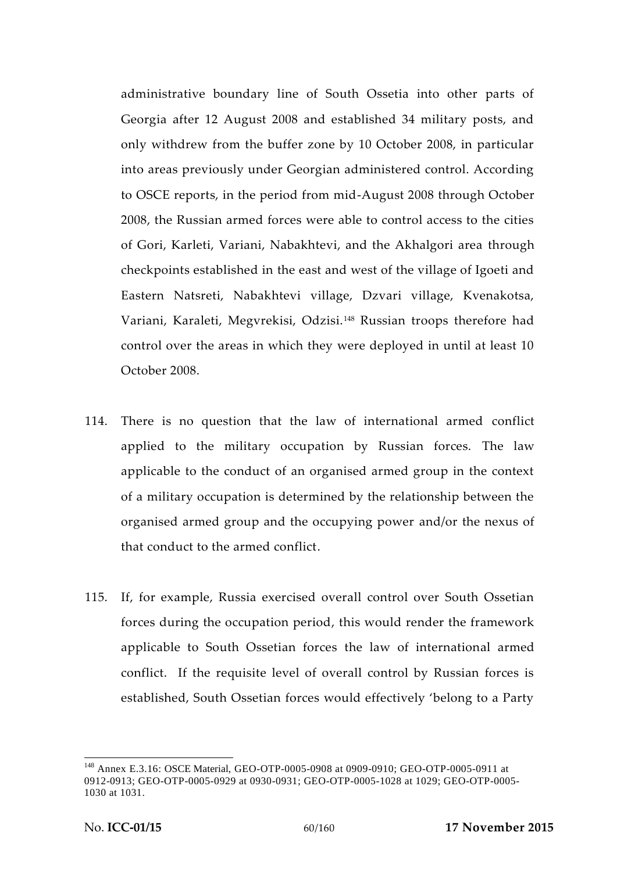administrative boundary line of South Ossetia into other parts of Georgia after 12 August 2008 and established 34 military posts, and only withdrew from the buffer zone by 10 October 2008, in particular into areas previously under Georgian administered control. According to OSCE reports, in the period from mid-August 2008 through October 2008, the Russian armed forces were able to control access to the cities of Gori, Karleti, Variani, Nabakhtevi, and the Akhalgori area through checkpoints established in the east and west of the village of Igoeti and Eastern Natsreti, Nabakhtevi village, Dzvari village, Kvenakotsa, Variani, Karaleti, Megvrekisi, Odzisi.<sup>148</sup> Russian troops therefore had control over the areas in which they were deployed in until at least 10 October 2008.

- 114. There is no question that the law of international armed conflict applied to the military occupation by Russian forces. The law applicable to the conduct of an organised armed group in the context of a military occupation is determined by the relationship between the organised armed group and the occupying power and/or the nexus of that conduct to the armed conflict.
- 115. If, for example, Russia exercised overall control over South Ossetian forces during the occupation period, this would render the framework applicable to South Ossetian forces the law of international armed conflict. If the requisite level of overall control by Russian forces is established, South Ossetian forces would effectively 'belong to a Party

<sup>148</sup> Annex E.3.16: OSCE Material, GEO-OTP-0005-0908 at 0909-0910; GEO-OTP-0005-0911 at 0912-0913; GEO-OTP-0005-0929 at 0930-0931; GEO-OTP-0005-1028 at 1029; GEO-OTP-0005- 1030 at 1031.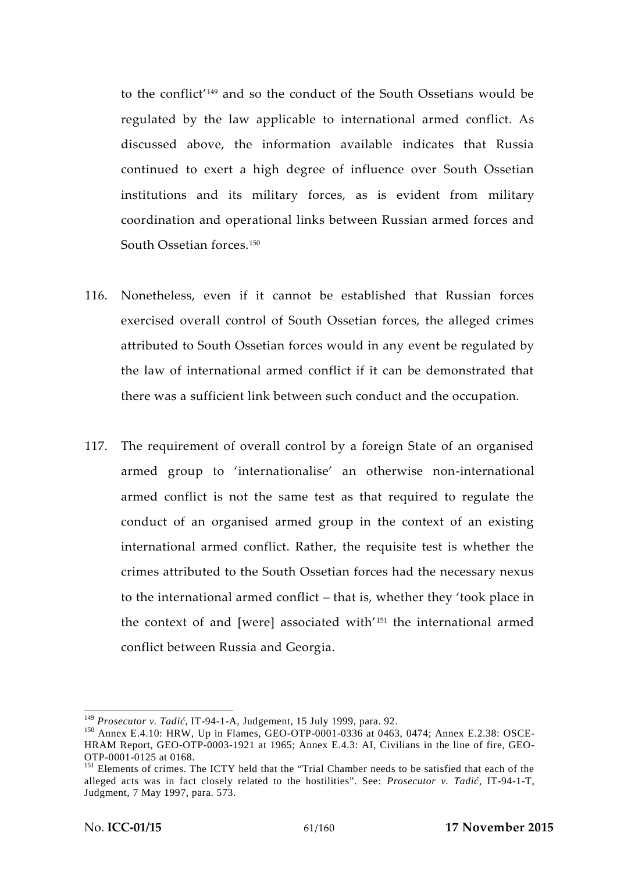to the conflict'<sup>149</sup> and so the conduct of the South Ossetians would be regulated by the law applicable to international armed conflict. As discussed above, the information available indicates that Russia continued to exert a high degree of influence over South Ossetian institutions and its military forces, as is evident from military coordination and operational links between Russian armed forces and South Ossetian forces<sup>150</sup>

- 116. Nonetheless, even if it cannot be established that Russian forces exercised overall control of South Ossetian forces, the alleged crimes attributed to South Ossetian forces would in any event be regulated by the law of international armed conflict if it can be demonstrated that there was a sufficient link between such conduct and the occupation.
- 117. The requirement of overall control by a foreign State of an organised armed group to 'internationalise' an otherwise non-international armed conflict is not the same test as that required to regulate the conduct of an organised armed group in the context of an existing international armed conflict. Rather, the requisite test is whether the crimes attributed to the South Ossetian forces had the necessary nexus to the international armed conflict – that is, whether they 'took place in the context of and [were] associated with<sup>'151</sup> the international armed conflict between Russia and Georgia.

<sup>&</sup>lt;sup>149</sup> *Prosecutor v. Tadi*, IT-94-1-A, Judgement, 15 July 1999, para. 92.<br><sup>150</sup> Annex E.4.10: HRW, Up in Flames, GEO-OTP-0001-0336 at 0463, 0474; Annex E.2.38: OSCE-HRAM Report, GEO-OTP-0003-1921 at 1965; Annex E.4.3: AI, Civilians in the line of fire, GEO-OTP-0001-0125 at 0168.

<sup>&</sup>lt;sup>151</sup> Elements of crimes. The ICTY held that the "Trial Chamber needs to be satisfied that each of the alleged acts was in fact closely related to the hostilities". See: *Prosecutor v. Tadi*, IT-94-1-T, Judgment, 7 May 1997, para. 573.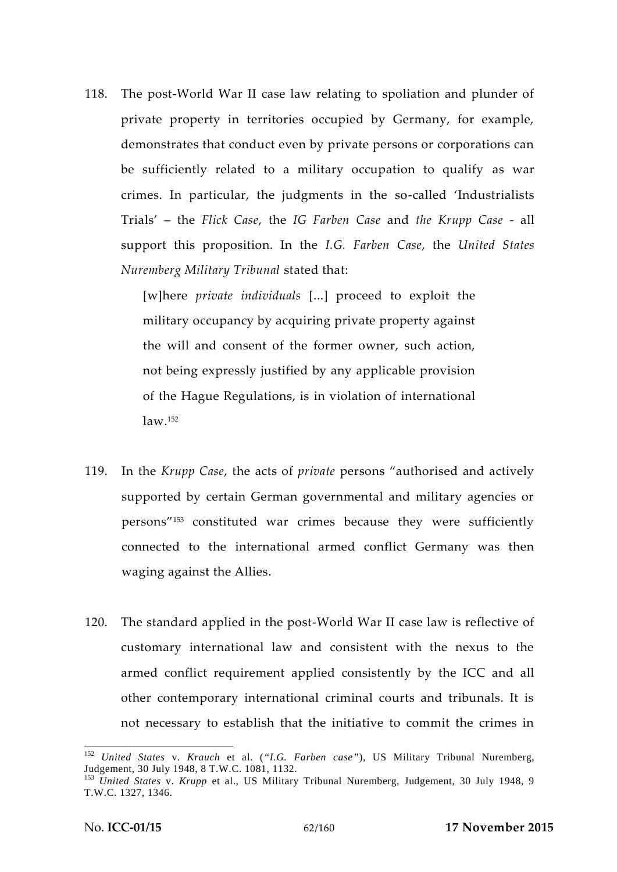118. The post-World War II case law relating to spoliation and plunder of private property in territories occupied by Germany, for example, demonstrates that conduct even by private persons or corporations can be sufficiently related to a military occupation to qualify as war crimes. In particular, the judgments in the so-called 'Industrialists Trials' – the *Flick Case*, the *IG Farben Case* and *the Krupp Case -* all support this proposition. In the *I.G. Farben Case*, the *United States Nuremberg Military Tribunal* stated that:

> [w]here *private individuals* [...] proceed to exploit the military occupancy by acquiring private property against the will and consent of the former owner, such action, not being expressly justified by any applicable provision of the Hague Regulations, is in violation of international law.<sup>152</sup>

- 119. In the *Krupp Case*, the acts of *private* persons "authorised and actively supported by certain German governmental and military agencies or persons"<sup>153</sup> constituted war crimes because they were sufficiently connected to the international armed conflict Germany was then waging against the Allies.
- 120. The standard applied in the post-World War II case law is reflective of customary international law and consistent with the nexus to the armed conflict requirement applied consistently by the ICC and all other contemporary international criminal courts and tribunals. It is not necessary to establish that the initiative to commit the crimes in

<sup>152</sup> *United States* v. *Krauch* et al. (*"I.G. Farben case"*), US Military Tribunal Nuremberg,

<sup>&</sup>lt;sup>153</sup> United States v. *Krupp* et al., US Military Tribunal Nuremberg, Judgement, 30 July 1948, 9 T.W.C. 1327, 1346.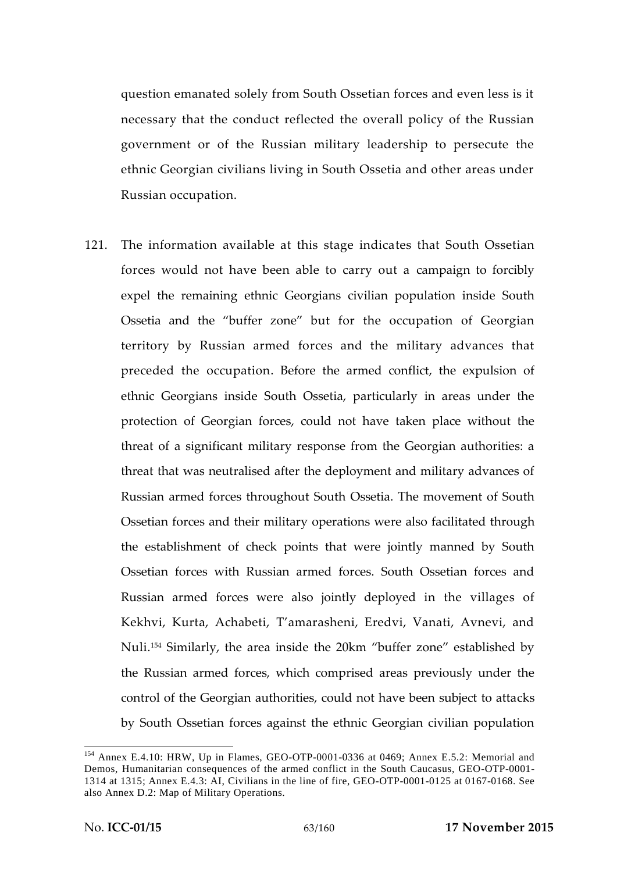question emanated solely from South Ossetian forces and even less is it necessary that the conduct reflected the overall policy of the Russian government or of the Russian military leadership to persecute the ethnic Georgian civilians living in South Ossetia and other areas under Russian occupation.

121. The information available at this stage indicates that South Ossetian forces would not have been able to carry out a campaign to forcibly expel the remaining ethnic Georgians civilian population inside South Ossetia and the "buffer zone" but for the occupation of Georgian territory by Russian armed forces and the military advances that preceded the occupation. Before the armed conflict, the expulsion of ethnic Georgians inside South Ossetia, particularly in areas under the protection of Georgian forces, could not have taken place without the threat of a significant military response from the Georgian authorities: a threat that was neutralised after the deployment and military advances of Russian armed forces throughout South Ossetia. The movement of South Ossetian forces and their military operations were also facilitated through the establishment of check points that were jointly manned by South Ossetian forces with Russian armed forces. South Ossetian forces and Russian armed forces were also jointly deployed in the villages of Kekhvi, Kurta, Achabeti, T'amarasheni, Eredvi, Vanati, Avnevi, and Nuli.<sup>154</sup> Similarly, the area inside the 20km "buffer zone" established by the Russian armed forces, which comprised areas previously under the control of the Georgian authorities, could not have been subject to attacks by South Ossetian forces against the ethnic Georgian civilian population

<sup>&</sup>lt;sup>154</sup> Annex E.4.10: HRW, Up in Flames, GEO-OTP-0001-0336 at 0469; Annex E.5.2: Memorial and Demos, Humanitarian consequences of the armed conflict in the South Caucasus, GEO-OTP-0001- 1314 at 1315; Annex E.4.3: AI, Civilians in the line of fire, GEO-OTP-0001-0125 at 0167-0168. See also Annex D.2: Map of Military Operations.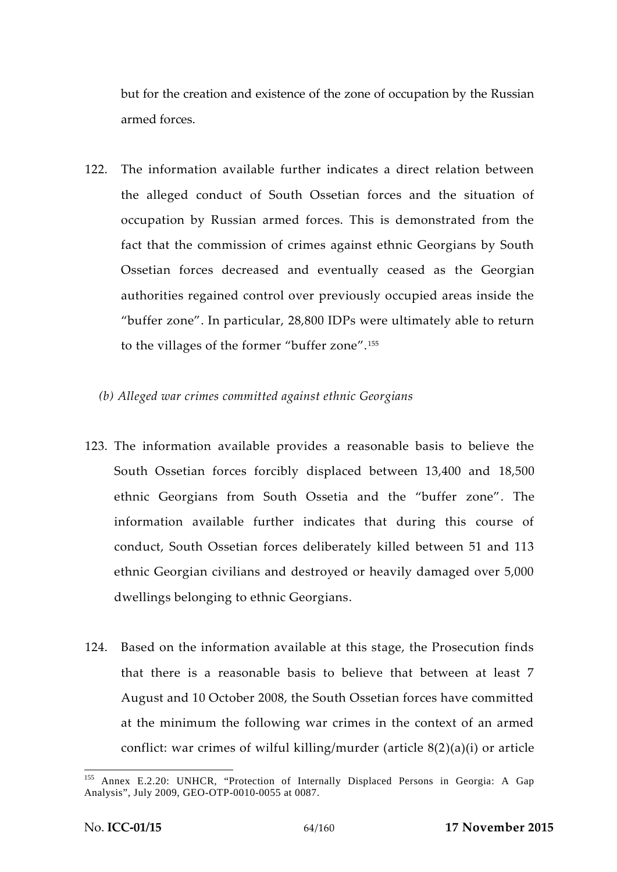but for the creation and existence of the zone of occupation by the Russian armed forces.

- 122. The information available further indicates a direct relation between the alleged conduct of South Ossetian forces and the situation of occupation by Russian armed forces. This is demonstrated from the fact that the commission of crimes against ethnic Georgians by South Ossetian forces decreased and eventually ceased as the Georgian authorities regained control over previously occupied areas inside the "buffer zone". In particular, 28,800 IDPs were ultimately able to return to the villages of the former "buffer zone".<sup>155</sup>
	- *(b) Alleged war crimes committed against ethnic Georgians*
- 123. The information available provides a reasonable basis to believe the South Ossetian forces forcibly displaced between 13,400 and 18,500 ethnic Georgians from South Ossetia and the "buffer zone". The information available further indicates that during this course of conduct, South Ossetian forces deliberately killed between 51 and 113 ethnic Georgian civilians and destroyed or heavily damaged over 5,000 dwellings belonging to ethnic Georgians.
- 124. Based on the information available at this stage, the Prosecution finds that there is a reasonable basis to believe that between at least 7 August and 10 October 2008, the South Ossetian forces have committed at the minimum the following war crimes in the context of an armed conflict: war crimes of wilful killing/murder (article 8(2)(a)(i) or article

Annex E.2.20: UNHCR, "Protection of Internally Displaced Persons in Georgia: A Gap Analysis", July 2009, GEO-OTP-0010-0055 at 0087.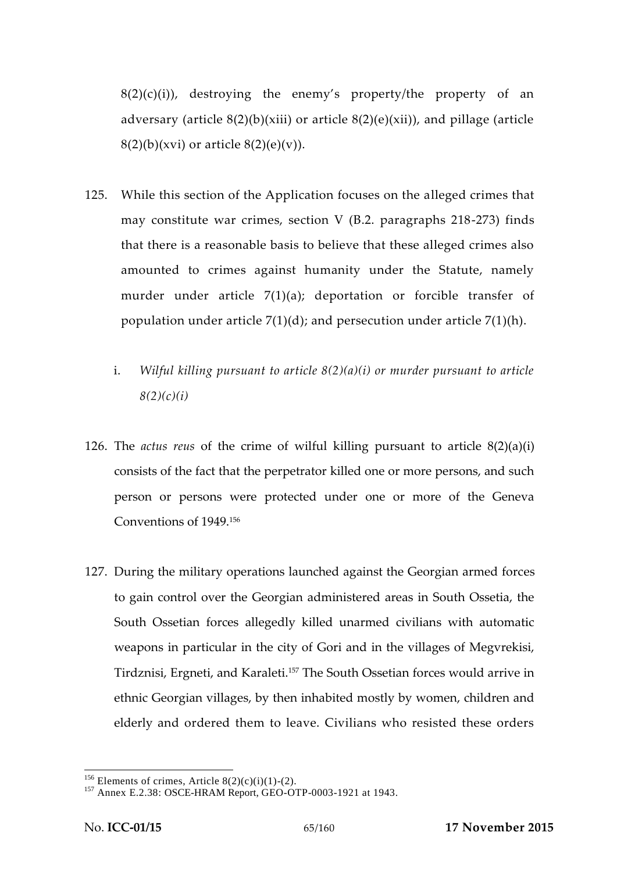$8(2)(c)(i)$ , destroying the enemy's property/the property of an adversary (article  $8(2)(b)(xiii)$  or article  $8(2)(e)(xiii)$ ), and pillage (article  $8(2)(b)(xvi)$  or article  $8(2)(e)(v)$ ).

- 125. While this section of the Application focuses on the alleged crimes that may constitute war crimes, section V (B.2. paragraphs 218-273) finds that there is a reasonable basis to believe that these alleged crimes also amounted to crimes against humanity under the Statute, namely murder under article 7(1)(a); deportation or forcible transfer of population under article  $7(1)(d)$ ; and persecution under article  $7(1)(h)$ .
	- i. *Wilful killing pursuant to article 8(2)(a)(i) or murder pursuant to article 8(2)(c)(i)*
- 126. The *actus reus* of the crime of wilful killing pursuant to article 8(2)(a)(i) consists of the fact that the perpetrator killed one or more persons, and such person or persons were protected under one or more of the Geneva Conventions of 1949.<sup>156</sup>
- 127. During the military operations launched against the Georgian armed forces to gain control over the Georgian administered areas in South Ossetia, the South Ossetian forces allegedly killed unarmed civilians with automatic weapons in particular in the city of Gori and in the villages of Megvrekisi, Tirdznisi, Ergneti, and Karaleti.<sup>157</sup> The South Ossetian forces would arrive in ethnic Georgian villages, by then inhabited mostly by women, children and elderly and ordered them to leave. Civilians who resisted these orders

<sup>&</sup>lt;sup>156</sup> Elements of crimes, Article 8(2)(c)(i)(1)-(2).<br><sup>157</sup> Annex E.2.38: OSCE-HRAM Report, GEO-OTP-0003-1921 at 1943.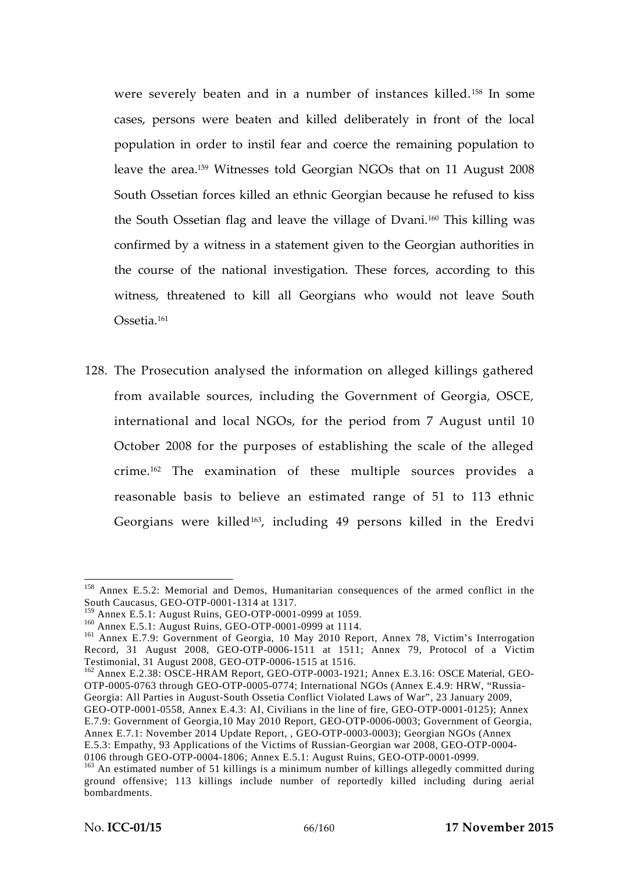were severely beaten and in a number of instances killed.<sup>158</sup> In some cases, persons were beaten and killed deliberately in front of the local population in order to instil fear and coerce the remaining population to leave the area.<sup>159</sup> Witnesses told Georgian NGOs that on 11 August 2008 South Ossetian forces killed an ethnic Georgian because he refused to kiss the South Ossetian flag and leave the village of Dvani.<sup>160</sup> This killing was confirmed by a witness in a statement given to the Georgian authorities in the course of the national investigation. These forces, according to this witness, threatened to kill all Georgians who would not leave South Ossetia.<sup>161</sup>

128. The Prosecution analysed the information on alleged killings gathered from available sources, including the Government of Georgia, OSCE, international and local NGOs, for the period from 7 August until 10 October 2008 for the purposes of establishing the scale of the alleged crime.<sup>162</sup> The examination of these multiple sources provides a reasonable basis to believe an estimated range of 51 to 113 ethnic Georgians were killed<sup>163</sup> , including 49 persons killed in the Eredvi

<sup>&</sup>lt;sup>158</sup> Annex E.5.2: Memorial and Demos, Humanitarian consequences of the armed conflict in the South Caucasus, GEO-OTP-0001-1314 at 1317.

<sup>&</sup>lt;sup>159</sup> Annex E.5.1: August Ruins, GEO-OTP-0001-0999 at 1059.<br><sup>160</sup> Annex E.5.1: August Ruins, GEO-OTP-0001-0999 at 1114.<br><sup>161</sup> Annex E.7.9: Government of Georgia, 10 May 2010 Report, Annex 78, Victim's Interrogation Record, 31 August 2008, GEO-OTP-0006-1511 at 1511; Annex 79, Protocol of a Victim Testimonial, 31 August 2008, GEO-OTP-0006-1515 at 1516.

<sup>&</sup>lt;sup>162</sup> Annex E.2.38: OSCE-HRAM Report, GEO-OTP-0003-1921; Annex E.3.16: OSCE Material, GEO-OTP-0005-0763 through GEO-OTP-0005-0774; International NGOs (Annex E.4.9: HRW, "Russia- Georgia: All Parties in August-South Ossetia Conflict Violated Laws of War", 23 January 2009,

GEO-OTP-0001-0558, Annex E.4.3: AI, Civilians in the line of fire, GEO-OTP-0001-0125); Annex E.7.9: Government of Georgia,10 May 2010 Report, GEO-OTP-0006-0003; Government of Georgia, Annex E.7.1: November 2014 Update Report, , GEO-OTP-0003-0003); Georgian NGOs (Annex E.5.3: Empathy, 93 Applications of the Victims of Russian-Georgian war 2008, GEO-OTP-0004-

<sup>&</sup>lt;sup>163</sup> An estimated number of 51 killings is a minimum number of killings allegedly committed during ground offensive; 113 killings include number of reportedly killed including during aerial bombardments.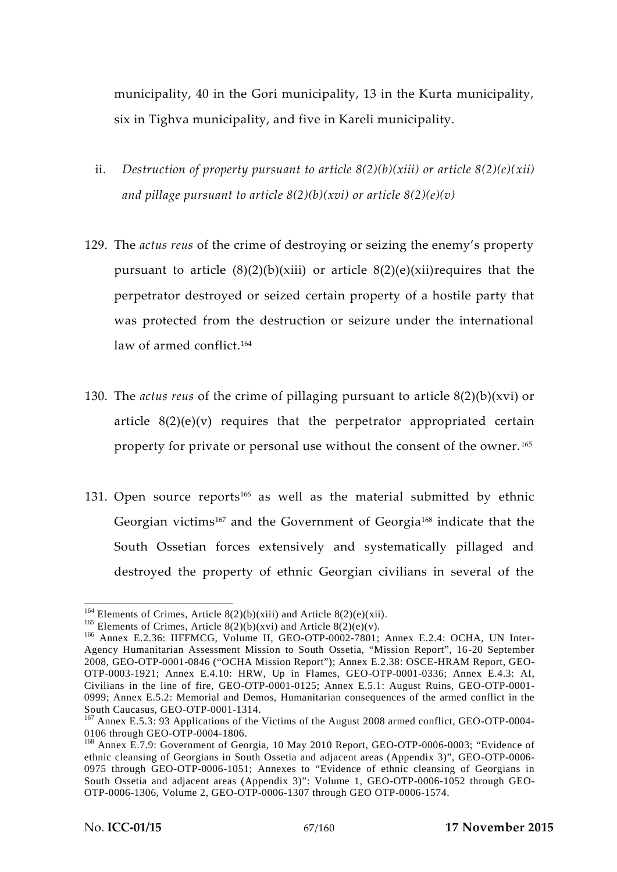municipality, 40 in the Gori municipality, 13 in the Kurta municipality, six in Tighva municipality, and five in Kareli municipality.

- ii. *Destruction of property pursuant to article 8(2)(b)(xiii) or article 8(2)(e)(xii) and pillage pursuant to article 8(2)(b)(xvi) or article 8(2)(e)(v)*
- 129. The *actus reus* of the crime of destroying or seizing the enemy's property pursuant to article  $(8)(2)(b)(xiii)$  or article  $(8)(2)(e)(xi)$  requires that the perpetrator destroyed or seized certain property of a hostile party that was protected from the destruction or seizure under the international law of armed conflict.<sup>164</sup>
- 130. The *actus reus* of the crime of pillaging pursuant to article 8(2)(b)(xvi) or article  $8(2)(e)(v)$  requires that the perpetrator appropriated certain property for private or personal use without the consent of the owner. <sup>165</sup>
- 131. Open source reports<sup>166</sup> as well as the material submitted by ethnic Georgian victims<sup>167</sup> and the Government of Georgia<sup>168</sup> indicate that the South Ossetian forces extensively and systematically pillaged and destroyed the property of ethnic Georgian civilians in several of the

<sup>&</sup>lt;sup>164</sup> Elements of Crimes, Article 8(2)(b)(xiii) and Article 8(2)(e)(xii).<br><sup>165</sup> Elements of Crimes, Article 8(2)(b)(xvi) and Article 8(2)(e)(v).<br><sup>166</sup> Annex E.2.36: IIFFMCG, Volume II, GEO-OTP-0002-7801; Annex E.2.4: OCHA Agency Humanitarian Assessment Mission to South Ossetia, "Mission Report", 16-20 September 2008, GEO-OTP-0001-0846 ("OCHA Mission Report"); Annex E.2.38: OSCE-HRAM Report, GEO- OTP-0003-1921; Annex E.4.10: HRW, Up in Flames, GEO-OTP-0001-0336; Annex E.4.3: AI, Civilians in the line of fire, GEO-OTP-0001-0125; Annex E.5.1: August Ruins, GEO-OTP-0001- 0999; Annex E.5.2: Memorial and Demos, Humanitarian consequences of the armed conflict in the

South Caucasus, GEO-OTP-0001-1314.<br><sup>167</sup> Annex E.5.3: 93 Applications of the Victims of the August 2008 armed conflict, GEO-OTP-0004-<br>0106 through GEO-OTP-0004-1806.

 $168$  Annex E.7.9: Government of Georgia, 10 May 2010 Report, GEO-OTP-0006-0003; "Evidence of ethnic cleansing of Georgians in South Ossetia and adjacent areas (Appendix 3)", GEO-OTP-0006- 0975 through GEO-OTP-0006-1051; Annexes to "Evidence of ethnic cleansing of Georgians in South Ossetia and adjacent areas (Appendix 3)": Volume 1, GEO-OTP-0006-1052 through GEO- OTP-0006-1306, Volume 2, GEO-OTP-0006-1307 through GEO OTP-0006-1574.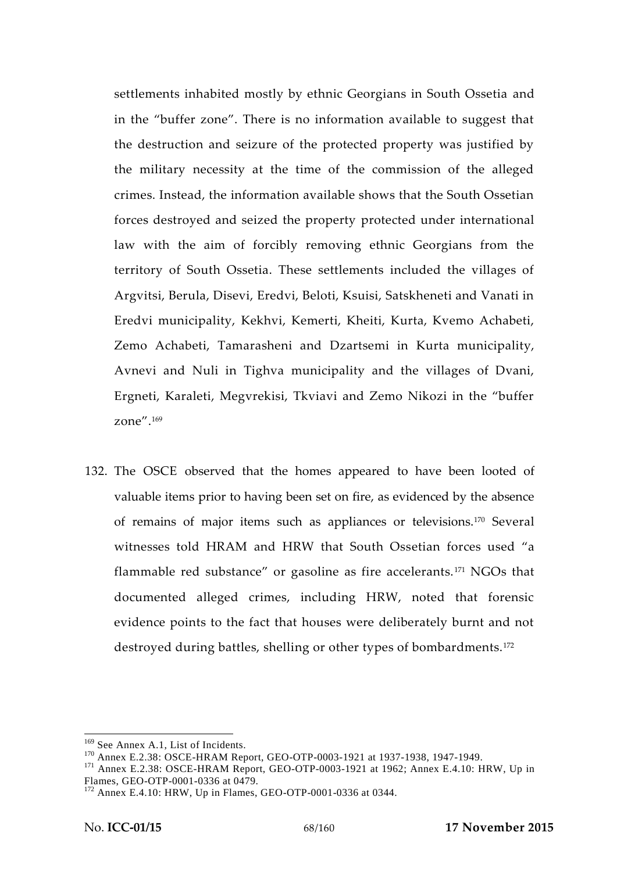settlements inhabited mostly by ethnic Georgians in South Ossetia and in the "buffer zone". There is no information available to suggest that the destruction and seizure of the protected property was justified by the military necessity at the time of the commission of the alleged crimes. Instead, the information available shows that the South Ossetian forces destroyed and seized the property protected under international law with the aim of forcibly removing ethnic Georgians from the territory of South Ossetia. These settlements included the villages of Argvitsi, Berula, Disevi, Eredvi, Beloti, Ksuisi, Satskheneti and Vanati in Eredvi municipality, Kekhvi, Kemerti, Kheiti, Kurta, Kvemo Achabeti, Zemo Achabeti, Tamarasheni and Dzartsemi in Kurta municipality, Avnevi and Nuli in Tighva municipality and the villages of Dvani, Ergneti, Karaleti, Megvrekisi, Tkviavi and Zemo Nikozi in the "buffer zone".<sup>169</sup>

132. The OSCE observed that the homes appeared to have been looted of valuable items prior to having been set on fire, as evidenced by the absence of remains of major items such as appliances or televisions.<sup>170</sup> Several witnesses told HRAM and HRW that South Ossetian forces used "a flammable red substance" or gasoline as fire accelerants. <sup>171</sup> NGOs that documented alleged crimes, including HRW, noted that forensic evidence points to the fact that houses were deliberately burnt and not destroyed during battles, shelling or other types of bombardments.<sup>172</sup>

<sup>&</sup>lt;sup>169</sup> See Annex A.1, List of Incidents.<br><sup>170</sup> Annex E.2.38: OSCE-HRAM Report, GEO-OTP-0003-1921 at 1937-1938, 1947-1949.<br><sup>171</sup> Annex E.2.38: OSCE-HRAM Report, GEO-OTP-0003-1921 at 1962; Annex E.4.10: HRW, Up in<br>Flames, GEO

 $F<sup>172</sup>$  Annex E.4.10: HRW, Up in Flames, GEO-OTP-0001-0336 at 0344.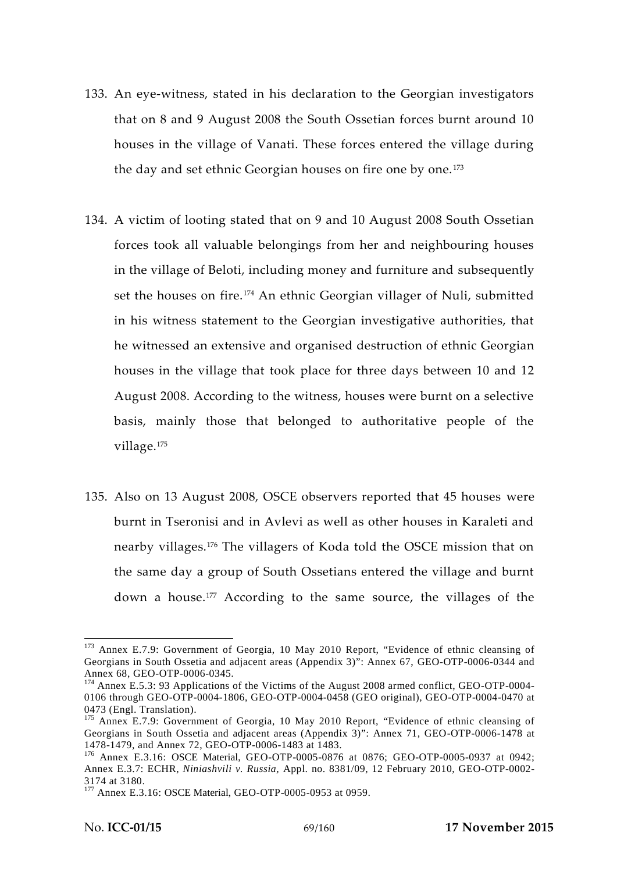- 133. An eye-witness, stated in his declaration to the Georgian investigators that on 8 and 9 August 2008 the South Ossetian forces burnt around 10 houses in the village of Vanati. These forces entered the village during the day and set ethnic Georgian houses on fire one by one.<sup>173</sup>
- 134. A victim of looting stated that on 9 and 10 August 2008 South Ossetian forces took all valuable belongings from her and neighbouring houses in the village of Beloti, including money and furniture and subsequently set the houses on fire.<sup>174</sup> An ethnic Georgian villager of Nuli, submitted in his witness statement to the Georgian investigative authorities, that he witnessed an extensive and organised destruction of ethnic Georgian houses in the village that took place for three days between 10 and 12 August 2008. According to the witness, houses were burnt on a selective basis, mainly those that belonged to authoritative people of the village.<sup>175</sup>
- 135. Also on 13 August 2008, OSCE observers reported that 45 houses were burnt in Tseronisi and in Avlevi as well as other houses in Karaleti and nearby villages.<sup>176</sup> The villagers of Koda told the OSCE mission that on the same day a group of South Ossetians entered the village and burnt down a house.<sup>177</sup> According to the same source, the villages of the

<sup>&</sup>lt;sup>173</sup> Annex E.7.9: Government of Georgia, 10 May 2010 Report, "Evidence of ethnic cleansing of Georgians in South Ossetia and adjacent areas (Appendix 3)": Annex 67, GEO-OTP-0006-0344 and Annex 68, GEO-OTP-0006-0345.<br><sup>174</sup> Annex E.5.3: 93 Applications of the Victims of the August 2008 armed conflict, GEO-OTP-0004-

<sup>0106</sup> through GEO-OTP-0004-1806, GEO-OTP-0004-0458 (GEO original), GEO-OTP-0004-0470 at

<sup>0473 (</sup>Engl. Translation).<br><sup>175</sup> Annex E.7.9: Government of Georgia, 10 May 2010 Report, "Evidence of ethnic cleansing of Georgians in South Ossetia and adjacent areas (Appendix 3)": Annex 71, GEO-OTP-0006-1478 at 1478-1479, and Annex 72, GEO-OTP-0006-1483 at 1483.

<sup>&</sup>lt;sup>176</sup> Annex E.3.16: OSCE Material, GEO-OTP-0005-0876 at 0876; GEO-OTP-0005-0937 at 0942; Annex E.3.7: ECHR, *Niniashvili v. Russia,* Appl. no. 8381/09, 12 February 2010, GEO-OTP-0002- 3174 at 3180. <sup>177</sup> Annex E.3.16: OSCE Material, GEO-OTP-0005-0953 at 0959.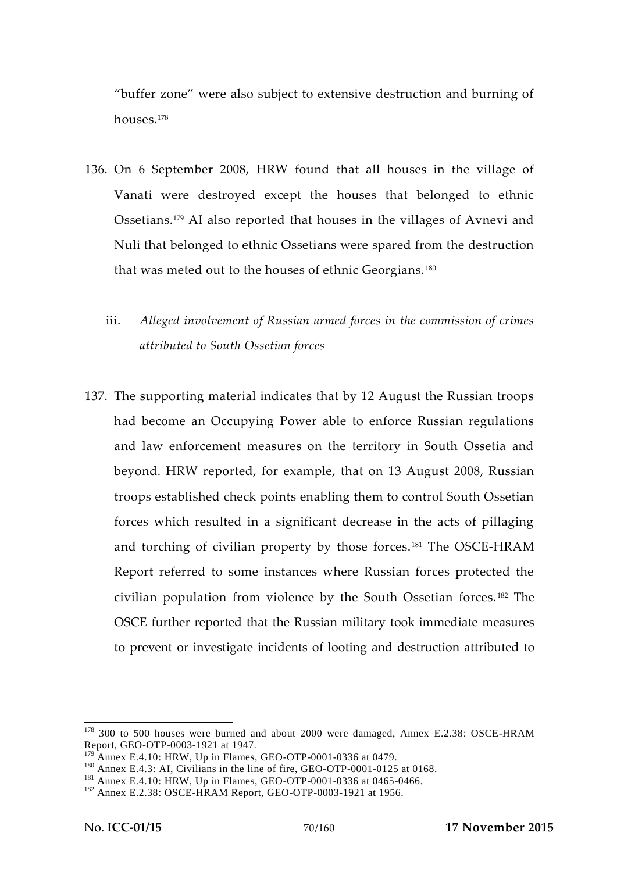"buffer zone" were also subject to extensive destruction and burning of houses.<sup>178</sup>

- 136. On 6 September 2008, HRW found that all houses in the village of Vanati were destroyed except the houses that belonged to ethnic Ossetians.<sup>179</sup> AI also reported that houses in the villages of Avnevi and Nuli that belonged to ethnic Ossetians were spared from the destruction that was meted out to the houses of ethnic Georgians.<sup>180</sup>
	- iii. *Alleged involvement of Russian armed forces in the commission of crimes attributed to South Ossetian forces*
- 137. The supporting material indicates that by 12 August the Russian troops had become an Occupying Power able to enforce Russian regulations and law enforcement measures on the territory in South Ossetia and beyond. HRW reported, for example, that on 13 August 2008, Russian troops established check points enabling them to control South Ossetian forces which resulted in a significant decrease in the acts of pillaging and torching of civilian property by those forces.<sup>181</sup> The OSCE-HRAM Report referred to some instances where Russian forces protected the civilian population from violence by the South Ossetian forces. <sup>182</sup> The OSCE further reported that the Russian military took immediate measures to prevent or investigate incidents of looting and destruction attributed to

<sup>&</sup>lt;sup>178</sup> 300 to 500 houses were burned and about 2000 were damaged, Annex E.2.38: OSCE-HRAM Report, GEO-OTP-0003-1921 at 1947.<br><sup>179</sup> Annex E.4.10: HRW, Up in Flames, GEO-OTP-0001-0336 at 0479.

<sup>&</sup>lt;sup>180</sup> Annex E.4.3: AI, Civilians in the line of fire, GEO-OTP-0001-0125 at 0168.<br><sup>181</sup> Annex E.4.10: HRW, Up in Flames, GEO-OTP-0001-0336 at 0465-0466.<br><sup>182</sup> Annex E.2.38: OSCE-HRAM Report, GEO-OTP-0003-1921 at 1956.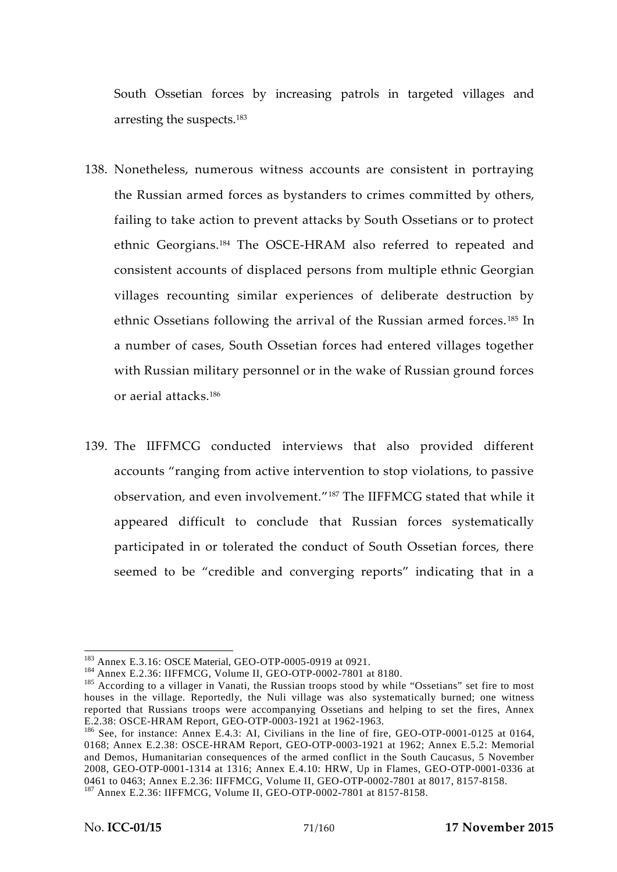South Ossetian forces by increasing patrols in targeted villages and arresting the suspects.<sup>183</sup>

- 138. Nonetheless, numerous witness accounts are consistent in portraying the Russian armed forces as bystanders to crimes committed by others, failing to take action to prevent attacks by South Ossetians or to protect ethnic Georgians.<sup>184</sup> The OSCE-HRAM also referred to repeated and consistent accounts of displaced persons from multiple ethnic Georgian villages recounting similar experiences of deliberate destruction by ethnic Ossetians following the arrival of the Russian armed forces. <sup>185</sup> In a number of cases, South Ossetian forces had entered villages together with Russian military personnel or in the wake of Russian ground forces or aerial attacks.<sup>186</sup>
- 139. The IIFFMCG conducted interviews that also provided different accounts "ranging from active intervention to stop violations, to passive observation, and even involvement."<sup>187</sup> The IIFFMCG stated that while it appeared difficult to conclude that Russian forces systematically participated in or tolerated the conduct of South Ossetian forces, there seemed to be "credible and converging reports" indicating that in a

<sup>&</sup>lt;sup>183</sup> Annex E.3.16: OSCE Material, GEO-OTP-0005-0919 at 0921.<br><sup>184</sup> Annex E.2.36: IIFFMCG, Volume II, GEO-OTP-0002-7801 at 8180.<br><sup>185</sup> According to a villager in Vanati, the Russian troops stood by while "Ossetians" set f houses in the village. Reportedly, the Nuli village was also systematically burned; one witness reported that Russians troops were accompanying Ossetians and helping to set the fires, Annex E.2.38: OSCE-HRAM Report, GEO-OTP-0003-1921 at 1962-1963.

 $186$  See, for instance: Annex E.4.3: AI, Civilians in the line of fire, GEO-OTP-0001-0125 at 0164, 0168; Annex E.2.38: OSCE-HRAM Report, GEO-OTP-0003-1921 at 1962; Annex E.5.2: Memorial and Demos, Humanitarian consequences of the armed conflict in the South Caucasus, 5 November 2008, GEO-OTP-0001-1314 at 1316; Annex E.4.10: HRW, Up in Flames, GEO-OTP-0001-0336 at 0461 to 0463; Annex E.2.36: IIFFMCG, Volume II, GEO-OTP-0002-7801 at 8017, 8157-8158.<br><sup>187</sup> Annex E.2.36: IIFFMCG, Volume II, GEO-OTP-0002-7801 at 8157-8158.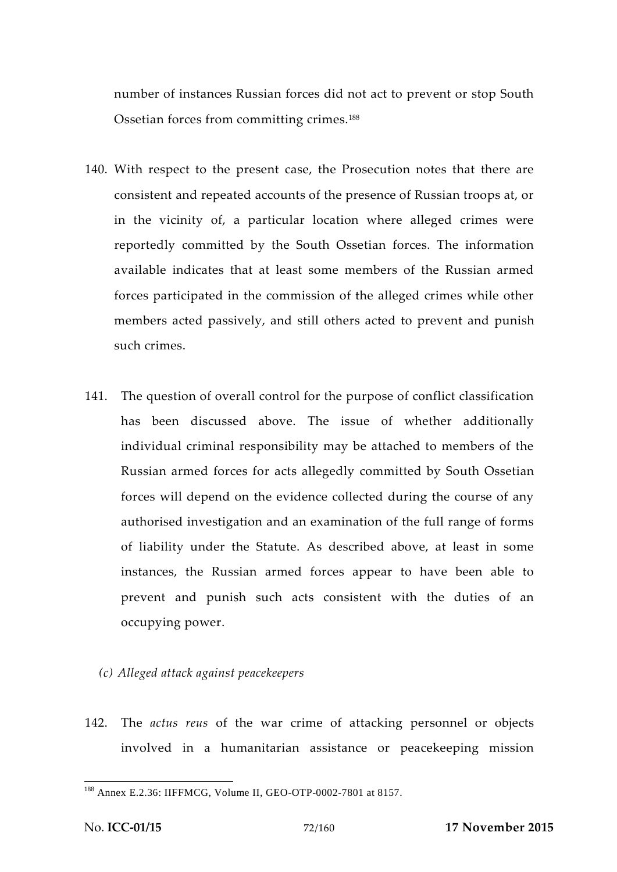number of instances Russian forces did not act to prevent or stop South Ossetian forces from committing crimes.<sup>188</sup>

- 140. With respect to the present case, the Prosecution notes that there are consistent and repeated accounts of the presence of Russian troops at, or in the vicinity of, a particular location where alleged crimes were reportedly committed by the South Ossetian forces. The information available indicates that at least some members of the Russian armed forces participated in the commission of the alleged crimes while other members acted passively, and still others acted to prevent and punish such crimes.
- 141. The question of overall control for the purpose of conflict classification has been discussed above. The issue of whether additionally individual criminal responsibility may be attached to members of the Russian armed forces for acts allegedly committed by South Ossetian forces will depend on the evidence collected during the course of any authorised investigation and an examination of the full range of forms of liability under the Statute. As described above, at least in some instances, the Russian armed forces appear to have been able to prevent and punish such acts consistent with the duties of an occupying power.
	- *(c) Alleged attack against peacekeepers*
- 142. The *actus reus* of the war crime of attacking personnel or objects involved in a humanitarian assistance or peacekeeping mission

<sup>188</sup> Annex E.2.36: IIFFMCG, Volume II, GEO-OTP-0002-7801 at 8157.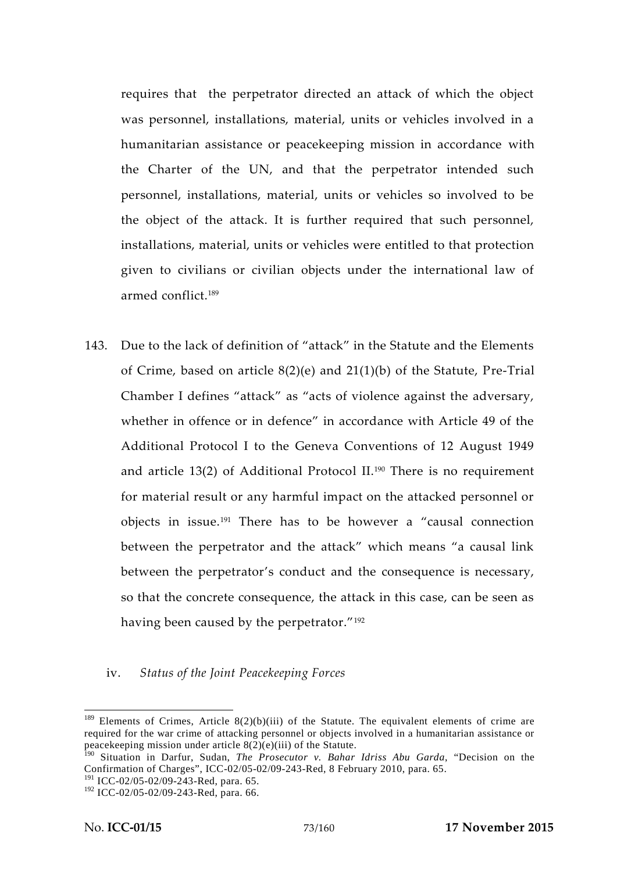requires that the perpetrator directed an attack of which the object was personnel, installations, material, units or vehicles involved in a humanitarian assistance or peacekeeping mission in accordance with the Charter of the UN, and that the perpetrator intended such personnel, installations, material, units or vehicles so involved to be the object of the attack. It is further required that such personnel, installations, material, units or vehicles were entitled to that protection given to civilians or civilian objects under the international law of armed conflict.<sup>189</sup>

143. Due to the lack of definition of "attack" in the Statute and the Elements of Crime, based on article 8(2)(e) and 21(1)(b) of the Statute, Pre-Trial Chamber I defines "attack" as "acts of violence against the adversary, whether in offence or in defence" in accordance with Article 49 of the Additional Protocol I to the Geneva Conventions of 12 August 1949 and article 13(2) of Additional Protocol II.<sup>190</sup> There is no requirement for material result or any harmful impact on the attacked personnel or objects in issue.<sup>191</sup> There has to be however a "causal connection between the perpetrator and the attack" which means "a causal link between the perpetrator's conduct and the consequence is necessary, so that the concrete consequence, the attack in this case, can be seen as having been caused by the perpetrator."<sup>192</sup>

### iv. *Status of the Joint Peacekeeping Forces*

<sup>&</sup>lt;sup>189</sup> Elements of Crimes, Article 8(2)(b)(iii) of the Statute. The equivalent elements of crime are required for the war crime of attacking personnel or objects involved in a humanitarian assistance or peacekeeping mission under article 8(2)(e)(iii) of the Statute.

<sup>190</sup> Situation in Darfur, Sudan, *The Prosecutor v. Bahar Idriss Abu Garda*, "Decision on the Confirmation of Charges", ICC-02/05-02/09-243-Red, 8 February 2010, para. 65.

<sup>&</sup>lt;sup>191</sup> ICC-02/05-02/09-243-Red, para. 65.

<sup>&</sup>lt;sup>192</sup> ICC-02/05-02/09-243-Red, para. 66.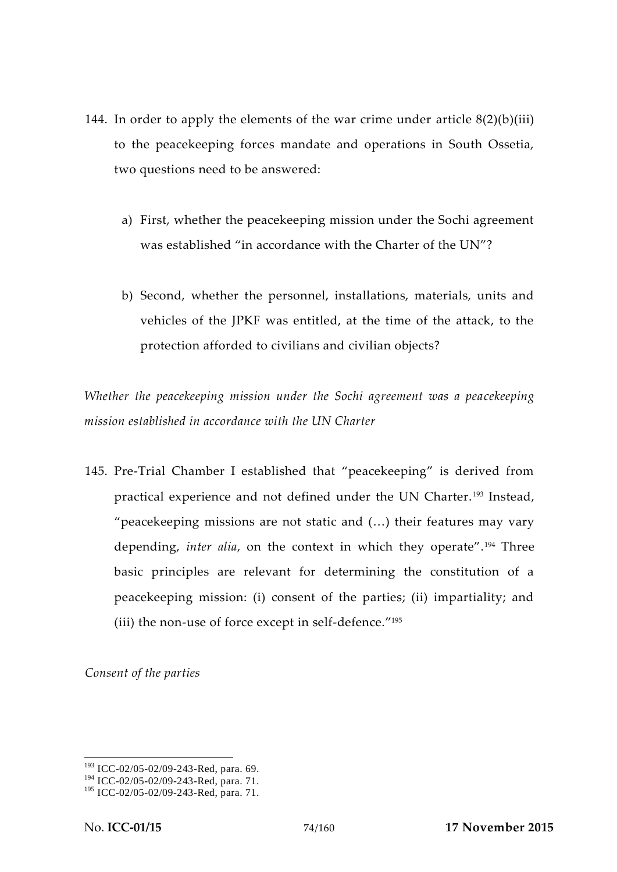- 144. In order to apply the elements of the war crime under article  $8(2)(b)(iii)$ to the peacekeeping forces mandate and operations in South Ossetia, two questions need to be answered:
	- a) First, whether the peacekeeping mission under the Sochi agreement was established "in accordance with the Charter of the UN"?
	- b) Second, whether the personnel, installations, materials, units and vehicles of the JPKF was entitled, at the time of the attack, to the protection afforded to civilians and civilian objects?

*Whether the peacekeeping mission under the Sochi agreement was a peacekeeping mission established in accordance with the UN Charter*

145. Pre-Trial Chamber I established that "peacekeeping" is derived from practical experience and not defined under the UN Charter. <sup>193</sup> Instead, "peacekeeping missions are not static and (…) their features may vary depending, *inter alia*, on the context in which they operate".<sup>194</sup> Three basic principles are relevant for determining the constitution of a peacekeeping mission: (i) consent of the parties; (ii) impartiality; and (iii) the non-use of force except in self-defence." 195

*Consent of the parties*

<sup>193</sup> ICC-02/05-02/09-243-Red, para. 69.

<sup>&</sup>lt;sup>194</sup> ICC-02/05-02/09-243-Red, para. 71.

<sup>195</sup> ICC-02/05-02/09-243-Red, para. 71.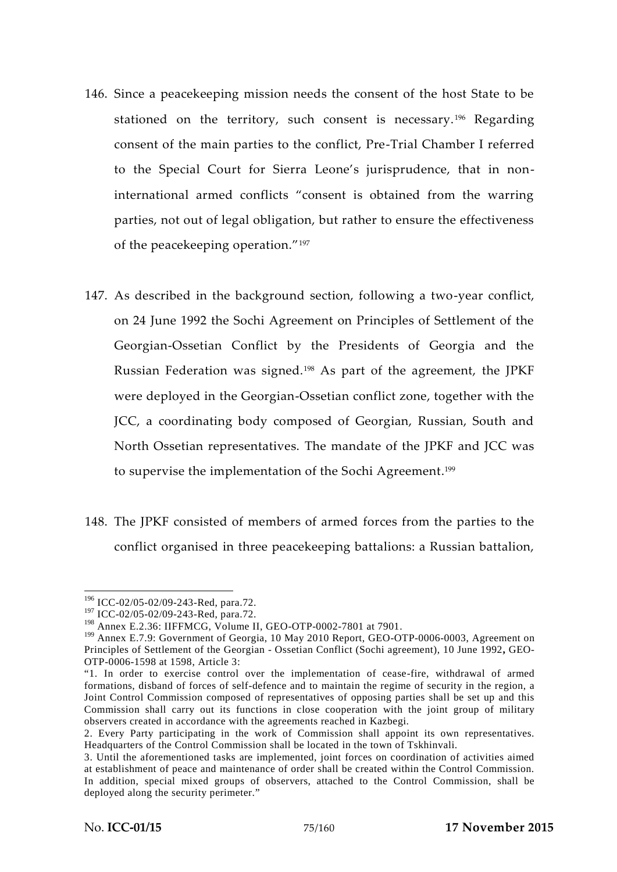- 146. Since a peacekeeping mission needs the consent of the host State to be stationed on the territory, such consent is necessary.<sup>196</sup> Regarding consent of the main parties to the conflict, Pre-Trial Chamber I referred to the Special Court for Sierra Leone's jurisprudence, that in noninternational armed conflicts "consent is obtained from the warring parties, not out of legal obligation, but rather to ensure the effectiveness of the peacekeeping operation."<sup>197</sup>
- 147. As described in the background section, following a two-year conflict, on 24 June 1992 the Sochi Agreement on Principles of Settlement of the Georgian-Ossetian Conflict by the Presidents of Georgia and the Russian Federation was signed.<sup>198</sup> As part of the agreement, the JPKF were deployed in the Georgian-Ossetian conflict zone, together with the JCC, a coordinating body composed of Georgian, Russian, South and North Ossetian representatives. The mandate of the JPKF and JCC was to supervise the implementation of the Sochi Agreement.<sup>199</sup>
- 148. The JPKF consisted of members of armed forces from the parties to the conflict organised in three peacekeeping battalions: a Russian battalion,

<sup>196</sup> ICC-02/05-02/09-243-Red, para.72.

<sup>197</sup> ICC-02/05-02/09-243-Red, para.72.

<sup>198</sup> Annex E.2.36: IIFFMCG, Volume II, GEO-OTP-0002-7801 at 7901.

<sup>&</sup>lt;sup>199</sup> Annex E.7.9: Government of Georgia, 10 May 2010 Report, GEO-OTP-0006-0003, Agreement on Principles of Settlement of the Georgian - Ossetian Conflict (Sochi agreement), 10 June 1992**,** GEO- OTP-0006-1598 at 1598, Article 3:

<sup>&</sup>quot;1. In order to exercise control over the implementation of cease-fire, withdrawal of armed formations, disband of forces of self-defence and to maintain the regime of security in the region, a Joint Control Commission composed of representatives of opposing parties shall be set up and this Commission shall carry out its functions in close cooperation with the joint group of military observers created in accordance with the agreements reached in Kazbegi.

<sup>2.</sup> Every Party participating in the work of Commission shall appoint its own representatives. Headquarters of the Control Commission shall be located in the town of Tskhinvali.

<sup>3.</sup> Until the aforementioned tasks are implemented, joint forces on coordination of activities aimed at establishment of peace and maintenance of order shall be created within the Control Commission. In addition, special mixed groups of observers, attached to the Control Commission, shall be deployed along the security perimeter."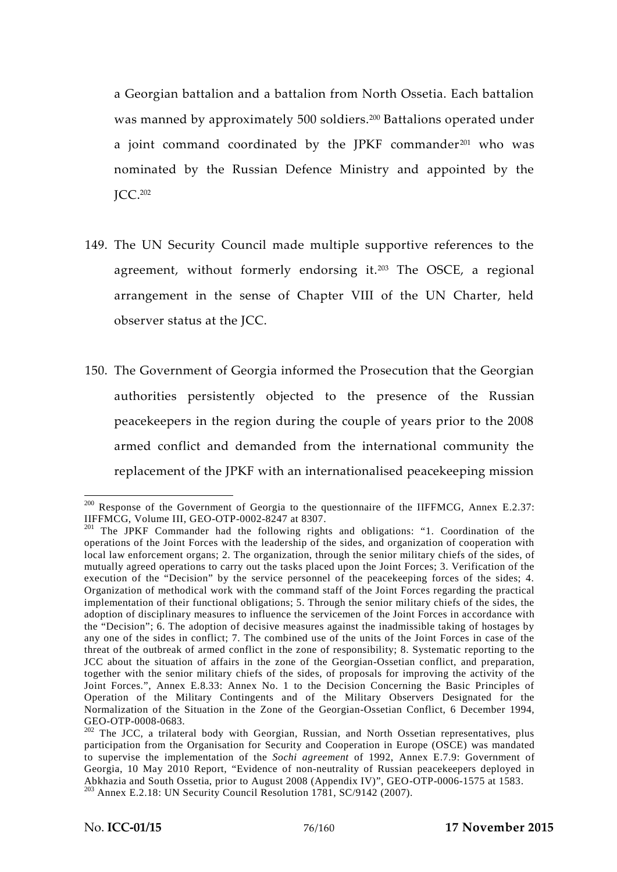a Georgian battalion and a battalion from North Ossetia. Each battalion was manned by approximately 500 soldiers.<sup>200</sup> Battalions operated under a joint command coordinated by the JPKF commander $201$  who was nominated by the Russian Defence Ministry and appointed by the JCC.<sup>202</sup>

- 149. The UN Security Council made multiple supportive references to the agreement, without formerly endorsing it.<sup>203</sup> The OSCE, a regional arrangement in the sense of Chapter VIII of the UN Charter, held observer status at the JCC.
- 150. The Government of Georgia informed the Prosecution that the Georgian authorities persistently objected to the presence of the Russian peacekeepers in the region during the couple of years prior to the 2008 armed conflict and demanded from the international community the replacement of the JPKF with an internationalised peacekeeping mission

<sup>&</sup>lt;sup>200</sup> Response of the Government of Georgia to the questionnaire of the IIFFMCG, Annex E.2.37: IIFFMCG, Volume III, GEO-OTP-0002-8247 at 8307.

<sup>&</sup>lt;sup>201</sup> The JPKF Commander had the following rights and obligations: "1. Coordination of the operations of the Joint Forces with the leadership of the sides, and organization of cooperation with local law enforcement organs; 2. The organization, through the senior military chiefs of the sides, of mutually agreed operations to carry out the tasks placed upon the Joint Forces; 3. Verification of the execution of the "Decision" by the service personnel of the peacekeeping forces of the sides; 4. Organization of methodical work with the command staff of the Joint Forces regarding the practical implementation of their functional obligations; 5. Through the senior military chiefs of the sides, the adoption of disciplinary measures to influence the servicemen of the Joint Forces in accordance with the "Decision"; 6. The adoption of decisive measures against the inadmissible taking of hostages by any one of the sides in conflict; 7. The combined use of the units of the Joint Forces in case of the threat of the outbreak of armed conflict in the zone of responsibility; 8. Systematic reporting to the JCC about the situation of affairs in the zone of the Georgian-Ossetian conflict, and preparation, together with the senior military chiefs of the sides, of proposals for improving the activity of the Joint Forces.", Annex E.8.33: Annex No. 1 to the Decision Concerning the Basic Principles of Operation of the Military Contingents and of the Military Observers Designated for the Normalization of the Situation in the Zone of the Georgian-Ossetian Conflict, 6 December 1994, GEO-OTP-0008-0683.

<sup>&</sup>lt;sup>202</sup> The JCC, a trilateral body with Georgian, Russian, and North Ossetian representatives, plus participation from the Organisation for Security and Cooperation in Europe (OSCE) was mandated to supervise the implementation of the *Sochi agreement* of 1992, Annex E.7.9: Government of Georgia, 10 May 2010 Report, "Evidence of non-neutrality of Russian peacekeepers deployed in Abkhazia and South Ossetia, prior to August 2008 (Appendix IV)", GEO-OTP-0006-1575 at 1583. <sup>203</sup> Annex E.2.18: UN Security Council Resolution 1781, SC/9142 (2007).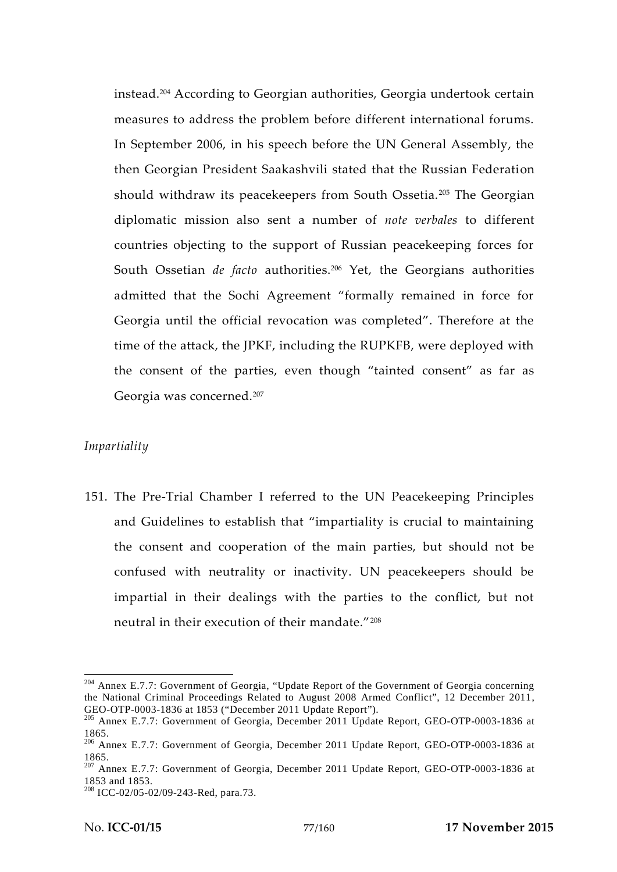instead.<sup>204</sup> According to Georgian authorities, Georgia undertook certain measures to address the problem before different international forums. In September 2006, in his speech before the UN General Assembly, the then Georgian President Saakashvili stated that the Russian Federation should withdraw its peacekeepers from South Ossetia.<sup>205</sup> The Georgian diplomatic mission also sent a number of *note verbales* to different countries objecting to the support of Russian peacekeeping forces for South Ossetian *de facto* authorities.<sup>206</sup> Yet, the Georgians authorities admitted that the Sochi Agreement "formally remained in force for Georgia until the official revocation was completed". Therefore at the time of the attack, the JPKF, including the RUPKFB, were deployed with the consent of the parties, even though "tainted consent" as far as Georgia was concerned.<sup>207</sup>

# *Impartiality*

151. The Pre-Trial Chamber I referred to the UN Peacekeeping Principles and Guidelines to establish that "impartiality is crucial to maintaining the consent and cooperation of the main parties, but should not be confused with neutrality or inactivity. UN peacekeepers should be impartial in their dealings with the parties to the conflict, but not neutral in their execution of their mandate."<sup>208</sup>

<sup>204</sup> Annex E.7.7: Government of Georgia, "Update Report of the Government of Georgia concerning the National Criminal Proceedings Related to August 2008 Armed Conflict", 12 December 2011, GEO-OTP-0003-1836 at 1853 ("December 2011 Update Report").

<sup>&</sup>lt;sup>205</sup> Annex E.7.7: Government of Georgia, December 2011 Update Report, GEO-OTP-0003-1836 at

<sup>1865.</sup> <sup>206</sup> Annex E.7.7: Government of Georgia, December 2011 Update Report, GEO-OTP-0003-1836 at 1865. <sup>207</sup> Annex E.7.7: Government of Georgia, December 2011 Update Report, GEO-OTP-0003-1836 at

<sup>1853</sup> and 1853. <sup>208</sup> ICC-02/05-02/09-243-Red, para.73.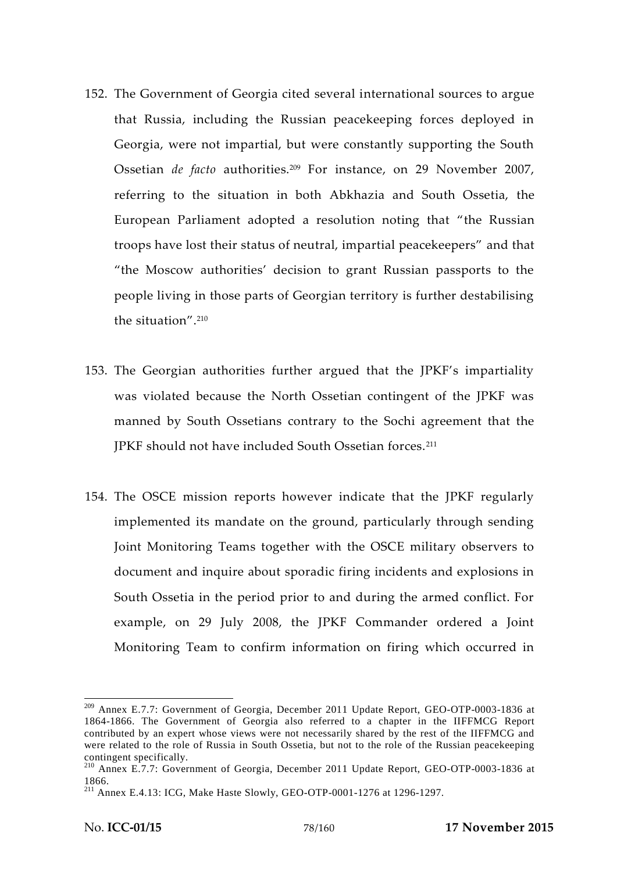- 152. The Government of Georgia cited several international sources to argue that Russia, including the Russian peacekeeping forces deployed in Georgia, were not impartial, but were constantly supporting the South Ossetian *de facto* authorities.<sup>209</sup> For instance, on 29 November 2007, referring to the situation in both Abkhazia and South Ossetia, the European Parliament adopted a resolution noting that "the Russian troops have lost their status of neutral, impartial peacekeepers" and that "the Moscow authorities' decision to grant Russian passports to the people living in those parts of Georgian territory is further destabilising the situation".<sup>210</sup>
- 153. The Georgian authorities further argued that the JPKF's impartiality was violated because the North Ossetian contingent of the JPKF was manned by South Ossetians contrary to the Sochi agreement that the JPKF should not have included South Ossetian forces.<sup>211</sup>
- 154. The OSCE mission reports however indicate that the JPKF regularly implemented its mandate on the ground, particularly through sending Joint Monitoring Teams together with the OSCE military observers to document and inquire about sporadic firing incidents and explosions in South Ossetia in the period prior to and during the armed conflict. For example, on 29 July 2008, the JPKF Commander ordered a Joint Monitoring Team to confirm information on firing which occurred in

<sup>209</sup> Annex E.7.7: Government of Georgia, December 2011 Update Report, GEO-OTP-0003-1836 at 1864-1866. The Government of Georgia also referred to a chapter in the IIFFMCG Report contributed by an expert whose views were not necessarily shared by the rest of the IIFFMCG and were related to the role of Russia in South Ossetia, but not to the role of the Russian peacekeeping

contingent specifically.<br><sup>210</sup> Annex E.7.7: Government of Georgia, December 2011 Update Report, GEO-OTP-0003-1836 at

<sup>1866.</sup> <sup>211</sup> Annex E.4.13: ICG, Make Haste Slowly, GEO-OTP-0001-1276 at 1296-1297.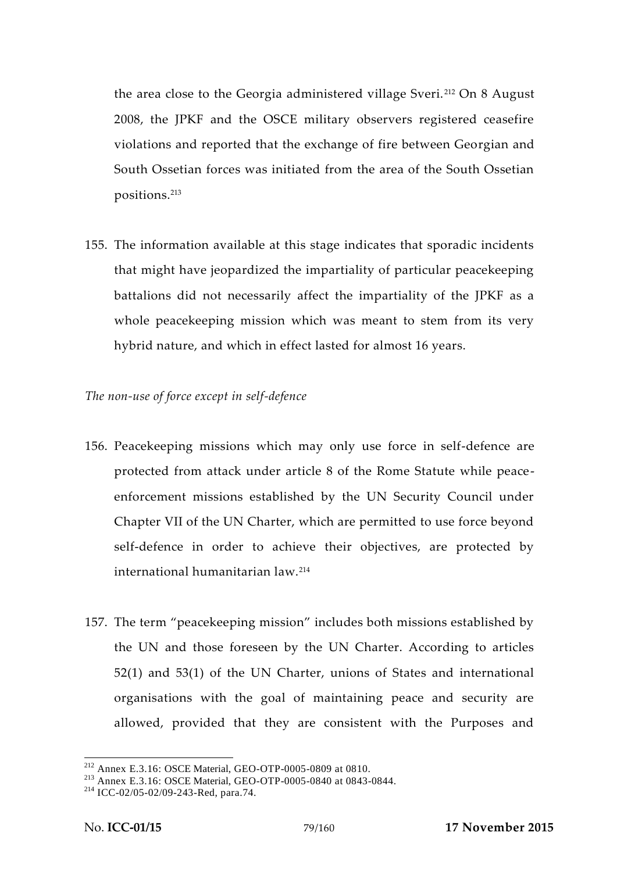the area close to the Georgia administered village Sveri. <sup>212</sup> On 8 August 2008, the JPKF and the OSCE military observers registered ceasefire violations and reported that the exchange of fire between Georgian and South Ossetian forces was initiated from the area of the South Ossetian positions.<sup>213</sup>

155. The information available at this stage indicates that sporadic incidents that might have jeopardized the impartiality of particular peacekeeping battalions did not necessarily affect the impartiality of the JPKF as a whole peacekeeping mission which was meant to stem from its very hybrid nature, and which in effect lasted for almost 16 years.

## *The non-use of force except in self-defence*

- 156. Peacekeeping missions which may only use force in self-defence are protected from attack under article 8 of the Rome Statute while peace enforcement missions established by the UN Security Council under Chapter VII of the UN Charter, which are permitted to use force beyond self-defence in order to achieve their objectives, are protected by international humanitarian law.<sup>214</sup>
- 157. The term "peacekeeping mission" includes both missions established by the UN and those foreseen by the UN Charter. According to articles 52(1) and 53(1) of the UN Charter, unions of States and international organisations with the goal of maintaining peace and security are allowed, provided that they are consistent with the Purposes and

<sup>&</sup>lt;sup>212</sup> Annex E.3.16: OSCE Material, GEO-OTP-0005-0809 at 0810.<br><sup>213</sup> Annex E.3.16: OSCE Material, GEO-OTP-0005-0840 at 0843-0844.<br><sup>214</sup> ICC-02/05-02/09-243-Red, para.74.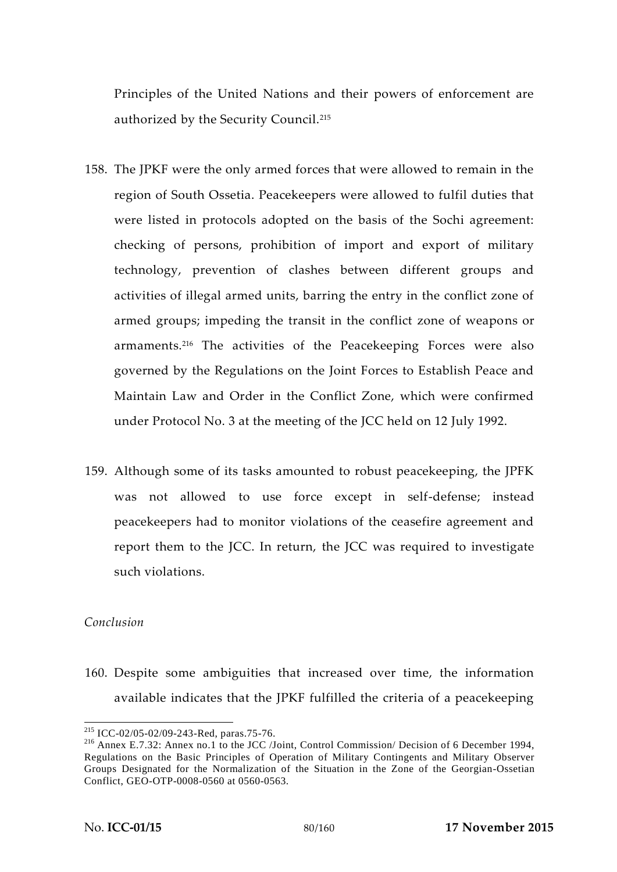Principles of the United Nations and their powers of enforcement are authorized by the Security Council.<sup>215</sup>

- 158. The JPKF were the only armed forces that were allowed to remain in the region of South Ossetia. Peacekeepers were allowed to fulfil duties that were listed in protocols adopted on the basis of the Sochi agreement: checking of persons, prohibition of import and export of military technology, prevention of clashes between different groups and activities of illegal armed units, barring the entry in the conflict zone of armed groups; impeding the transit in the conflict zone of weapons or armaments.<sup>216</sup> The activities of the Peacekeeping Forces were also governed by the Regulations on the Joint Forces to Establish Peace and Maintain Law and Order in the Conflict Zone, which were confirmed under Protocol No. 3 at the meeting of the JCC held on 12 July 1992.
- 159. Although some of its tasks amounted to robust peacekeeping, the JPFK was not allowed to use force except in self-defense; instead peacekeepers had to monitor violations of the ceasefire agreement and report them to the JCC. In return, the JCC was required to investigate such violations.

# *Conclusion*

160. Despite some ambiguities that increased over time, the information available indicates that the JPKF fulfilled the criteria of a peacekeeping

<sup>&</sup>lt;sup>215</sup> ICC-02/05-02/09-243-Red, paras.75-76.<br><sup>216</sup> Annex E.7.32: Annex no.1 to the JCC /Joint, Control Commission/ Decision of 6 December 1994, Regulations on the Basic Principles of Operation of Military Contingents and Military Observer Groups Designated for the Normalization of the Situation in the Zone of the Georgian-Ossetian Conflict, GEO-OTP-0008-0560 at 0560-0563.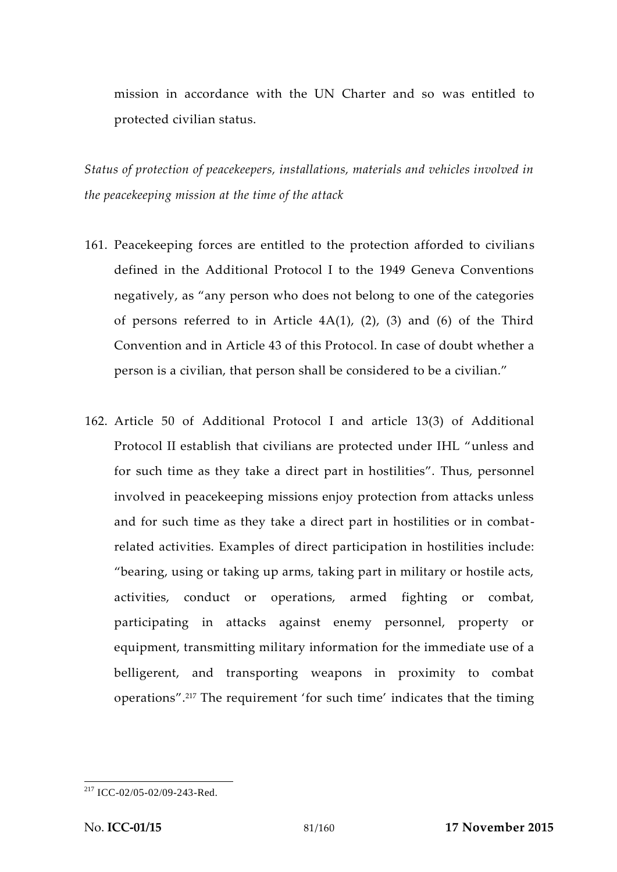mission in accordance with the UN Charter and so was entitled to protected civilian status.

*Status of protection of peacekeepers, installations, materials and vehicles involved in the peacekeeping mission at the time of the attack*

- 161. Peacekeeping forces are entitled to the protection afforded to civilians defined in the Additional Protocol I to the 1949 Geneva Conventions negatively, as "any person who does not belong to one of the categories of persons referred to in Article  $4A(1)$ ,  $(2)$ ,  $(3)$  and  $(6)$  of the Third Convention and in Article 43 of this Protocol. In case of doubt whether a person is a civilian, that person shall be considered to be a civilian."
- 162. Article 50 of Additional Protocol I and article 13(3) of Additional Protocol II establish that civilians are protected under IHL "unless and for such time as they take a direct part in hostilities". Thus, personnel involved in peacekeeping missions enjoy protection from attacks unless and for such time as they take a direct part in hostilities or in combat related activities. Examples of direct participation in hostilities include: "bearing, using or taking up arms, taking part in military or hostile acts, activities, conduct or operations, armed fighting or combat, participating in attacks against enemy personnel, property or equipment, transmitting military information for the immediate use of a belligerent, and transporting weapons in proximity to combat operations".<sup>217</sup> The requirement 'for such time' indicates that the timing

<sup>217</sup> ICC-02/05-02/09-243-Red.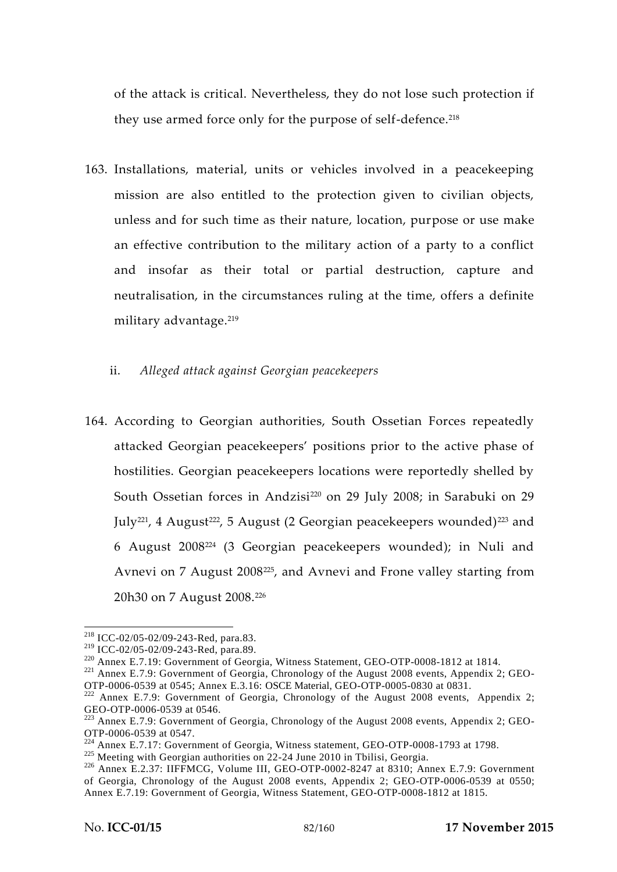of the attack is critical. Nevertheless, they do not lose such protection if they use armed force only for the purpose of self-defence.<sup>218</sup>

- 163. Installations, material, units or vehicles involved in a peacekeeping mission are also entitled to the protection given to civilian objects, unless and for such time as their nature, location, purpose or use make an effective contribution to the military action of a party to a conflict and insofar as their total or partial destruction, capture and neutralisation, in the circumstances ruling at the time, offers a definite military advantage.<sup>219</sup>
	- ii. *Alleged attack against Georgian peacekeepers*
- 164. According to Georgian authorities, South Ossetian Forces repeatedly attacked Georgian peacekeepers' positions prior to the active phase of hostilities. Georgian peacekeepers locations were reportedly shelled by South Ossetian forces in Andzisi<sup>220</sup> on 29 July 2008; in Sarabuki on 29 July<sup>221</sup>, 4 August<sup>222</sup>, 5 August (2 Georgian peacekeepers wounded)<sup>223</sup> and 6 August 2008<sup>224</sup> (3 Georgian peacekeepers wounded); in Nuli and Avnevi on 7 August 2008225, and Avnevi and Frone valley starting from 20h30 on 7 August 2008.<sup>226</sup>

<sup>&</sup>lt;sup>218</sup> ICC-02/05-02/09-243-Red, para.83.<br><sup>219</sup> ICC-02/05-02/09-243-Red, para.89.

<sup>&</sup>lt;sup>220</sup> Annex E.7.19: Government of Georgia, Witness Statement, GEO-OTP-0008-1812 at 1814.<br><sup>221</sup> Annex E.7.9: Government of Georgia, Chronology of the August 2008 events, Appendix 2; GEO-

OTP-0006-0539 at 0545; Annex E.3.16: OSCE Material, GEO-OTP-0005-0830 at 0831.<br><sup>222</sup> Annex E.7.9: Government of Georgia, Chronology of the August 2008 events, Appendix 2;<br>GEO-OTP-0006-0539 at 0546.

 $^{223}$  Annex E.7.9: Government of Georgia, Chronology of the August 2008 events, Appendix 2; GEO-OTP-0006-0539 at 0547.

<sup>&</sup>lt;sup>224</sup> Annex E.7.17: Government of Georgia, Witness statement, GEO-OTP-0008-1793 at 1798.<br><sup>225</sup> Meeting with Georgian authorities on 22-24 June 2010 in Tbilisi, Georgia.<br><sup>226</sup> Annex E.2.37: IIFFMCG, Volume III, GEO-OTP-000 of Georgia, Chronology of the August 2008 events, Appendix 2; GEO-OTP-0006-0539 at 0550; Annex E.7.19: Government of Georgia, Witness Statement, GEO-OTP-0008-1812 at 1815.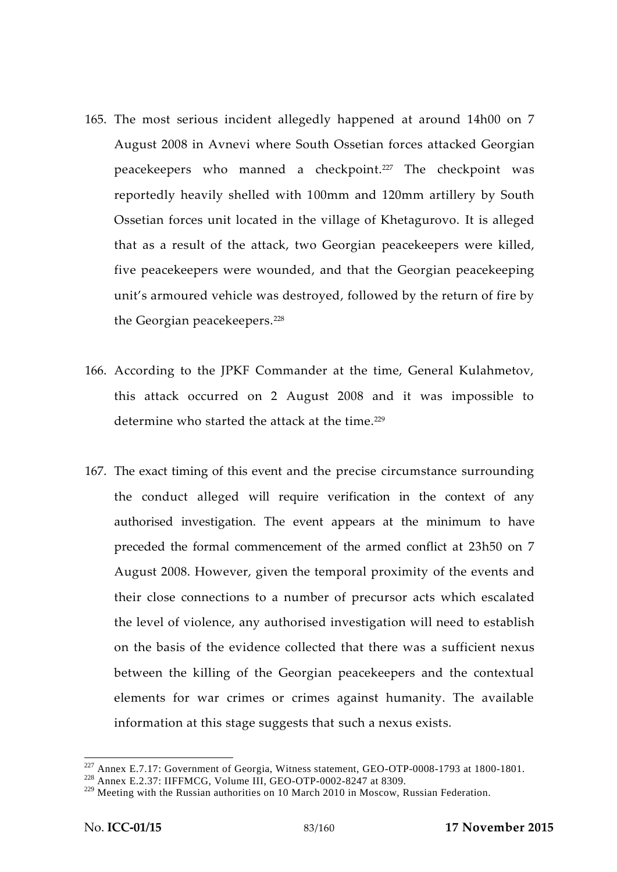- 165. The most serious incident allegedly happened at around 14h00 on 7 August 2008 in Avnevi where South Ossetian forces attacked Georgian peacekeepers who manned a checkpoint.<sup>227</sup> The checkpoint was reportedly heavily shelled with 100mm and 120mm artillery by South Ossetian forces unit located in the village of Khetagurovo. It is alleged that as a result of the attack, two Georgian peacekeepers were killed, five peacekeepers were wounded, and that the Georgian peacekeeping unit's armoured vehicle was destroyed, followed by the return of fire by the Georgian peacekeepers.<sup>228</sup>
- 166. According to the JPKF Commander at the time, General Kulahmetov, this attack occurred on 2 August 2008 and it was impossible to determine who started the attack at the time.<sup>229</sup>
- 167. The exact timing of this event and the precise circumstance surrounding the conduct alleged will require verification in the context of any authorised investigation. The event appears at the minimum to have preceded the formal commencement of the armed conflict at 23h50 on 7 August 2008. However, given the temporal proximity of the events and their close connections to a number of precursor acts which escalated the level of violence, any authorised investigation will need to establish on the basis of the evidence collected that there was a sufficient nexus between the killing of the Georgian peacekeepers and the contextual elements for war crimes or crimes against humanity. The available information at this stage suggests that such a nexus exists.

<sup>&</sup>lt;sup>227</sup> Annex E.7.17: Government of Georgia, Witness statement, GEO-OTP-0008-1793 at 1800-1801.<br><sup>228</sup> Annex E.2.37: IIFFMCG, Volume III, GEO-OTP-0002-8247 at 8309.

<sup>&</sup>lt;sup>229</sup> Meeting with the Russian authorities on 10 March 2010 in Moscow, Russian Federation.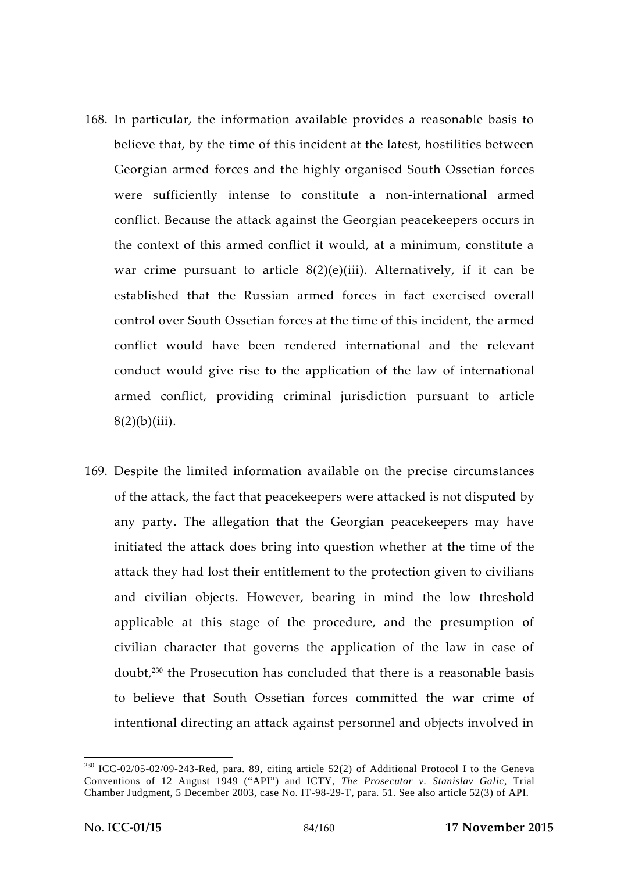- 168. In particular, the information available provides a reasonable basis to believe that, by the time of this incident at the latest, hostilities between Georgian armed forces and the highly organised South Ossetian forces were sufficiently intense to constitute a non-international armed conflict. Because the attack against the Georgian peacekeepers occurs in the context of this armed conflict it would, at a minimum, constitute a war crime pursuant to article  $8(2)(e)(iii)$ . Alternatively, if it can be established that the Russian armed forces in fact exercised overall control over South Ossetian forces at the time of this incident, the armed conflict would have been rendered international and the relevant conduct would give rise to the application of the law of international armed conflict, providing criminal jurisdiction pursuant to article  $8(2)(b)(iii)$ .
- 169. Despite the limited information available on the precise circumstances of the attack, the fact that peacekeepers were attacked is not disputed by any party. The allegation that the Georgian peacekeepers may have initiated the attack does bring into question whether at the time of the attack they had lost their entitlement to the protection given to civilians and civilian objects. However, bearing in mind the low threshold applicable at this stage of the procedure, and the presumption of civilian character that governs the application of the law in case of doubt,<sup>230</sup> the Prosecution has concluded that there is a reasonable basis to believe that South Ossetian forces committed the war crime of intentional directing an attack against personnel and objects involved in

 $230$  ICC-02/05-02/09-243-Red, para. 89, citing article 52(2) of Additional Protocol I to the Geneva Conventions of 12 August 1949 ("API") and ICTY, *The Prosecutor v. Stanislav Galic*, Trial Chamber Judgment, 5 December 2003, case No. IT-98-29-T, para. 51. See also article 52(3) of API.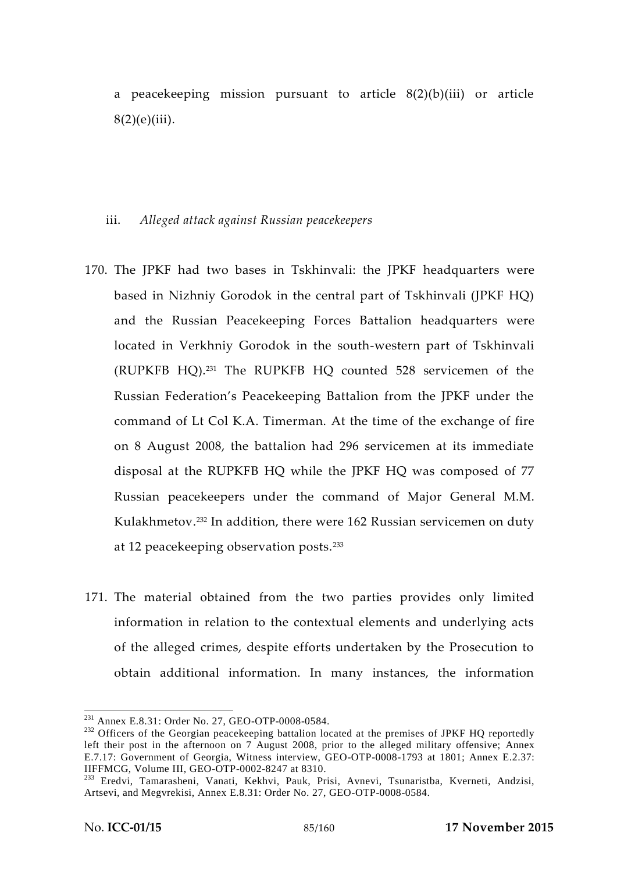a peacekeeping mission pursuant to article  $8(2)(b)(iii)$  or article  $8(2)(e)(iii)$ .

### iii. *Alleged attack against Russian peacekeepers*

- 170. The JPKF had two bases in Tskhinvali: the JPKF headquarters were based in Nizhniy Gorodok in the central part of Tskhinvali (JPKF HQ) and the Russian Peacekeeping Forces Battalion headquarters were located in Verkhniy Gorodok in the south-western part of Tskhinvali (RUPKFB HQ).<sup>231</sup> The RUPKFB HQ counted 528 servicemen of the Russian Federation's Peacekeeping Battalion from the JPKF under the command of Lt Col K.A. Timerman. At the time of the exchange of fire on 8 August 2008, the battalion had 296 servicemen at its immediate disposal at the RUPKFB HQ while the JPKF HQ was composed of 77 Russian peacekeepers under the command of Major General M.M. Kulakhmetov.<sup>232</sup> In addition, there were 162 Russian servicemen on duty at 12 peacekeeping observation posts.<sup>233</sup>
- 171. The material obtained from the two parties provides only limited information in relation to the contextual elements and underlying acts of the alleged crimes, despite efforts undertaken by the Prosecution to obtain additional information. In many instances, the information

<sup>&</sup>lt;sup>231</sup> Annex E.8.31: Order No. 27, GEO-OTP-0008-0584.<br><sup>232</sup> Officers of the Georgian peacekeeping battalion located at the premises of JPKF HQ reportedly left their post in the afternoon on 7 August 2008, prior to the alleged military offensive; Annex E.7.17: Government of Georgia, Witness interview, GEO-OTP-0008-1793 at 1801; Annex E.2.37: IIFFMCG, Volume III, GEO-OTP-0002-8247 at 8310.

<sup>&</sup>lt;sup>233</sup> Eredvi, Tamarasheni, Vanati, Kekhvi, Pauk, Prisi, Avnevi, Tsunaristba, Kverneti, Andzisi, Artsevi, and Megvrekisi, Annex E.8.31: Order No. 27, GEO-OTP-0008-0584.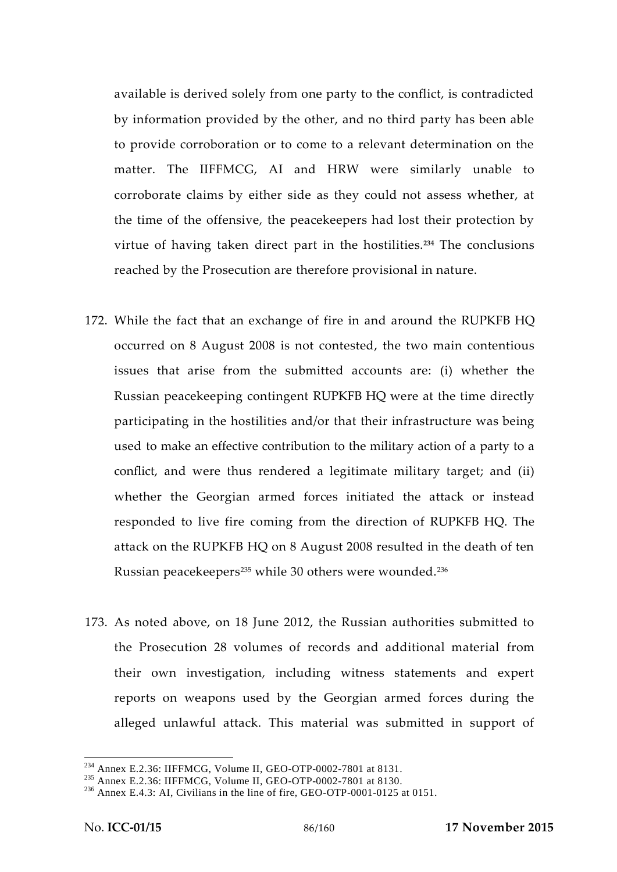available is derived solely from one party to the conflict, is contradicted by information provided by the other, and no third party has been able to provide corroboration or to come to a relevant determination on the matter. The IIFFMCG, AI and HRW were similarly unable to corroborate claims by either side as they could not assess whether, at the time of the offensive, the peacekeepers had lost their protection by virtue of having taken direct part in the hostilities.**<sup>234</sup>** The conclusions reached by the Prosecution are therefore provisional in nature.

- 172. While the fact that an exchange of fire in and around the RUPKFB HQ occurred on 8 August 2008 is not contested, the two main contentious issues that arise from the submitted accounts are: (i) whether the Russian peacekeeping contingent RUPKFB HQ were at the time directly participating in the hostilities and/or that their infrastructure was being used to make an effective contribution to the military action of a party to a conflict, and were thus rendered a legitimate military target; and (ii) whether the Georgian armed forces initiated the attack or instead responded to live fire coming from the direction of RUPKFB HQ. The attack on the RUPKFB HQ on 8 August 2008 resulted in the death of ten Russian peacekeepers<sup>235</sup> while 30 others were wounded.<sup>236</sup>
- 173. As noted above, on 18 June 2012, the Russian authorities submitted to the Prosecution 28 volumes of records and additional material from their own investigation, including witness statements and expert reports on weapons used by the Georgian armed forces during the alleged unlawful attack. This material was submitted in support of

<sup>&</sup>lt;sup>234</sup> Annex E.2.36: IIFFMCG, Volume II, GEO-OTP-0002-7801 at 8131.<br><sup>235</sup> Annex E.2.36: IIFFMCG, Volume II, GEO-OTP-0002-7801 at 8130.<br><sup>236</sup> Annex E.4.3: AI, Civilians in the line of fire, GEO-OTP-0001-0125 at 0151.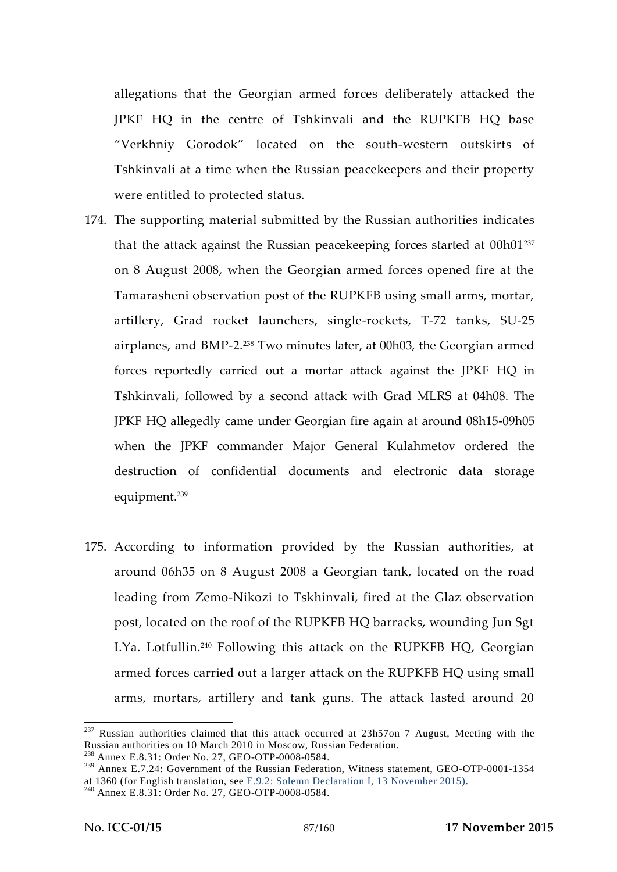allegations that the Georgian armed forces deliberately attacked the JPKF HQ in the centre of Tshkinvali and the RUPKFB HQ base "Verkhniy Gorodok" located on the south-western outskirts of Tshkinvali at a time when the Russian peacekeepers and their property were entitled to protected status.

- 174. The supporting material submitted by the Russian authorities indicates that the attack against the Russian peacekeeping forces started at 00h01<sup>237</sup> on 8 August 2008, when the Georgian armed forces opened fire at the Tamarasheni observation post of the RUPKFB using small arms, mortar, artillery, Grad rocket launchers, single-rockets, T-72 tanks, SU-25 airplanes, and BMP-2.<sup>238</sup> Two minutes later, at 00h03, the Georgian armed forces reportedly carried out a mortar attack against the JPKF HQ in Tshkinvali, followed by a second attack with Grad MLRS at 04h08. The JPKF HQ allegedly came under Georgian fire again at around 08h15-09h05 when the JPKF commander Major General Kulahmetov ordered the destruction of confidential documents and electronic data storage equipment.<sup>239</sup>
- 175. According to information provided by the Russian authorities, at around 06h35 on 8 August 2008 a Georgian tank, located on the road leading from Zemo-Nikozi to Tskhinvali, fired at the Glaz observation post, located on the roof of the RUPKFB HQ barracks, wounding Jun Sgt I.Ya. Lotfullin.<sup>240</sup> Following this attack on the RUPKFB HQ, Georgian armed forces carried out a larger attack on the RUPKFB HQ using small arms, mortars, artillery and tank guns. The attack lasted around 20

<sup>&</sup>lt;sup>237</sup> Russian authorities claimed that this attack occurred at 23h57on 7 August, Meeting with the Russian authorities on 10 March 2010 in Moscow, Russian Federation. <sup>238</sup> Annex E.8.31: Order No. 27, GEO-OTP-0008-0584.

<sup>&</sup>lt;sup>239</sup> Annex E.7.24: Government of the Russian Federation, Witness statement, GEO-OTP-0001-1354 at 1360 (for English translation, see E.9.2: Solemn Declaration I, 13 November 2015). <sup>240</sup> Annex E.8.31: Order No. 27, GEO-OTP-0008-0584.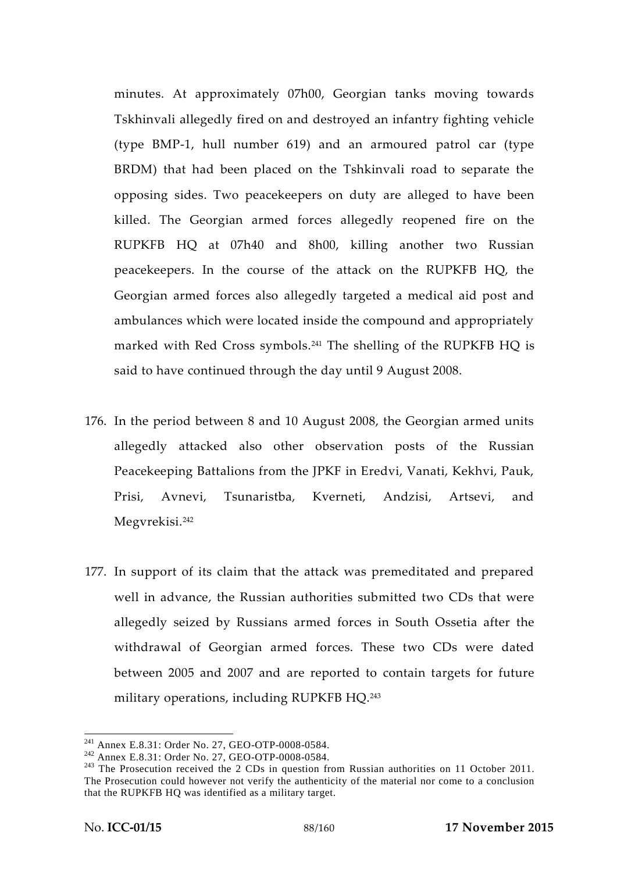minutes. At approximately 07h00, Georgian tanks moving towards Tskhinvali allegedly fired on and destroyed an infantry fighting vehicle (type BMP-1, hull number 619) and an armoured patrol car (type BRDM) that had been placed on the Tshkinvali road to separate the opposing sides. Two peacekeepers on duty are alleged to have been killed. The Georgian armed forces allegedly reopened fire on the RUPKFB HQ at 07h40 and 8h00, killing another two Russian peacekeepers. In the course of the attack on the RUPKFB HQ, the Georgian armed forces also allegedly targeted a medical aid post and ambulances which were located inside the compound and appropriately marked with Red Cross symbols.<sup>241</sup> The shelling of the RUPKFB HQ is said to have continued through the day until 9 August 2008.

- 176. In the period between 8 and 10 August 2008, the Georgian armed units allegedly attacked also other observation posts of the Russian Peacekeeping Battalions from the JPKF in Eredvi, Vanati, Kekhvi, Pauk, Prisi, Avnevi, Tsunaristba, Kverneti, Andzisi, Artsevi, and Megvrekisi.<sup>242</sup>
- 177. In support of its claim that the attack was premeditated and prepared well in advance, the Russian authorities submitted two CDs that were allegedly seized by Russians armed forces in South Ossetia after the withdrawal of Georgian armed forces. These two CDs were dated between 2005 and 2007 and are reported to contain targets for future military operations, including RUPKFB HQ.<sup>243</sup>

<sup>&</sup>lt;sup>241</sup> Annex E.8.31: Order No. 27, GEO-OTP-0008-0584.<br><sup>242</sup> Annex E.8.31: Order No. 27, GEO-OTP-0008-0584.<br><sup>243</sup> The Prosecution received the 2 CDs in question from Russian authorities on 11 October 2011. The Prosecution could however not verify the authenticity of the material nor come to a conclusion that the RUPKFB HQ was identified as a military target.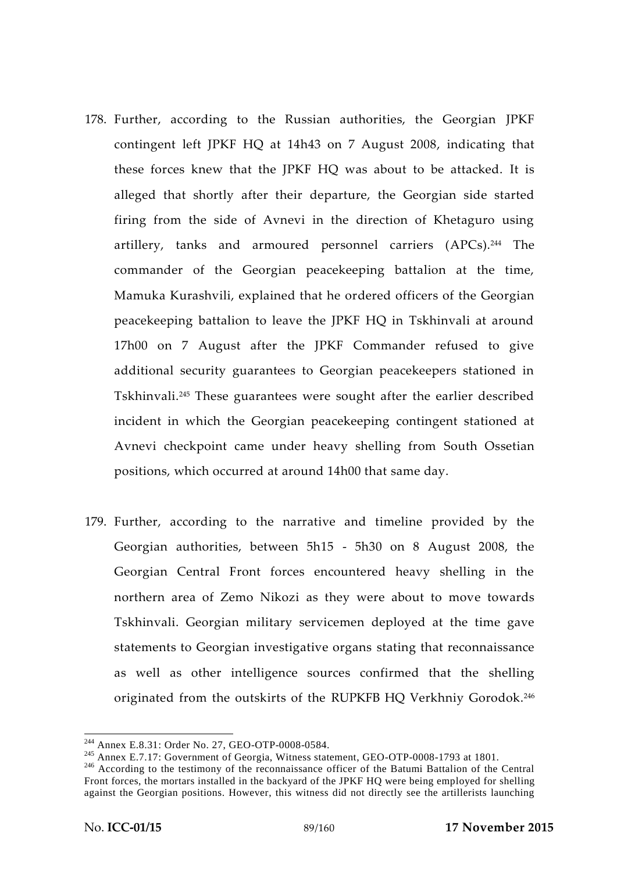- 178. Further, according to the Russian authorities, the Georgian JPKF contingent left JPKF HQ at 14h43 on 7 August 2008, indicating that these forces knew that the JPKF HQ was about to be attacked. It is alleged that shortly after their departure, the Georgian side started firing from the side of Avnevi in the direction of Khetaguro using artillery, tanks and armoured personnel carriers (APCs).<sup>244</sup> The commander of the Georgian peacekeeping battalion at the time, Mamuka Kurashvili, explained that he ordered officers of the Georgian peacekeeping battalion to leave the JPKF HQ in Tskhinvali at around 17h00 on 7 August after the JPKF Commander refused to give additional security guarantees to Georgian peacekeepers stationed in Tskhinvali.<sup>245</sup> These guarantees were sought after the earlier described incident in which the Georgian peacekeeping contingent stationed at Avnevi checkpoint came under heavy shelling from South Ossetian positions, which occurred at around 14h00 that same day.
- 179. Further, according to the narrative and timeline provided by the Georgian authorities, between 5h15 - 5h30 on 8 August 2008, the Georgian Central Front forces encountered heavy shelling in the northern area of Zemo Nikozi as they were about to move towards Tskhinvali. Georgian military servicemen deployed at the time gave statements to Georgian investigative organs stating that reconnaissance as well as other intelligence sources confirmed that the shelling originated from the outskirts of the RUPKFB HQ Verkhniy Gorodok.<sup>246</sup>

<sup>&</sup>lt;sup>244</sup> Annex E.8.31: Order No. 27, GEO-OTP-0008-0584.<br><sup>245</sup> Annex E.7.17: Government of Georgia, Witness statement, GEO-OTP-0008-1793 at 1801.<br><sup>246</sup> According to the testimony of the reconnaissance officer of the Batumi Ba Front forces, the mortars installed in the backyard of the JPKF HQ were being employed for shelling against the Georgian positions. However, this witness did not directly see the artillerists launching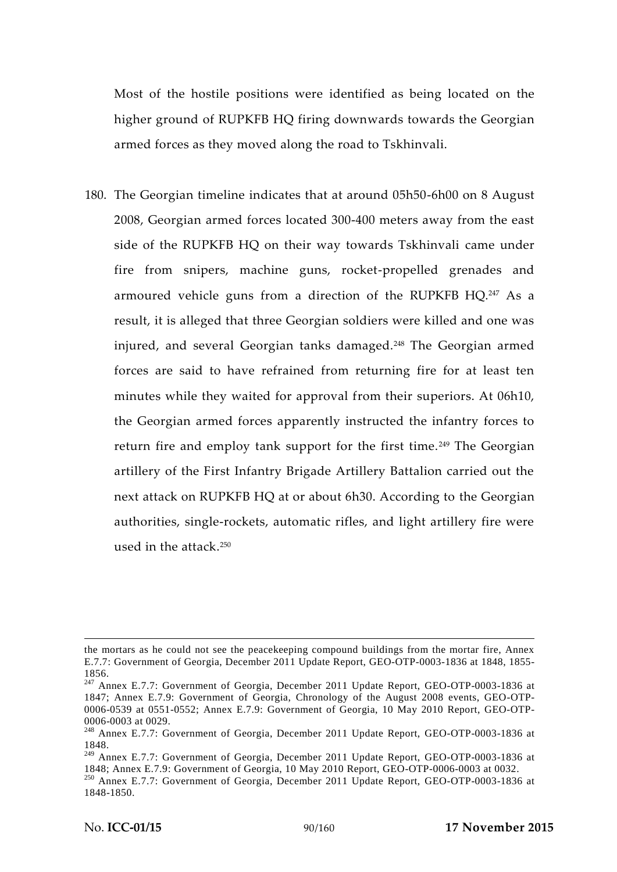Most of the hostile positions were identified as being located on the higher ground of RUPKFB HQ firing downwards towards the Georgian armed forces as they moved along the road to Tskhinvali.

180. The Georgian timeline indicates that at around 05h50-6h00 on 8 August 2008, Georgian armed forces located 300-400 meters away from the east side of the RUPKFB HQ on their way towards Tskhinvali came under fire from snipers, machine guns, rocket-propelled grenades and armoured vehicle guns from a direction of the RUPKFB HQ.<sup>247</sup> As a result, it is alleged that three Georgian soldiers were killed and one was injured, and several Georgian tanks damaged.<sup>248</sup> The Georgian armed forces are said to have refrained from returning fire for at least ten minutes while they waited for approval from their superiors. At 06h10, the Georgian armed forces apparently instructed the infantry forces to return fire and employ tank support for the first time.<sup>249</sup> The Georgian artillery of the First Infantry Brigade Artillery Battalion carried out the next attack on RUPKFB HQ at or about 6h30. According to the Georgian authorities, single-rockets, automatic rifles, and light artillery fire were used in the attack.<sup>250</sup>

the mortars as he could not see the peacekeeping compound buildings from the mortar fire, Annex E.7.7: Government of Georgia, December 2011 Update Report, GEO-OTP-0003-1836 at 1848, 1855- 1856. <sup>247</sup> Annex E.7.7: Government of Georgia, December 2011 Update Report, GEO-OTP-0003-1836 at

<sup>1847;</sup> Annex E.7.9: Government of Georgia, Chronology of the August 2008 events, GEO-OTP- 0006-0539 at 0551-0552; Annex E.7.9: Government of Georgia, 10 May 2010 Report, GEO-OTP-0006-0003 at 0029.

<sup>&</sup>lt;sup>248</sup> Annex E.7.7: Government of Georgia, December 2011 Update Report, GEO-OTP-0003-1836 at 1848.

<sup>&</sup>lt;sup>249</sup> Annex E.7.7: Government of Georgia, December 2011 Update Report, GEO-OTP-0003-1836 at 1848; Annex E.7.9: Government of Georgia, 10 May 2010 Report, GEO-OTP-0006-0003 at 0032.

 $^{250}$  Annex E.7.7: Government of Georgia, December 2011 Update Report, GEO-OTP-0003-1836 at 1848-1850.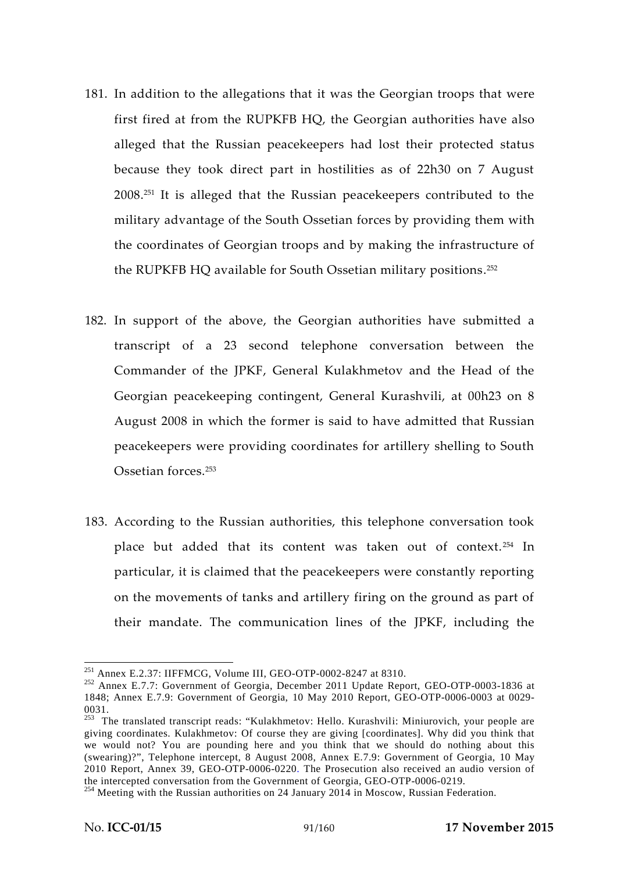- 181. In addition to the allegations that it was the Georgian troops that were first fired at from the RUPKFB HQ, the Georgian authorities have also alleged that the Russian peacekeepers had lost their protected status because they took direct part in hostilities as of 22h30 on 7 August 2008.<sup>251</sup> It is alleged that the Russian peacekeepers contributed to the military advantage of the South Ossetian forces by providing them with the coordinates of Georgian troops and by making the infrastructure of the RUPKFB HQ available for South Ossetian military positions.<sup>252</sup>
- 182. In support of the above, the Georgian authorities have submitted a transcript of a 23 second telephone conversation between the Commander of the JPKF, General Kulakhmetov and the Head of the Georgian peacekeeping contingent, General Kurashvili, at 00h23 on 8 August 2008 in which the former is said to have admitted that Russian peacekeepers were providing coordinates for artillery shelling to South Ossetian forces.<sup>253</sup>
- 183. According to the Russian authorities, this telephone conversation took place but added that its content was taken out of context.<sup>254</sup> In particular, it is claimed that the peacekeepers were constantly reporting on the movements of tanks and artillery firing on the ground as part of their mandate. The communication lines of the JPKF, including the

<sup>&</sup>lt;sup>251</sup> Annex E.2.37: IIFFMCG, Volume III, GEO-OTP-0002-8247 at 8310.<br><sup>252</sup> Annex E.7.7: Government of Georgia, December 2011 Update Report, GEO-OTP-0003-1836 at 1848; Annex E.7.9: Government of Georgia, 10 May 2010 Report, GEO-OTP-0006-0003 at 0029-

<sup>0031.</sup> <sup>253</sup> The translated transcript reads: "Kulakhmetov: Hello. Kurashvili: Miniurovich, your people are giving coordinates. Kulakhmetov: Of course they are giving [coordinates]. Why did you think that we would not? You are pounding here and you think that we should do nothing about this (swearing)?", Telephone intercept, 8 August 2008, Annex E.7.9: Government of Georgia, 10 May 2010 Report, Annex 39, GEO-OTP-0006-0220. The Prosecution also received an audio version of

the intercepted conversation from the Government of Georgia, GEO-OTP-0006-0219.<br><sup>254</sup> Meeting with the Russian authorities on 24 January 2014 in Moscow, Russian Federation.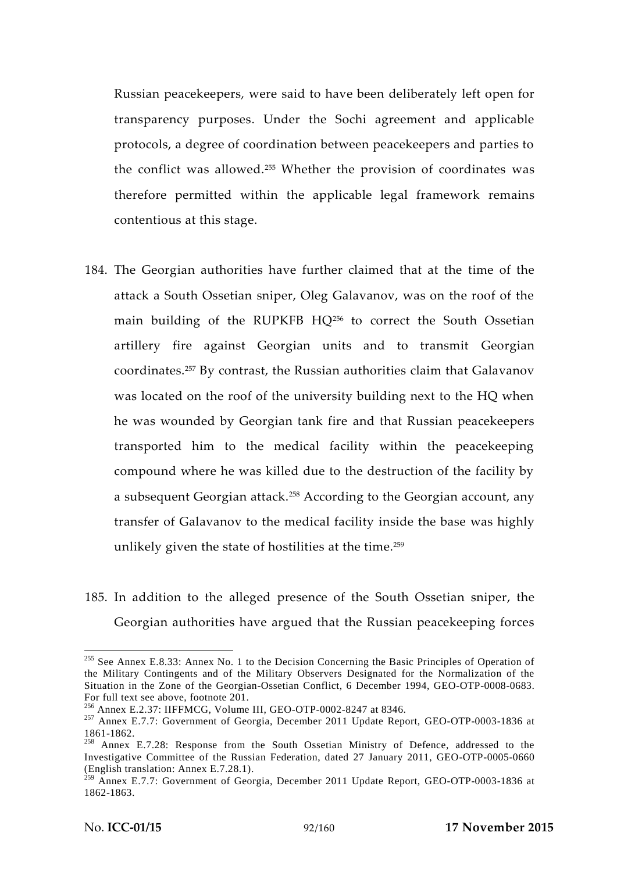Russian peacekeepers, were said to have been deliberately left open for transparency purposes. Under the Sochi agreement and applicable protocols, a degree of coordination between peacekeepers and parties to the conflict was allowed.<sup>255</sup> Whether the provision of coordinates was therefore permitted within the applicable legal framework remains contentious at this stage.

- 184. The Georgian authorities have further claimed that at the time of the attack a South Ossetian sniper, Oleg Galavanov, was on the roof of the main building of the RUPKFB HQ<sup>256</sup> to correct the South Ossetian artillery fire against Georgian units and to transmit Georgian coordinates.<sup>257</sup> By contrast, the Russian authorities claim that Galavanov was located on the roof of the university building next to the HQ when he was wounded by Georgian tank fire and that Russian peacekeepers transported him to the medical facility within the peacekeeping compound where he was killed due to the destruction of the facility by a subsequent Georgian attack.<sup>258</sup> According to the Georgian account, any transfer of Galavanov to the medical facility inside the base was highly unlikely given the state of hostilities at the time.<sup>259</sup>
- 185. In addition to the alleged presence of the South Ossetian sniper, the Georgian authorities have argued that the Russian peacekeeping forces

<sup>&</sup>lt;sup>255</sup> See Annex E.8.33: Annex No. 1 to the Decision Concerning the Basic Principles of Operation of the Military Contingents and of the Military Observers Designated for the Normalization of the Situation in the Zone of the Georgian-Ossetian Conflict, 6 December 1994, GEO-OTP-0008-0683.

For full text see above, footnote 201.<br><sup>256</sup> Annex E.2.37: IIFFMCG, Volume III, GEO-OTP-0002-8247 at 8346.<br><sup>257</sup> Annex E.7.7: Government of Georgia, December 2011 Update Report, GEO-OTP-0003-1836 at

<sup>1861-1862.&</sup>lt;br><sup>258</sup> Annex E.7.28: Response from the South Ossetian Ministry of Defence, addressed to the Investigative Committee of the Russian Federation, dated 27 January 2011, GEO-OTP-0005-0660

 $^{259}$  Annex E.7.7: Government of Georgia, December 2011 Update Report, GEO-OTP-0003-1836 at 1862-1863.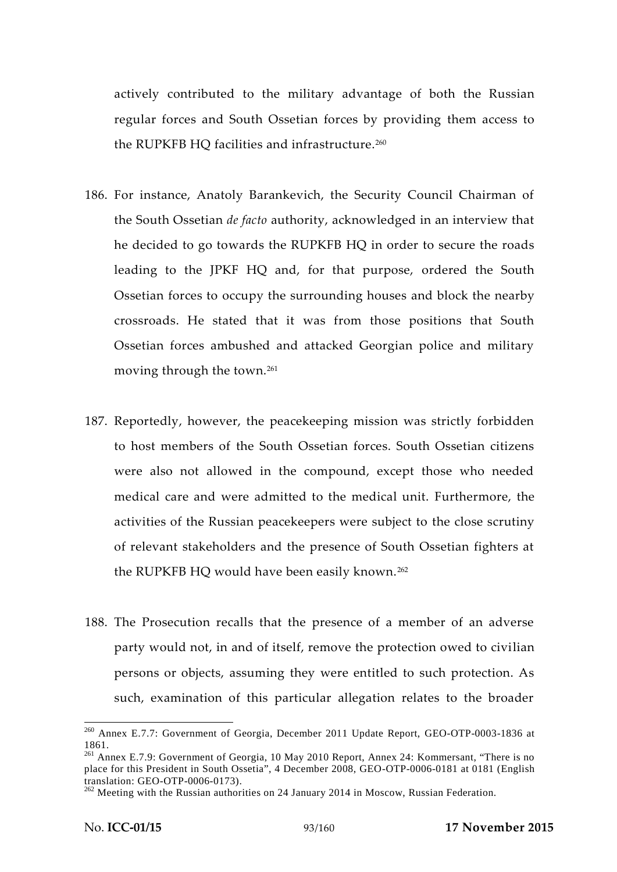actively contributed to the military advantage of both the Russian regular forces and South Ossetian forces by providing them access to the RUPKFB HO facilities and infrastructure.<sup>260</sup>

- 186. For instance, Anatoly Barankevich, the Security Council Chairman of the South Ossetian *de facto* authority, acknowledged in an interview that he decided to go towards the RUPKFB HQ in order to secure the roads leading to the JPKF HQ and, for that purpose, ordered the South Ossetian forces to occupy the surrounding houses and block the nearby crossroads. He stated that it was from those positions that South Ossetian forces ambushed and attacked Georgian police and military moving through the town.<sup>261</sup>
- 187. Reportedly, however, the peacekeeping mission was strictly forbidden to host members of the South Ossetian forces. South Ossetian citizens were also not allowed in the compound, except those who needed medical care and were admitted to the medical unit. Furthermore, the activities of the Russian peacekeepers were subject to the close scrutiny of relevant stakeholders and the presence of South Ossetian fighters at the RUPKFB HQ would have been easily known.<sup>262</sup>
- 188. The Prosecution recalls that the presence of a member of an adverse party would not, in and of itself, remove the protection owed to civilian persons or objects, assuming they were entitled to such protection. As such, examination of this particular allegation relates to the broader

<sup>260</sup> Annex E.7.7: Government of Georgia, December 2011 Update Report, GEO-OTP-0003-1836 at

<sup>1861.</sup> <sup>261</sup> Annex E.7.9: Government of Georgia, 10 May 2010 Report, Annex 24: Kommersant, "There is no place for this President in South Ossetia", 4 December 2008, GEO-OTP-0006-0181 at 0181 (English

translation: GEO-OTP-0006-0173).<br><sup>262</sup> Meeting with the Russian authorities on 24 January 2014 in Moscow, Russian Federation.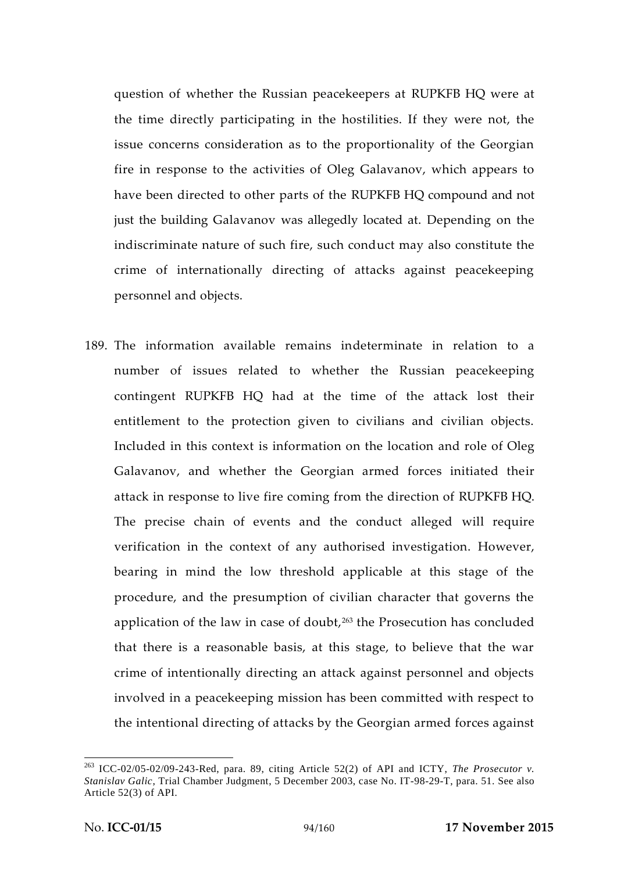question of whether the Russian peacekeepers at RUPKFB HQ were at the time directly participating in the hostilities. If they were not, the issue concerns consideration as to the proportionality of the Georgian fire in response to the activities of Oleg Galavanov, which appears to have been directed to other parts of the RUPKFB HQ compound and not just the building Galavanov was allegedly located at. Depending on the indiscriminate nature of such fire, such conduct may also constitute the crime of internationally directing of attacks against peacekeeping personnel and objects.

189. The information available remains indeterminate in relation to a number of issues related to whether the Russian peacekeeping contingent RUPKFB HQ had at the time of the attack lost their entitlement to the protection given to civilians and civilian objects. Included in this context is information on the location and role of Oleg Galavanov, and whether the Georgian armed forces initiated their attack in response to live fire coming from the direction of RUPKFB HQ. The precise chain of events and the conduct alleged will require verification in the context of any authorised investigation. However, bearing in mind the low threshold applicable at this stage of the procedure, and the presumption of civilian character that governs the application of the law in case of doubt, $263$  the Prosecution has concluded that there is a reasonable basis, at this stage, to believe that the war crime of intentionally directing an attack against personnel and objects involved in a peacekeeping mission has been committed with respect to the intentional directing of attacks by the Georgian armed forces against

<sup>263</sup> ICC-02/05-02/09-243-Red, para. 89, citing Article 52(2) of API and ICTY, *The Prosecutor v. Stanislav Galic*, Trial Chamber Judgment, 5 December 2003, case No. IT-98-29-T, para. 51. See also Article 52(3) of API.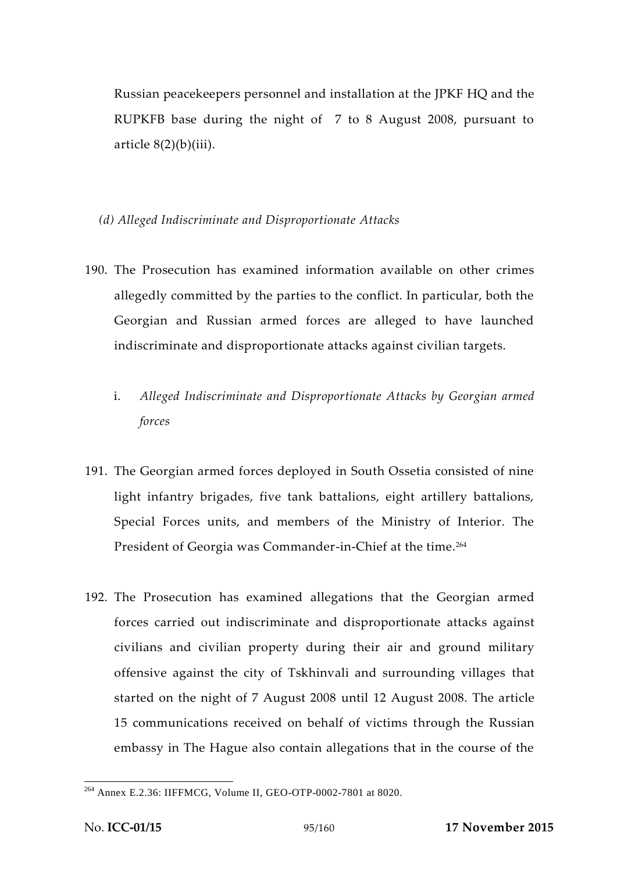Russian peacekeepers personnel and installation at the JPKF HQ and the RUPKFB base during the night of 7 to 8 August 2008, pursuant to article  $8(2)(b)(iii)$ .

*(d) Alleged Indiscriminate and Disproportionate Attacks*

- 190. The Prosecution has examined information available on other crimes allegedly committed by the parties to the conflict. In particular, both the Georgian and Russian armed forces are alleged to have launched indiscriminate and disproportionate attacks against civilian targets.
	- i. *Alleged Indiscriminate and Disproportionate Attacks by Georgian armed forces*
- 191. The Georgian armed forces deployed in South Ossetia consisted of nine light infantry brigades, five tank battalions, eight artillery battalions, Special Forces units, and members of the Ministry of Interior. The President of Georgia was Commander-in-Chief at the time.<sup>264</sup>
- 192. The Prosecution has examined allegations that the Georgian armed forces carried out indiscriminate and disproportionate attacks against civilians and civilian property during their air and ground military offensive against the city of Tskhinvali and surrounding villages that started on the night of 7 August 2008 until 12 August 2008. The article 15 communications received on behalf of victims through the Russian embassy in The Hague also contain allegations that in the course of the

<sup>264</sup> Annex E.2.36: IIFFMCG, Volume II, GEO-OTP-0002-7801 at 8020.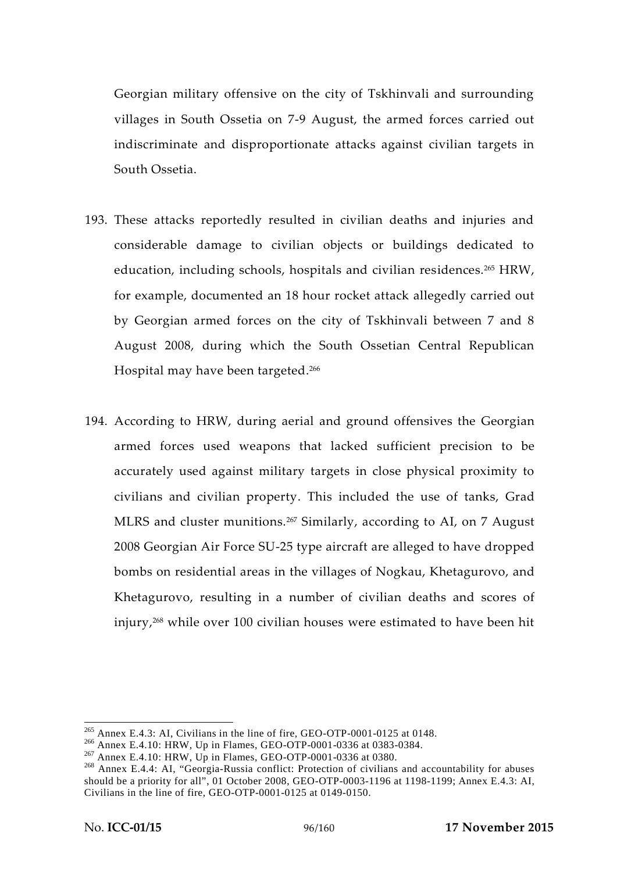Georgian military offensive on the city of Tskhinvali and surrounding villages in South Ossetia on 7-9 August, the armed forces carried out indiscriminate and disproportionate attacks against civilian targets in South Ossetia.

- 193. These attacks reportedly resulted in civilian deaths and injuries and considerable damage to civilian objects or buildings dedicated to education, including schools, hospitals and civilian residences.<sup>265</sup> HRW, for example, documented an 18 hour rocket attack allegedly carried out by Georgian armed forces on the city of Tskhinvali between 7 and 8 August 2008, during which the South Ossetian Central Republican Hospital may have been targeted.<sup>266</sup>
- 194. According to HRW, during aerial and ground offensives the Georgian armed forces used weapons that lacked sufficient precision to be accurately used against military targets in close physical proximity to civilians and civilian property. This included the use of tanks, Grad MLRS and cluster munitions.<sup>267</sup> Similarly, according to AI, on 7 August 2008 Georgian Air Force SU-25 type aircraft are alleged to have dropped bombs on residential areas in the villages of Nogkau, Khetagurovo, and Khetagurovo, resulting in a number of civilian deaths and scores of injury,<sup>268</sup> while over 100 civilian houses were estimated to have been hit

<sup>&</sup>lt;sup>265</sup> Annex E.4.3: AI, Civilians in the line of fire, GEO-OTP-0001-0125 at 0148.<br><sup>266</sup> Annex E.4.10: HRW, Up in Flames, GEO-OTP-0001-0336 at 0383-0384.<br><sup>267</sup> Annex E.4.10: HRW, Up in Flames, GEO-OTP-0001-0336 at 0380.<br><sup>26</sup> should be a priority for all", 01 October 2008, GEO-OTP-0003-1196 at 1198-1199; Annex E.4.3: AI, Civilians in the line of fire, GEO-OTP-0001-0125 at 0149-0150.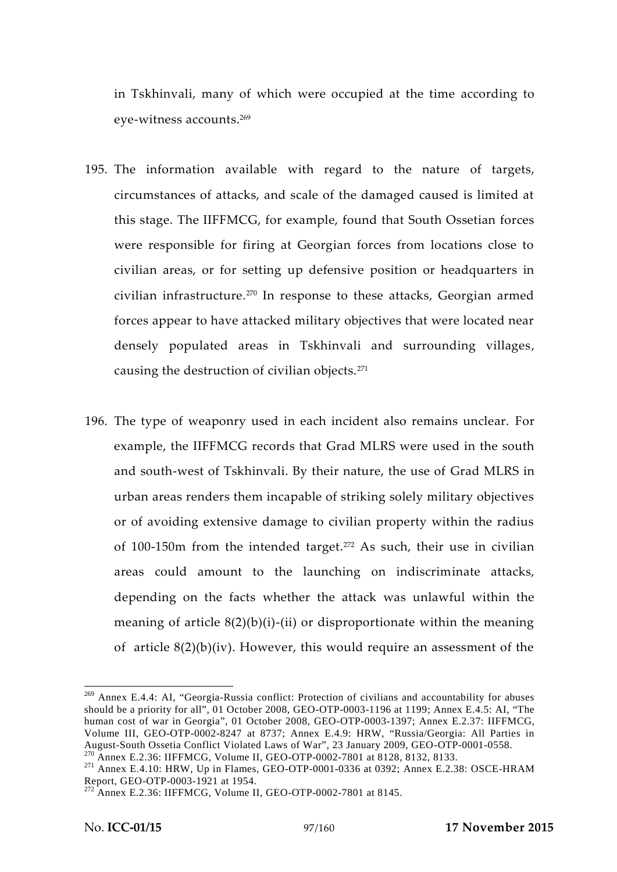in Tskhinvali, many of which were occupied at the time according to eye-witness accounts.<sup>269</sup>

- 195. The information available with regard to the nature of targets, circumstances of attacks, and scale of the damaged caused is limited at this stage. The IIFFMCG, for example, found that South Ossetian forces were responsible for firing at Georgian forces from locations close to civilian areas, or for setting up defensive position or headquarters in civilian infrastructure.<sup>270</sup> In response to these attacks, Georgian armed forces appear to have attacked military objectives that were located near densely populated areas in Tskhinvali and surrounding villages, causing the destruction of civilian objects.<sup>271</sup>
- 196. The type of weaponry used in each incident also remains unclear. For example, the IIFFMCG records that Grad MLRS were used in the south and south-west of Tskhinvali. By their nature, the use of Grad MLRS in urban areas renders them incapable of striking solely military objectives or of avoiding extensive damage to civilian property within the radius of 100-150m from the intended target.<sup>272</sup> As such, their use in civilian areas could amount to the launching on indiscriminate attacks, depending on the facts whether the attack was unlawful within the meaning of article  $8(2)(b)(i)-(ii)$  or disproportionate within the meaning of article  $8(2)(b)(iv)$ . However, this would require an assessment of the

<sup>&</sup>lt;sup>269</sup> Annex E.4.4: AI, "Georgia-Russia conflict: Protection of civilians and accountability for abuses should be a priority for all", 01 October 2008, GEO-OTP-0003-1196 at 1199; Annex E.4.5: AI, "The human cost of war in Georgia", 01 October 2008, GEO-OTP-0003-1397; Annex E.2.37: IIFFMCG, Volume III, GEO-OTP-0002-8247 at 8737; Annex E.4.9: HRW, "Russia/Georgia: All Parties in

<sup>&</sup>lt;sup>270</sup> Annex E.2.36: IIFFMCG, Volume II, GEO-OTP-0002-7801 at 8128, 8132, 8133.<br><sup>271</sup> Annex E.4.10: HRW, Up in Flames, GEO-OTP-0001-0336 at 0392; Annex E.2.38: OSCE-HRAM<br>Report, GEO-OTP-0003-1921 at 1954.

<sup>&</sup>lt;sup>272</sup> Annex E.2.36: IIFFMCG, Volume II, GEO-OTP-0002-7801 at 8145.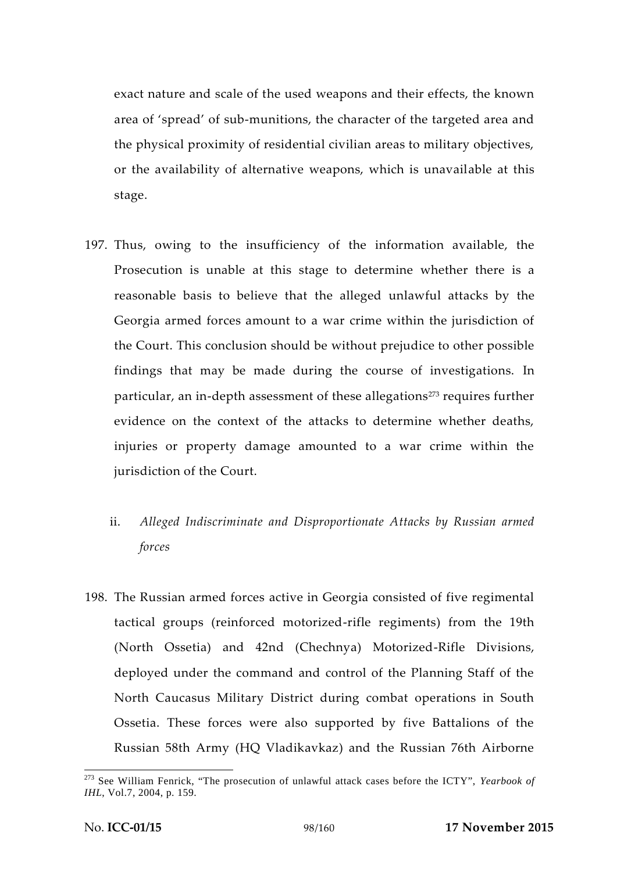exact nature and scale of the used weapons and their effects, the known area of 'spread' of sub-munitions, the character of the targeted area and the physical proximity of residential civilian areas to military objectives, or the availability of alternative weapons, which is unavailable at this stage.

- 197. Thus, owing to the insufficiency of the information available, the Prosecution is unable at this stage to determine whether there is a reasonable basis to believe that the alleged unlawful attacks by the Georgia armed forces amount to a war crime within the jurisdiction of the Court. This conclusion should be without prejudice to other possible findings that may be made during the course of investigations. In particular, an in-depth assessment of these allegations<sup>273</sup> requires further evidence on the context of the attacks to determine whether deaths, injuries or property damage amounted to a war crime within the jurisdiction of the Court.
	- ii. *Alleged Indiscriminate and Disproportionate Attacks by Russian armed forces*
- 198. The Russian armed forces active in Georgia consisted of five regimental tactical groups (reinforced motorized-rifle regiments) from the 19th (North Ossetia) and 42nd (Chechnya) Motorized-Rifle Divisions, deployed under the command and control of the Planning Staff of the North Caucasus Military District during combat operations in South Ossetia. These forces were also supported by five Battalions of the Russian 58th Army (HQ Vladikavkaz) and the Russian 76th Airborne

<sup>273</sup> See William Fenrick, "The prosecution of unlawful attack cases before the ICTY", *Yearbook of IHL*, Vol.7, 2004, p. 159.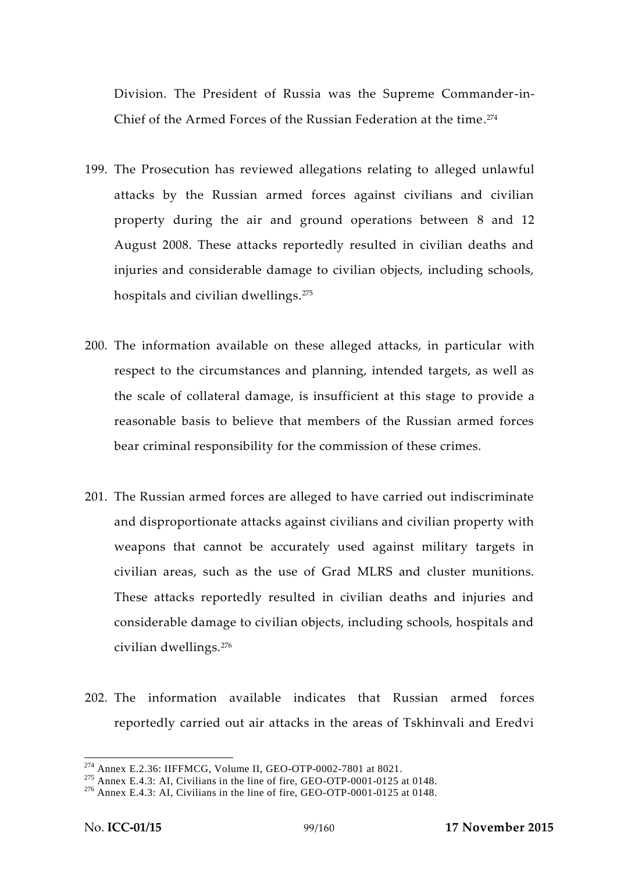Division. The President of Russia was the Supreme Commander-in- Chief of the Armed Forces of the Russian Federation at the time.<sup>274</sup>

- 199. The Prosecution has reviewed allegations relating to alleged unlawful attacks by the Russian armed forces against civilians and civilian property during the air and ground operations between 8 and 12 August 2008. These attacks reportedly resulted in civilian deaths and injuries and considerable damage to civilian objects, including schools, hospitals and civilian dwellings.<sup>275</sup>
- 200. The information available on these alleged attacks, in particular with respect to the circumstances and planning, intended targets, as well as the scale of collateral damage, is insufficient at this stage to provide a reasonable basis to believe that members of the Russian armed forces bear criminal responsibility for the commission of these crimes.
- 201. The Russian armed forces are alleged to have carried out indiscriminate and disproportionate attacks against civilians and civilian property with weapons that cannot be accurately used against military targets in civilian areas, such as the use of Grad MLRS and cluster munitions. These attacks reportedly resulted in civilian deaths and injuries and considerable damage to civilian objects, including schools, hospitals and civilian dwellings.<sup>276</sup>
- 202. The information available indicates that Russian armed forces reportedly carried out air attacks in the areas of Tskhinvali and Eredvi

<sup>&</sup>lt;sup>274</sup> Annex E.2.36: IIFFMCG, Volume II, GEO-OTP-0002-7801 at 8021.<br><sup>275</sup> Annex E.4.3: AI, Civilians in the line of fire, GEO-OTP-0001-0125 at 0148.<br><sup>276</sup> Annex E.4.3: AI, Civilians in the line of fire, GEO-OTP-0001-0125 a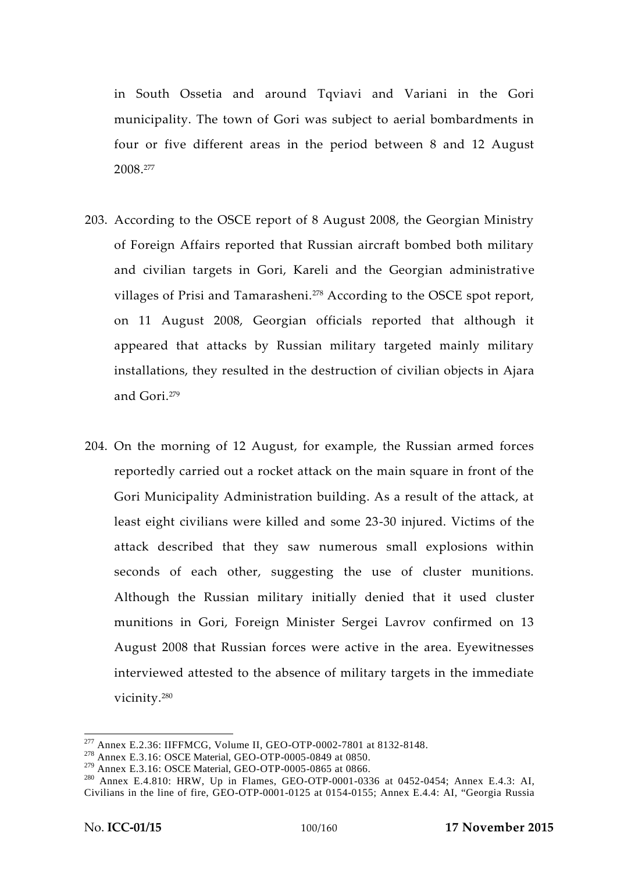in South Ossetia and around Tqviavi and Variani in the Gori municipality. The town of Gori was subject to aerial bombardments in four or five different areas in the period between 8 and 12 August 2008.<sup>277</sup>

- 203. According to the OSCE report of 8 August 2008, the Georgian Ministry of Foreign Affairs reported that Russian aircraft bombed both military and civilian targets in Gori, Kareli and the Georgian administrative villages of Prisi and Tamarasheni.<sup>278</sup> According to the OSCE spot report, on 11 August 2008, Georgian officials reported that although it appeared that attacks by Russian military targeted mainly military installations, they resulted in the destruction of civilian objects in Ajara and Gori<sup>279</sup>
- 204. On the morning of 12 August, for example, the Russian armed forces reportedly carried out a rocket attack on the main square in front of the Gori Municipality Administration building. As a result of the attack, at least eight civilians were killed and some 23-30 injured. Victims of the attack described that they saw numerous small explosions within seconds of each other, suggesting the use of cluster munitions. Although the Russian military initially denied that it used cluster munitions in Gori, Foreign Minister Sergei Lavrov confirmed on 13 August 2008 that Russian forces were active in the area. Eyewitnesses interviewed attested to the absence of military targets in the immediate vicinity.<sup>280</sup>

<sup>&</sup>lt;sup>277</sup> Annex E.2.36: IIFFMCG, Volume II, GEO-OTP-0002-7801 at 8132-8148.<br><sup>278</sup> Annex E.3.16: OSCE Material, GEO-OTP-0005-0849 at 0850.<br><sup>279</sup> Annex E.3.16: OSCE Material, GEO-OTP-0005-0865 at 0866.

 $280$  Annex E.4.810: HRW, Up in Flames, GEO-OTP-0001-0336 at 0452-0454; Annex E.4.3: AI, Civilians in the line of fire, GEO-OTP-0001-0125 at 0154-0155; Annex E.4.4: AI, "Georgia Russia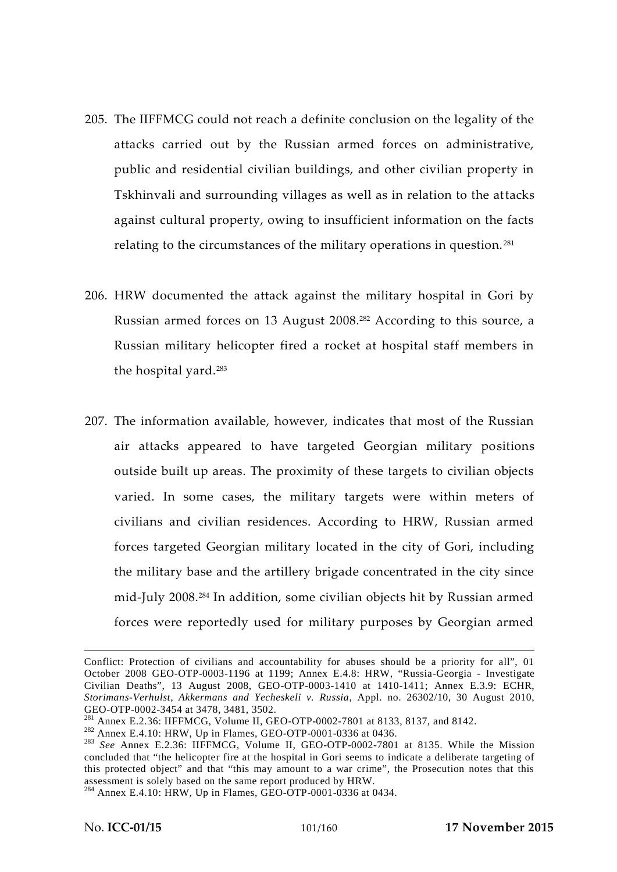- 205. The IIFFMCG could not reach a definite conclusion on the legality of the attacks carried out by the Russian armed forces on administrative, public and residential civilian buildings, and other civilian property in Tskhinvali and surrounding villages as well as in relation to the attacks against cultural property, owing to insufficient information on the facts relating to the circumstances of the military operations in question. <sup>281</sup>
- 206. HRW documented the attack against the military hospital in Gori by Russian armed forces on 13 August 2008.<sup>282</sup> According to this source, a Russian military helicopter fired a rocket at hospital staff members in the hospital yard.<sup>283</sup>
- 207. The information available, however, indicates that most of the Russian air attacks appeared to have targeted Georgian military positions outside built up areas. The proximity of these targets to civilian objects varied. In some cases, the military targets were within meters of civilians and civilian residences. According to HRW, Russian armed forces targeted Georgian military located in the city of Gori, including the military base and the artillery brigade concentrated in the city since mid-July 2008.<sup>284</sup> In addition, some civilian objects hit by Russian armed forces were reportedly used for military purposes by Georgian armed

Conflict: Protection of civilians and accountability for abuses should be a priority for all", 01 October 2008 GEO-OTP-0003-1196 at 1199; Annex E.4.8: HRW, "Russia-Georgia - Investigate Civilian Deaths", 13 August 2008, GEO-OTP-0003-1410 at 1410-1411; Annex E.3.9: ECHR, *Storimans-Verhulst, Akkermans and Yecheskeli v. Russia*, Appl. no. 26302/10, 30 August 2010,

<sup>&</sup>lt;sup>281</sup> Annex E.2.36: IIFFMCG, Volume II, GEO-OTP-0002-7801 at 8133, 8137, and 8142.<br><sup>282</sup> Annex E.4.10: HRW, Up in Flames, GEO-OTP-0001-0336 at 0436.<br><sup>283</sup> *See* Annex E.2.36: IIFFMCG, Volume II, GEO-OTP-0002-7801 at 8135. concluded that "the helicopter fire at the hospital in Gori seems to indicate a deliberate targeting of this protected object" and that "this may amount to a war crime", the Prosecution notes that this assessment is solely based on the same report produced by HRW. <sup>284</sup> Annex E.4.10: HRW, Up in Flames, GEO-OTP-0001-0336 at 0434.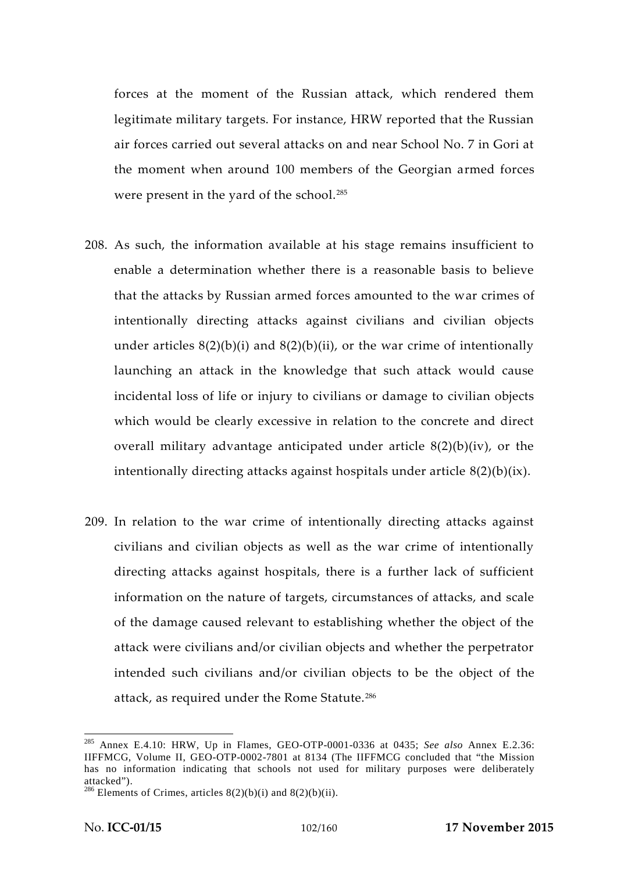forces at the moment of the Russian attack, which rendered them legitimate military targets. For instance, HRW reported that the Russian air forces carried out several attacks on and near School No. 7 in Gori at the moment when around 100 members of the Georgian armed forces were present in the yard of the school.<sup>285</sup>

- 208. As such, the information available at his stage remains insufficient to enable a determination whether there is a reasonable basis to believe that the attacks by Russian armed forces amounted to the war crimes of intentionally directing attacks against civilians and civilian objects under articles  $8(2)(b)(i)$  and  $8(2)(b)(ii)$ , or the war crime of intentionally launching an attack in the knowledge that such attack would cause incidental loss of life or injury to civilians or damage to civilian objects which would be clearly excessive in relation to the concrete and direct overall military advantage anticipated under article 8(2)(b)(iv), or the intentionally directing attacks against hospitals under article 8(2)(b)(ix).
- 209. In relation to the war crime of intentionally directing attacks against civilians and civilian objects as well as the war crime of intentionally directing attacks against hospitals, there is a further lack of sufficient information on the nature of targets, circumstances of attacks, and scale of the damage caused relevant to establishing whether the object of the attack were civilians and/or civilian objects and whether the perpetrator intended such civilians and/or civilian objects to be the object of the attack, as required under the Rome Statute.<sup>286</sup>

<sup>285</sup> Annex E.4.10: HRW, Up in Flames, GEO-OTP-0001-0336 at 0435; *See also* Annex E.2.36: IIFFMCG, Volume II, GEO-OTP-0002-7801 at 8134 (The IIFFMCG concluded that "the Mission has no information indicating that schools not used for military purposes were deliberately

attacked").<br><sup>286</sup> Elements of Crimes, articles  $8(2)(b)(i)$  and  $8(2)(b)(ii)$ .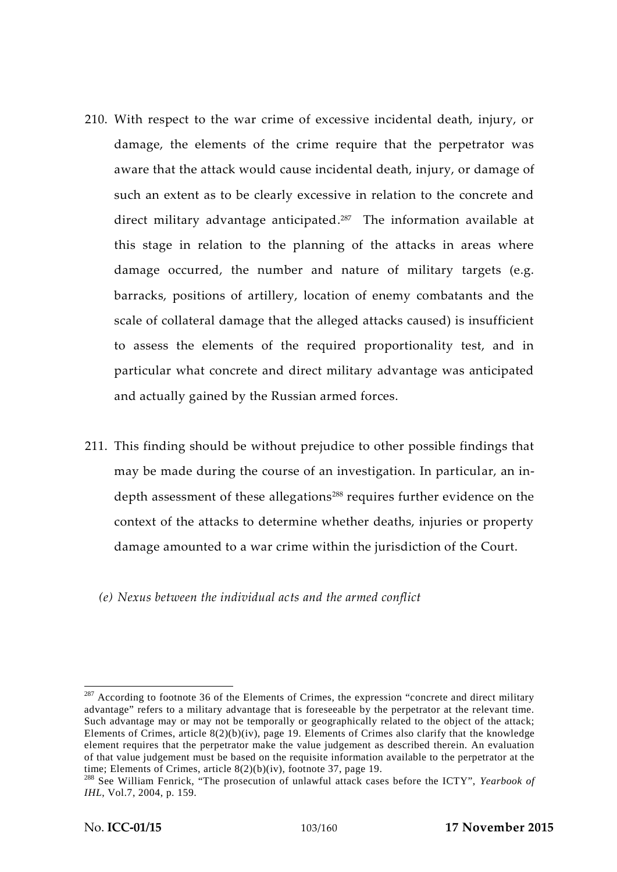- 210. With respect to the war crime of excessive incidental death, injury, or damage, the elements of the crime require that the perpetrator was aware that the attack would cause incidental death, injury, or damage of such an extent as to be clearly excessive in relation to the concrete and direct military advantage anticipated.<sup>287</sup> The information available at this stage in relation to the planning of the attacks in areas where damage occurred, the number and nature of military targets (e.g. barracks, positions of artillery, location of enemy combatants and the scale of collateral damage that the alleged attacks caused) is insufficient to assess the elements of the required proportionality test, and in particular what concrete and direct military advantage was anticipated and actually gained by the Russian armed forces.
- 211. This finding should be without prejudice to other possible findings that may be made during the course of an investigation. In particular, an in depth assessment of these allegations<sup>288</sup> requires further evidence on the context of the attacks to determine whether deaths, injuries or property damage amounted to a war crime within the jurisdiction of the Court.
	- *(e) Nexus between the individual acts and the armed conflict*

 $287$  According to footnote 36 of the Elements of Crimes, the expression "concrete and direct military advantage" refers to a military advantage that is foreseeable by the perpetrator at the relevant time. Such advantage may or may not be temporally or geographically related to the object of the attack; Elements of Crimes, article 8(2)(b)(iv), page 19. Elements of Crimes also clarify that the knowledge element requires that the perpetrator make the value judgement as described therein. An evaluation of that value judgement must be based on the requisite information available to the perpetrator at the time; Elements of Crimes, article 8(2)(b)(iv), footnote 37, page 19.<br><sup>288</sup> See William Fenrick, "The prosecution of unlawful attack cases before the ICTY", *Yearbook of* 

*IHL*, Vol.7, 2004, p. 159.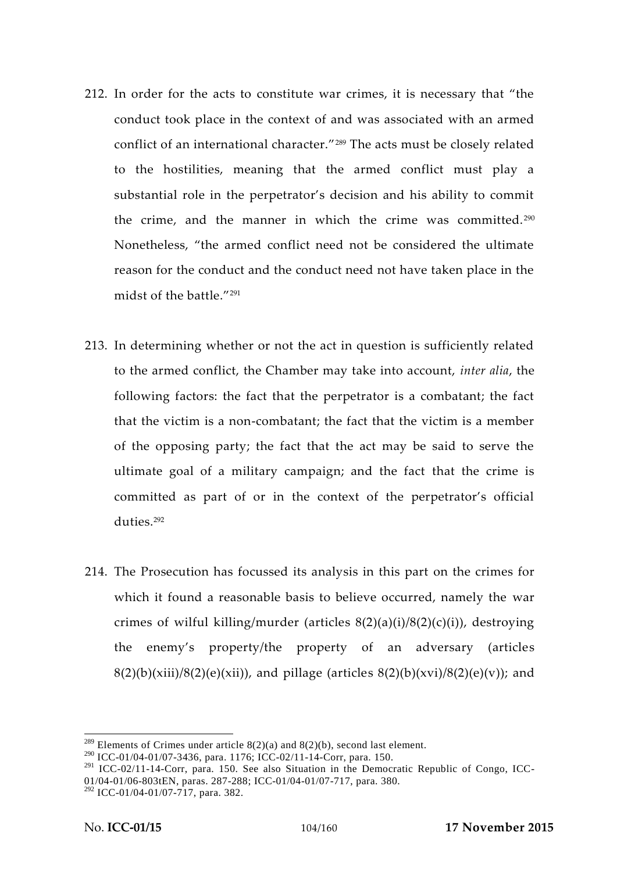- 212. In order for the acts to constitute war crimes, it is necessary that "the conduct took place in the context of and was associated with an armed conflict of an international character."<sup>289</sup> The acts must be closely related to the hostilities, meaning that the armed conflict must play a substantial role in the perpetrator's decision and his ability to commit the crime, and the manner in which the crime was committed.<sup>290</sup> Nonetheless, "the armed conflict need not be considered the ultimate reason for the conduct and the conduct need not have taken place in the midst of the battle."<sup>291</sup>
- 213. In determining whether or not the act in question is sufficiently related to the armed conflict, the Chamber may take into account, *inter alia*, the following factors: the fact that the perpetrator is a combatant; the fact that the victim is a non-combatant; the fact that the victim is a member of the opposing party; the fact that the act may be said to serve the ultimate goal of a military campaign; and the fact that the crime is committed as part of or in the context of the perpetrator's official duties<sup>292</sup>
- 214. The Prosecution has focussed its analysis in this part on the crimes for which it found a reasonable basis to believe occurred, namely the war crimes of wilful killing/murder (articles  $8(2)(a)(i)/8(2)(c)(i)$ ), destroying the enemy's property/the property of an adversary (articles  $8(2)(b)(xiii)/8(2)(e)(xii)$ , and pillage (articles  $8(2)(b)(xvi)/8(2)(e)(v)$ ); and

<sup>&</sup>lt;sup>289</sup> Elements of Crimes under article  $8(2)(a)$  and  $8(2)(b)$ , second last element.

<sup>290</sup> ICC-01/04-01/07-3436, para. 1176; ICC-02/11-14-Corr, para. 150.

<sup>&</sup>lt;sup>291</sup> ICC-02/11-14-Corr, para. 150. See also Situation in the Democratic Republic of Congo, ICC-01/04-01/06-803tEN, paras. 287-288; ICC-01/04-01/07-717, para. 380.

<sup>292</sup> ICC-01/04-01/07-717, para. 382.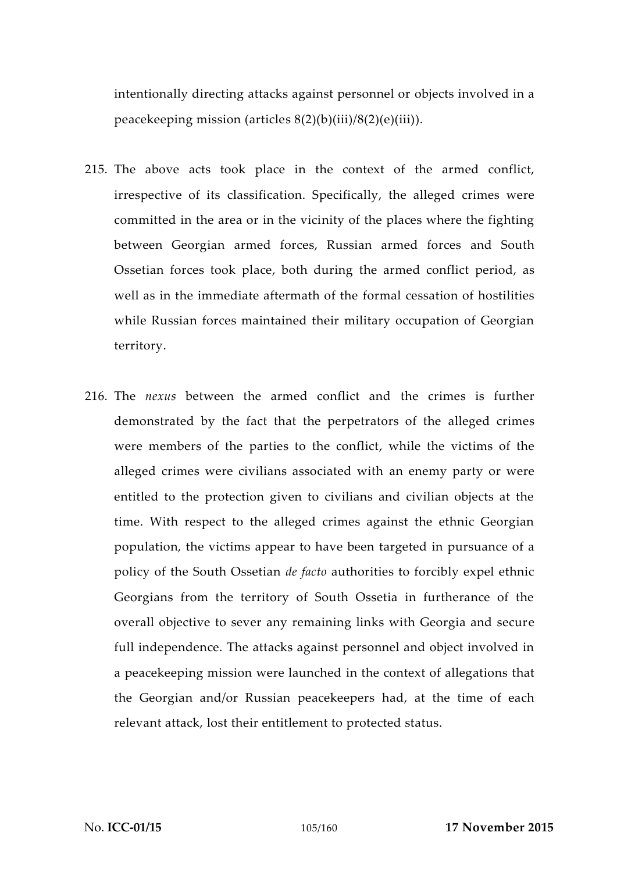intentionally directing attacks against personnel or objects involved in a peacekeeping mission (articles 8(2)(b)(iii)/8(2)(e)(iii)).

- 215. The above acts took place in the context of the armed conflict, irrespective of its classification. Specifically, the alleged crimes were committed in the area or in the vicinity of the places where the fighting between Georgian armed forces, Russian armed forces and South Ossetian forces took place, both during the armed conflict period, as well as in the immediate aftermath of the formal cessation of hostilities while Russian forces maintained their military occupation of Georgian territory.
- 216. The *nexus* between the armed conflict and the crimes is further demonstrated by the fact that the perpetrators of the alleged crimes were members of the parties to the conflict, while the victims of the alleged crimes were civilians associated with an enemy party or were entitled to the protection given to civilians and civilian objects at the time. With respect to the alleged crimes against the ethnic Georgian population, the victims appear to have been targeted in pursuance of a policy of the South Ossetian *de facto* authorities to forcibly expel ethnic Georgians from the territory of South Ossetia in furtherance of the overall objective to sever any remaining links with Georgia and secure full independence. The attacks against personnel and object involved in a peacekeeping mission were launched in the context of allegations that the Georgian and/or Russian peacekeepers had, at the time of each relevant attack, lost their entitlement to protected status.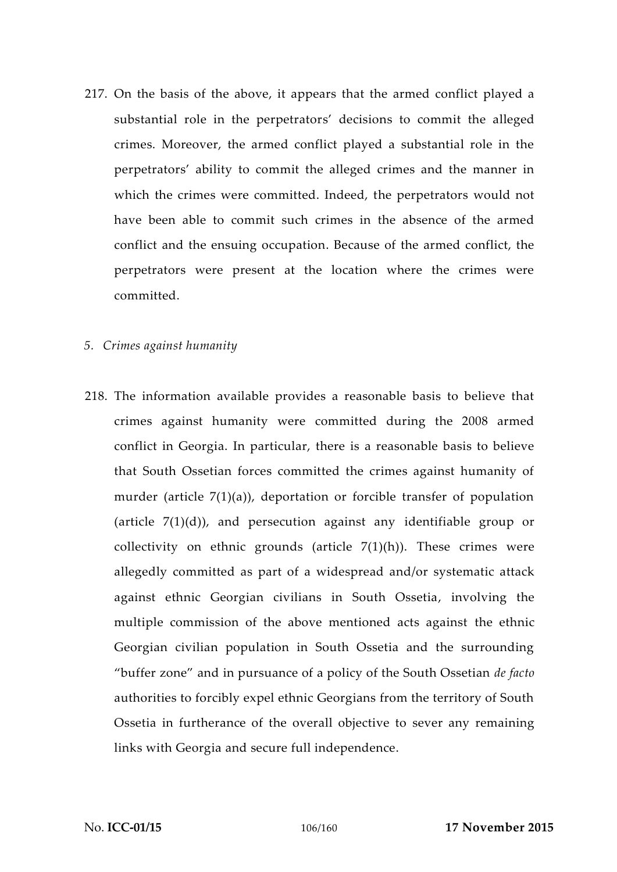217. On the basis of the above, it appears that the armed conflict played a substantial role in the perpetrators' decisions to commit the alleged crimes. Moreover, the armed conflict played a substantial role in the perpetrators' ability to commit the alleged crimes and the manner in which the crimes were committed. Indeed, the perpetrators would not have been able to commit such crimes in the absence of the armed conflict and the ensuing occupation. Because of the armed conflict, the perpetrators were present at the location where the crimes were committed.

## *5. Crimes against humanity*

218. The information available provides a reasonable basis to believe that crimes against humanity were committed during the 2008 armed conflict in Georgia. In particular, there is a reasonable basis to believe that South Ossetian forces committed the crimes against humanity of murder (article 7(1)(a)), deportation or forcible transfer of population (article 7(1)(d)), and persecution against any identifiable group or collectivity on ethnic grounds (article  $7(1)(h)$ ). These crimes were allegedly committed as part of a widespread and/or systematic attack against ethnic Georgian civilians in South Ossetia, involving the multiple commission of the above mentioned acts against the ethnic Georgian civilian population in South Ossetia and the surrounding "buffer zone" and in pursuance of a policy of the South Ossetian *de facto* authorities to forcibly expel ethnic Georgians from the territory of South Ossetia in furtherance of the overall objective to sever any remaining links with Georgia and secure full independence.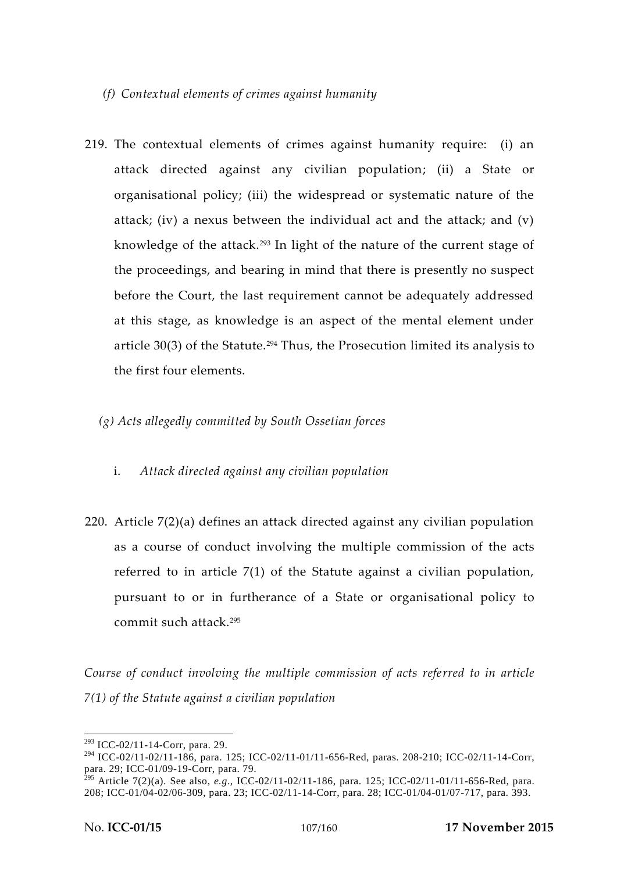# *(f) Contextual elements of crimes against humanity*

- 219. The contextual elements of crimes against humanity require: (i) an attack directed against any civilian population; (ii) a State or organisational policy; (iii) the widespread or systematic nature of the attack; (iv) a nexus between the individual act and the attack; and (v) knowledge of the attack.<sup>293</sup> In light of the nature of the current stage of the proceedings, and bearing in mind that there is presently no suspect before the Court, the last requirement cannot be adequately addressed at this stage, as knowledge is an aspect of the mental element under article  $30(3)$  of the Statute.<sup>294</sup> Thus, the Prosecution limited its analysis to the first four elements.
	- *(g) Acts allegedly committed by South Ossetian forces*
		- i. *Attack directed against any civilian population*
- 220. Article 7(2)(a) defines an attack directed against any civilian population as a course of conduct involving the multiple commission of the acts referred to in article 7(1) of the Statute against a civilian population, pursuant to or in furtherance of a State or organisational policy to commit such attack.<sup>295</sup>

*Course of conduct involving the multiple commission of acts referred to in article 7(1) of the Statute against a civilian population*

<sup>293</sup> ICC-02/11-14-Corr, para. 29.

<sup>294</sup> ICC-02/11-02/11-186, para. 125; ICC-02/11-01/11-656-Red, paras. 208-210; ICC-02/11-14-Corr, para. 29; ICC-01/09-19-Corr, para. 79.

<sup>295</sup> Article 7(2)(a). See also, *e.g*., ICC-02/11-02/11-186, para. 125; ICC-02/11-01/11-656-Red, para. 208; ICC-01/04-02/06-309, para. 23; ICC-02/11-14-Corr, para. 28; ICC-01/04-01/07-717, para. 393.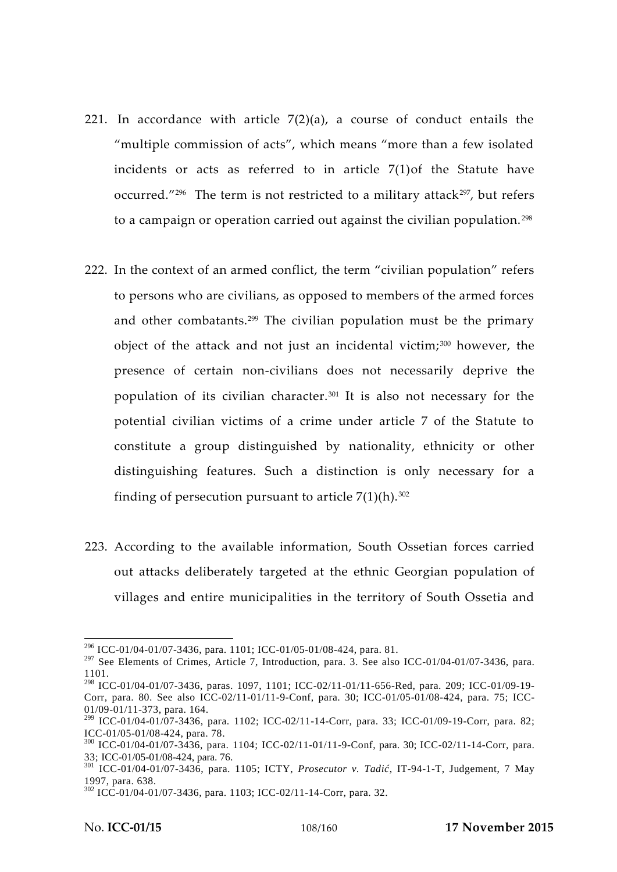- 221. In accordance with article  $7(2)(a)$ , a course of conduct entails the "multiple commission of acts", which means "more than a few isolated incidents or acts as referred to in article 7(1)of the Statute have occurred." $296$  The term is not restricted to a military attack $297$ , but refers to a campaign or operation carried out against the civilian population.<sup>298</sup>
- 222. In the context of an armed conflict, the term "civilian population" refers to persons who are civilians, as opposed to members of the armed forces and other combatants.<sup>299</sup> The civilian population must be the primary object of the attack and not just an incidental victim; <sup>300</sup> however, the presence of certain non-civilians does not necessarily deprive the population of its civilian character.<sup>301</sup> It is also not necessary for the potential civilian victims of a crime under article 7 of the Statute to constitute a group distinguished by nationality, ethnicity or other distinguishing features. Such a distinction is only necessary for a finding of persecution pursuant to article  $7(1)(h)$ .<sup>302</sup>
- 223. According to the available information, South Ossetian forces carried out attacks deliberately targeted at the ethnic Georgian population of villages and entire municipalities in the territory of South Ossetia and

<sup>296</sup> ICC-01/04-01/07-3436, para. 1101; ICC-01/05-01/08-424, para. 81.

 $297$  See Elements of Crimes, Article 7, Introduction, para. 3. See also ICC-01/04-01/07-3436, para. 1101.

<sup>298</sup> ICC-01/04-01/07-3436, paras. 1097, 1101; ICC-02/11-01/11-656-Red, para. 209; ICC-01/09-19- Corr, para. 80. See also ICC-02/11-01/11-9-Conf, para. 30; ICC-01/05-01/08-424, para. 75; ICC- 01/09-01/11-373, para. 164.

 $299$  ICC-01/04-01/07-3436, para. 1102; ICC-02/11-14-Corr, para. 33; ICC-01/09-19-Corr, para. 82; ICC-01/05-01/08-424, para. 78.

 $^{300}$  ICC-01/04-01/07-3436, para. 1104; ICC-02/11-01/11-9-Conf, para. 30; ICC-02/11-14-Corr, para. 33; ICC-01/05-01/08-424, para. 76.

<sup>&</sup>lt;sup>301</sup> ICC-01/04-01/07-3436, para. 1105; ICTY, *Prosecutor v. Tadi*, IT-94-1-T, Judgement, 7 May 1997, para. 638.<br><sup>302</sup> ICC-01/04-01/07-3436, para. 1103; ICC-02/11-14-Corr, para. 32.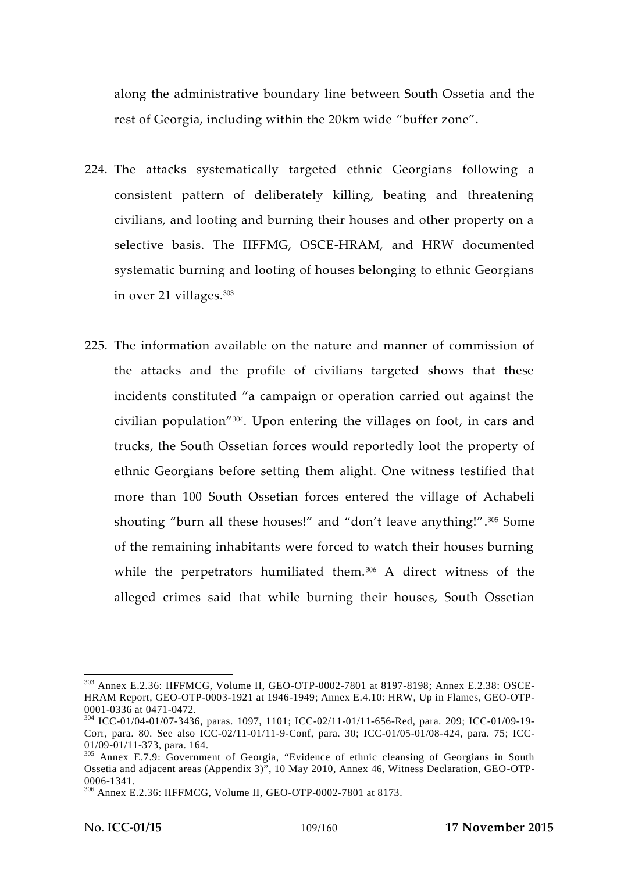along the administrative boundary line between South Ossetia and the rest of Georgia, including within the 20km wide "buffer zone".

- 224. The attacks systematically targeted ethnic Georgians following a consistent pattern of deliberately killing, beating and threatening civilians, and looting and burning their houses and other property on a selective basis. The IIFFMG, OSCE-HRAM, and HRW documented systematic burning and looting of houses belonging to ethnic Georgians in over 21 villages.<sup>303</sup>
- 225. The information available on the nature and manner of commission of the attacks and the profile of civilians targeted shows that these incidents constituted "a campaign or operation carried out against the civilian population"<sup>304</sup> . Upon entering the villages on foot, in cars and trucks, the South Ossetian forces would reportedly loot the property of ethnic Georgians before setting them alight. One witness testified that more than 100 South Ossetian forces entered the village of Achabeli shouting "burn all these houses!" and "don't leave anything!".<sup>305</sup> Some of the remaining inhabitants were forced to watch their houses burning while the perpetrators humiliated them.<sup>306</sup> A direct witness of the alleged crimes said that while burning their houses, South Ossetian

<sup>303</sup> Annex E.2.36: IIFFMCG, Volume II, GEO-OTP-0002-7801 at 8197-8198; Annex E.2.38: OSCE- HRAM Report, GEO-OTP-0003-1921 at 1946-1949; Annex E.4.10: HRW, Up in Flames, GEO-OTP-

<sup>&</sup>lt;sup>304</sup> ICC-01/04-01/07-3436, paras. 1097, 1101; ICC-02/11-01/11-656-Red, para. 209; ICC-01/09-19-Corr, para. 80. See also ICC-02/11-01/11-9-Conf, para. 30; ICC-01/05-01/08-424, para. 75; ICC-01/09-01/11-373, para. 164.

<sup>&</sup>lt;sup>305</sup> Annex E.7.9: Government of Georgia, "Evidence of ethnic cleansing of Georgians in South Ossetia and adjacent areas (Appendix 3)", 10 May 2010, Annex 46, Witness Declaration, GEO-OTP-

<sup>0006-1341.</sup> <sup>306</sup> Annex E.2.36: IIFFMCG, Volume II, GEO-OTP-0002-7801 at 8173.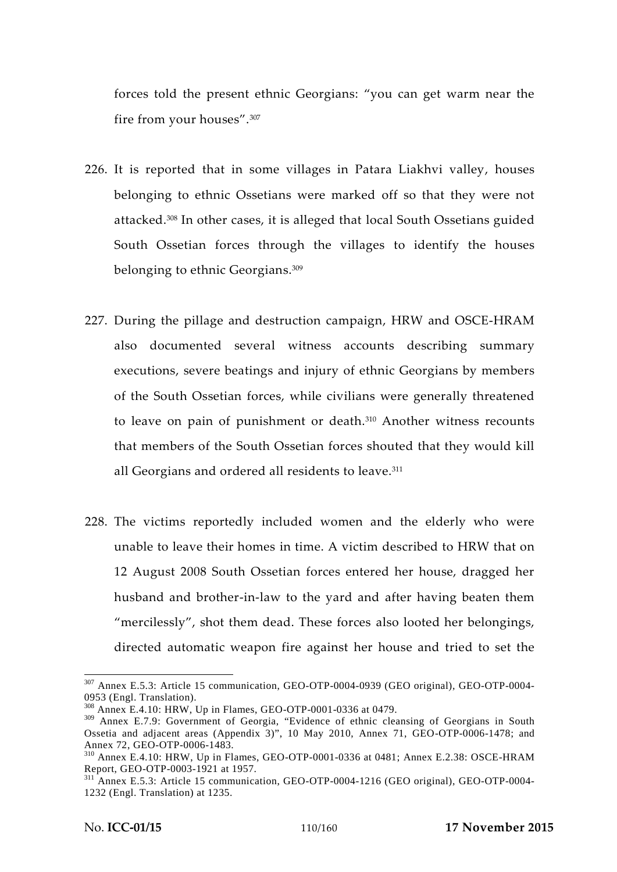forces told the present ethnic Georgians: "you can get warm near the fire from your houses".<sup>307</sup>

- 226. It is reported that in some villages in Patara Liakhvi valley, houses belonging to ethnic Ossetians were marked off so that they were not attacked.<sup>308</sup> In other cases, it is alleged that local South Ossetians guided South Ossetian forces through the villages to identify the houses belonging to ethnic Georgians.<sup>309</sup>
- 227. During the pillage and destruction campaign, HRW and OSCE-HRAM also documented several witness accounts describing summary executions, severe beatings and injury of ethnic Georgians by members of the South Ossetian forces, while civilians were generally threatened to leave on pain of punishment or death.<sup>310</sup> Another witness recounts that members of the South Ossetian forces shouted that they would kill all Georgians and ordered all residents to leave.<sup>311</sup>
- 228. The victims reportedly included women and the elderly who were unable to leave their homes in time. A victim described to HRW that on 12 August 2008 South Ossetian forces entered her house, dragged her husband and brother-in-law to the yard and after having beaten them "mercilessly", shot them dead. These forces also looted her belongings, directed automatic weapon fire against her house and tried to set the

<sup>307</sup> Annex E.5.3: Article 15 communication, GEO-OTP-0004-0939 (GEO original), GEO-OTP-0004- 0953 (Engl. Translation).<br><sup>308</sup> Annex E.4.10: HRW, Up in Flames, GEO-OTP-0001-0336 at 0479.

<sup>309</sup> Annex E.7.9: Government of Georgia, "Evidence of ethnic cleansing of Georgians in South Ossetia and adjacent areas (Appendix 3)", 10 May 2010, Annex 71, GEO-OTP-0006-1478; and Annex 72, GEO-OTP-0006-1483.

 $310$  Annex E.4.10: HRW, Up in Flames, GEO-OTP-0001-0336 at 0481; Annex E.2.38: OSCE-HRAM Report, GEO-OTP-0003-1921 at 1957.

 $\frac{311}{12}$  Annex E.5.3: Article 15 communication, GEO-OTP-0004-1216 (GEO original), GEO-OTP-0004-1232 (Engl. Translation) at 1235.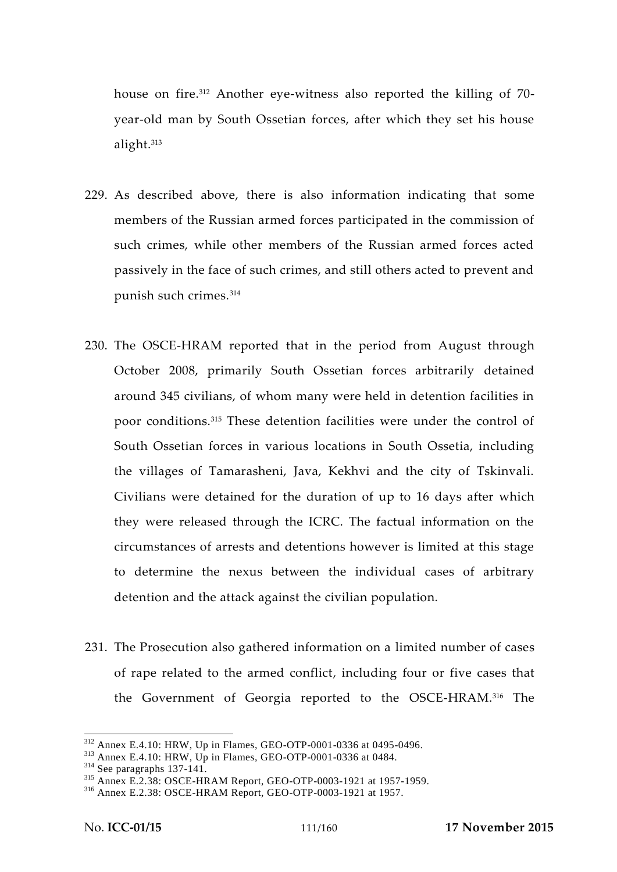house on fire.<sup>312</sup> Another eye-witness also reported the killing of 70 year-old man by South Ossetian forces, after which they set his house alight.<sup>313</sup>

- 229. As described above, there is also information indicating that some members of the Russian armed forces participated in the commission of such crimes, while other members of the Russian armed forces acted passively in the face of such crimes, and still others acted to prevent and punish such crimes.<sup>314</sup>
- 230. The OSCE-HRAM reported that in the period from August through October 2008, primarily South Ossetian forces arbitrarily detained around 345 civilians, of whom many were held in detention facilities in poor conditions.<sup>315</sup> These detention facilities were under the control of South Ossetian forces in various locations in South Ossetia, including the villages of Tamarasheni, Java, Kekhvi and the city of Tskinvali. Civilians were detained for the duration of up to 16 days after which they were released through the ICRC. The factual information on the circumstances of arrests and detentions however is limited at this stage to determine the nexus between the individual cases of arbitrary detention and the attack against the civilian population.
- 231. The Prosecution also gathered information on a limited number of cases of rape related to the armed conflict, including four or five cases that the Government of Georgia reported to the OSCE-HRAM.<sup>316</sup> The

<sup>&</sup>lt;sup>312</sup> Annex E.4.10: HRW, Up in Flames, GEO-OTP-0001-0336 at 0495-0496.<br><sup>313</sup> Annex E.4.10: HRW, Up in Flames, GEO-OTP-0001-0336 at 0484.<br><sup>314</sup> See paragraphs 137-141.<br><sup>315</sup> Annex E.2.38: OSCE-HRAM Report, GEO-OTP-0003-192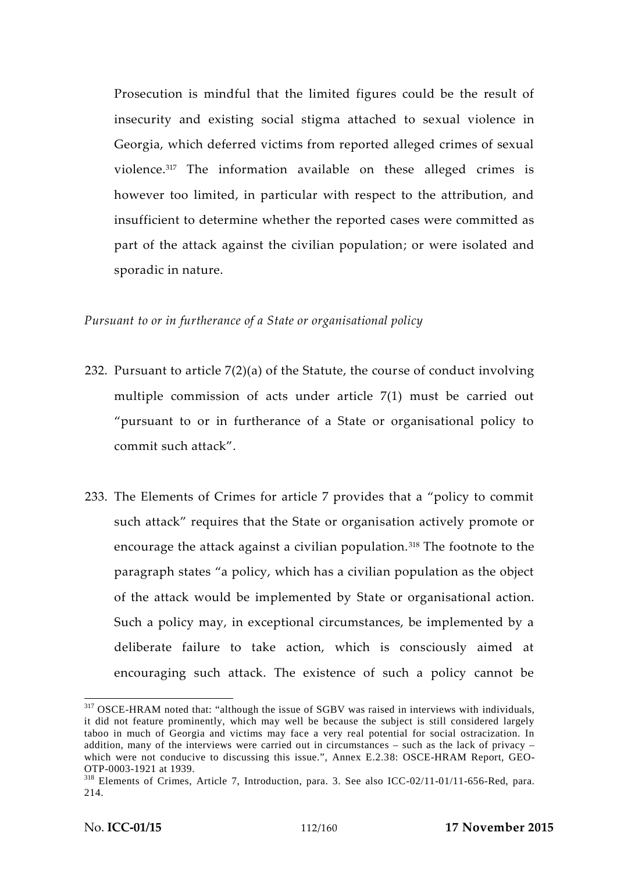Prosecution is mindful that the limited figures could be the result of insecurity and existing social stigma attached to sexual violence in Georgia, which deferred victims from reported alleged crimes of sexual violence.<sup>317</sup> The information available on these alleged crimes is however too limited, in particular with respect to the attribution, and insufficient to determine whether the reported cases were committed as part of the attack against the civilian population; or were isolated and sporadic in nature.

### *Pursuant to or in furtherance of a State or organisational policy*

- 232. Pursuant to article 7(2)(a) of the Statute, the course of conduct involving multiple commission of acts under article 7(1) must be carried out "pursuant to or in furtherance of a State or organisational policy to commit such attack".
- 233. The Elements of Crimes for article 7 provides that a "policy to commit such attack" requires that the State or organisation actively promote or encourage the attack against a civilian population.<sup>318</sup> The footnote to the paragraph states "a policy, which has a civilian population as the object of the attack would be implemented by State or organisational action. Such a policy may, in exceptional circumstances, be implemented by a deliberate failure to take action, which is consciously aimed at encouraging such attack. The existence of such a policy cannot be

<sup>&</sup>lt;sup>317</sup> OSCE-HRAM noted that: "although the issue of SGBV was raised in interviews with individuals, it did not feature prominently, which may well be because the subject is still considered largely taboo in much of Georgia and victims may face a very real potential for social ostracization. In addition, many of the interviews were carried out in circumstances – such as the lack of privacy – which were not conducive to discussing this issue.", Annex E.2.38: OSCE-HRAM Report, GEO-OTP-0003-1921 at 1939.

 $318$  Elements of Crimes, Article 7, Introduction, para. 3. See also ICC-02/11-01/11-656-Red, para. 214.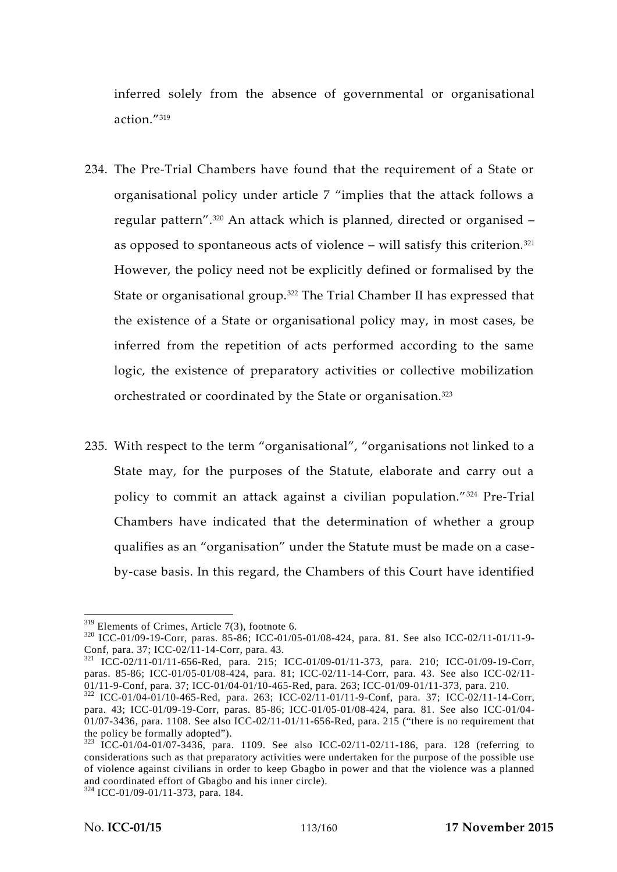inferred solely from the absence of governmental or organisational action."<sup>319</sup>

- 234. The Pre-Trial Chambers have found that the requirement of a State or organisational policy under article 7 "implies that the attack follows a regular pattern".<sup>320</sup> An attack which is planned, directed or organised – as opposed to spontaneous acts of violence – will satisfy this criterion. $321$ However, the policy need not be explicitly defined or formalised by the State or organisational group.<sup>322</sup> The Trial Chamber II has expressed that the existence of a State or organisational policy may, in most cases, be inferred from the repetition of acts performed according to the same logic, the existence of preparatory activities or collective mobilization orchestrated or coordinated by the State or organisation.<sup>323</sup>
- 235. With respect to the term "organisational", "organisations not linked to a State may, for the purposes of the Statute, elaborate and carry out a policy to commit an attack against a civilian population."<sup>324</sup> Pre-Trial Chambers have indicated that the determination of whether a group qualifies as an "organisation" under the Statute must be made on a case by-case basis. In this regard, the Chambers of this Court have identified

<sup>&</sup>lt;sup>319</sup> Elements of Crimes, Article 7(3), footnote 6.<br><sup>320</sup> ICC-01/09-19-Corr, paras. 85-86; ICC-01/05-01/08-424, para. 81. See also ICC-02/11-01/11-9-<br>Conf, para. 37; ICC-02/11-14-Corr, para. 43.

<sup>&</sup>lt;sup>321</sup> ICC-02/11-01/11-656-Red, para. 215; ICC-01/09-01/11-373, para. 210; ICC-01/09-19-Corr, paras. 85-86; ICC-01/05-01/08-424, para. 81; ICC-02/11-14-Corr, para. 43. See also ICC-02/11-<br>01/11-9-Conf, para. 37; ICC-01/04-01/10-465-Red, para. 263; ICC-01/09-01/11-373, para. 210.

<sup>01/11-9-</sup>Conf, para. 37; ICC-01/04-01/10-465-Red, para. 263; ICC-02/11-01/11-9-Conf, para. 37; ICC-02/11-14-Corr, para. 43; ICC-01/09-19-Corr, paras. 85-86; ICC-01/05-01/08-424, para. 81. See also ICC-01/04-  $01/07-3436$ , para. 1108. See also ICC-02/11-01/11-656-Red, para. 215 ("there is no requirement that the policy be formally adopted").

 $t_{\text{323}}$  ICC-01/04-01/07-3436, para. 1109. See also ICC-02/11-02/11-186, para. 128 (referring to considerations such as that preparatory activities were undertaken for the purpose of the possible use of violence against civilians in order to keep Gbagbo in power and that the violence was a planned and coordinated effort of Gbagbo and his inner circle). <sup>324</sup> ICC-01/09-01/11-373, para. 184.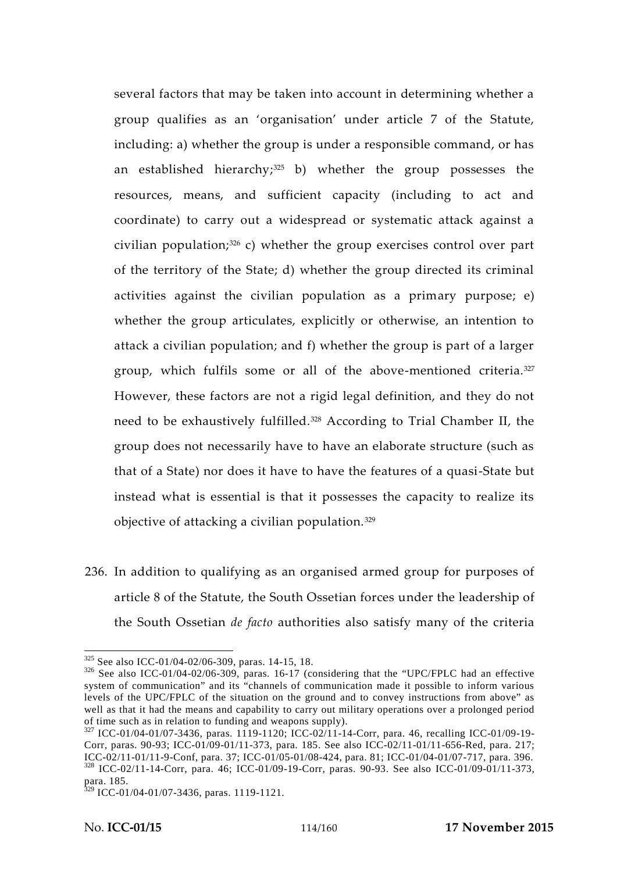several factors that may be taken into account in determining whether a group qualifies as an 'organisation' under article 7 of the Statute, including: a) whether the group is under a responsible command, or has an established hierarchy; $325$  b) whether the group possesses the resources, means, and sufficient capacity (including to act and coordinate) to carry out a widespread or systematic attack against a civilian population; $326$  c) whether the group exercises control over part of the territory of the State; d) whether the group directed its criminal activities against the civilian population as a primary purpose; e) whether the group articulates, explicitly or otherwise, an intention to attack a civilian population; and f) whether the group is part of a larger group, which fulfils some or all of the above-mentioned criteria.<sup>327</sup> However, these factors are not a rigid legal definition, and they do not need to be exhaustively fulfilled.<sup>328</sup> According to Trial Chamber II, the group does not necessarily have to have an elaborate structure (such as that of a State) nor does it have to have the features of a quasi-State but instead what is essential is that it possesses the capacity to realize its objective of attacking a civilian population.<sup>329</sup>

236. In addition to qualifying as an organised armed group for purposes of article 8 of the Statute, the South Ossetian forces under the leadership of the South Ossetian *de facto* authorities also satisfy many of the criteria

 $325$  See also ICC-01/04-02/06-309, paras. 14-15, 18.<br> $326$  See also ICC-01/04-02/06-309, paras. 16-17 (considering that the "UPC/FPLC had an effective system of communication" and its "channels of communication made it possible to inform various levels of the UPC/FPLC of the situation on the ground and to convey instructions from above" as well as that it had the means and capability to carry out military operations over a prolonged period of time such as in relation to funding and weapons supply).

 $^{327}$  ICC-01/04-01/07-3436, paras. 1119-1120; ICC-02/11-14-Corr, para. 46, recalling ICC-01/09-19-Corr, paras. 90-93; ICC-01/09-01/11-373, para. 185. See also ICC-02/11-01/11-656-Red, para. 217; ICC-02/11-01/11-9-Conf, para. 37; ICC-01/05-01/08-424, para. 81; ICC-01/04-01/07-717, para. 396. <sup>328</sup> ICC-02/11-14-Corr, para. 46; ICC-01/09-19-Corr, paras. 90-93. See also ICC-01/09-01/11-373, para. 185.

 $329$  ICC-01/04-01/07-3436, paras. 1119-1121.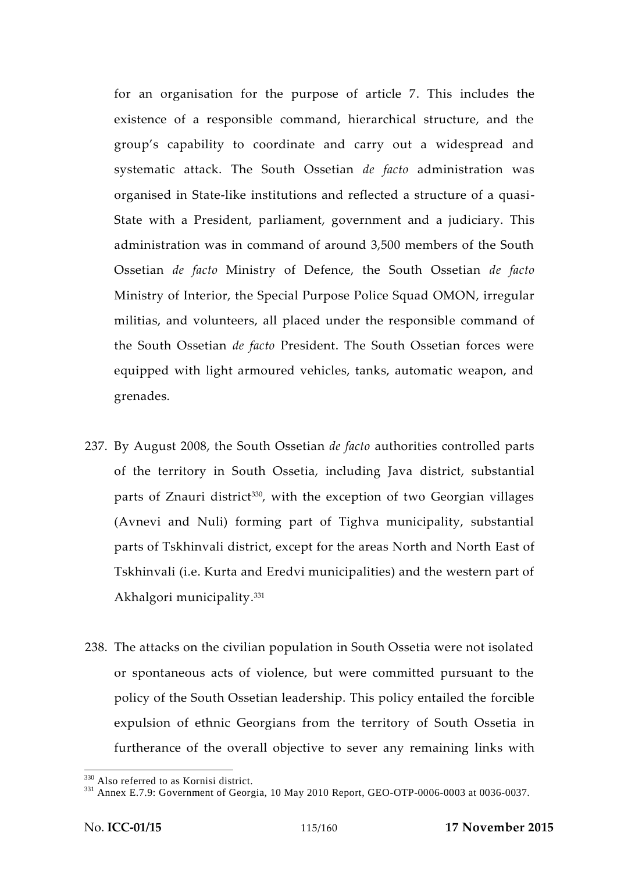for an organisation for the purpose of article 7. This includes the existence of a responsible command, hierarchical structure, and the group's capability to coordinate and carry out a widespread and systematic attack. The South Ossetian *de facto* administration was organised in State-like institutions and reflected a structure of a quasi- State with a President, parliament, government and a judiciary. This administration was in command of around 3,500 members of the South Ossetian *de facto* Ministry of Defence, the South Ossetian *de facto* Ministry of Interior, the Special Purpose Police Squad OMON, irregular militias, and volunteers, all placed under the responsible command of the South Ossetian *de facto* President. The South Ossetian forces were equipped with light armoured vehicles, tanks, automatic weapon, and grenades.

- 237. By August 2008, the South Ossetian *de facto* authorities controlled parts of the territory in South Ossetia, including Java district, substantial parts of Znauri district<sup>330</sup>, with the exception of two Georgian villages (Avnevi and Nuli) forming part of Tighva municipality, substantial parts of Tskhinvali district, except for the areas North and North East of Tskhinvali (i.e. Kurta and Eredvi municipalities) and the western part of Akhalgori municipality.<sup>331</sup>
- 238. The attacks on the civilian population in South Ossetia were not isolated or spontaneous acts of violence, but were committed pursuant to the policy of the South Ossetian leadership. This policy entailed the forcible expulsion of ethnic Georgians from the territory of South Ossetia in furtherance of the overall objective to sever any remaining links with

 $\frac{330}{331}$  Also referred to as Kornisi district.<br> $\frac{331}{331}$  Annex E.7.9: Government of Georgia, 10 May 2010 Report, GEO-OTP-0006-0003 at 0036-0037.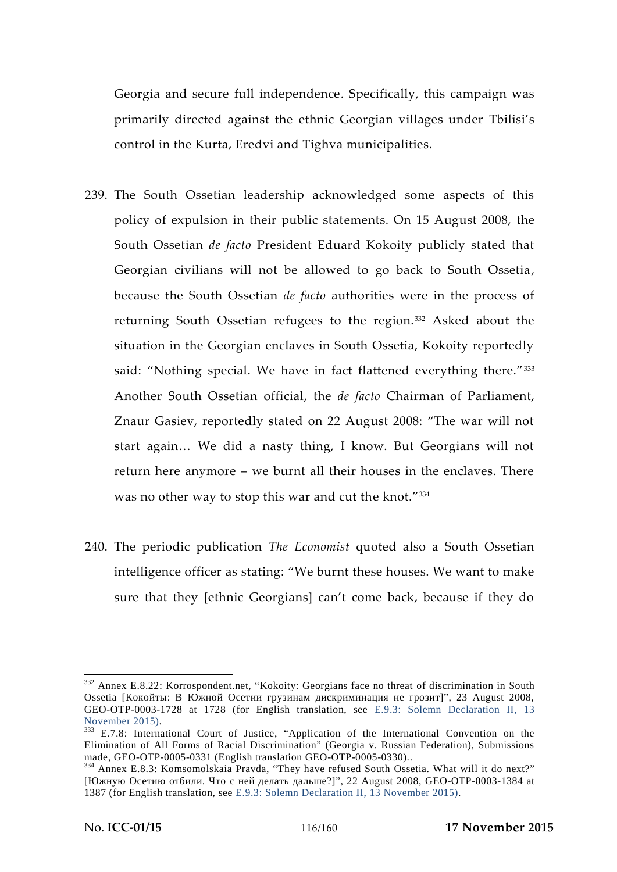Georgia and secure full independence. Specifically, this campaign was primarily directed against the ethnic Georgian villages under Tbilisi's control in the Kurta, Eredvi and Tighva municipalities.

- 239. The South Ossetian leadership acknowledged some aspects of this policy of expulsion in their public statements. On 15 August 2008, the South Ossetian *de facto* President Eduard Kokoity publicly stated that Georgian civilians will not be allowed to go back to South Ossetia, because the South Ossetian *de facto* authorities were in the process of returning South Ossetian refugees to the region.<sup>332</sup> Asked about the situation in the Georgian enclaves in South Ossetia, Kokoity reportedly said: "Nothing special. We have in fact flattened everything there."333 Another South Ossetian official, the *de facto* Chairman of Parliament, Znaur Gasiev, reportedly stated on 22 August 2008: "The war will not start again… We did a nasty thing, I know. But Georgians will not return here anymore – we burnt all their houses in the enclaves. There was no other way to stop this war and cut the knot."<sup>334</sup>
- 240. The periodic publication *The Economist* quoted also a South Ossetian intelligence officer as stating: "We burnt these houses. We want to make sure that they [ethnic Georgians] can't come back, because if they do

<sup>332</sup> Annex E.8.22: Korrospondent.net, "Kokoity: Georgians face no threat of discrimination in South Ossetia [Kokošia | Kokošia | Kokošia | Kokošia | Kokošia | Kokošia | Kokošia | Kokošia | Kokošia | Kokošia | Kokošia | Kokošia | Kokošia | Kokošia | Kokošia | Kokošia | Kokošia | Kokošia | Kokošia | Kokošia | Kokošia | Kok

GEO-OTP-0003-1728 at 1728 (for English translation, see E.9.3: Solemn Declaration II, 13 November 2015).

<sup>333</sup> E.7.8: International Court of Justice, "Application of the International Convention on the Elimination of All Forms of Racial Discrimination" (Georgia v. Russian Federation), Submissions

<sup>&</sup>lt;sup>334</sup> Annex E.8.3: Komsomolskaia Pravda, "They have refused South Ossetia. What will it do next?" ?]", 22 August 2008, GEO-OTP-0003-1384 at

<sup>1387</sup> (for English translation, see E.9.3: Solemn Declaration II, 13 November 2015).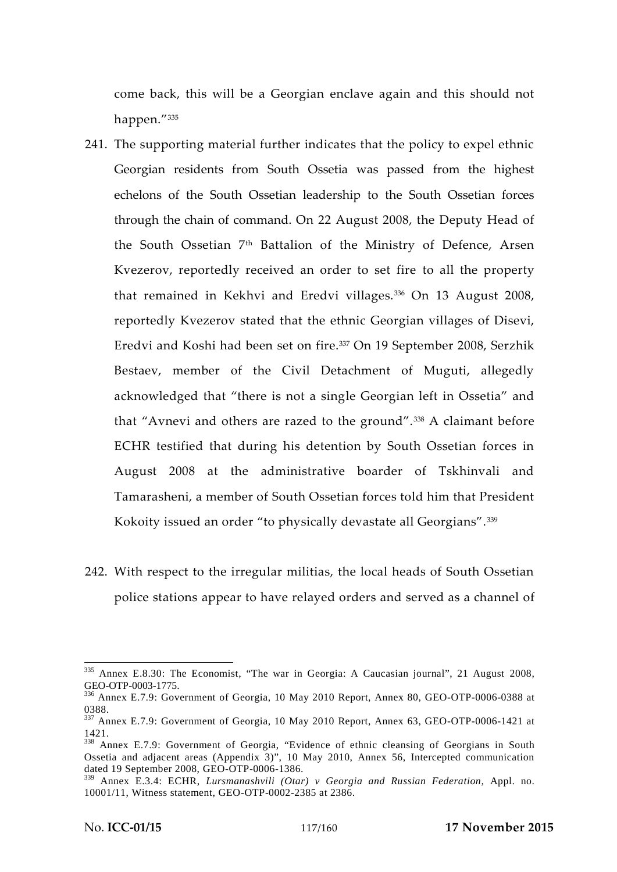come back, this will be a Georgian enclave again and this should not happen."<sup>335</sup>

- 241. The supporting material further indicates that the policy to expel ethnic Georgian residents from South Ossetia was passed from the highest echelons of the South Ossetian leadership to the South Ossetian forces through the chain of command. On 22 August 2008, the Deputy Head of the South Ossetian 7th Battalion of the Ministry of Defence, Arsen Kvezerov, reportedly received an order to set fire to all the property that remained in Kekhvi and Eredvi villages.<sup>336</sup> On 13 August 2008, reportedly Kvezerov stated that the ethnic Georgian villages of Disevi, Eredvi and Koshi had been set on fire.<sup>337</sup> On 19 September 2008, Serzhik Bestaev, member of the Civil Detachment of Muguti, allegedly acknowledged that "there is not a single Georgian left in Ossetia" and that "Avnevi and others are razed to the ground".<sup>338</sup> A claimant before ECHR testified that during his detention by South Ossetian forces in August 2008 at the administrative boarder of Tskhinvali and Tamarasheni, a member of South Ossetian forces told him that President Kokoity issued an order "to physically devastate all Georgians".<sup>339</sup>
- 242. With respect to the irregular militias, the local heads of South Ossetian police stations appear to have relayed orders and served as a channel of

<sup>335</sup> Annex E.8.30: The Economist, "The war in Georgia: A Caucasian journal", 21 August 2008, GEO-OTP-0003-1775.<br><sup>336</sup> Annex E.7.9: Government of Georgia, 10 May 2010 Report, Annex 80, GEO-OTP-0006-0388 at

<sup>0388.</sup> <sup>337</sup> Annex E.7.9: Government of Georgia, 10 May 2010 Report, Annex 63, GEO-OTP-0006-1421 at

<sup>1421.</sup> <sup>338</sup> Annex E.7.9: Government of Georgia, "Evidence of ethnic cleansing of Georgians in South Ossetia and adjacent areas (Appendix 3)", 10 May 2010, Annex 56, Intercepted communication dated 19 September 2008, GEO-OTP-0006-1386.

<sup>339</sup> Annex E.3.4: ECHR, *Lursmanashvili (Otar) v Georgia and Russian Federation,* Appl. no. 10001/11, Witness statement, GEO-OTP-0002-2385 at 2386.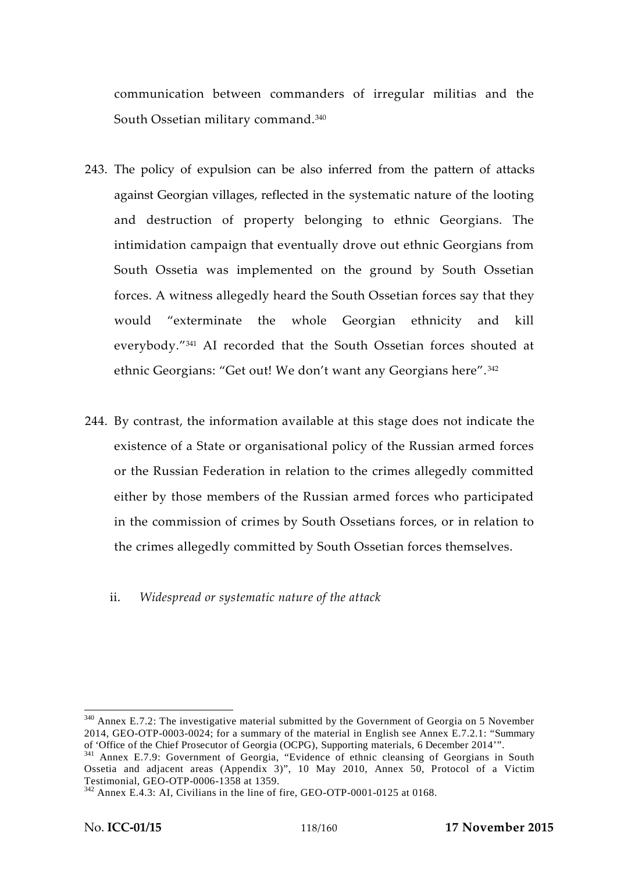communication between commanders of irregular militias and the South Ossetian military command.<sup>340</sup>

- 243. The policy of expulsion can be also inferred from the pattern of attacks against Georgian villages, reflected in the systematic nature of the looting and destruction of property belonging to ethnic Georgians. The intimidation campaign that eventually drove out ethnic Georgians from South Ossetia was implemented on the ground by South Ossetian forces. A witness allegedly heard the South Ossetian forces say that they would "exterminate the whole Georgian ethnicity and kill everybody."<sup>341</sup> AI recorded that the South Ossetian forces shouted at ethnic Georgians: "Get out! We don't want any Georgians here". <sup>342</sup>
- 244. By contrast, the information available at this stage does not indicate the existence of a State or organisational policy of the Russian armed forces or the Russian Federation in relation to the crimes allegedly committed either by those members of the Russian armed forces who participated in the commission of crimes by South Ossetians forces, or in relation to the crimes allegedly committed by South Ossetian forces themselves.
	- ii. *Widespread or systematic nature of the attack*

<sup>340</sup> Annex E.7.2: The investigative material submitted by the Government of Georgia on 5 November 2014, GEO-OTP-0003-0024; for a summary of the material in English see Annex E.7.2.1: "Summary of 'Office of the Chief Prosecutor of Georgia (OCPG), Supporting materials, 6 December 2014".

<sup>&</sup>lt;sup>341</sup> Annex E.7.9: Government of Georgia, "Evidence of ethnic cleansing of Georgians in South Ossetia and adjacent areas (Appendix 3)", 10 May 2010, Annex 50, Protocol of a Victim

 $T<sup>342</sup>$  Annex E.4.3: AI, Civilians in the line of fire, GEO-OTP-0001-0125 at 0168.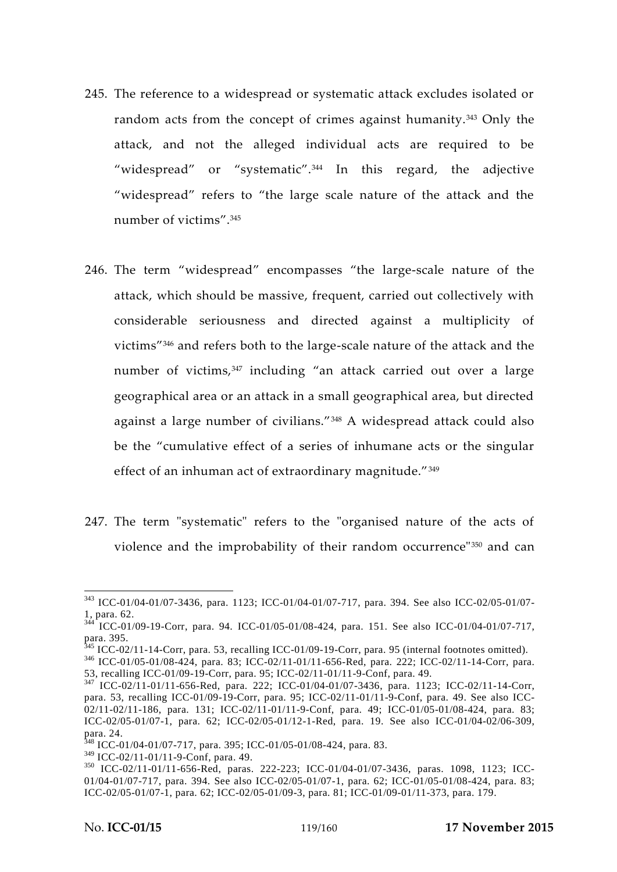- 245. The reference to a widespread or systematic attack excludes isolated or random acts from the concept of crimes against humanity.<sup>343</sup> Only the attack, and not the alleged individual acts are required to be "widespread" or "systematic".<sup>344</sup> In this regard, the adjective "widespread" refers to "the large scale nature of the attack and the number of victims".<sup>345</sup>
- 246. The term "widespread" encompasses "the large-scale nature of the attack, which should be massive, frequent, carried out collectively with considerable seriousness and directed against a multiplicity of victims"<sup>346</sup> and refers both to the large-scale nature of the attack and the number of victims,<sup>347</sup> including "an attack carried out over a large geographical area or an attack in a small geographical area, but directed against a large number of civilians."<sup>348</sup> A widespread attack could also be the "cumulative effect of a series of inhumane acts or the singular effect of an inhuman act of extraordinary magnitude."<sup>349</sup>
- 247. The term "systematic" refers to the "organised nature of the acts of violence and the improbability of their random occurrence"<sup>350</sup> and can

<sup>343</sup> ICC-01/04-01/07-3436, para. 1123; ICC-01/04-01/07-717, para. 394. See also ICC-02/05-01/07- 1, para. 62. <sup>344</sup> ICC-01/09-19-Corr, para. 94*.* ICC-01/05-01/08-424, para. 151. See also ICC-01/04-01/07-717,

para. 395.<br><sup>345</sup> ICC-02/11-14-Corr, para. 53, recalling ICC-01/09-19-Corr, para. 95 (internal footnotes omitted).<br><sup>346</sup> ICC-01/05-01/08-424, para. 83; ICC-02/11-01/11-656-Red, para. 222; ICC-02/11-14-Corr, para.<br>53, recall

 $347$  ICC-02/11-01/11-656-Red, para. 222; ICC-01/04-01/07-3436, para. 1123; ICC-02/11-14-Corr, para. 53, recalling ICC-01/09-19-Corr, para. 95; ICC-02/11-01/11-9-Conf, para. 49. See also ICC- 02/11-02/11-186, para. 131; ICC-02/11-01/11-9-Conf, para. 49; ICC-01/05-01/08-424, para. 83; ICC-02/05-01/07-1, para. 62; ICC-02/05-01/12-1-Red, para. 19. See also ICC-01/04-02/06-309, para. 24.<br><sup>348</sup> ICC-01/04-01/07-717, para. 395; ICC-01/05-01/08-424, para. 83.<br><sup>349</sup> ICC-02/11-01/11-9-Conf, para. 49.

<sup>350</sup> ICC-02/11-01/11-656-Red, paras. 222-223; ICC-01/04-01/07-3436, paras. 1098, 1123; ICC-01/04-01/07-717, para. 394. See also ICC-02/05-01/07-1, para. 62; ICC-01/05-01/08-424, para. 83; ICC-02/05-01/07-1, para. 62; ICC-02/05-01/09-3, para. 81; ICC-01/09-01/11-373, para. 179.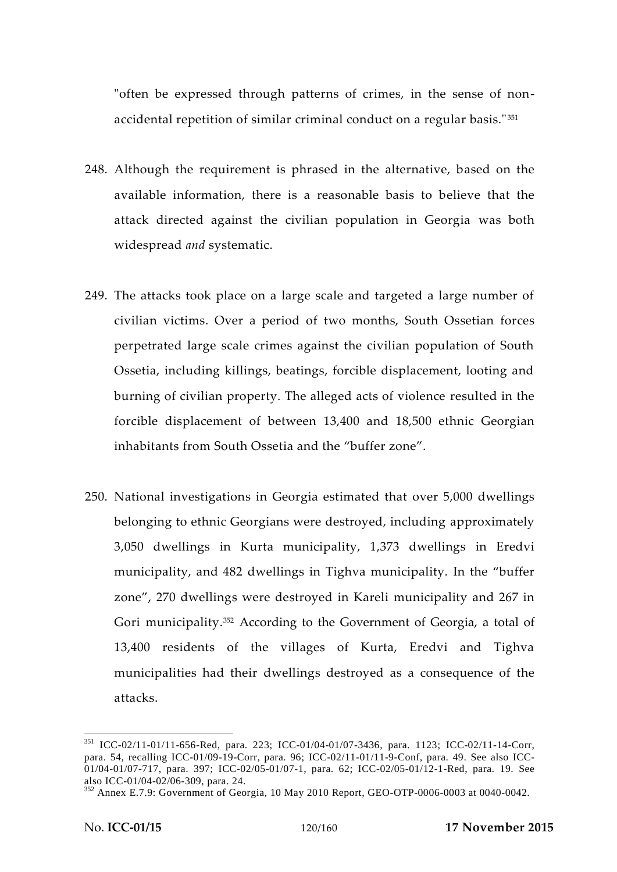"often be expressed through patterns of crimes, in the sense of non accidental repetition of similar criminal conduct on a regular basis."<sup>351</sup>

- 248. Although the requirement is phrased in the alternative, based on the available information, there is a reasonable basis to believe that the attack directed against the civilian population in Georgia was both widespread *and* systematic.
- 249. The attacks took place on a large scale and targeted a large number of civilian victims. Over a period of two months, South Ossetian forces perpetrated large scale crimes against the civilian population of South Ossetia, including killings, beatings, forcible displacement, looting and burning of civilian property. The alleged acts of violence resulted in the forcible displacement of between 13,400 and 18,500 ethnic Georgian inhabitants from South Ossetia and the "buffer zone".
- 250. National investigations in Georgia estimated that over 5,000 dwellings belonging to ethnic Georgians were destroyed, including approximately 3,050 dwellings in Kurta municipality, 1,373 dwellings in Eredvi municipality, and 482 dwellings in Tighva municipality. In the "buffer zone", 270 dwellings were destroyed in Kareli municipality and 267 in Gori municipality.<sup>352</sup> According to the Government of Georgia, a total of 13,400 residents of the villages of Kurta, Eredvi and Tighva municipalities had their dwellings destroyed as a consequence of the attacks.

<sup>351</sup> ICC-02/11-01/11-656-Red, para. 223; ICC-01/04-01/07-3436, para. 1123; ICC-02/11-14-Corr, para. 54, recalling ICC-01/09-19-Corr, para. 96; ICC-02/11-01/11-9-Conf, para. 49. See also ICC-  $01/04-01/07-717$ , para. 397; ICC-02/05-01/07-1, para. 62; ICC-02/05-01/12-1-Red, para. 19. See also ICC-01/04-02/06-309, para. 24.

 $352$  Annex E.7.9: Government of Georgia, 10 May 2010 Report, GEO-OTP-0006-0003 at 0040-0042.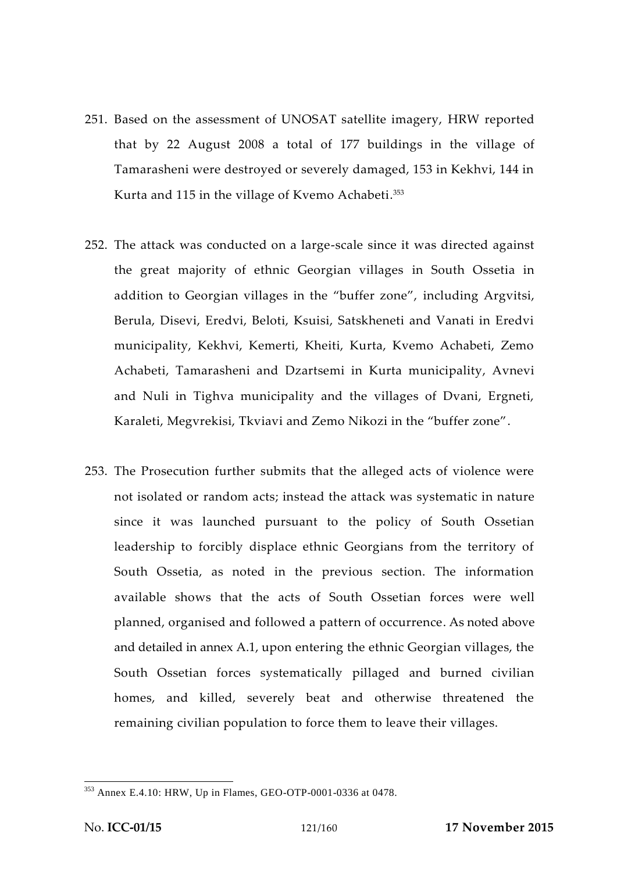- 251. Based on the assessment of UNOSAT satellite imagery, HRW reported that by 22 August 2008 a total of 177 buildings in the village of Tamarasheni were destroyed or severely damaged, 153 in Kekhvi, 144 in Kurta and 115 in the village of Kvemo Achabeti.<sup>353</sup>
- 252. The attack was conducted on a large-scale since it was directed against the great majority of ethnic Georgian villages in South Ossetia in addition to Georgian villages in the "buffer zone", including Argvitsi, Berula, Disevi, Eredvi, Beloti, Ksuisi, Satskheneti and Vanati in Eredvi municipality, Kekhvi, Kemerti, Kheiti, Kurta, Kvemo Achabeti, Zemo Achabeti, Tamarasheni and Dzartsemi in Kurta municipality, Avnevi and Nuli in Tighva municipality and the villages of Dvani, Ergneti, Karaleti, Megvrekisi, Tkviavi and Zemo Nikozi in the "buffer zone".
- 253. The Prosecution further submits that the alleged acts of violence were not isolated or random acts; instead the attack was systematic in nature since it was launched pursuant to the policy of South Ossetian leadership to forcibly displace ethnic Georgians from the territory of South Ossetia, as noted in the previous section. The information available shows that the acts of South Ossetian forces were well planned, organised and followed a pattern of occurrence. As noted above and detailed in annex A.1, upon entering the ethnic Georgian villages, the South Ossetian forces systematically pillaged and burned civilian homes, and killed, severely beat and otherwise threatened the remaining civilian population to force them to leave their villages.

<sup>353</sup> Annex E.4.10: HRW, Up in Flames, GEO-OTP-0001-0336 at 0478.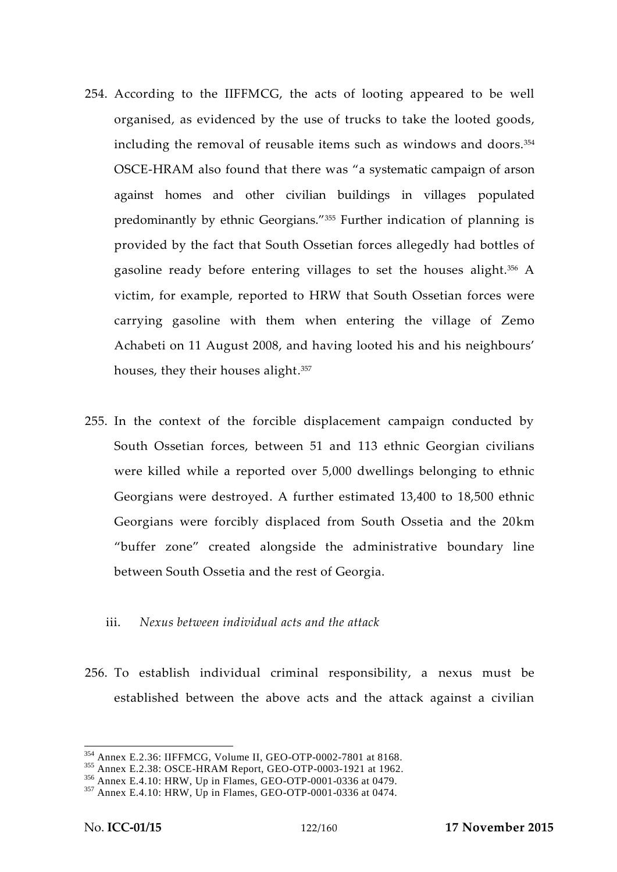- 254. According to the IIFFMCG, the acts of looting appeared to be well organised, as evidenced by the use of trucks to take the looted goods, including the removal of reusable items such as windows and doors.<sup>354</sup> OSCE-HRAM also found that there was "a systematic campaign of arson against homes and other civilian buildings in villages populated predominantly by ethnic Georgians."<sup>355</sup> Further indication of planning is provided by the fact that South Ossetian forces allegedly had bottles of gasoline ready before entering villages to set the houses alight.<sup>356</sup> A victim, for example, reported to HRW that South Ossetian forces were carrying gasoline with them when entering the village of Zemo Achabeti on 11 August 2008, and having looted his and his neighbours' houses, they their houses alight.<sup>357</sup>
- 255. In the context of the forcible displacement campaign conducted by South Ossetian forces, between 51 and 113 ethnic Georgian civilians were killed while a reported over 5,000 dwellings belonging to ethnic Georgians were destroyed. A further estimated 13,400 to 18,500 ethnic Georgians were forcibly displaced from South Ossetia and the 20km "buffer zone" created alongside the administrative boundary line between South Ossetia and the rest of Georgia.

#### iii. *Nexus between individual acts and the attack*

256. To establish individual criminal responsibility, a nexus must be established between the above acts and the attack against a civilian

<sup>&</sup>lt;sup>354</sup> Annex E.2.36: IIFFMCG, Volume II, GEO-OTP-0002-7801 at 8168.<br><sup>355</sup> Annex E.2.38: OSCE-HRAM Report, GEO-OTP-0003-1921 at 1962.<br><sup>356</sup> Annex E.4.10: HRW, Up in Flames, GEO-OTP-0001-0336 at 0479.<br><sup>357</sup> Annex E.4.10: HRW,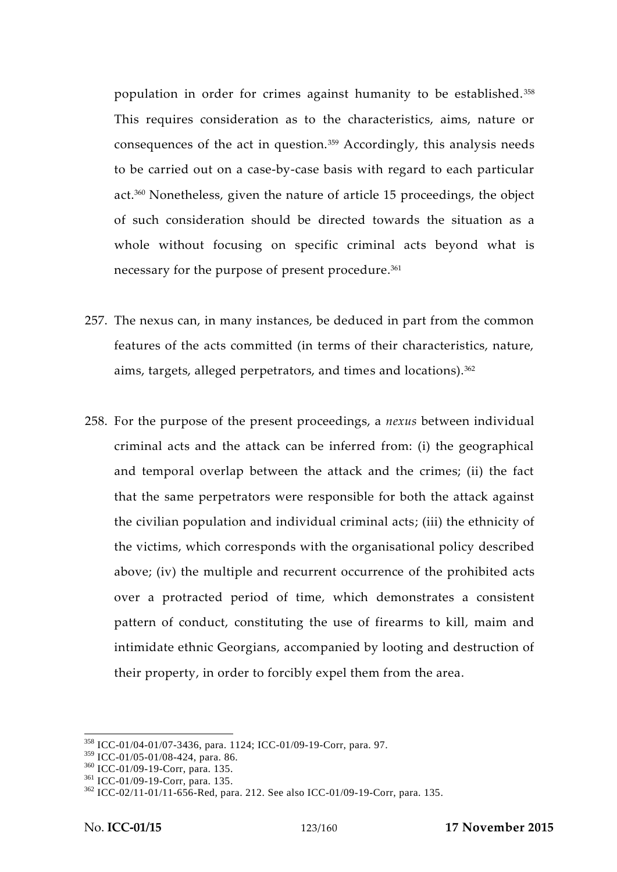population in order for crimes against humanity to be established. <sup>358</sup> This requires consideration as to the characteristics, aims, nature or consequences of the act in question.<sup>359</sup> Accordingly, this analysis needs to be carried out on a case-by-case basis with regard to each particular act.<sup>360</sup> Nonetheless, given the nature of article 15 proceedings, the object of such consideration should be directed towards the situation as a whole without focusing on specific criminal acts beyond what is necessary for the purpose of present procedure.<sup>361</sup>

- 257. The nexus can, in many instances, be deduced in part from the common features of the acts committed (in terms of their characteristics, nature, aims, targets, alleged perpetrators, and times and locations).<sup>362</sup>
- 258. For the purpose of the present proceedings, a *nexus* between individual criminal acts and the attack can be inferred from: (i) the geographical and temporal overlap between the attack and the crimes; (ii) the fact that the same perpetrators were responsible for both the attack against the civilian population and individual criminal acts; (iii) the ethnicity of the victims, which corresponds with the organisational policy described above; (iv) the multiple and recurrent occurrence of the prohibited acts over a protracted period of time, which demonstrates a consistent pattern of conduct, constituting the use of firearms to kill, maim and intimidate ethnic Georgians, accompanied by looting and destruction of their property, in order to forcibly expel them from the area.

<sup>&</sup>lt;sup>358</sup> ICC-01/04-01/07-3436, para. 1124; ICC-01/09-19-Corr, para. 97.<br><sup>359</sup> ICC-01/05-01/08-424, para. 86.

<sup>&</sup>lt;sup>360</sup> ICC-01/09-19-Corr, para. 135.<br><sup>361</sup> ICC-01/09-19-Corr, para. 135.<br><sup>362</sup> ICC-02/11-01/11-656-Red, para. 212. See also ICC-01/09-19-Corr, para. 135.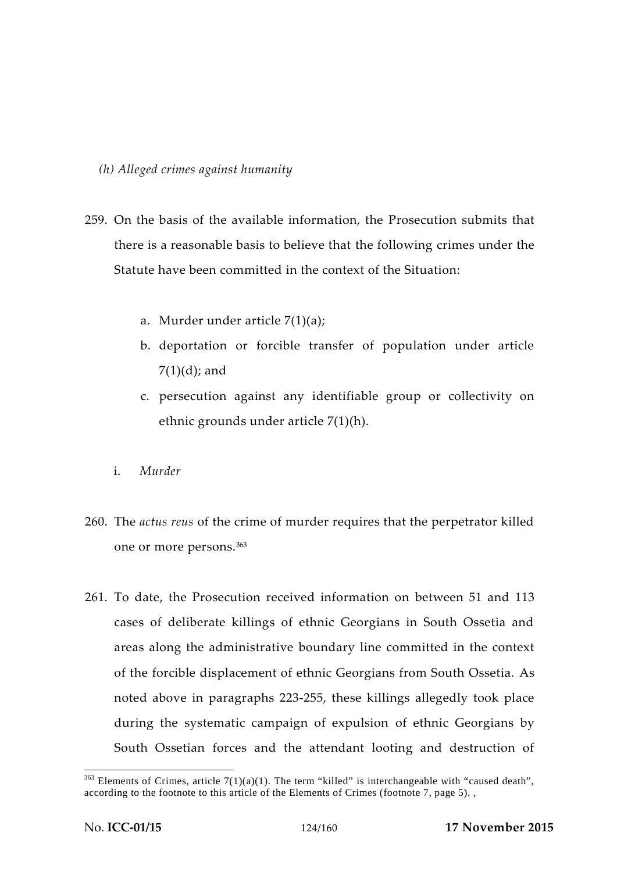### *(h) Alleged crimes against humanity*

- 259. On the basis of the available information, the Prosecution submits that there is a reasonable basis to believe that the following crimes under the Statute have been committed in the context of the Situation:
	- a. Murder under article 7(1)(a);
	- b. deportation or forcible transfer of population under article  $7(1)(d)$ ; and
	- c. persecution against any identifiable group or collectivity on ethnic grounds under article 7(1)(h).
	- i. *Murder*
- 260. The *actus reus* of the crime of murder requires that the perpetrator killed one or more persons.<sup>363</sup>
- 261. To date, the Prosecution received information on between 51 and 113 cases of deliberate killings of ethnic Georgians in South Ossetia and areas along the administrative boundary line committed in the context of the forcible displacement of ethnic Georgians from South Ossetia. As noted above in paragraphs 223-255, these killings allegedly took place during the systematic campaign of expulsion of ethnic Georgians by South Ossetian forces and the attendant looting and destruction of

 $363$  Elements of Crimes, article 7(1)(a)(1). The term "killed" is interchangeable with "caused death", according to the footnote to this article of the Elements of Crimes (footnote 7, page 5). ,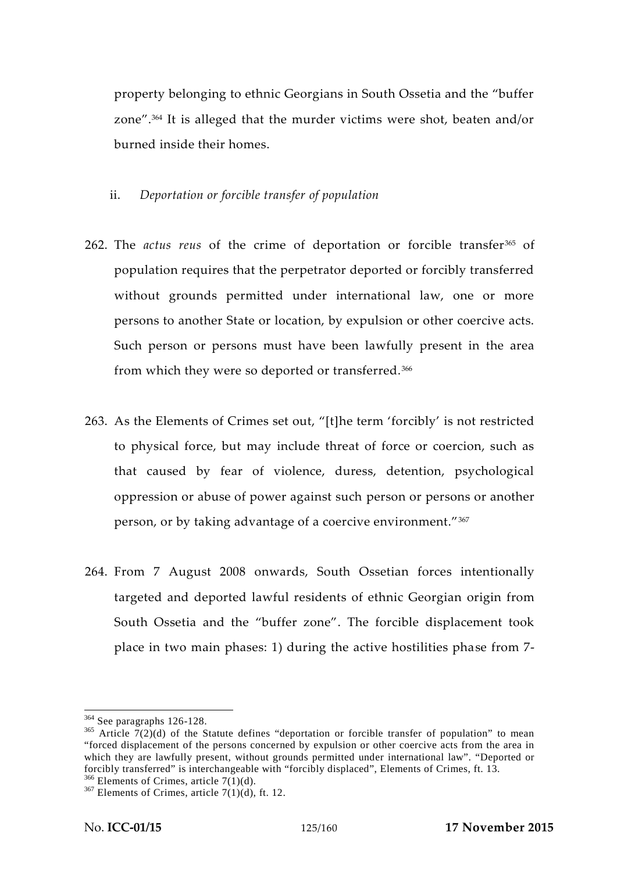property belonging to ethnic Georgians in South Ossetia and the "buffer zone".<sup>364</sup> It is alleged that the murder victims were shot, beaten and/or burned inside their homes.

### ii. *Deportation or forcible transfer of population*

- 262. The *actus reus* of the crime of deportation or forcible transfer<sup>365</sup> of population requires that the perpetrator deported or forcibly transferred without grounds permitted under international law, one or more persons to another State or location, by expulsion or other coercive acts. Such person or persons must have been lawfully present in the area from which they were so deported or transferred.<sup>366</sup>
- 263. As the Elements of Crimes set out, "[t]he term 'forcibly' is not restricted to physical force, but may include threat of force or coercion, such as that caused by fear of violence, duress, detention, psychological oppression or abuse of power against such person or persons or another person, or by taking advantage of a coercive environment."<sup>367</sup>
- 264. From 7 August 2008 onwards, South Ossetian forces intentionally targeted and deported lawful residents of ethnic Georgian origin from South Ossetia and the "buffer zone". The forcible displacement took place in two main phases: 1) during the active hostilities phase from 7-

<sup>&</sup>lt;sup>364</sup> See paragraphs 126-128.<br><sup>365</sup> Article 7(2)(d) of the Statute defines "deportation or forcible transfer of population" to mean "forced displacement of the persons concerned by expulsion or other coercive acts from the area in which they are lawfully present, without grounds permitted under international law". "Deported or forcibly transferred" is interchangeable with "forcibly displaced", Elements of Crimes, ft. 13. <sup>366</sup> Elements of Crimes, article 7(1)(d), ft. 12.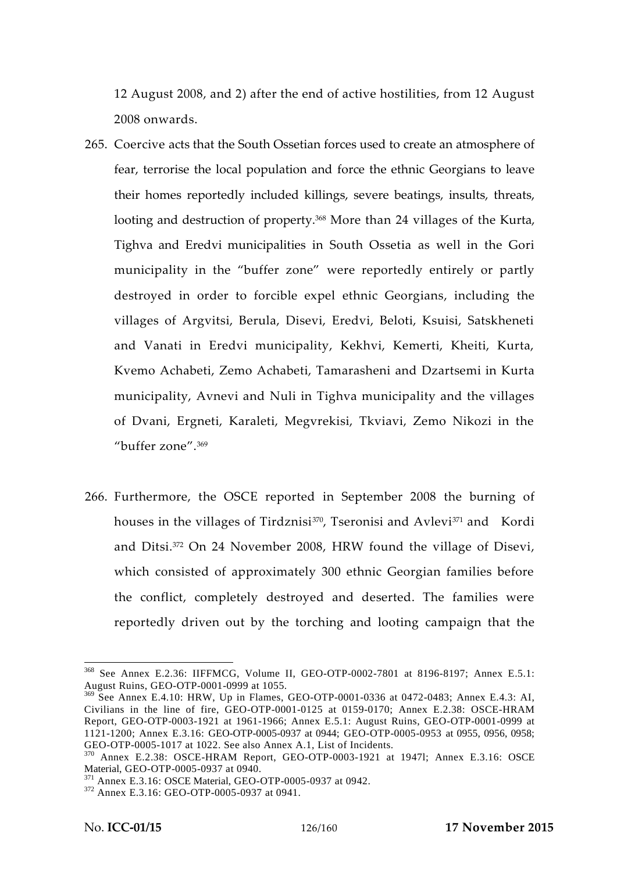12 August 2008, and 2) after the end of active hostilities, from 12 August 2008 onwards.

- 265. Coercive acts that the South Ossetian forces used to create an atmosphere of fear, terrorise the local population and force the ethnic Georgians to leave their homes reportedly included killings, severe beatings, insults, threats, looting and destruction of property.<sup>368</sup> More than 24 villages of the Kurta, Tighva and Eredvi municipalities in South Ossetia as well in the Gori municipality in the "buffer zone" were reportedly entirely or partly destroyed in order to forcible expel ethnic Georgians, including the villages of Argvitsi, Berula, Disevi, Eredvi, Beloti, Ksuisi, Satskheneti and Vanati in Eredvi municipality, Kekhvi, Kemerti, Kheiti, Kurta, Kvemo Achabeti, Zemo Achabeti, Tamarasheni and Dzartsemi in Kurta municipality, Avnevi and Nuli in Tighva municipality and the villages of Dvani, Ergneti, Karaleti, Megvrekisi, Tkviavi, Zemo Nikozi in the "buffer zone".<sup>369</sup>
- 266. Furthermore, the OSCE reported in September 2008 the burning of houses in the villages of Tirdznisi<sup>370</sup>, Tseronisi and Avlevi<sup>371</sup> and Kordi and Ditsi.<sup>372</sup> On 24 November 2008, HRW found the village of Disevi, which consisted of approximately 300 ethnic Georgian families before the conflict, completely destroyed and deserted. The families were reportedly driven out by the torching and looting campaign that the

<sup>368</sup> See Annex E.2.36: IIFFMCG, Volume II, GEO-OTP-0002-7801 at 8196-8197; Annex E.5.1: August Ruins, GEO-OTP-0001-0999 at 1055.

<sup>&</sup>lt;sup>369</sup> See Annex E.4.10: HRW, Up in Flames, GEO-OTP-0001-0336 at 0472-0483; Annex E.4.3: AI, Civilians in the line of fire, GEO-OTP-0001-0125 at 0159-0170; Annex E.2.38: OSCE-HRAM Report, GEO-OTP-0003-1921 at 1961-1966; Annex E.5.1: August Ruins, GEO-OTP-0001-0999 at 1121-1200; Annex E.3.16: GEO-OTP-0005-0937 at 0944; GEO-OTP-0005-0953 at 0955, 0956, 0958; GEO-OTP-0005-1017 at 1022. See also Annex A.1, List of Incidents.

 $^{370}$  Annex E.2.38: OSCE-HRAM Report, GEO-OTP-0003-1921 at 1947l; Annex E.3.16: OSCE Material, GEO-OTP-0005-0937 at 0940.

 $^{371}$  Annex E.3.16: OSCE Material, GEO-OTP-0005-0937 at 0942.<br> $^{372}$  Annex E.3.16: GEO-OTP-0005-0937 at 0941.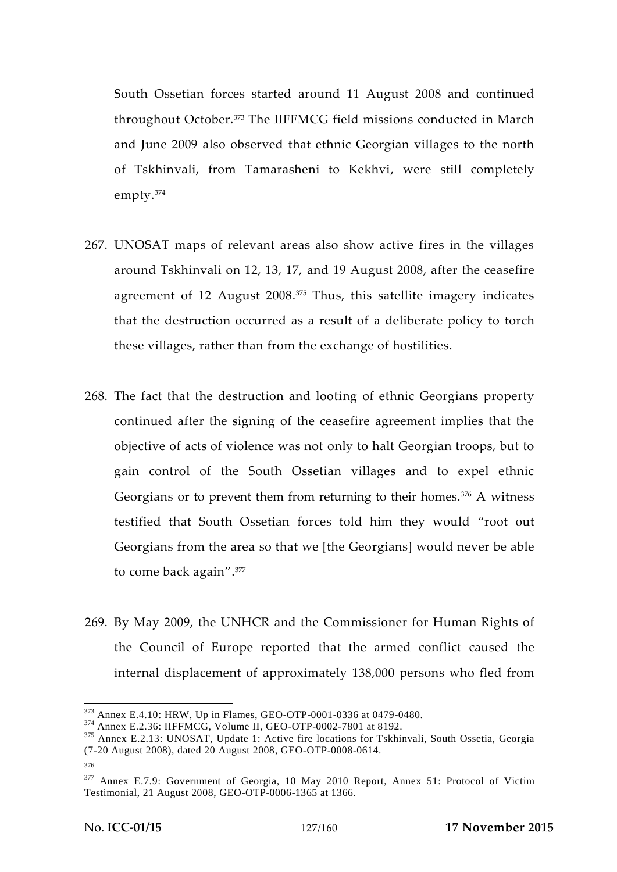South Ossetian forces started around 11 August 2008 and continued throughout October.<sup>373</sup> The IIFFMCG field missions conducted in March and June 2009 also observed that ethnic Georgian villages to the north of Tskhinvali, from Tamarasheni to Kekhvi, were still completely empty.<sup>374</sup>

- 267. UNOSAT maps of relevant areas also show active fires in the villages around Tskhinvali on 12, 13, 17, and 19 August 2008, after the ceasefire agreement of 12 August 2008.<sup>375</sup> Thus, this satellite imagery indicates that the destruction occurred as a result of a deliberate policy to torch these villages, rather than from the exchange of hostilities.
- 268. The fact that the destruction and looting of ethnic Georgians property continued after the signing of the ceasefire agreement implies that the objective of acts of violence was not only to halt Georgian troops, but to gain control of the South Ossetian villages and to expel ethnic Georgians or to prevent them from returning to their homes. $376$  A witness testified that South Ossetian forces told him they would "root out Georgians from the area so that we [the Georgians] would never be able to come back again".<sup>377</sup>
- 269. By May 2009, the UNHCR and the Commissioner for Human Rights of the Council of Europe reported that the armed conflict caused the internal displacement of approximately 138,000 persons who fled from

 $^{373}$  Annex E.4.10: HRW, Up in Flames, GEO-OTP-0001-0336 at 0479-0480.<br> $^{374}$  Annex E.2.36: IIFFMCG, Volume II, GEO-OTP-0002-7801 at 8192.<br> $^{375}$  Annex E.2.13: UNOSAT, Update 1: Active fire locations for Tskhinvali, S (7-20 August 2008), dated 20 August 2008, GEO-OTP-0008-0614.

<sup>376</sup>

<sup>&</sup>lt;sup>377</sup> Annex E.7.9: Government of Georgia, 10 May 2010 Report, Annex 51: Protocol of Victim Testimonial, 21 August 2008, GEO-OTP-0006-1365 at 1366.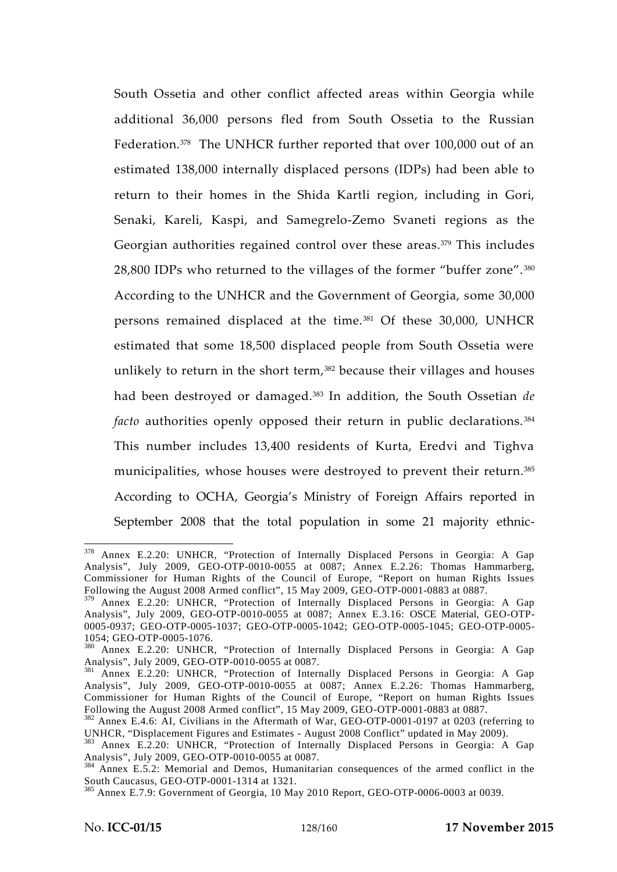South Ossetia and other conflict affected areas within Georgia while additional 36,000 persons fled from South Ossetia to the Russian Federation.<sup>378</sup> The UNHCR further reported that over 100,000 out of an estimated 138,000 internally displaced persons (IDPs) had been able to return to their homes in the Shida Kartli region, including in Gori, Senaki, Kareli, Kaspi, and Samegrelo-Zemo Svaneti regions as the Georgian authorities regained control over these areas.<sup>379</sup> This includes 28,800 IDPs who returned to the villages of the former "buffer zone". <sup>380</sup> According to the UNHCR and the Government of Georgia, some 30,000 persons remained displaced at the time.<sup>381</sup> Of these 30,000, UNHCR estimated that some 18,500 displaced people from South Ossetia were unlikely to return in the short term,<sup>382</sup> because their villages and houses had been destroyed or damaged.<sup>383</sup> In addition, the South Ossetian *de facto* authorities openly opposed their return in public declarations.<sup>384</sup> This number includes 13,400 residents of Kurta, Eredvi and Tighva municipalities, whose houses were destroyed to prevent their return.<sup>385</sup> According to OCHA, Georgia's Ministry of Foreign Affairs reported in September 2008 that the total population in some 21 majority ethnic-

<sup>378</sup> Annex E.2.20: UNHCR, "Protection of Internally Displaced Persons in Georgia: A Gap Analysis", July 2009, GEO-OTP-0010-0055 at 0087; Annex E.2.26: Thomas Hammarberg, Commissioner for Human Rights of the Council of Europe, "Report on human Rights Issues Following the August 2008 Armed conflict", 15 May 2009, GEO-OTP-0001-0883 at 0887.

<sup>&</sup>lt;sup>379</sup> Annex E.2.20: UNHCR, "Protection of Internally Displaced Persons in Georgia: A Gap Analysis", July 2009, GEO-OTP-0010-0055 at 0087; Annex E.3.16: OSCE Material, GEO-OTP- 0005-0937; GEO-OTP-0005-1037; GEO-OTP-0005-1042; GEO-OTP-0005-1045; GEO-OTP-0005-

<sup>1054;</sup> GEO-OTP-0005-1076.<br><sup>380</sup> Annex E.2.20: UNHCR, "Protection of Internally Displaced Persons in Georgia: A Gap Analysis", July 2009, GEO-OTP-0010-0055 at 0087.

<sup>&</sup>lt;sup>381</sup> Annex E.2.20: UNHCR, "Protection of Internally Displaced Persons in Georgia: A Gap Analysis", July 2009, GEO-OTP-0010-0055 at 0087; Annex E.2.26: Thomas Hammarberg, Commissioner for Human Rights of the Council of Europe, "Report on human Rights Issues<br>Following the August 2008 Armed conflict", 15 May 2009, GEO-OTP-0001-0883 at 0887.

 $F<sup>382</sup>$  Annex E.4.6: AI, Civilians in the Aftermath of War, GEO-OTP-0001-0197 at 0203 (referring to UNHCR, "Displacement Figures and Estimates - August 2008 Conflict" updated in May 2009).

<sup>&</sup>lt;sup>383</sup> Annex E.2.20: UNHCR, "Protection of Internally Displaced Persons in Georgia: A Gap Analysis", July 2009, GEO-OTP-0010-0055 at 0087.

<sup>&</sup>lt;sup>384</sup> Annex E.5.2: Memorial and Demos, Humanitarian consequences of the armed conflict in the South Caucasus, GEO-OTP-0001-1314 at 1321.<br><sup>385</sup> Annex E.7.9: Government of Georgia, 10 May 2010 Report, GEO-OTP-0006-0003 at 0039.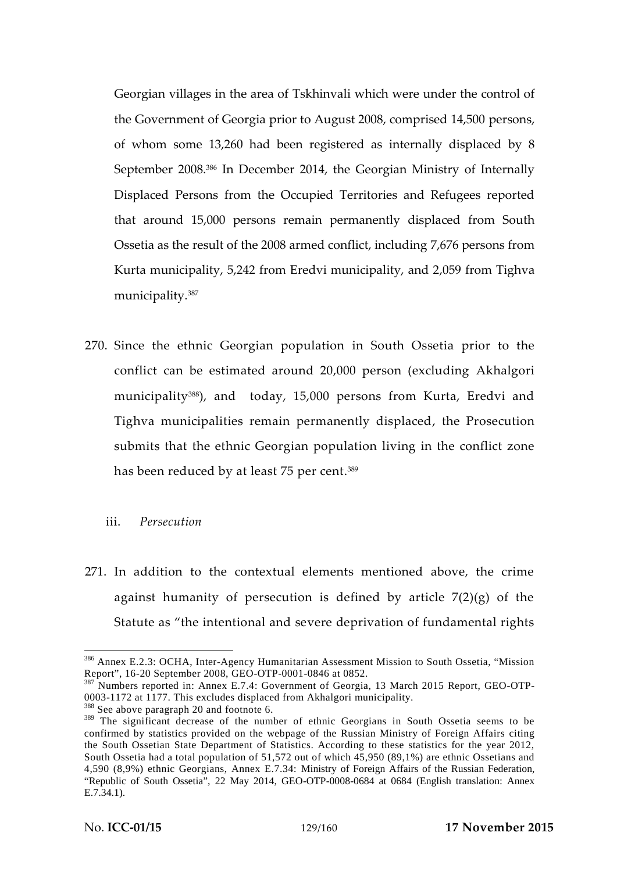Georgian villages in the area of Tskhinvali which were under the control of the Government of Georgia prior to August 2008, comprised 14,500 persons, of whom some 13,260 had been registered as internally displaced by 8 September 2008.<sup>386</sup> In December 2014, the Georgian Ministry of Internally Displaced Persons from the Occupied Territories and Refugees reported that around 15,000 persons remain permanently displaced from South Ossetia as the result of the 2008 armed conflict, including 7,676 persons from Kurta municipality, 5,242 from Eredvi municipality, and 2,059 from Tighva municipality.<sup>387</sup>

270. Since the ethnic Georgian population in South Ossetia prior to the conflict can be estimated around 20,000 person (excluding Akhalgori municipality388), and today, 15,000 persons from Kurta, Eredvi and Tighva municipalities remain permanently displaced, the Prosecution submits that the ethnic Georgian population living in the conflict zone has been reduced by at least 75 per cent.<sup>389</sup>

### iii. *Persecution*

271. In addition to the contextual elements mentioned above, the crime against humanity of persecution is defined by article  $7(2)(g)$  of the Statute as "the intentional and severe deprivation of fundamental rights

<sup>&</sup>lt;sup>386</sup> Annex E.2.3: OCHA, Inter-Agency Humanitarian Assessment Mission to South Ossetia, "Mission Report", 16-20 September 2008, GEO-OTP-0001-0846 at 0852.

<sup>&</sup>lt;sup>387</sup> Numbers reported in: Annex E.7.4: Government of Georgia, 13 March 2015 Report, GEO-OTP-0003-1172 at 1177. This excludes displaced from Akhalgori municipality. <sup>388</sup> See above paragraph 20 and footnote 6.

<sup>&</sup>lt;sup>389</sup> The significant decrease of the number of ethnic Georgians in South Ossetia seems to be confirmed by statistics provided on the webpage of the Russian Ministry of Foreign Affairs citing the South Ossetian State Department of Statistics. According to these statistics for the year 2012, South Ossetia had a total population of 51,572 out of which 45,950 (89,1%) are ethnic Ossetians and 4,590 (8,9%) ethnic Georgians, Annex E.7.34: Ministry of Foreign Affairs of the Russian Federation, "Republic of South Ossetia", 22 May 2014, GEO-OTP-0008-0684 at 0684 (English translation: Annex E.7.34.1).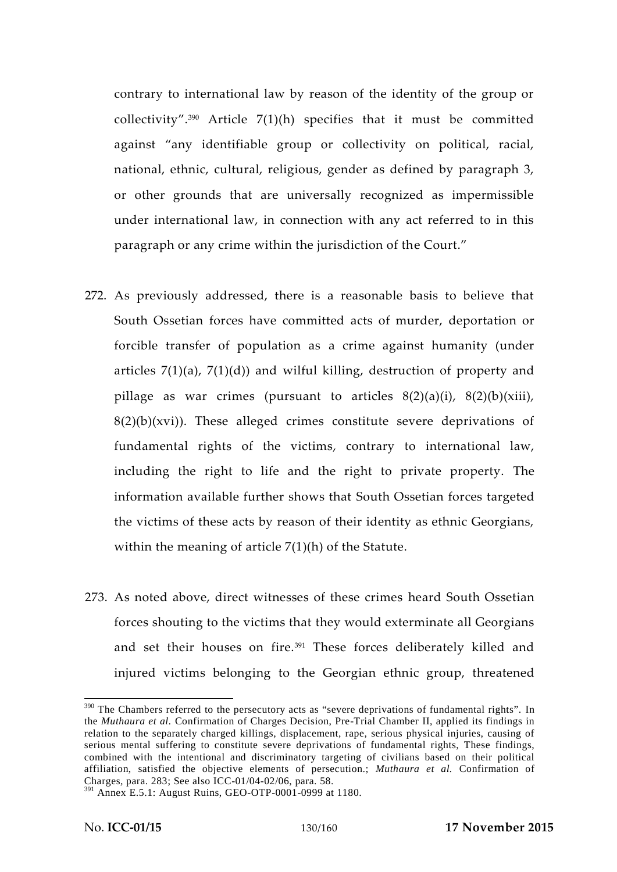contrary to international law by reason of the identity of the group or collectivity".<sup>390</sup> Article 7(1)(h) specifies that it must be committed against "any identifiable group or collectivity on political, racial, national, ethnic, cultural, religious, gender as defined by paragraph 3, or other grounds that are universally recognized as impermissible under international law, in connection with any act referred to in this paragraph or any crime within the jurisdiction of the Court."

- 272. As previously addressed, there is a reasonable basis to believe that South Ossetian forces have committed acts of murder, deportation or forcible transfer of population as a crime against humanity (under articles  $7(1)(a)$ ,  $7(1)(d)$  and wilful killing, destruction of property and pillage as war crimes (pursuant to articles 8(2)(a)(i), 8(2)(b)(xiii),  $8(2)(b)(xvi)$ . These alleged crimes constitute severe deprivations of fundamental rights of the victims, contrary to international law, including the right to life and the right to private property. The information available further shows that South Ossetian forces targeted the victims of these acts by reason of their identity as ethnic Georgians, within the meaning of article  $7(1)(h)$  of the Statute.
- 273. As noted above, direct witnesses of these crimes heard South Ossetian forces shouting to the victims that they would exterminate all Georgians and set their houses on fire.<sup>391</sup> These forces deliberately killed and injured victims belonging to the Georgian ethnic group, threatened

<sup>&</sup>lt;sup>390</sup> The Chambers referred to the persecutory acts as "severe deprivations of fundamental rights". In the *Muthaura et al.* Confirmation of Charges Decision, Pre-Trial Chamber II, applied its findings in relation to the separately charged killings, displacement, rape, serious physical injuries, causing of serious mental suffering to constitute severe deprivations of fundamental rights, These findings, combined with the intentional and discriminatory targeting of civilians based on their political affiliation, satisfied the objective elements of persecution.; *Muthaura et al.* Confirmation of Charges*,* para. 283; See also ICC-01/04-02/06, para. 58.

<sup>391</sup> Annex E.5.1: August Ruins, GEO-OTP-0001-0999 at 1180.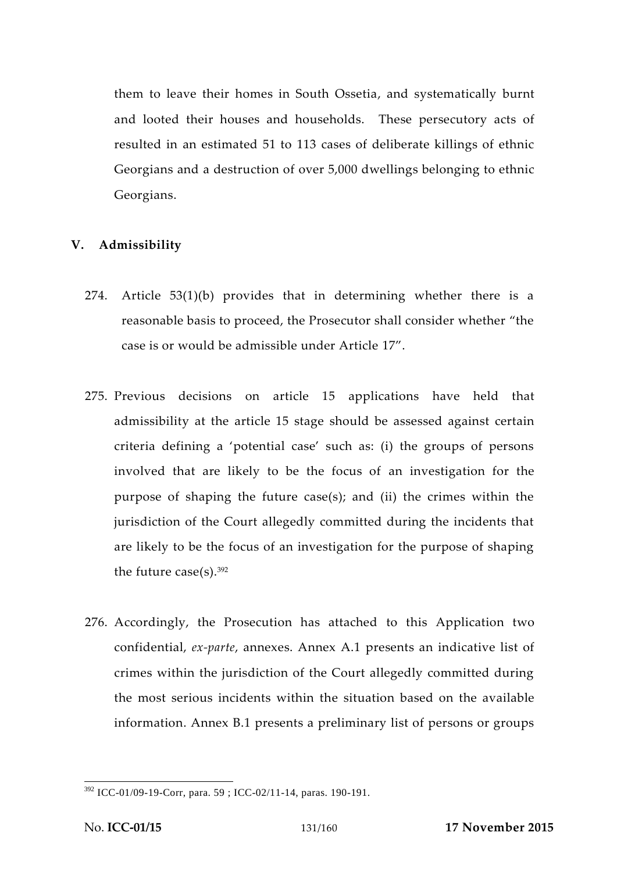them to leave their homes in South Ossetia, and systematically burnt and looted their houses and households. These persecutory acts of resulted in an estimated 51 to 113 cases of deliberate killings of ethnic Georgians and a destruction of over 5,000 dwellings belonging to ethnic Georgians.

# **V. Admissibility**

- 274. Article 53(1)(b) provides that in determining whether there is a reasonable basis to proceed, the Prosecutor shall consider whether "the case is or would be admissible under Article 17".
- 275. Previous decisions on article 15 applications have held that admissibility at the article 15 stage should be assessed against certain criteria defining a 'potential case' such as: (i) the groups of persons involved that are likely to be the focus of an investigation for the purpose of shaping the future case(s); and (ii) the crimes within the jurisdiction of the Court allegedly committed during the incidents that are likely to be the focus of an investigation for the purpose of shaping the future case(s). $392$
- 276. Accordingly, the Prosecution has attached to this Application two confidential, *ex-parte*, annexes. Annex A.1 presents an indicative list of crimes within the jurisdiction of the Court allegedly committed during the most serious incidents within the situation based on the available information. Annex B.1 presents a preliminary list of persons or groups

<sup>392</sup> ICC-01/09-19-Corr, para. 59 ; ICC-02/11-14, paras. 190-191.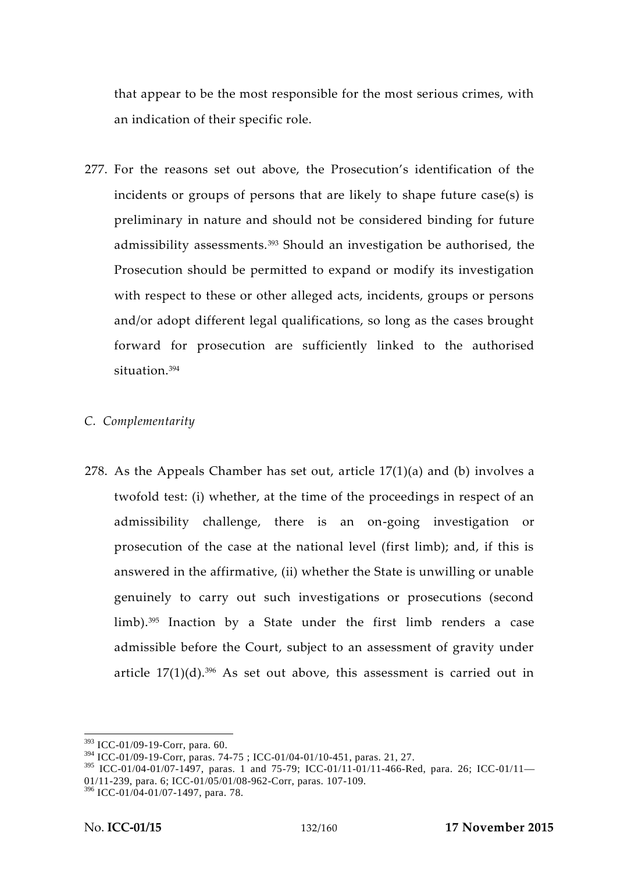that appear to be the most responsible for the most serious crimes, with an indication of their specific role.

277. For the reasons set out above, the Prosecution's identification of the incidents or groups of persons that are likely to shape future case(s) is preliminary in nature and should not be considered binding for future admissibility assessments.<sup>393</sup> Should an investigation be authorised, the Prosecution should be permitted to expand or modify its investigation with respect to these or other alleged acts, incidents, groups or persons and/or adopt different legal qualifications, so long as the cases brought forward for prosecution are sufficiently linked to the authorised situation.<sup>394</sup>

# *C. Complementarity*

278. As the Appeals Chamber has set out, article 17(1)(a) and (b) involves a twofold test: (i) whether, at the time of the proceedings in respect of an admissibility challenge, there is an on-going investigation or prosecution of the case at the national level (first limb); and, if this is answered in the affirmative, (ii) whether the State is unwilling or unable genuinely to carry out such investigations or prosecutions (second limb).<sup>395</sup> Inaction by a State under the first limb renders a case admissible before the Court, subject to an assessment of gravity under article  $17(1)(d)$ .<sup>396</sup> As set out above, this assessment is carried out in

<sup>393</sup> ICC-01/09-19-Corr, para. 60.

<sup>394</sup> ICC-01/09-19-Corr, paras. 74-75 ; ICC-01/04-01/10-451, paras. 21, 27.

<sup>395</sup> ICC-01/04-01/07-1497, paras. 1 and 75-79; ICC-01/11-01/11-466-Red, para. 26; ICC-01/11— 01/11-239, para. 6; ICC-01/05/01/08-962-Corr, paras. 107-109.

 $396$  ICC-01/04-01/07-1497, para. 78.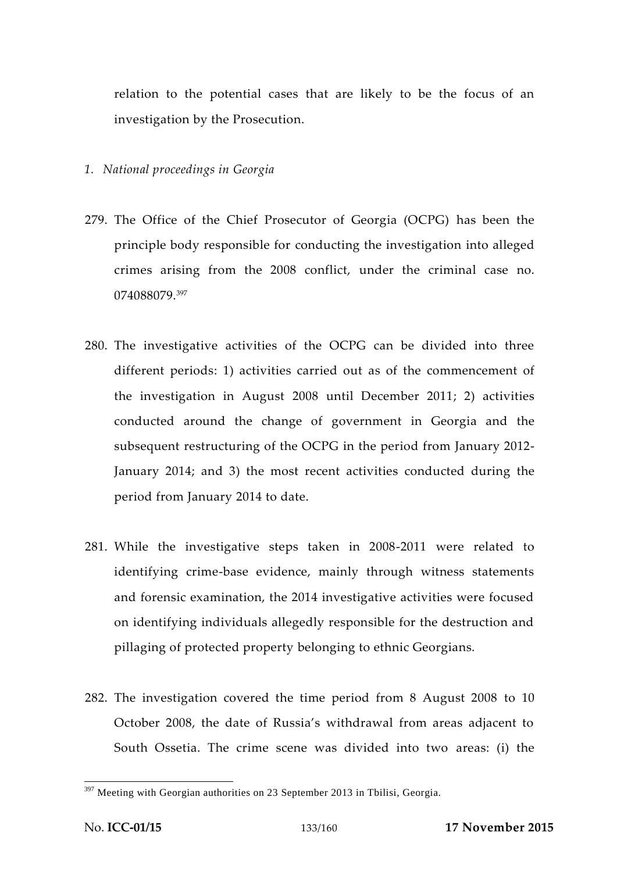relation to the potential cases that are likely to be the focus of an investigation by the Prosecution.

- *1. National proceedings in Georgia*
- 279. The Office of the Chief Prosecutor of Georgia (OCPG) has been the principle body responsible for conducting the investigation into alleged crimes arising from the 2008 conflict, under the criminal case no. 074088079.<sup>397</sup>
- 280. The investigative activities of the OCPG can be divided into three different periods: 1) activities carried out as of the commencement of the investigation in August 2008 until December 2011; 2) activities conducted around the change of government in Georgia and the subsequent restructuring of the OCPG in the period from January 2012- January 2014; and 3) the most recent activities conducted during the period from January 2014 to date.
- 281. While the investigative steps taken in 2008-2011 were related to identifying crime-base evidence, mainly through witness statements and forensic examination, the 2014 investigative activities were focused on identifying individuals allegedly responsible for the destruction and pillaging of protected property belonging to ethnic Georgians.
- 282. The investigation covered the time period from 8 August 2008 to 10 October 2008, the date of Russia's withdrawal from areas adjacent to South Ossetia. The crime scene was divided into two areas: (i) the

 $397$  Meeting with Georgian authorities on 23 September 2013 in Tbilisi, Georgia.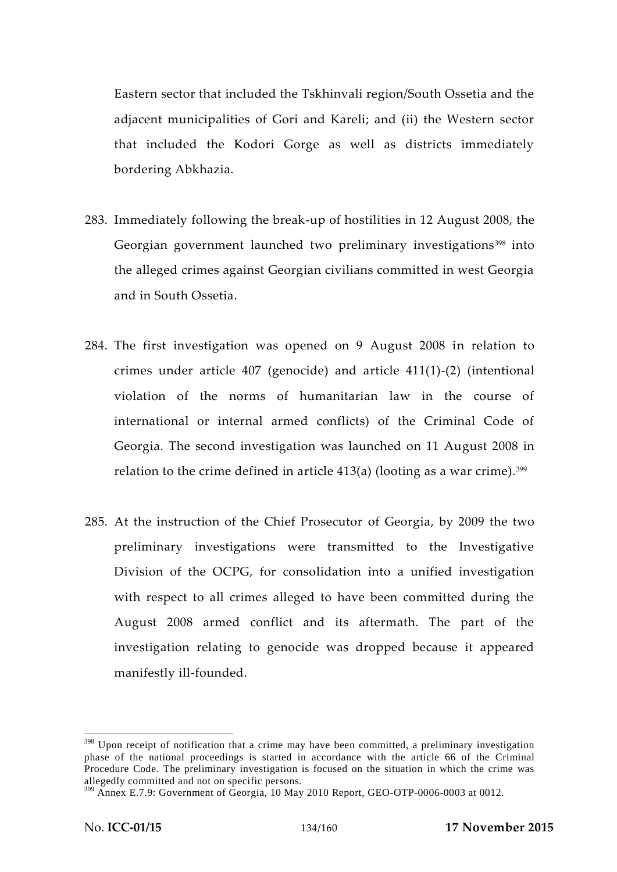Eastern sector that included the Tskhinvali region/South Ossetia and the adjacent municipalities of Gori and Kareli; and (ii) the Western sector that included the Kodori Gorge as well as districts immediately bordering Abkhazia.

- 283. Immediately following the break-up of hostilities in 12 August 2008, the Georgian government launched two preliminary investigations<sup>398</sup> into the alleged crimes against Georgian civilians committed in west Georgia and in South Ossetia.
- 284. The first investigation was opened on 9 August 2008 in relation to crimes under article 407 (genocide) and article 411(1)-(2) (intentional violation of the norms of humanitarian law in the course of international or internal armed conflicts) of the Criminal Code of Georgia. The second investigation was launched on 11 August 2008 in relation to the crime defined in article  $413(a)$  (looting as a war crime).<sup>399</sup>
- 285. At the instruction of the Chief Prosecutor of Georgia, by 2009 the two preliminary investigations were transmitted to the Investigative Division of the OCPG, for consolidation into a unified investigation with respect to all crimes alleged to have been committed during the August 2008 armed conflict and its aftermath. The part of the investigation relating to genocide was dropped because it appeared manifestly ill-founded.

<sup>&</sup>lt;sup>398</sup> Upon receipt of notification that a crime may have been committed, a preliminary investigation phase of the national proceedings is started in accordance with the article 66 of the Criminal Procedure Code. The preliminary investigation is focused on the situation in which the crime was allegedly committed and not on specific persons.

<sup>399</sup> Annex E.7.9: Government of Georgia, 10 May 2010 Report, GEO-OTP-0006-0003 at 0012.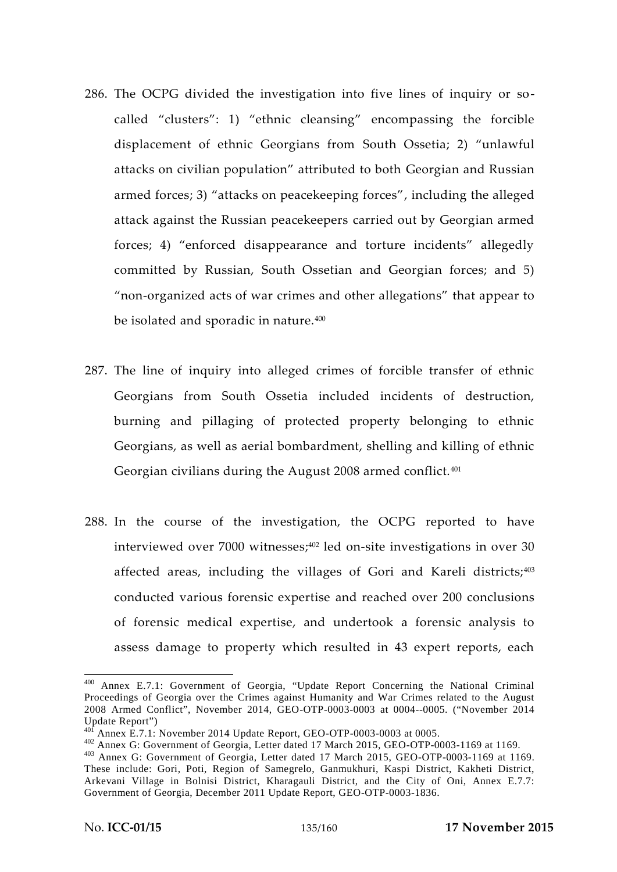- 286. The OCPG divided the investigation into five lines of inquiry or so called "clusters": 1) "ethnic cleansing" encompassing the forcible displacement of ethnic Georgians from South Ossetia; 2) "unlawful attacks on civilian population" attributed to both Georgian and Russian armed forces; 3) "attacks on peacekeeping forces", including the alleged attack against the Russian peacekeepers carried out by Georgian armed forces; 4) "enforced disappearance and torture incidents" allegedly committed by Russian, South Ossetian and Georgian forces; and 5) "non-organized acts of war crimes and other allegations" that appear to be isolated and sporadic in nature.<sup>400</sup>
- 287. The line of inquiry into alleged crimes of forcible transfer of ethnic Georgians from South Ossetia included incidents of destruction, burning and pillaging of protected property belonging to ethnic Georgians, as well as aerial bombardment, shelling and killing of ethnic Georgian civilians during the August 2008 armed conflict.<sup>401</sup>
- 288. In the course of the investigation, the OCPG reported to have interviewed over 7000 witnesses;<sup>402</sup> led on-site investigations in over 30 affected areas, including the villages of Gori and Kareli districts;<sup>403</sup> conducted various forensic expertise and reached over 200 conclusions of forensic medical expertise, and undertook a forensic analysis to assess damage to property which resulted in 43 expert reports, each

<sup>400</sup> Annex E.7.1: Government of Georgia, "Update Report Concerning the National Criminal Proceedings of Georgia over the Crimes against Humanity and War Crimes related to the August 2008 Armed Conflict", November 2014, GEO-OTP-0003-0003 at 0004--0005. ("November 2014 Update Report")<br><sup>401</sup> Annex E.7.1: November 2014 Update Report, GEO-OTP-0003-0003 at 0005.

<sup>402</sup> Annex G: Government of Georgia, Letter dated 17 March 2015, GEO-OTP-0003-1169 at 1169.<br><sup>403</sup> Annex G: Government of Georgia, Letter dated 17 March 2015, GEO-OTP-0003-1169 at 1169. These include: Gori, Poti, Region of Samegrelo, Ganmukhuri, Kaspi District, Kakheti District, Arkevani Village in Bolnisi District, Kharagauli District, and the City of Oni, Annex E.7.7: Government of Georgia, December 2011 Update Report, GEO-OTP-0003-1836.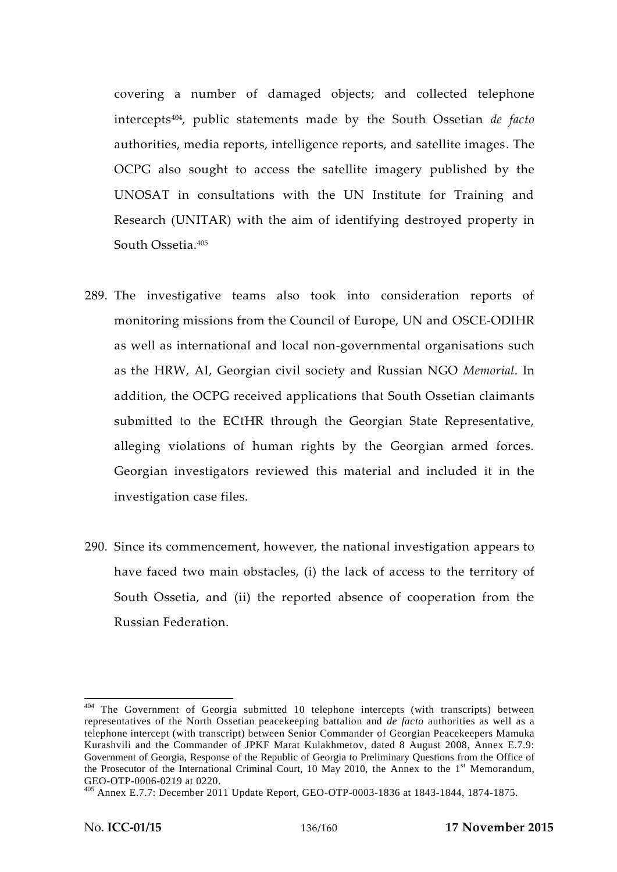covering a number of damaged objects; and collected telephone intercepts404, public statements made by the South Ossetian *de facto* authorities, media reports, intelligence reports, and satellite images. The OCPG also sought to access the satellite imagery published by the UNOSAT in consultations with the UN Institute for Training and Research (UNITAR) with the aim of identifying destroyed property in South Ossetia<sup>405</sup>

- 289. The investigative teams also took into consideration reports of monitoring missions from the Council of Europe, UN and OSCE-ODIHR as well as international and local non-governmental organisations such as the HRW, AI, Georgian civil society and Russian NGO *Memorial*. In addition, the OCPG received applications that South Ossetian claimants submitted to the ECtHR through the Georgian State Representative, alleging violations of human rights by the Georgian armed forces. Georgian investigators reviewed this material and included it in the investigation case files.
- 290. Since its commencement, however, the national investigation appears to have faced two main obstacles, (i) the lack of access to the territory of South Ossetia, and (ii) the reported absence of cooperation from the Russian Federation.

<sup>&</sup>lt;sup>404</sup> The Government of Georgia submitted 10 telephone intercepts (with transcripts) between representatives of the North Ossetian peacekeeping battalion and *de facto* authorities as well as a telephone intercept (with transcript) between Senior Commander of Georgian Peacekeepers Mamuka Kurashvili and the Commander of JPKF Marat Kulakhmetov, dated 8 August 2008, Annex E.7.9: Government of Georgia, Response of the Republic of Georgia to Preliminary Questions from the Office of the Prosecutor of the International Criminal Court, 10 May 2010, the Annex to the 1<sup>st</sup> Memorandum, GEO-OTP-0006-0219 at 0220.<br><sup>405</sup> Annex E.7.7: December 2011 Update Report, GEO-OTP-0003-1836 at 1843-1844, 1874-1875.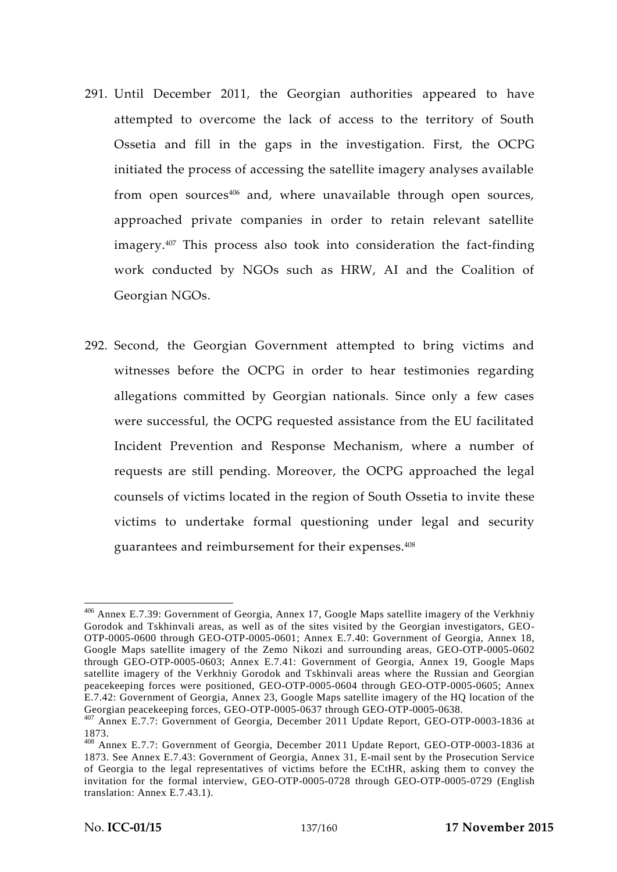- 291. Until December 2011, the Georgian authorities appeared to have attempted to overcome the lack of access to the territory of South Ossetia and fill in the gaps in the investigation. First, the OCPG initiated the process of accessing the satellite imagery analyses available from open sources<sup>406</sup> and, where unavailable through open sources, approached private companies in order to retain relevant satellite imagery.<sup>407</sup> This process also took into consideration the fact-finding work conducted by NGOs such as HRW, AI and the Coalition of Georgian NGOs.
- 292. Second, the Georgian Government attempted to bring victims and witnesses before the OCPG in order to hear testimonies regarding allegations committed by Georgian nationals. Since only a few cases were successful, the OCPG requested assistance from the EU facilitated Incident Prevention and Response Mechanism, where a number of requests are still pending. Moreover, the OCPG approached the legal counsels of victims located in the region of South Ossetia to invite these victims to undertake formal questioning under legal and security guarantees and reimbursement for their expenses.<sup>408</sup>

<sup>406</sup> Annex E.7.39: Government of Georgia, Annex 17, Google Maps satellite imagery of the Verkhniy Gorodok and Tskhinvali areas, as well as of the sites visited by the Georgian investigators, GEO- OTP-0005-0600 through GEO-OTP-0005-0601; Annex E.7.40: Government of Georgia, Annex 18, Google Maps satellite imagery of the Zemo Nikozi and surrounding areas, GEO-OTP-0005-0602 through GEO-OTP-0005-0603; Annex E.7.41: Government of Georgia, Annex 19, Google Maps satellite imagery of the Verkhniy Gorodok and Tskhinvali areas where the Russian and Georgian peacekeeping forces were positioned, GEO-OTP-0005-0604 through GEO-OTP-0005-0605; Annex E.7.42: Government of Georgia, Annex 23, Google Maps satellite imagery of the HQ location of the<br>Georgian peacekeeping forces, GEO-OTP-0005-0637 through GEO-OTP-0005-0638.

<sup>&</sup>lt;sup>407</sup> Annex E.7.7: Government of Georgia, December 2011 Update Report, GEO-OTP-0003-1836 at

<sup>1873.</sup> <sup>408</sup> Annex E.7.7: Government of Georgia, December 2011 Update Report, GEO-OTP-0003-1836 at 1873. See Annex E.7.43: Government of Georgia, Annex 31, E-mail sent by the Prosecution Service of Georgia to the legal representatives of victims before the ECtHR, asking them to convey the invitation for the formal interview, GEO-OTP-0005-0728 through GEO-OTP-0005-0729 (English translation: Annex E.7.43.1).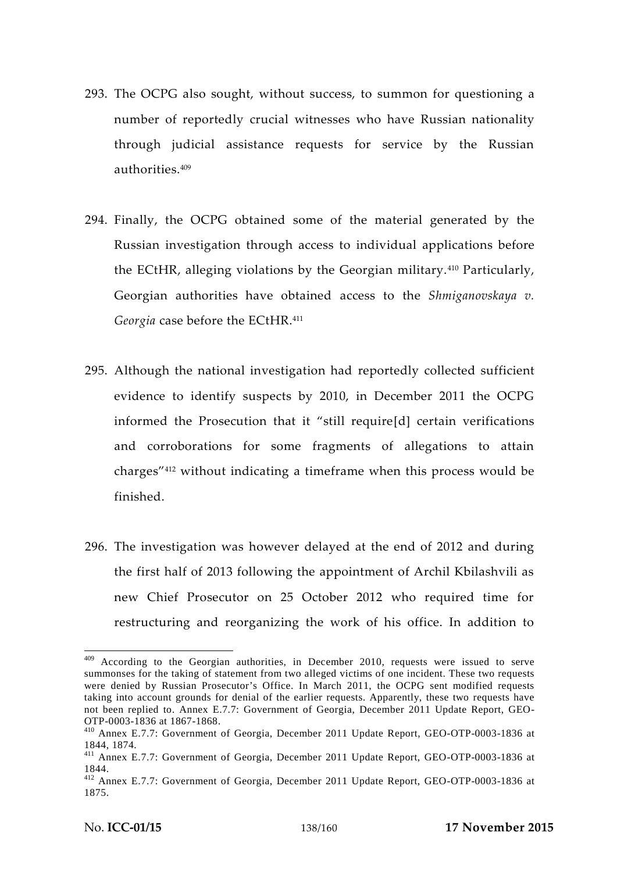- 293. The OCPG also sought, without success, to summon for questioning a number of reportedly crucial witnesses who have Russian nationality through judicial assistance requests for service by the Russian authorities.<sup>409</sup>
- 294. Finally, the OCPG obtained some of the material generated by the Russian investigation through access to individual applications before the ECtHR, alleging violations by the Georgian military.<sup>410</sup> Particularly, Georgian authorities have obtained access to the *Shmiganovskaya v. Georgia* case before the ECtHR.<sup>411</sup>
- 295. Although the national investigation had reportedly collected sufficient evidence to identify suspects by 2010, in December 2011 the OCPG informed the Prosecution that it "still require[d] certain verifications and corroborations for some fragments of allegations to attain charges"<sup>412</sup> without indicating a timeframe when this process would be finished.
- 296. The investigation was however delayed at the end of 2012 and during the first half of 2013 following the appointment of Archil Kbilashvili as new Chief Prosecutor on 25 October 2012 who required time for restructuring and reorganizing the work of his office. In addition to

<sup>&</sup>lt;sup>409</sup> According to the Georgian authorities, in December 2010, requests were issued to serve summonses for the taking of statement from two alleged victims of one incident. These two requests were denied by Russian Prosecutor's Office. In March 2011, the OCPG sent modified requests taking into account grounds for denial of the earlier requests. Apparently, these two requests have not been replied to. Annex E.7.7: Government of Georgia, December 2011 Update Report, GEO-

<sup>&</sup>lt;sup>410</sup> Annex E.7.7: Government of Georgia, December 2011 Update Report, GEO-OTP-0003-1836 at

<sup>1844, 1874.</sup> <sup>411</sup> Annex E.7.7: Government of Georgia, December 2011 Update Report, GEO-OTP-0003-1836 at

<sup>1844.</sup> <sup>412</sup> Annex E.7.7: Government of Georgia, December 2011 Update Report, GEO-OTP-0003-1836 at 1875.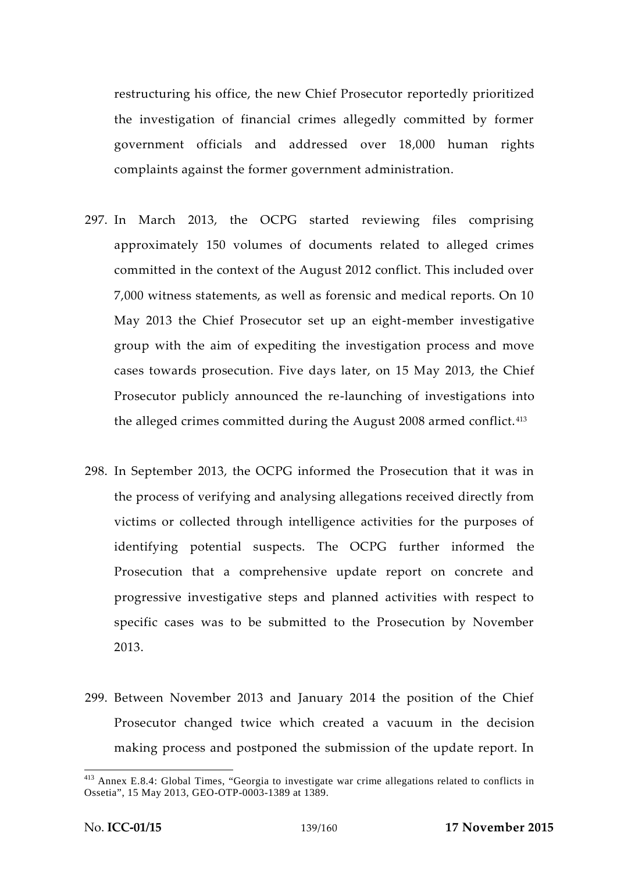restructuring his office, the new Chief Prosecutor reportedly prioritized the investigation of financial crimes allegedly committed by former government officials and addressed over 18,000 human rights complaints against the former government administration.

- 297. In March 2013, the OCPG started reviewing files comprising approximately 150 volumes of documents related to alleged crimes committed in the context of the August 2012 conflict. This included over 7,000 witness statements, as well as forensic and medical reports. On 10 May 2013 the Chief Prosecutor set up an eight-member investigative group with the aim of expediting the investigation process and move cases towards prosecution. Five days later, on 15 May 2013, the Chief Prosecutor publicly announced the re-launching of investigations into the alleged crimes committed during the August 2008 armed conflict. <sup>413</sup>
- 298. In September 2013, the OCPG informed the Prosecution that it was in the process of verifying and analysing allegations received directly from victims or collected through intelligence activities for the purposes of identifying potential suspects. The OCPG further informed the Prosecution that a comprehensive update report on concrete and progressive investigative steps and planned activities with respect to specific cases was to be submitted to the Prosecution by November 2013.
- 299. Between November 2013 and January 2014 the position of the Chief Prosecutor changed twice which created a vacuum in the decision making process and postponed the submission of the update report. In

<sup>413</sup> Annex E.8.4: Global Times, "Georgia to investigate war crime allegations related to conflicts in Ossetia", 15 May 2013, GEO-OTP-0003-1389 at 1389.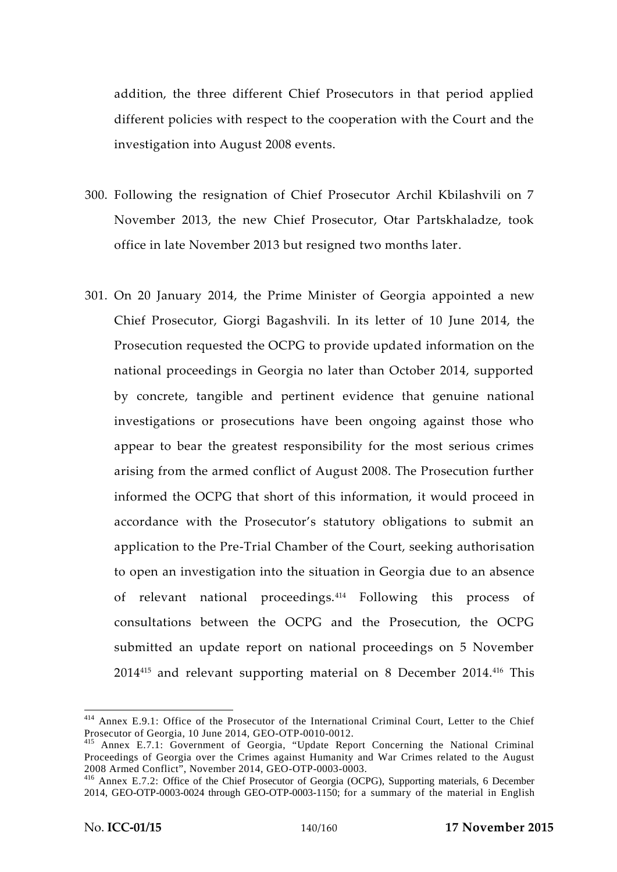addition, the three different Chief Prosecutors in that period applied different policies with respect to the cooperation with the Court and the investigation into August 2008 events.

- 300. Following the resignation of Chief Prosecutor Archil Kbilashvili on 7 November 2013, the new Chief Prosecutor, Otar Partskhaladze, took office in late November 2013 but resigned two months later.
- 301. On 20 January 2014, the Prime Minister of Georgia appointed a new Chief Prosecutor, Giorgi Bagashvili. In its letter of 10 June 2014, the Prosecution requested the OCPG to provide updated information on the national proceedings in Georgia no later than October 2014, supported by concrete, tangible and pertinent evidence that genuine national investigations or prosecutions have been ongoing against those who appear to bear the greatest responsibility for the most serious crimes arising from the armed conflict of August 2008. The Prosecution further informed the OCPG that short of this information, it would proceed in accordance with the Prosecutor's statutory obligations to submit an application to the Pre-Trial Chamber of the Court, seeking authorisation to open an investigation into the situation in Georgia due to an absence of relevant national proceedings.<sup>414</sup> Following this process of consultations between the OCPG and the Prosecution, the OCPG submitted an update report on national proceedings on 5 November 2014<sup>415</sup> and relevant supporting material on 8 December 2014.<sup>416</sup> This

<sup>&</sup>lt;sup>414</sup> Annex E.9.1: Office of the Prosecutor of the International Criminal Court, Letter to the Chief Prosecutor of Georgia, 10 June 2014, GEO-OTP-0010-0012.

<sup>&</sup>lt;sup>415</sup> Annex E.7.1: Government of Georgia, "Update Report Concerning the National Criminal Proceedings of Georgia over the Crimes against Humanity and War Crimes related to the August 2008 Armed Conflict", November 2014, GEO-OTP-0003-0003.

<sup>&</sup>lt;sup>416</sup> Annex E.7.2: Office of the Chief Prosecutor of Georgia (OCPG), Supporting materials, 6 December 2014, GEO-OTP-0003-0024 through GEO-OTP-0003-1150; for a summary of the material in English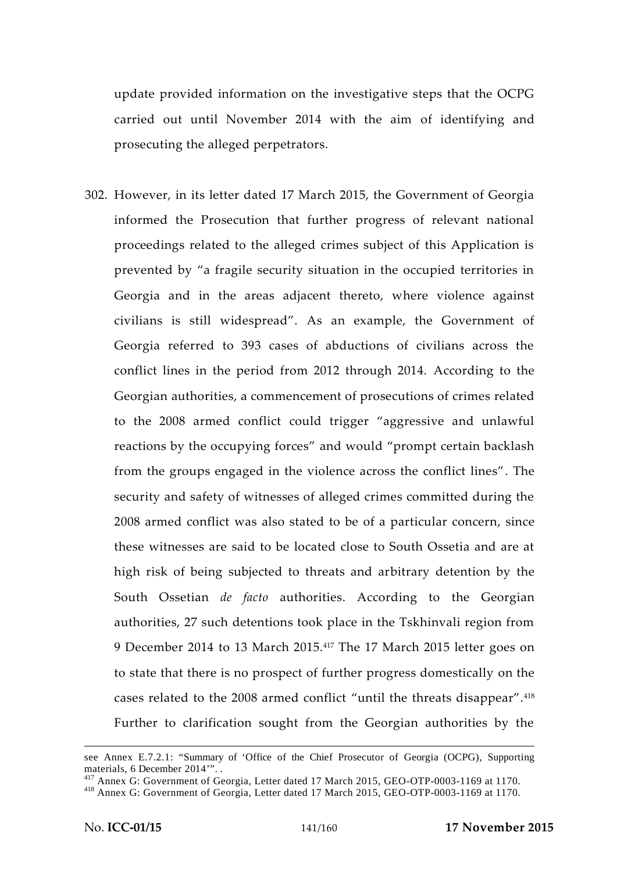update provided information on the investigative steps that the OCPG carried out until November 2014 with the aim of identifying and prosecuting the alleged perpetrators.

302. However, in its letter dated 17 March 2015, the Government of Georgia informed the Prosecution that further progress of relevant national proceedings related to the alleged crimes subject of this Application is prevented by "a fragile security situation in the occupied territories in Georgia and in the areas adjacent thereto, where violence against civilians is still widespread". As an example, the Government of Georgia referred to 393 cases of abductions of civilians across the conflict lines in the period from 2012 through 2014. According to the Georgian authorities, a commencement of prosecutions of crimes related to the 2008 armed conflict could trigger "aggressive and unlawful reactions by the occupying forces" and would "prompt certain backlash from the groups engaged in the violence across the conflict lines". The security and safety of witnesses of alleged crimes committed during the 2008 armed conflict was also stated to be of a particular concern, since these witnesses are said to be located close to South Ossetia and are at high risk of being subjected to threats and arbitrary detention by the South Ossetian *de facto* authorities. According to the Georgian authorities, 27 such detentions took place in the Tskhinvali region from 9 December 2014 to 13 March 2015.<sup>417</sup> The 17 March 2015 letter goes on to state that there is no prospect of further progress domestically on the cases related to the 2008 armed conflict "until the threats disappear".<sup>418</sup> Further to clarification sought from the Georgian authorities by the

see Annex E.7.2.1: "Summary of 'Office of the Chief Prosecutor of Georgia (OCPG), Supporting

materials, 6 December 2014'". .<br><sup>417</sup> Annex G: Government of Georgia, Letter dated 17 March 2015, GEO-OTP-0003-1169 at 1170.<br><sup>418</sup> Annex G: Government of Georgia, Letter dated 17 March 2015, GEO-OTP-0003-1169 at 1170.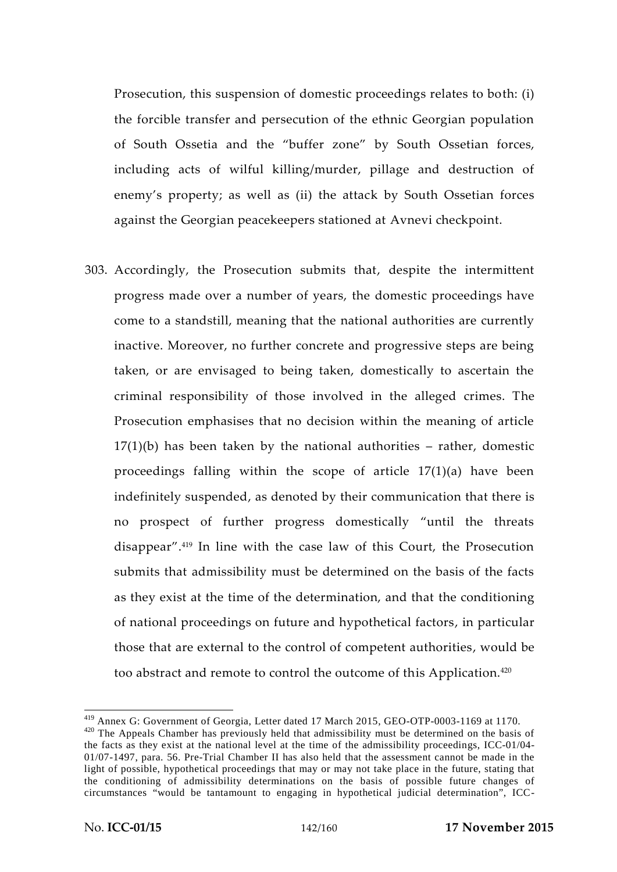Prosecution, this suspension of domestic proceedings relates to both: (i) the forcible transfer and persecution of the ethnic Georgian population of South Ossetia and the "buffer zone" by South Ossetian forces, including acts of wilful killing/murder, pillage and destruction of enemy's property; as well as (ii) the attack by South Ossetian forces against the Georgian peacekeepers stationed at Avnevi checkpoint.

303. Accordingly, the Prosecution submits that, despite the intermittent progress made over a number of years, the domestic proceedings have come to a standstill, meaning that the national authorities are currently inactive. Moreover, no further concrete and progressive steps are being taken, or are envisaged to being taken, domestically to ascertain the criminal responsibility of those involved in the alleged crimes. The Prosecution emphasises that no decision within the meaning of article  $17(1)(b)$  has been taken by the national authorities – rather, domestic proceedings falling within the scope of article 17(1)(a) have been indefinitely suspended, as denoted by their communication that there is no prospect of further progress domestically "until the threats disappear".<sup>419</sup> In line with the case law of this Court, the Prosecution submits that admissibility must be determined on the basis of the facts as they exist at the time of the determination, and that the conditioning of national proceedings on future and hypothetical factors, in particular those that are external to the control of competent authorities, would be too abstract and remote to control the outcome of this Application.<sup>420</sup>

<sup>&</sup>lt;sup>419</sup> Annex G: Government of Georgia, Letter dated 17 March 2015, GEO-OTP-0003-1169 at 1170.<br><sup>420</sup> The Appeals Chamber has previously held that admissibility must be determined on the basis of the facts as they exist at the national level at the time of the admissibility proceedings, ICC-01/04- 01/07-1497, para. 56. Pre-Trial Chamber II has also held that the assessment cannot be made in the light of possible, hypothetical proceedings that may or may not take place in the future, stating that the conditioning of admissibility determinations on the basis of possible future changes of circumstances "would be tantamount to engaging in hypothetical judicial determination", ICC-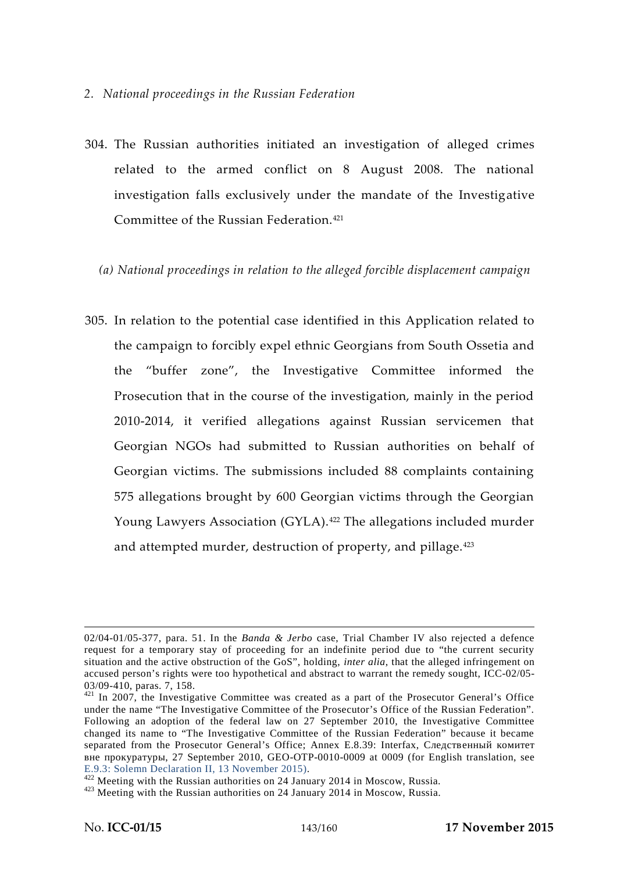- 304. The Russian authorities initiated an investigation of alleged crimes related to the armed conflict on 8 August 2008. The national investigation falls exclusively under the mandate of the Investigative Committee of the Russian Federation.<sup>421</sup>
	- *(a) National proceedings in relation to the alleged forcible displacement campaign*
- 305. In relation to the potential case identified in this Application related to the campaign to forcibly expel ethnic Georgians from South Ossetia and the "buffer zone", the Investigative Committee informed the Prosecution that in the course of the investigation, mainly in the period 2010-2014, it verified allegations against Russian servicemen that Georgian NGOs had submitted to Russian authorities on behalf of Georgian victims. The submissions included 88 complaints containing 575 allegations brought by 600 Georgian victims through the Georgian Young Lawyers Association (GYLA).<sup>422</sup> The allegations included murder and attempted murder, destruction of property, and pillage.<sup>423</sup>

<sup>02/04-01/05-377,</sup> para. 51. In the *Banda & Jerbo* case, Trial Chamber IV also rejected a defence request for a temporary stay of proceeding for an indefinite period due to "the current security situation and the active obstruction of the GoS", holding, *inter alia*, that the alleged infringement on accused person's rights were too hypothetical and abstract to warrant the remedy sought, ICC-02/05-

<sup>03/09-410,</sup> paras. 7, 158.<br> $421$  In 2007, the Investigative Committee was created as a part of the Prosecutor General's Office under the name "The Investigative Committee of the Prosecutor's Office of the Russian Federation". Following an adoption of the federal law on 27 September 2010, the Investigative Committee changed its name to "The Investigative Committee of the Russian Federation" because it became separated from the Prosecutor General's Office; Annex E.8.39: Interfax,

<sup>, 27</sup> September 2010, GEO-OTP-0010-0009 at 0009 (for English translation, see<br>E.9.3: Solemn Declaration II, 13 November 2015).

<sup>&</sup>lt;sup>422</sup> Meeting with the Russian authorities on 24 January 2014 in Moscow, Russia.  $423$  Meeting with the Russian authorities on 24 January 2014 in Moscow, Russia.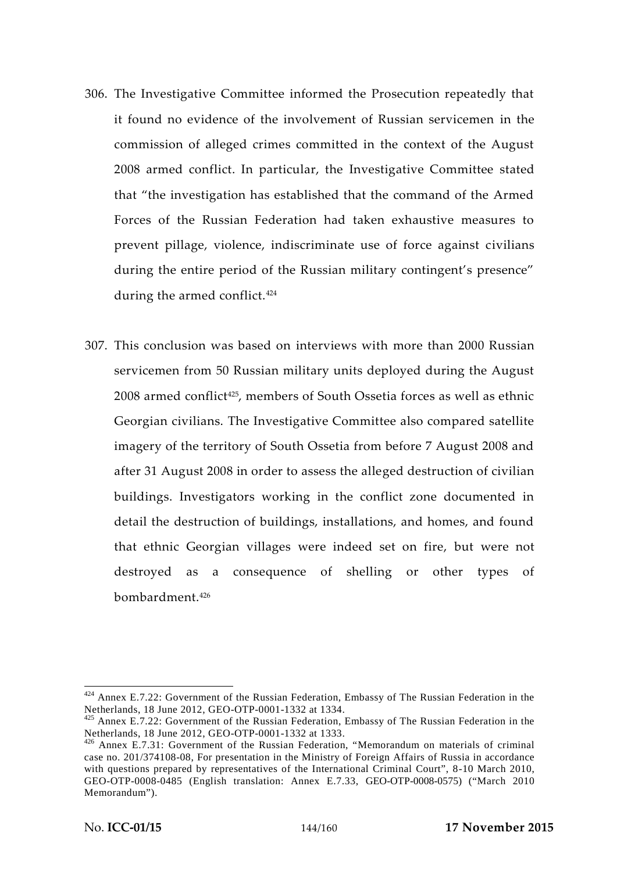- 306. The Investigative Committee informed the Prosecution repeatedly that it found no evidence of the involvement of Russian servicemen in the commission of alleged crimes committed in the context of the August 2008 armed conflict. In particular, the Investigative Committee stated that "the investigation has established that the command of the Armed Forces of the Russian Federation had taken exhaustive measures to prevent pillage, violence, indiscriminate use of force against civilians during the entire period of the Russian military contingent's presence" during the armed conflict.<sup>424</sup>
- 307. This conclusion was based on interviews with more than 2000 Russian servicemen from 50 Russian military units deployed during the August 2008 armed conflict<sup>425</sup>, members of South Ossetia forces as well as ethnic Georgian civilians. The Investigative Committee also compared satellite imagery of the territory of South Ossetia from before 7 August 2008 and after 31 August 2008 in order to assess the alleged destruction of civilian buildings. Investigators working in the conflict zone documented in detail the destruction of buildings, installations, and homes, and found that ethnic Georgian villages were indeed set on fire, but were not destroyed as a consequence of shelling or other types of bombardment.<sup>426</sup>

 $424$  Annex E.7.22: Government of the Russian Federation, Embassy of The Russian Federation in the Netherlands, 18 June 2012, GEO-OTP-0001-1332 at 1334.

<sup>&</sup>lt;sup>425</sup> Annex E.7.22: Government of the Russian Federation, Embassy of The Russian Federation in the Netherlands, 18 June 2012, GEO-OTP-0001-1332 at 1333.

 $^{426}$  Annex E.7.31: Government of the Russian Federation, "Memorandum on materials of criminal case no. 201/374108-08, For presentation in the Ministry of Foreign Affairs of Russia in accordance with questions prepared by representatives of the International Criminal Court", 8-10 March 2010, GEO-OTP-0008-0485 (English translation: Annex E.7.33, GEO-OTP-0008-0575) ("March 2010 Memorandum").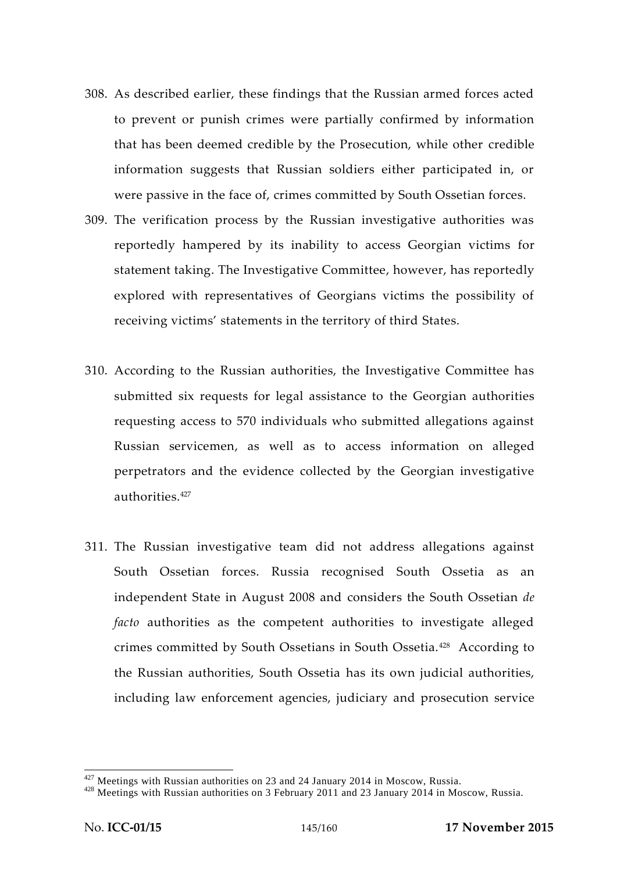- 308. As described earlier, these findings that the Russian armed forces acted to prevent or punish crimes were partially confirmed by information that has been deemed credible by the Prosecution, while other credible information suggests that Russian soldiers either participated in, or were passive in the face of, crimes committed by South Ossetian forces.
- 309. The verification process by the Russian investigative authorities was reportedly hampered by its inability to access Georgian victims for statement taking. The Investigative Committee, however, has reportedly explored with representatives of Georgians victims the possibility of receiving victims' statements in the territory of third States.
- 310. According to the Russian authorities, the Investigative Committee has submitted six requests for legal assistance to the Georgian authorities requesting access to 570 individuals who submitted allegations against Russian servicemen, as well as to access information on alleged perpetrators and the evidence collected by the Georgian investigative authorities.<sup>427</sup>
- 311. The Russian investigative team did not address allegations against South Ossetian forces. Russia recognised South Ossetia as an independent State in August 2008 and considers the South Ossetian *de facto* authorities as the competent authorities to investigate alleged crimes committed by South Ossetians in South Ossetia.<sup>428</sup> According to the Russian authorities, South Ossetia has its own judicial authorities, including law enforcement agencies, judiciary and prosecution service

<sup>&</sup>lt;sup>427</sup> Meetings with Russian authorities on 23 and 24 January 2014 in Moscow, Russia.<br><sup>428</sup> Meetings with Russian authorities on 3 February 2011 and 23 January 2014 in Moscow, Russia.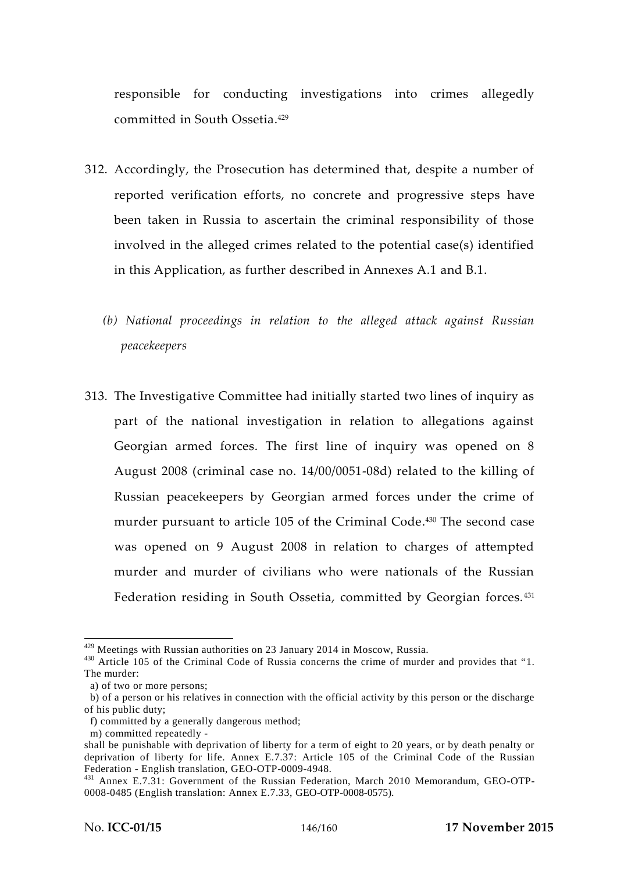responsible for conducting investigations into crimes allegedly committed in South Ossetia.<sup>429</sup>

- 312. Accordingly, the Prosecution has determined that, despite a number of reported verification efforts, no concrete and progressive steps have been taken in Russia to ascertain the criminal responsibility of those involved in the alleged crimes related to the potential case(s) identified in this Application, as further described in Annexes A.1 and B.1.
	- *(b) National proceedings in relation to the alleged attack against Russian peacekeepers*
- 313. The Investigative Committee had initially started two lines of inquiry as part of the national investigation in relation to allegations against Georgian armed forces. The first line of inquiry was opened on 8 August 2008 (criminal case no. 14/00/0051-08d) related to the killing of Russian peacekeepers by Georgian armed forces under the crime of murder pursuant to article 105 of the Criminal Code.<sup>430</sup> The second case was opened on 9 August 2008 in relation to charges of attempted murder and murder of civilians who were nationals of the Russian Federation residing in South Ossetia, committed by Georgian forces.<sup>431</sup>

<sup>&</sup>lt;sup>429</sup> Meetings with Russian authorities on 23 January 2014 in Moscow, Russia.<br><sup>430</sup> Article 105 of the Criminal Code of Russia concerns the crime of murder and provides that "1. The murder:

a) of two or more persons;

b) of a person or his relatives in connection with the official activity by this person or the discharge of his public duty;

f) committed by a generally dangerous method;

m) committed repeatedly -

shall be punishable with deprivation of liberty for a term of eight to 20 years, or by death penalty or deprivation of liberty for life. Annex E.7.37: Article 105 of the Criminal Code of the Russian Federation - English translation, GEO-OTP-0009-4948.

<sup>&</sup>lt;sup>431</sup> Annex E.7.31: Government of the Russian Federation, March 2010 Memorandum, GEO-OTP-0008-0485 (English translation: Annex E.7.33, GEO-OTP-0008-0575).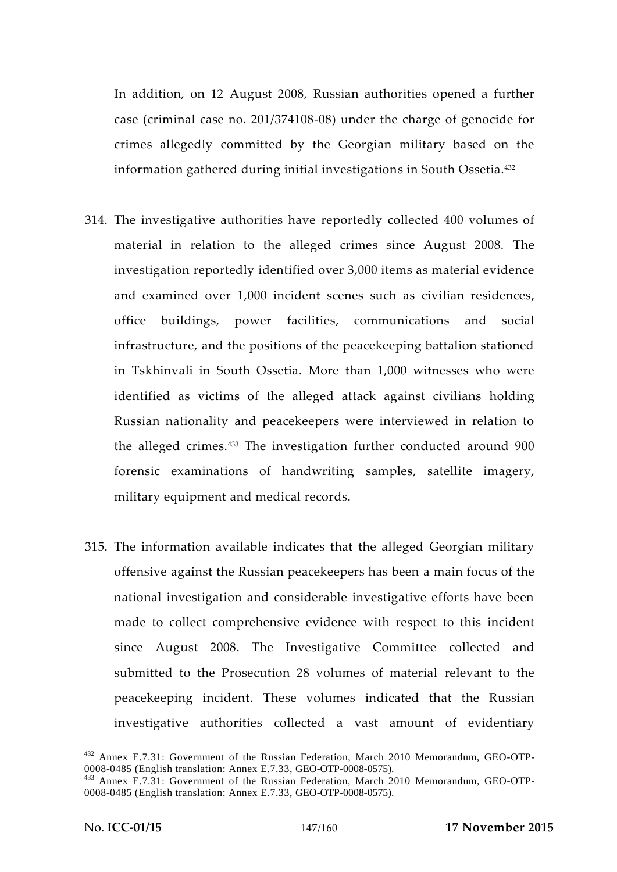In addition, on 12 August 2008, Russian authorities opened a further case (criminal case no. 201/374108-08) under the charge of genocide for crimes allegedly committed by the Georgian military based on the information gathered during initial investigations in South Ossetia.<sup>432</sup>

- 314. The investigative authorities have reportedly collected 400 volumes of material in relation to the alleged crimes since August 2008. The investigation reportedly identified over 3,000 items as material evidence and examined over 1,000 incident scenes such as civilian residences, office buildings, power facilities, communications and social infrastructure, and the positions of the peacekeeping battalion stationed in Tskhinvali in South Ossetia. More than 1,000 witnesses who were identified as victims of the alleged attack against civilians holding Russian nationality and peacekeepers were interviewed in relation to the alleged crimes.<sup>433</sup> The investigation further conducted around 900 forensic examinations of handwriting samples, satellite imagery, military equipment and medical records.
- 315. The information available indicates that the alleged Georgian military offensive against the Russian peacekeepers has been a main focus of the national investigation and considerable investigative efforts have been made to collect comprehensive evidence with respect to this incident since August 2008. The Investigative Committee collected and submitted to the Prosecution 28 volumes of material relevant to the peacekeeping incident. These volumes indicated that the Russian investigative authorities collected a vast amount of evidentiary

 $432$  Annex E.7.31: Government of the Russian Federation, March 2010 Memorandum, GEO-OTP-0008-0485 (English translation: Annex E.7.33, GEO-OTP-0008-0575).

<sup>&</sup>lt;sup>433</sup> Annex E.7.31: Government of the Russian Federation, March 2010 Memorandum, GEO-OTP-0008-0485 (English translation: Annex E.7.33, GEO-OTP-0008-0575).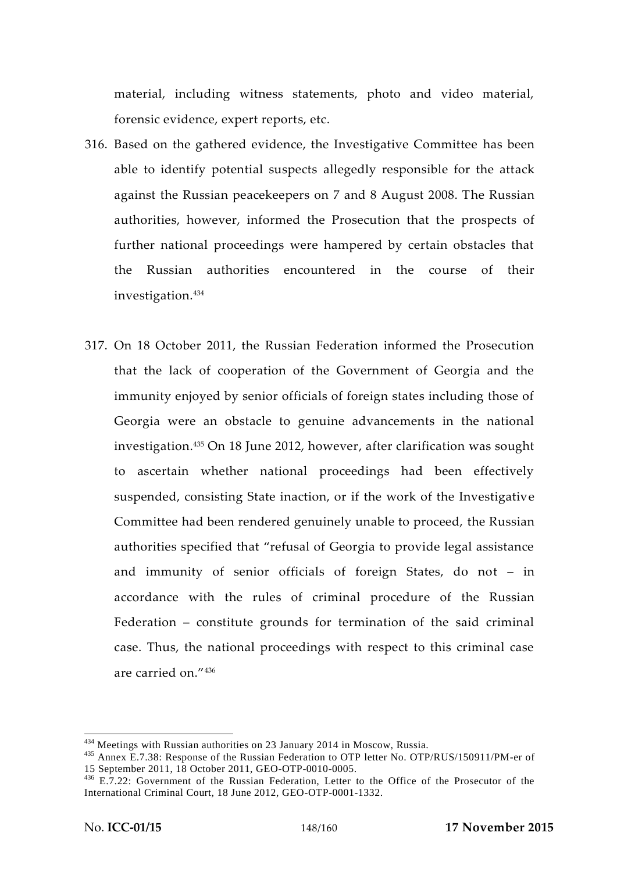material, including witness statements, photo and video material, forensic evidence, expert reports, etc.

- 316. Based on the gathered evidence, the Investigative Committee has been able to identify potential suspects allegedly responsible for the attack against the Russian peacekeepers on 7 and 8 August 2008. The Russian authorities, however, informed the Prosecution that the prospects of further national proceedings were hampered by certain obstacles that the Russian authorities encountered in the course of their investigation.<sup>434</sup>
- 317. On 18 October 2011, the Russian Federation informed the Prosecution that the lack of cooperation of the Government of Georgia and the immunity enjoyed by senior officials of foreign states including those of Georgia were an obstacle to genuine advancements in the national investigation.<sup>435</sup> On 18 June 2012, however, after clarification was sought to ascertain whether national proceedings had been effectively suspended, consisting State inaction, or if the work of the Investigative Committee had been rendered genuinely unable to proceed, the Russian authorities specified that "refusal of Georgia to provide legal assistance and immunity of senior officials of foreign States, do not – in accordance with the rules of criminal procedure of the Russian Federation – constitute grounds for termination of the said criminal case. Thus, the national proceedings with respect to this criminal case are carried on."<sup>436</sup>

<sup>&</sup>lt;sup>434</sup> Meetings with Russian authorities on 23 January 2014 in Moscow, Russia.<br><sup>435</sup> Annex E.7.38: Response of the Russian Federation to OTP letter No. OTP/RUS/150911/PM-er of<br>15 September 2011, 18 October 2011, GEO-OTP-001

 $136$  E.7.22: Government of the Russian Federation, Letter to the Office of the Prosecutor of the International Criminal Court, 18 June 2012, GEO-OTP-0001-1332.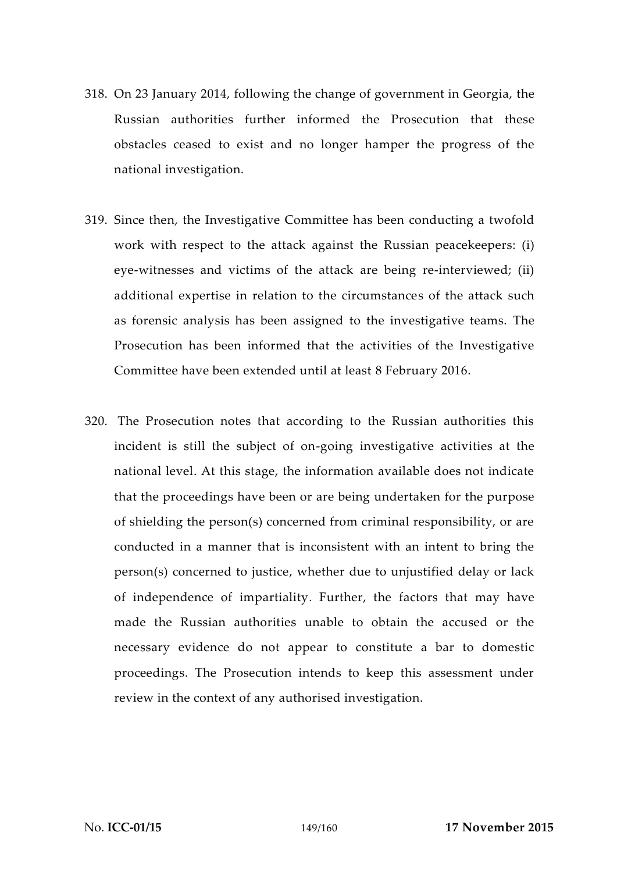- 318. On 23 January 2014, following the change of government in Georgia, the Russian authorities further informed the Prosecution that these obstacles ceased to exist and no longer hamper the progress of the national investigation.
- 319. Since then, the Investigative Committee has been conducting a twofold work with respect to the attack against the Russian peacekeepers: (i) eye-witnesses and victims of the attack are being re-interviewed; (ii) additional expertise in relation to the circumstances of the attack such as forensic analysis has been assigned to the investigative teams. The Prosecution has been informed that the activities of the Investigative Committee have been extended until at least 8 February 2016.
- 320. The Prosecution notes that according to the Russian authorities this incident is still the subject of on-going investigative activities at the national level. At this stage, the information available does not indicate that the proceedings have been or are being undertaken for the purpose of shielding the person(s) concerned from criminal responsibility, or are conducted in a manner that is inconsistent with an intent to bring the person(s) concerned to justice, whether due to unjustified delay or lack of independence of impartiality. Further, the factors that may have made the Russian authorities unable to obtain the accused or the necessary evidence do not appear to constitute a bar to domestic proceedings. The Prosecution intends to keep this assessment under review in the context of any authorised investigation.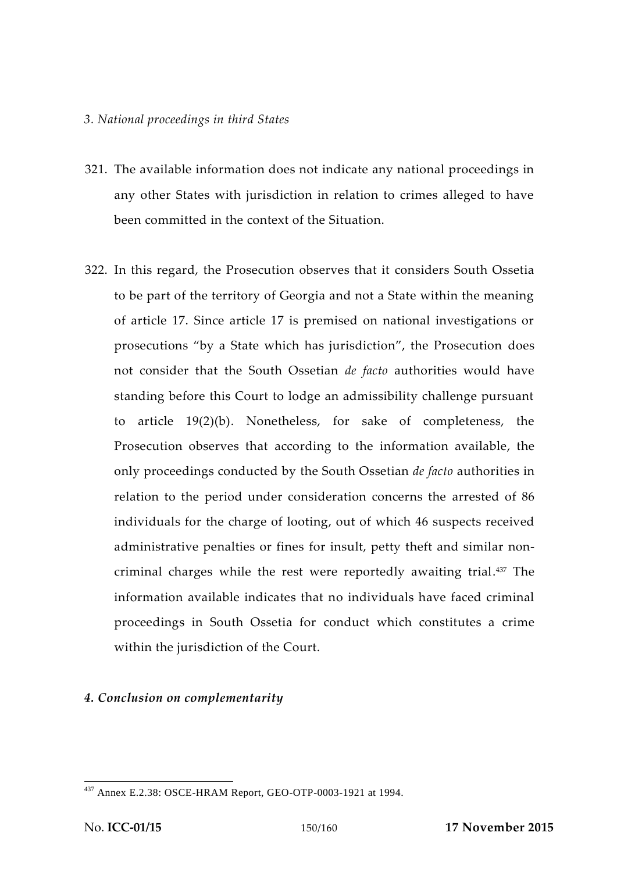### *3. National proceedings in third States*

- 321. The available information does not indicate any national proceedings in any other States with jurisdiction in relation to crimes alleged to have been committed in the context of the Situation.
- 322. In this regard, the Prosecution observes that it considers South Ossetia to be part of the territory of Georgia and not a State within the meaning of article 17. Since article 17 is premised on national investigations or prosecutions "by a State which has jurisdiction", the Prosecution does not consider that the South Ossetian *de facto* authorities would have standing before this Court to lodge an admissibility challenge pursuant to article 19(2)(b). Nonetheless, for sake of completeness, the Prosecution observes that according to the information available, the only proceedings conducted by the South Ossetian *de facto* authorities in relation to the period under consideration concerns the arrested of 86 individuals for the charge of looting, out of which 46 suspects received administrative penalties or fines for insult, petty theft and similar non criminal charges while the rest were reportedly awaiting trial.<sup>437</sup> The information available indicates that no individuals have faced criminal proceedings in South Ossetia for conduct which constitutes a crime within the jurisdiction of the Court.

## *4. Conclusion on complementarity*

<sup>437</sup> Annex E.2.38: OSCE-HRAM Report, GEO-OTP-0003-1921 at 1994.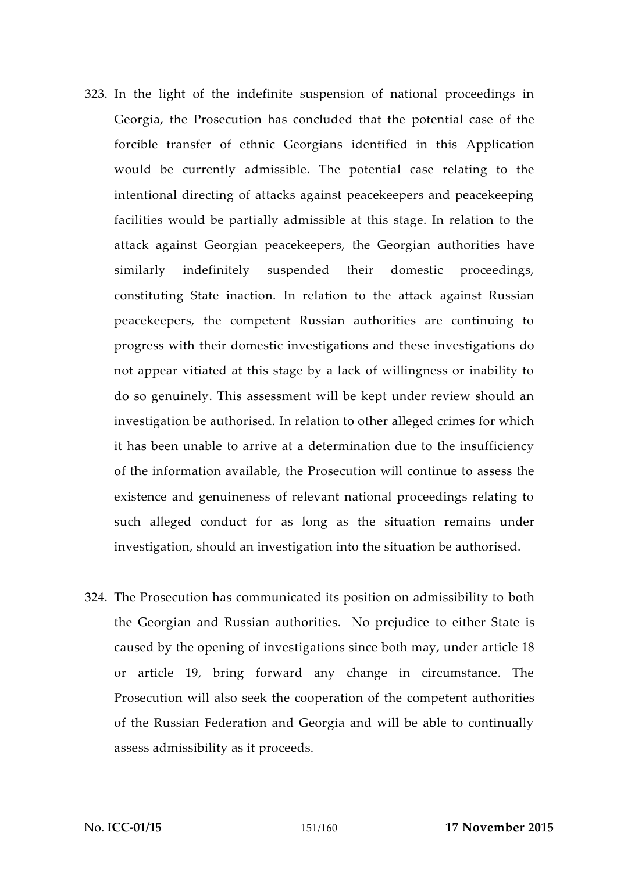- 323. In the light of the indefinite suspension of national proceedings in Georgia, the Prosecution has concluded that the potential case of the forcible transfer of ethnic Georgians identified in this Application would be currently admissible. The potential case relating to the intentional directing of attacks against peacekeepers and peacekeeping facilities would be partially admissible at this stage. In relation to the attack against Georgian peacekeepers, the Georgian authorities have similarly indefinitely suspended their domestic proceedings, constituting State inaction. In relation to the attack against Russian peacekeepers, the competent Russian authorities are continuing to progress with their domestic investigations and these investigations do not appear vitiated at this stage by a lack of willingness or inability to do so genuinely. This assessment will be kept under review should an investigation be authorised. In relation to other alleged crimes for which it has been unable to arrive at a determination due to the insufficiency of the information available, the Prosecution will continue to assess the existence and genuineness of relevant national proceedings relating to such alleged conduct for as long as the situation remains under investigation, should an investigation into the situation be authorised.
- 324. The Prosecution has communicated its position on admissibility to both the Georgian and Russian authorities. No prejudice to either State is caused by the opening of investigations since both may, under article 18 or article 19, bring forward any change in circumstance. The Prosecution will also seek the cooperation of the competent authorities of the Russian Federation and Georgia and will be able to continually assess admissibility as it proceeds.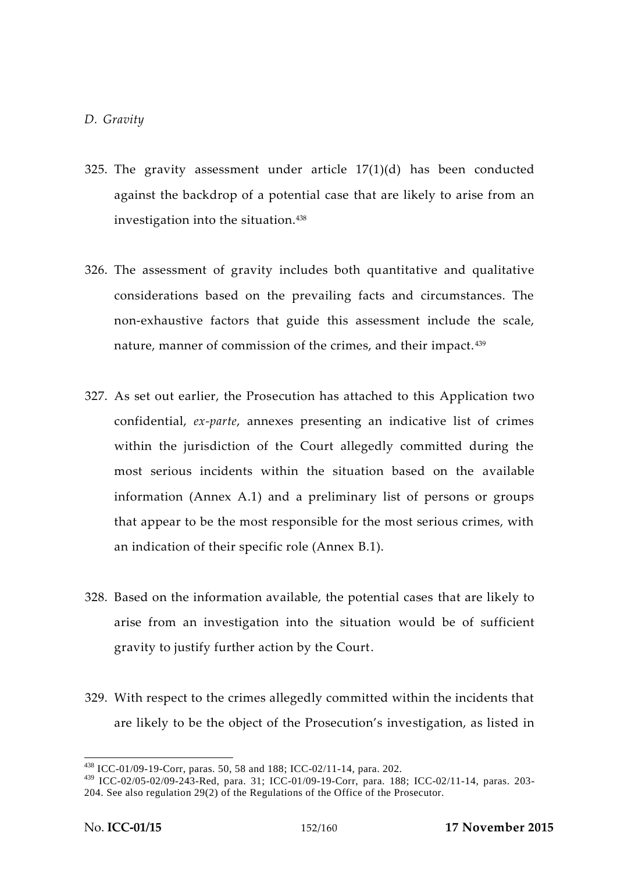### *D. Gravity*

- 325. The gravity assessment under article 17(1)(d) has been conducted against the backdrop of a potential case that are likely to arise from an investigation into the situation.<sup>438</sup>
- 326. The assessment of gravity includes both quantitative and qualitative considerations based on the prevailing facts and circumstances. The non-exhaustive factors that guide this assessment include the scale, nature, manner of commission of the crimes, and their impact. <sup>439</sup>
- 327. As set out earlier, the Prosecution has attached to this Application two confidential, *ex-parte*, annexes presenting an indicative list of crimes within the jurisdiction of the Court allegedly committed during the most serious incidents within the situation based on the available information (Annex A.1) and a preliminary list of persons or groups that appear to be the most responsible for the most serious crimes, with an indication of their specific role (Annex B.1).
- 328. Based on the information available, the potential cases that are likely to arise from an investigation into the situation would be of sufficient gravity to justify further action by the Court.
- 329. With respect to the crimes allegedly committed within the incidents that are likely to be the object of the Prosecution's investigation, as listed in

<sup>438</sup> ICC-01/09-19-Corr, paras. 50, 58 and 188; ICC-02/11-14, para. 202.

<sup>439</sup> ICC-02/05-02/09-243-Red, para. 31; ICC-01/09-19-Corr, para. 188; ICC-02/11-14, paras. 203- 204. See also regulation 29(2) of the Regulations of the Office of the Prosecutor.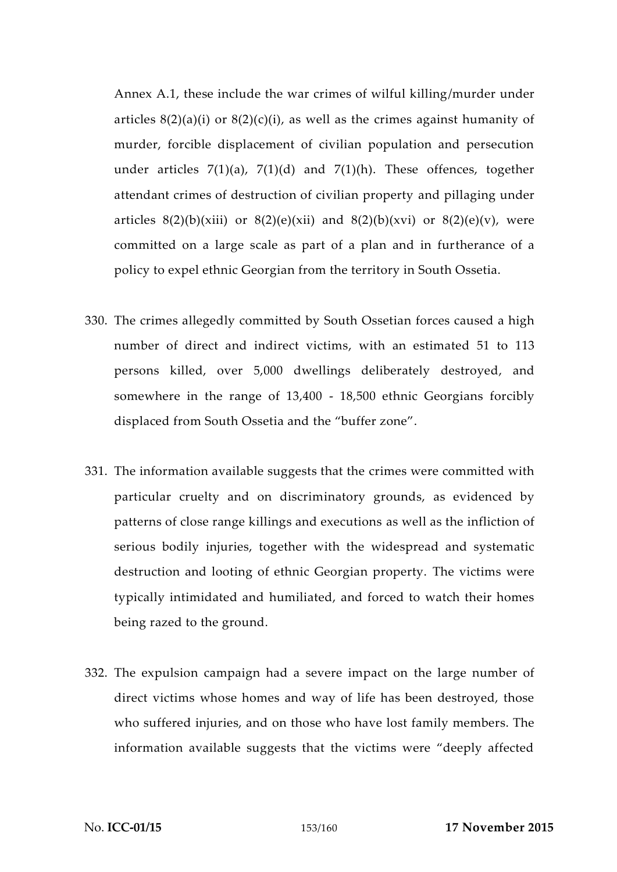Annex A.1, these include the war crimes of wilful killing/murder under articles  $8(2)(a)(i)$  or  $8(2)(c)(i)$ , as well as the crimes against humanity of murder, forcible displacement of civilian population and persecution under articles  $7(1)(a)$ ,  $7(1)(d)$  and  $7(1)(h)$ . These offences, together attendant crimes of destruction of civilian property and pillaging under articles  $8(2)(b)(xiii)$  or  $8(2)(e)(xi)$  and  $8(2)(b)(xv)$  or  $8(2)(e)(v)$ , were committed on a large scale as part of a plan and in furtherance of a policy to expel ethnic Georgian from the territory in South Ossetia.

- 330. The crimes allegedly committed by South Ossetian forces caused a high number of direct and indirect victims, with an estimated 51 to 113 persons killed, over 5,000 dwellings deliberately destroyed, and somewhere in the range of 13,400 - 18,500 ethnic Georgians forcibly displaced from South Ossetia and the "buffer zone".
- 331. The information available suggests that the crimes were committed with particular cruelty and on discriminatory grounds, as evidenced by patterns of close range killings and executions as well as the infliction of serious bodily injuries, together with the widespread and systematic destruction and looting of ethnic Georgian property. The victims were typically intimidated and humiliated, and forced to watch their homes being razed to the ground.
- 332. The expulsion campaign had a severe impact on the large number of direct victims whose homes and way of life has been destroyed, those who suffered injuries, and on those who have lost family members. The information available suggests that the victims were "deeply affected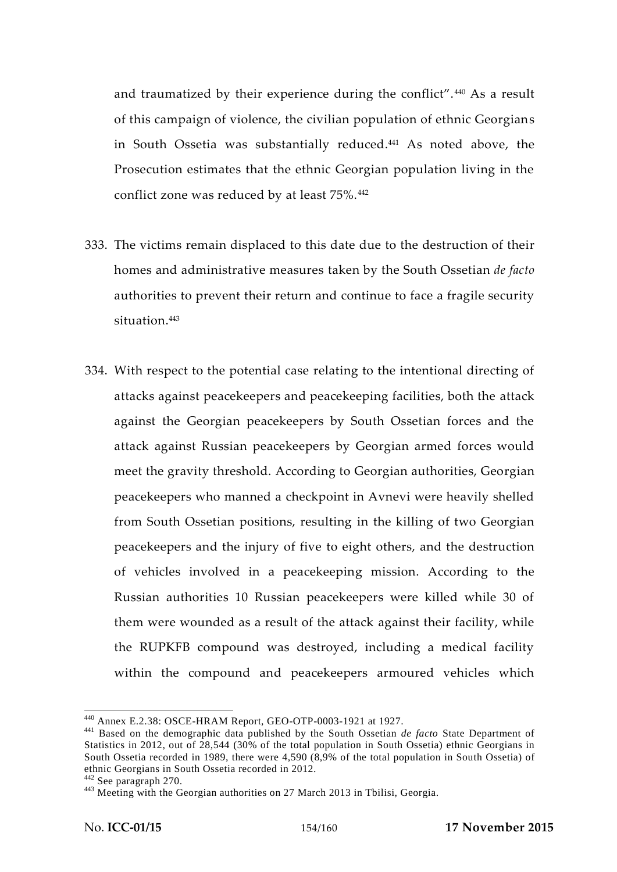and traumatized by their experience during the conflict". <sup>440</sup> As a result of this campaign of violence, the civilian population of ethnic Georgians in South Ossetia was substantially reduced.<sup>441</sup> As noted above, the Prosecution estimates that the ethnic Georgian population living in the conflict zone was reduced by at least 75%.<sup>442</sup>

- 333. The victims remain displaced to this date due to the destruction of their homes and administrative measures taken by the South Ossetian *de facto* authorities to prevent their return and continue to face a fragile security situation.<sup>443</sup>
- 334. With respect to the potential case relating to the intentional directing of attacks against peacekeepers and peacekeeping facilities, both the attack against the Georgian peacekeepers by South Ossetian forces and the attack against Russian peacekeepers by Georgian armed forces would meet the gravity threshold. According to Georgian authorities, Georgian peacekeepers who manned a checkpoint in Avnevi were heavily shelled from South Ossetian positions, resulting in the killing of two Georgian peacekeepers and the injury of five to eight others, and the destruction of vehicles involved in a peacekeeping mission. According to the Russian authorities 10 Russian peacekeepers were killed while 30 of them were wounded as a result of the attack against their facility, while the RUPKFB compound was destroyed, including a medical facility within the compound and peacekeepers armoured vehicles which

<sup>440</sup> Annex E.2.38: OSCE-HRAM Report, GEO-OTP-0003-1921 at 1927. <sup>441</sup> Based on the demographic data published by the South Ossetian *de facto* State Department of Statistics in 2012, out of 28,544 (30% of the total population in South Ossetia) ethnic Georgians in South Ossetia recorded in 1989, there were 4,590 (8,9% of the total population in South Ossetia) of ethnic Georgians in South Ossetia recorded in 2012.<br><sup>442</sup> See paragraph 270.<br><sup>443</sup> Meeting with the Georgian authorities on 27 March 2013 in Tbilisi, Georgia.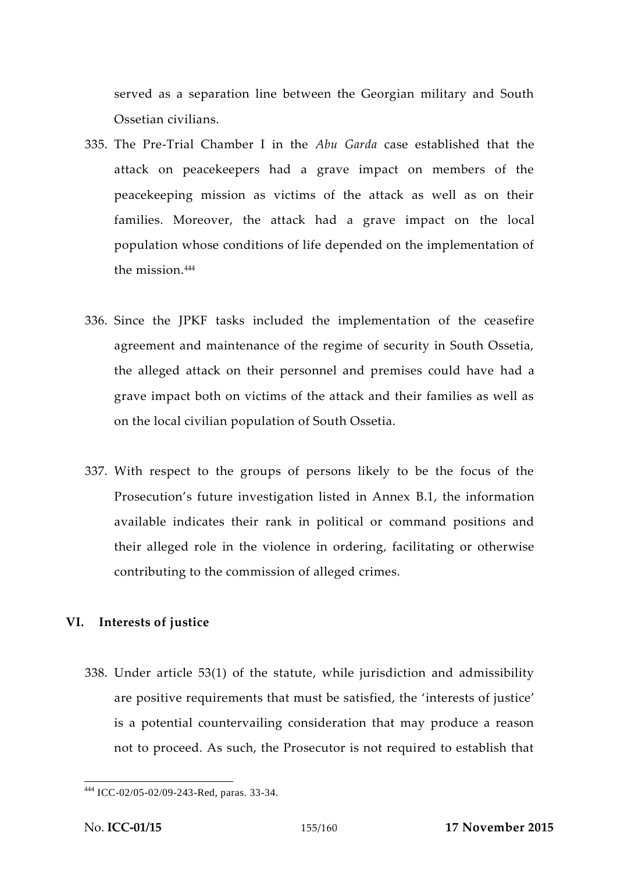served as a separation line between the Georgian military and South Ossetian civilians.

- 335. The Pre-Trial Chamber I in the *Abu Garda* case established that the attack on peacekeepers had a grave impact on members of the peacekeeping mission as victims of the attack as well as on their families. Moreover, the attack had a grave impact on the local population whose conditions of life depended on the implementation of the mission.<sup>444</sup>
- 336. Since the JPKF tasks included the implementation of the ceasefire agreement and maintenance of the regime of security in South Ossetia, the alleged attack on their personnel and premises could have had a grave impact both on victims of the attack and their families as well as on the local civilian population of South Ossetia.
- 337. With respect to the groups of persons likely to be the focus of the Prosecution's future investigation listed in Annex B.1, the information available indicates their rank in political or command positions and their alleged role in the violence in ordering, facilitating or otherwise contributing to the commission of alleged crimes.

# **VI. Interests of justice**

338. Under article 53(1) of the statute, while jurisdiction and admissibility are positive requirements that must be satisfied, the 'interests of justice' is a potential countervailing consideration that may produce a reason not to proceed. As such, the Prosecutor is not required to establish that

<sup>444</sup> ICC-02/05-02/09-243-Red, paras. 33-34.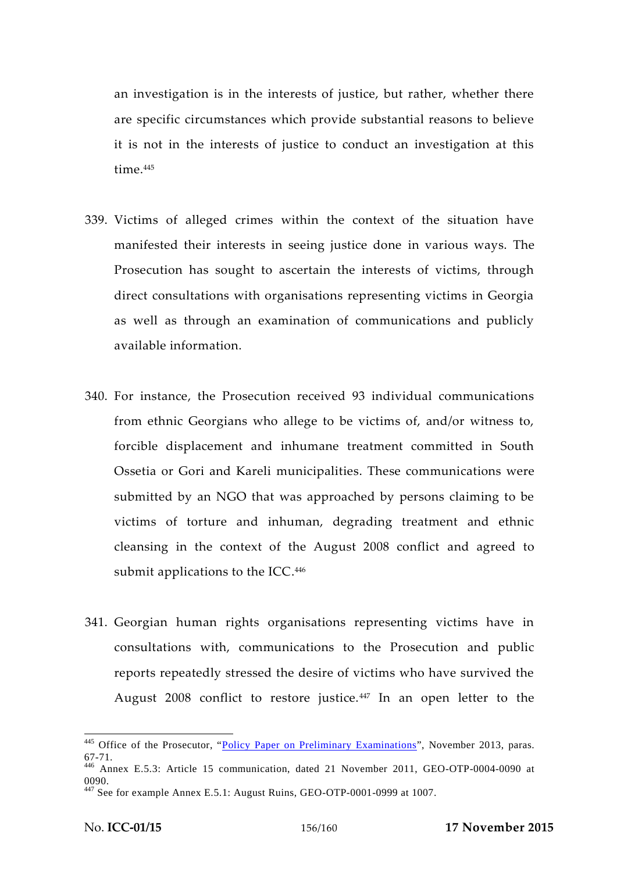an investigation is in the interests of justice, but rather, whether there are specific circumstances which provide substantial reasons to believe it is not in the interests of justice to conduct an investigation at this time.<sup>445</sup>

- 339. Victims of alleged crimes within the context of the situation have manifested their interests in seeing justice done in various ways. The Prosecution has sought to ascertain the interests of victims, through direct consultations with organisations representing victims in Georgia as well as through an examination of communications and publicly available information.
- 340. For instance, the Prosecution received 93 individual communications from ethnic Georgians who allege to be victims of, and/or witness to, forcible displacement and inhumane treatment committed in South Ossetia or Gori and Kareli municipalities. These communications were submitted by an NGO that was approached by persons claiming to be victims of torture and inhuman, degrading treatment and ethnic cleansing in the context of the August 2008 conflict and agreed to submit applications to the ICC.<sup>446</sup>
- 341. Georgian human rights organisations representing victims have in consultations with, communications to the Prosecution and public reports repeatedly stressed the desire of victims who have survived the August 2008 conflict to restore justice.<sup>447</sup> In an open letter to the

<sup>&</sup>lt;sup>445</sup> Office of the Prosecutor, "Policy Paper on Preliminary Examinations", November 2013, paras. 67-71. <sup>446</sup> Annex E.5.3: Article 15 communication, dated 21 November 2011, GEO-OTP-0004-0090 at

<sup>0090.&</sup>lt;br><sup>447</sup> See for example Annex E.5.1: August Ruins, GEO-OTP-0001-0999 at 1007.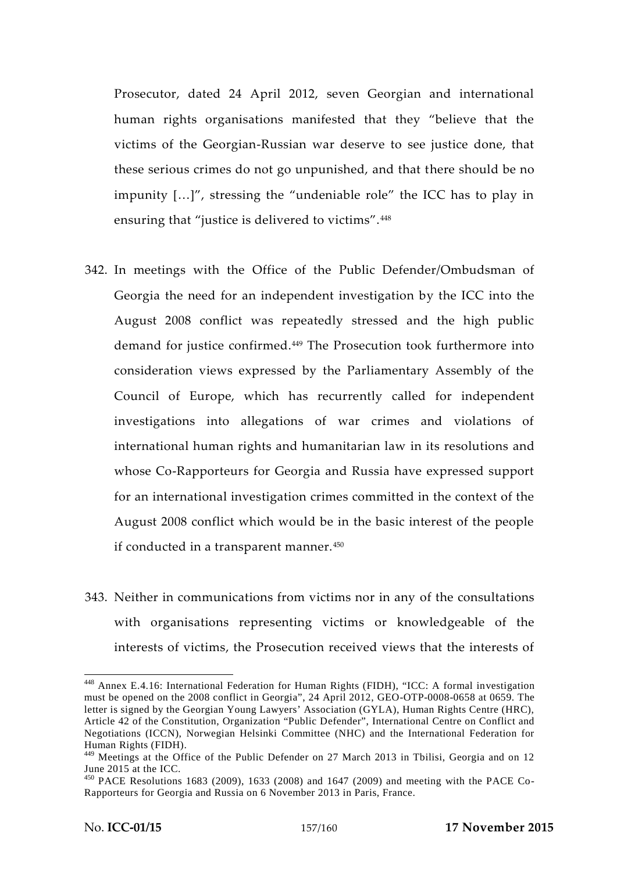Prosecutor, dated 24 April 2012, seven Georgian and international human rights organisations manifested that they "believe that the victims of the Georgian-Russian war deserve to see justice done, that these serious crimes do not go unpunished, and that there should be no impunity […]", stressing the "undeniable role" the ICC has to play in ensuring that "justice is delivered to victims".<sup>448</sup>

- 342. In meetings with the Office of the Public Defender/Ombudsman of Georgia the need for an independent investigation by the ICC into the August 2008 conflict was repeatedly stressed and the high public demand for justice confirmed.<sup>449</sup> The Prosecution took furthermore into consideration views expressed by the Parliamentary Assembly of the Council of Europe, which has recurrently called for independent investigations into allegations of war crimes and violations of international human rights and humanitarian law in its resolutions and whose Co-Rapporteurs for Georgia and Russia have expressed support for an international investigation crimes committed in the context of the August 2008 conflict which would be in the basic interest of the people if conducted in a transparent manner.<sup>450</sup>
- 343. Neither in communications from victims nor in any of the consultations with organisations representing victims or knowledgeable of the interests of victims, the Prosecution received views that the interests of

<sup>448</sup> Annex E.4.16: International Federation for Human Rights (FIDH), "ICC: A formal investigation must be opened on the 2008 conflict in Georgia", 24 April 2012, GEO-OTP-0008-0658 at 0659. The letter is signed by the Georgian Young Lawyers' Association (GYLA), Human Rights Centre (HRC), Article 42 of the Constitution, Organization "Public Defender", International Centre on Conflict and Negotiations (ICCN), Norwegian Helsinki Committee (NHC) and the International Federation for Human Rights (FIDH).

 $^{449}$  Meetings at the Office of the Public Defender on 27 March 2013 in Tbilisi, Georgia and on 12 June 2015 at the ICC.

 $450$  PACE Resolutions 1683 (2009), 1633 (2008) and 1647 (2009) and meeting with the PACE Co-Rapporteurs for Georgia and Russia on 6 November 2013 in Paris, France.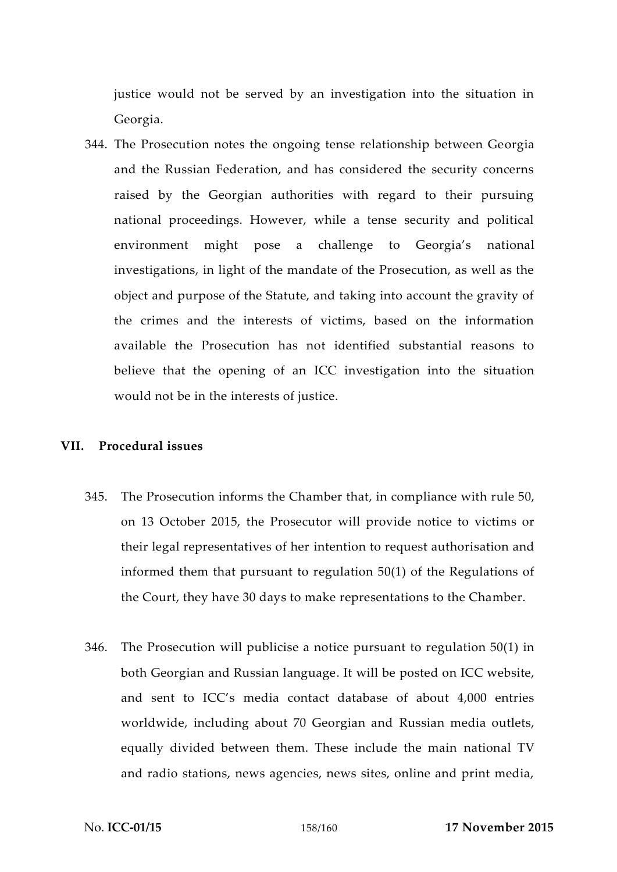justice would not be served by an investigation into the situation in Georgia.

344. The Prosecution notes the ongoing tense relationship between Georgia and the Russian Federation, and has considered the security concerns raised by the Georgian authorities with regard to their pursuing national proceedings. However, while a tense security and political environment might pose a challenge to Georgia's national investigations, in light of the mandate of the Prosecution, as well as the object and purpose of the Statute, and taking into account the gravity of the crimes and the interests of victims, based on the information available the Prosecution has not identified substantial reasons to believe that the opening of an ICC investigation into the situation would not be in the interests of justice.

#### **VII. Procedural issues**

- 345. The Prosecution informs the Chamber that, in compliance with rule 50, on 13 October 2015, the Prosecutor will provide notice to victims or their legal representatives of her intention to request authorisation and informed them that pursuant to regulation 50(1) of the Regulations of the Court, they have 30 days to make representations to the Chamber.
- 346. The Prosecution will publicise a notice pursuant to regulation  $50(1)$  in both Georgian and Russian language. It will be posted on ICC website, and sent to ICC's media contact database of about 4,000 entries worldwide, including about 70 Georgian and Russian media outlets, equally divided between them. These include the main national TV and radio stations, news agencies, news sites, online and print media,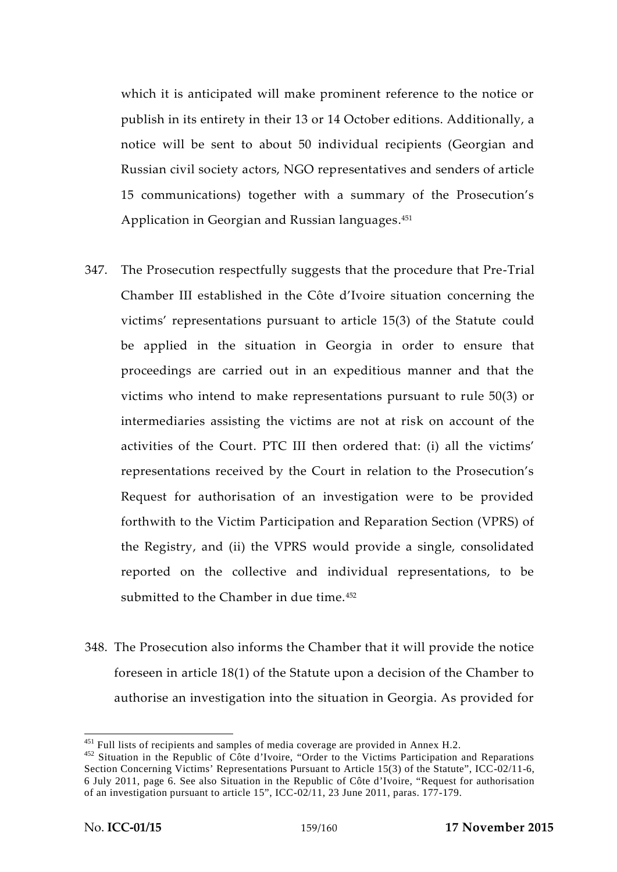which it is anticipated will make prominent reference to the notice or publish in its entirety in their 13 or 14 October editions. Additionally, a notice will be sent to about 50 individual recipients (Georgian and Russian civil society actors, NGO representatives and senders of article 15 communications) together with a summary of the Prosecution's Application in Georgian and Russian languages.<sup>451</sup>

- 347. The Prosecution respectfully suggests that the procedure that Pre-Trial Chamber III established in the Côte d'Ivoire situation concerning the victims' representations pursuant to article 15(3) of the Statute could be applied in the situation in Georgia in order to ensure that proceedings are carried out in an expeditious manner and that the victims who intend to make representations pursuant to rule 50(3) or intermediaries assisting the victims are not at risk on account of the activities of the Court. PTC III then ordered that: (i) all the victims' representations received by the Court in relation to the Prosecution's Request for authorisation of an investigation were to be provided forthwith to the Victim Participation and Reparation Section (VPRS) of the Registry, and (ii) the VPRS would provide a single, consolidated reported on the collective and individual representations, to be submitted to the Chamber in due time.<sup>452</sup>
- 348. The Prosecution also informs the Chamber that it will provide the notice foreseen in article 18(1) of the Statute upon a decision of the Chamber to authorise an investigation into the situation in Georgia. As provided for

<sup>&</sup>lt;sup>451</sup> Full lists of recipients and samples of media coverage are provided in Annex H.2.<br><sup>452</sup> Situation in the Republic of Côte d'Ivoire, "Order to the Victims Participation and Reparations Section Concerning Victims' Representations Pursuant to Article 15(3) of the Statute", ICC-02/11-6, 6 July 2011, page 6. See also Situation in the Republic of Côte d'Ivoire, "Request for authorisation of an investigation pursuant to article 15", ICC-02/11, 23 June 2011, paras. 177-179.